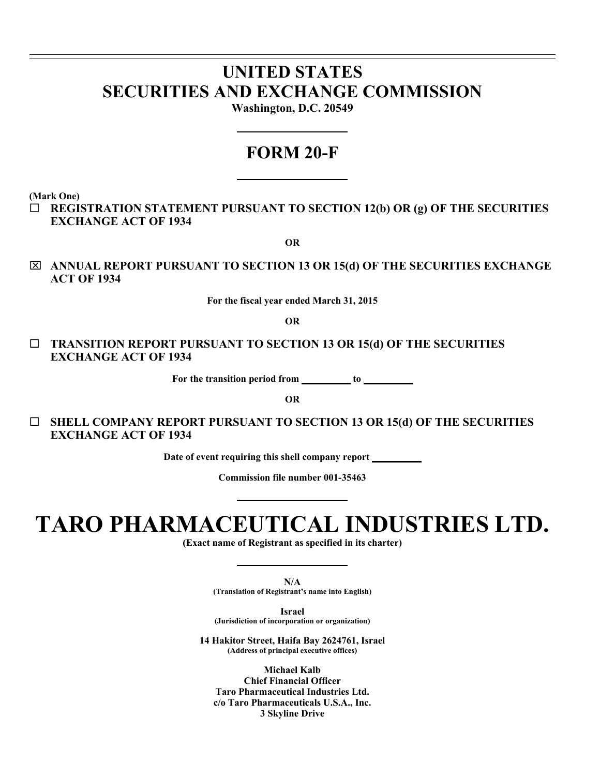# **UNITED STATES SECURITIES AND EXCHANGE COMMISSION**

**Washington, D.C. 20549** 

# **FORM 20-F**

**(Mark One)** 

l l

 **REGISTRATION STATEMENT PURSUANT TO SECTION 12(b) OR (g) OF THE SECURITIES EXCHANGE ACT OF 1934** 

**OR** 

⌧ **ANNUAL REPORT PURSUANT TO SECTION 13 OR 15(d) OF THE SECURITIES EXCHANGE ACT OF 1934** 

**For the fiscal year ended March 31, 2015** 

**OR** 

 **TRANSITION REPORT PURSUANT TO SECTION 13 OR 15(d) OF THE SECURITIES EXCHANGE ACT OF 1934** 

For the transition period from \_\_\_\_\_\_\_\_\_\_ to \_\_\_\_\_\_\_\_\_\_\_\_

**OR** 

 **SHELL COMPANY REPORT PURSUANT TO SECTION 13 OR 15(d) OF THE SECURITIES EXCHANGE ACT OF 1934** 

**Date of event requiring this shell company report** 

**Commission file number 001-35463** 

# **TARO PHARMACEUTICAL INDUSTRIES LTD.**

**(Exact name of Registrant as specified in its charter)** 

**N/A** 

**(Translation of Registrant's name into English)** 

**Israel (Jurisdiction of incorporation or organization)** 

**14 Hakitor Street, Haifa Bay 2624761, Israel (Address of principal executive offices)** 

**Michael Kalb Chief Financial Officer Taro Pharmaceutical Industries Ltd. c/o Taro Pharmaceuticals U.S.A., Inc. 3 Skyline Drive**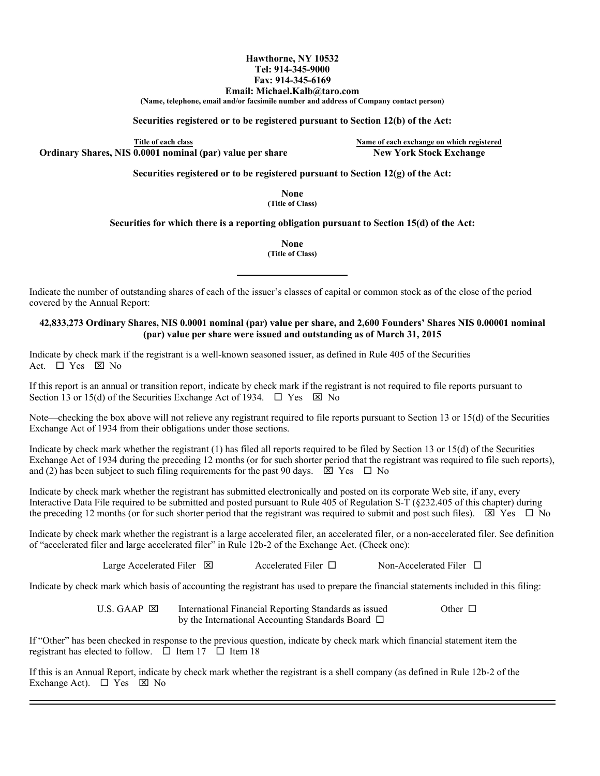#### **Hawthorne, NY 10532 Tel: 914-345-9000 Fax: 914-345-6169 Email: Michael.Kalb@taro.com**

**(Name, telephone, email and/or facsimile number and address of Company contact person)** 

**Securities registered or to be registered pursuant to Section 12(b) of the Act:** 

 $\overline{a}$ 

**Ordinary Shares, NIS 0.0001 nominal (par) value per share <b>New York Stock Exchange** 

**Title of each class Name of each exchange on which registered**

**Securities registered or to be registered pursuant to Section 12(g) of the Act:** 

**None (Title of Class)** 

#### **Securities for which there is a reporting obligation pursuant to Section 15(d) of the Act:**

**None (Title of Class)** 

Indicate the number of outstanding shares of each of the issuer's classes of capital or common stock as of the close of the period covered by the Annual Report:

#### **42,833,273 Ordinary Shares, NIS 0.0001 nominal (par) value per share, and 2,600 Founders' Shares NIS 0.00001 nominal (par) value per share were issued and outstanding as of March 31, 2015**

Indicate by check mark if the registrant is a well-known seasoned issuer, as defined in Rule 405 of the Securities Act  $\Box$  Yes  $\boxtimes$  No

If this report is an annual or transition report, indicate by check mark if the registrant is not required to file reports pursuant to Section 13 or 15(d) of the Securities Exchange Act of 1934.  $\Box$  Yes  $\boxtimes$  No

Note—checking the box above will not relieve any registrant required to file reports pursuant to Section 13 or 15(d) of the Securities Exchange Act of 1934 from their obligations under those sections.

Indicate by check mark whether the registrant (1) has filed all reports required to be filed by Section 13 or 15(d) of the Securities Exchange Act of 1934 during the preceding 12 months (or for such shorter period that the registrant was required to file such reports), and (2) has been subject to such filing requirements for the past 90 days.  $\boxtimes$  Yes  $\Box$  No

Indicate by check mark whether the registrant has submitted electronically and posted on its corporate Web site, if any, every Interactive Data File required to be submitted and posted pursuant to Rule 405 of Regulation S-T (§232.405 of this chapter) during the preceding 12 months (or for such shorter period that the registrant was required to submit and post such files).  $\boxtimes$  Yes  $\Box$  No

Indicate by check mark whether the registrant is a large accelerated filer, an accelerated filer, or a non-accelerated filer. See definition of "accelerated filer and large accelerated filer" in Rule 12b-2 of the Exchange Act. (Check one):

Large Accelerated Filer  $\boxtimes$  Accelerated Filer  $\square$  Non-Accelerated Filer  $\square$ 

Indicate by check mark which basis of accounting the registrant has used to prepare the financial statements included in this filing:

U.S. GAAP  $\boxtimes$ International Financial Reporting Standards as issued by the International Accounting Standards Board  $\Box$ Other  $\Box$ 

If "Other" has been checked in response to the previous question, indicate by check mark which financial statement item the registrant has elected to follow.  $\Box$  Item 17  $\Box$  Item 18

If this is an Annual Report, indicate by check mark whether the registrant is a shell company (as defined in Rule 12b-2 of the Exchange Act).  $\Box$  Yes  $\boxtimes$  No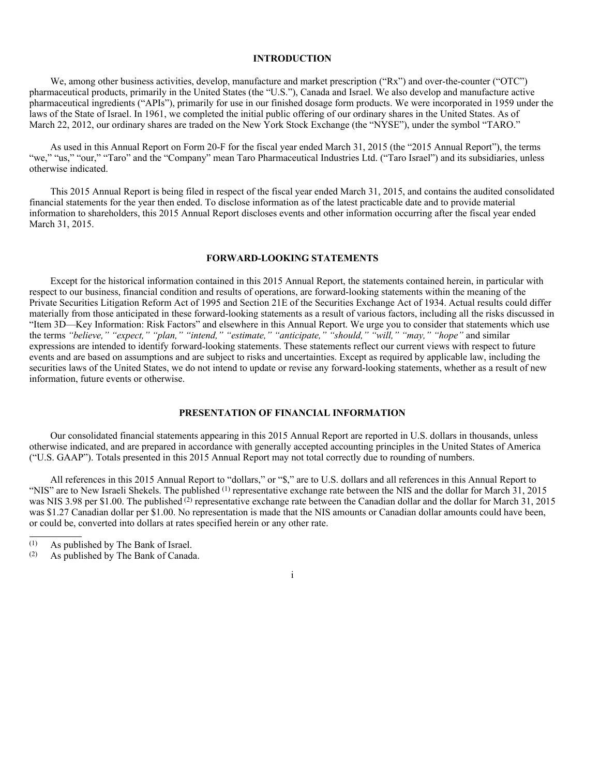#### **INTRODUCTION**

We, among other business activities, develop, manufacture and market prescription ("Rx") and over-the-counter ("OTC") pharmaceutical products, primarily in the United States (the "U.S."), Canada and Israel. We also develop and manufacture active pharmaceutical ingredients ("APIs"), primarily for use in our finished dosage form products. We were incorporated in 1959 under the laws of the State of Israel. In 1961, we completed the initial public offering of our ordinary shares in the United States. As of March 22, 2012, our ordinary shares are traded on the New York Stock Exchange (the "NYSE"), under the symbol "TARO."

As used in this Annual Report on Form 20-F for the fiscal year ended March 31, 2015 (the "2015 Annual Report"), the terms "we," "us," "our," "Taro" and the "Company" mean Taro Pharmaceutical Industries Ltd. ("Taro Israel") and its subsidiaries, unless otherwise indicated.

This 2015 Annual Report is being filed in respect of the fiscal year ended March 31, 2015, and contains the audited consolidated financial statements for the year then ended. To disclose information as of the latest practicable date and to provide material information to shareholders, this 2015 Annual Report discloses events and other information occurring after the fiscal year ended March 31, 2015.

#### **FORWARD-LOOKING STATEMENTS**

Except for the historical information contained in this 2015 Annual Report, the statements contained herein, in particular with respect to our business, financial condition and results of operations, are forward-looking statements within the meaning of the Private Securities Litigation Reform Act of 1995 and Section 21E of the Securities Exchange Act of 1934. Actual results could differ materially from those anticipated in these forward-looking statements as a result of various factors, including all the risks discussed in "Item 3D—Key Information: Risk Factors" and elsewhere in this Annual Report. We urge you to consider that statements which use the terms *"believe," "expect," "plan," "intend," "estimate," "anticipate," "should," "will," "may," "hope"* and similar expressions are intended to identify forward-looking statements. These statements reflect our current views with respect to future events and are based on assumptions and are subject to risks and uncertainties. Except as required by applicable law, including the securities laws of the United States, we do not intend to update or revise any forward-looking statements, whether as a result of new information, future events or otherwise.

#### **PRESENTATION OF FINANCIAL INFORMATION**

Our consolidated financial statements appearing in this 2015 Annual Report are reported in U.S. dollars in thousands, unless otherwise indicated, and are prepared in accordance with generally accepted accounting principles in the United States of America ("U.S. GAAP"). Totals presented in this 2015 Annual Report may not total correctly due to rounding of numbers.

All references in this 2015 Annual Report to "dollars," or "\$," are to U.S. dollars and all references in this Annual Report to "NIS" are to New Israeli Shekels. The published (1) representative exchange rate between the NIS and the dollar for March 31, 2015 was NIS 3.98 per \$1.00. The published <sup>(2)</sup> representative exchange rate between the Canadian dollar and the dollar for March 31, 2015 was \$1.27 Canadian dollar per \$1.00. No representation is made that the NIS amounts or Canadian dollar amounts could have been, or could be, converted into dollars at rates specified herein or any other rate.

<sup>(1)</sup> As published by The Bank of Israel.<br>(2) As published by The Bank of Canad

As published by The Bank of Canada.

i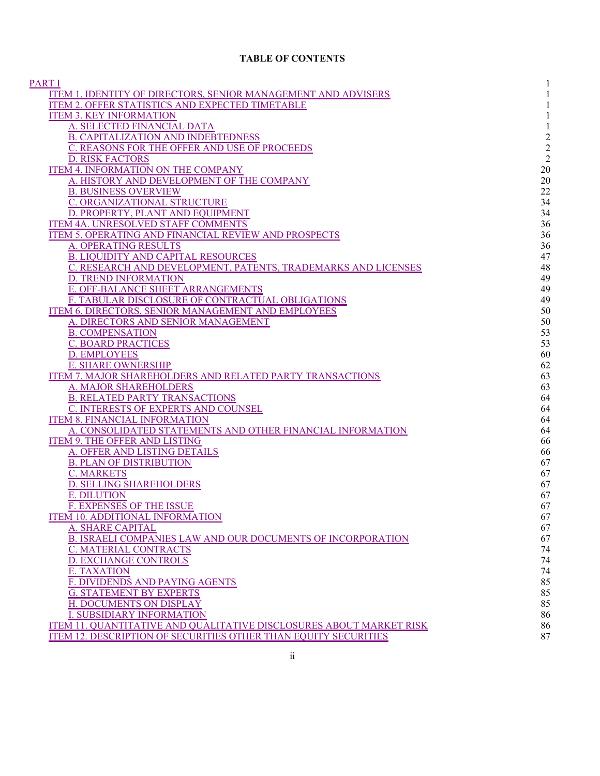## **TABLE OF CONTENTS**

| <b>PARTI</b>                                                               | $\mathbf{1}$            |
|----------------------------------------------------------------------------|-------------------------|
| <b>ITEM 1. IDENTITY OF DIRECTORS, SENIOR MANAGEMENT AND ADVISERS</b>       | $\mathbf{1}$            |
| ITEM 2. OFFER STATISTICS AND EXPECTED TIMETABLE                            | 1                       |
| <b>ITEM 3. KEY INFORMATION</b>                                             | 1                       |
| <u>A. SELECTED FINANCIAL DATA</u>                                          | $\mathbf{1}$            |
| <b>B. CAPITALIZATION AND INDEBTEDNESS</b>                                  | $\boldsymbol{2}$        |
| C. REASONS FOR THE OFFER AND USE OF PROCEEDS                               | $\overline{\mathbf{c}}$ |
| <b>D. RISK FACTORS</b>                                                     | $\sqrt{2}$              |
| <b>ITEM 4. INFORMATION ON THE COMPANY</b>                                  | 20                      |
| A. HISTORY AND DEVELOPMENT OF THE COMPANY                                  | 20                      |
| <b>B. BUSINESS OVERVIEW</b>                                                | 22                      |
| C. ORGANIZATIONAL STRUCTURE                                                | 34                      |
| D. PROPERTY, PLANT AND EQUIPMENT                                           | 34                      |
| <b>ITEM 4A. UNRESOLVED STAFF COMMENTS</b>                                  | 36                      |
| <b>ITEM 5. OPERATING AND FINANCIAL REVIEW AND PROSPECTS</b>                | 36                      |
| <b>A. OPERATING RESULTS</b>                                                | 36                      |
|                                                                            | 47                      |
| <b>B. LIQUIDITY AND CAPITAL RESOURCES</b>                                  | 48                      |
| C. RESEARCH AND DEVELOPMENT, PATENTS, TRADEMARKS AND LICENSES              |                         |
| <b>D. TREND INFORMATION</b>                                                | 49                      |
| <b>E. OFF-BALANCE SHEET ARRANGEMENTS</b>                                   | 49                      |
| F. TABULAR DISCLOSURE OF CONTRACTUAL OBLIGATIONS                           | 49                      |
| <b>ITEM 6. DIRECTORS, SENIOR MANAGEMENT AND EMPLOYEES</b>                  | 50                      |
| A. DIRECTORS AND SENIOR MANAGEMENT                                         | 50                      |
| <b>B. COMPENSATION</b>                                                     | 53                      |
| <b>C. BOARD PRACTICES</b>                                                  | 53                      |
| <b>D. EMPLOYEES</b>                                                        | 60                      |
| <b>E. SHARE OWNERSHIP</b>                                                  | 62                      |
| <b>ITEM 7. MAJOR SHAREHOLDERS AND RELATED PARTY TRANSACTIONS</b>           | 63                      |
| <b>A. MAJOR SHAREHOLDERS</b>                                               | 63                      |
| <b>B. RELATED PARTY TRANSACTIONS</b>                                       | 64                      |
| C. INTERESTS OF EXPERTS AND COUNSEL                                        | 64                      |
| <b>ITEM 8. FINANCIAL INFORMATION</b>                                       | 64                      |
| A. CONSOLIDATED STATEMENTS AND OTHER FINANCIAL INFORMATION                 | 64                      |
| <b>ITEM 9. THE OFFER AND LISTING</b>                                       | 66                      |
| A. OFFER AND LISTING DETAILS                                               | 66                      |
| <b>B. PLAN OF DISTRIBUTION</b>                                             | 67                      |
| <b>C. MARKETS</b>                                                          | 67                      |
| <b>D. SELLING SHAREHOLDERS</b>                                             | 67                      |
| <b>E. DILUTION</b>                                                         | 67                      |
| F. EXPENSES OF THE ISSUE                                                   | 67                      |
| <b>ITEM 10. ADDITIONAL INFORMATION</b>                                     | 67                      |
| A. SHARE CAPITAL                                                           | 67                      |
| B. ISRAELI COMPANIES LAW AND OUR DOCUMENTS OF INCORPORATION                | 67                      |
| C. MATERIAL CONTRACTS                                                      | 74                      |
| <b>D. EXCHANGE CONTROLS</b>                                                | 74                      |
| <b>E. TAXATION</b>                                                         | 74                      |
| F. DIVIDENDS AND PAYING AGENTS                                             | 85                      |
| <b>G. STATEMENT BY EXPERTS</b>                                             | 85                      |
| H. DOCUMENTS ON DISPLAY                                                    | 85                      |
| <b>I. SUBSIDIARY INFORMATION</b>                                           | 86                      |
| <b>ITEM 11. QUANTITATIVE AND QUALITATIVE DISCLOSURES ABOUT MARKET RISK</b> | 86                      |
| ITEM 12. DESCRIPTION OF SECURITIES OTHER THAN EQUITY SECURITIES            | 87                      |
|                                                                            |                         |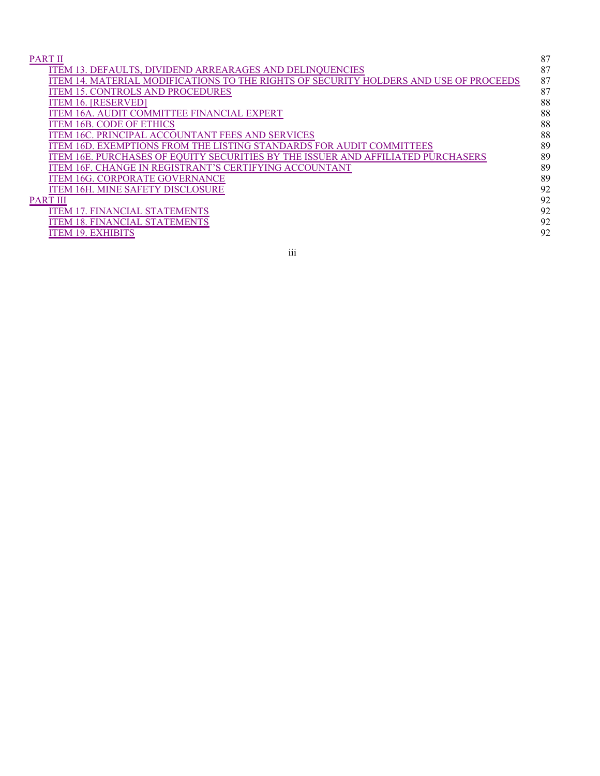| <b>PART II</b>                                                                        | 87 |
|---------------------------------------------------------------------------------------|----|
| <b>ITEM 13. DEFAULTS, DIVIDEND ARREARAGES AND DELINOUENCIES</b>                       | 87 |
| ITEM 14. MATERIAL MODIFICATIONS TO THE RIGHTS OF SECURITY HOLDERS AND USE OF PROCEEDS | 87 |
| ITEM 15. CONTROLS AND PROCEDURES                                                      | 87 |
| <b>ITEM 16. [RESERVED]</b>                                                            | 88 |
| ITEM 16A. AUDIT COMMITTEE FINANCIAL EXPERT                                            | 88 |
| <b>ITEM 16B. CODE OF ETHICS</b>                                                       | 88 |
| <b>ITEM 16C. PRINCIPAL ACCOUNTANT FEES AND SERVICES</b>                               | 88 |
| ITEM 16D. EXEMPTIONS FROM THE LISTING STANDARDS FOR AUDIT COMMITTEES                  | 89 |
| ITEM 16E. PURCHASES OF EOUITY SECURITIES BY THE ISSUER AND AFFILIATED PURCHASERS      | 89 |
| ITEM 16F. CHANGE IN REGISTRANT'S CERTIFYING ACCOUNTANT                                | 89 |
| ITEM 16G. CORPORATE GOVERNANCE                                                        | 89 |
| <b>ITEM 16H. MINE SAFETY DISCLOSURE</b>                                               | 92 |
| <b>PART III</b>                                                                       | 92 |
| <b>ITEM 17. FINANCIAL STATEMENTS</b>                                                  | 92 |
| ITEM 18. FINANCIAL STATEMENTS                                                         | 92 |
| ITEM 19. EXHIBITS                                                                     | 92 |

iii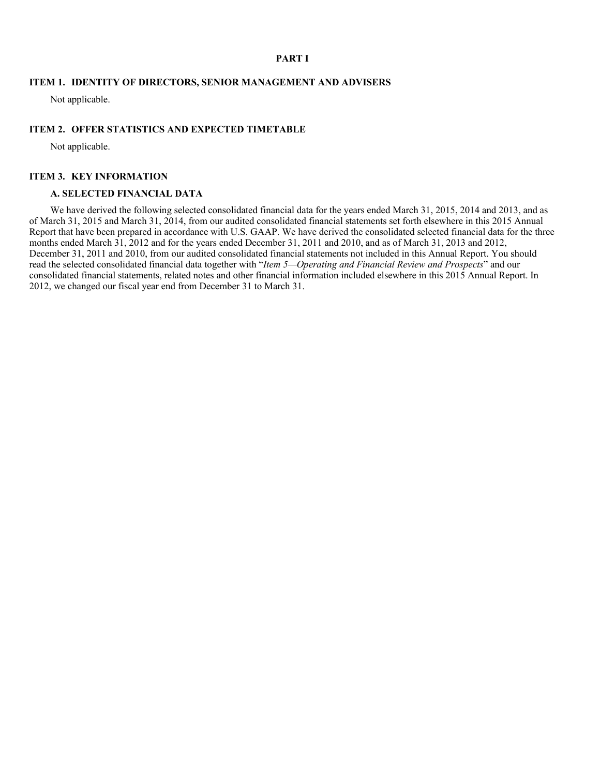#### **PART I**

#### **ITEM 1. IDENTITY OF DIRECTORS, SENIOR MANAGEMENT AND ADVISERS**

Not applicable.

#### **ITEM 2. OFFER STATISTICS AND EXPECTED TIMETABLE**

Not applicable.

#### **ITEM 3. KEY INFORMATION**

#### **A. SELECTED FINANCIAL DATA**

We have derived the following selected consolidated financial data for the years ended March 31, 2015, 2014 and 2013, and as of March 31, 2015 and March 31, 2014, from our audited consolidated financial statements set forth elsewhere in this 2015 Annual Report that have been prepared in accordance with U.S. GAAP. We have derived the consolidated selected financial data for the three months ended March 31, 2012 and for the years ended December 31, 2011 and 2010, and as of March 31, 2013 and 2012, December 31, 2011 and 2010, from our audited consolidated financial statements not included in this Annual Report. You should read the selected consolidated financial data together with "*Item 5—Operating and Financial Review and Prospects*" and our consolidated financial statements, related notes and other financial information included elsewhere in this 2015 Annual Report. In 2012, we changed our fiscal year end from December 31 to March 31.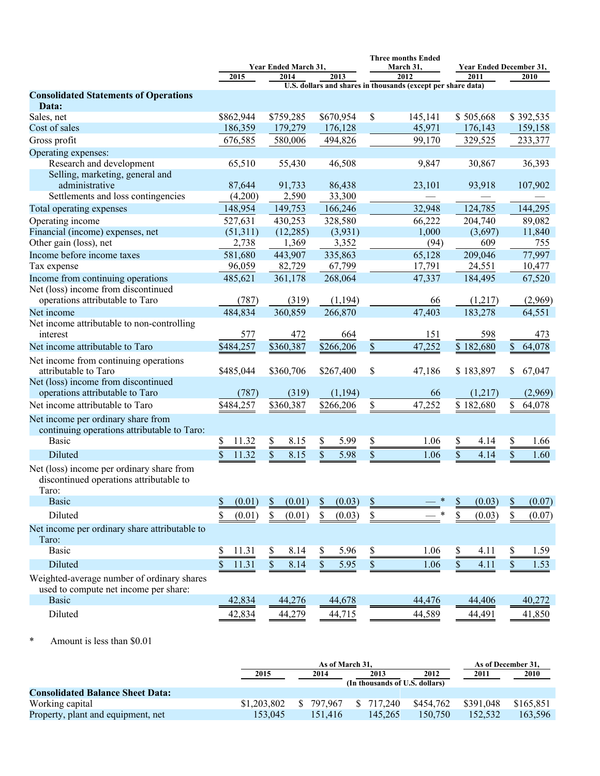|                                                                                               | 2015                             | Year Ended March 31,<br>2014        | 2013                  | <b>Three months Ended</b><br>March 31,<br>2012               | <b>Year Ended December 31,</b><br>2011 | 2010                    |
|-----------------------------------------------------------------------------------------------|----------------------------------|-------------------------------------|-----------------------|--------------------------------------------------------------|----------------------------------------|-------------------------|
|                                                                                               |                                  |                                     |                       | U.S. dollars and shares in thousands (except per share data) |                                        |                         |
| <b>Consolidated Statements of Operations</b><br>Data:                                         |                                  |                                     |                       |                                                              |                                        |                         |
| Sales, net                                                                                    | \$862,944                        | \$759,285                           | \$670,954             | \$<br>145,141                                                | \$505,668                              | \$392,535               |
| Cost of sales                                                                                 | 186,359                          | 179,279                             | 176,128               | 45,971                                                       | 176,143                                | 159,158                 |
| Gross profit                                                                                  | 676,585                          | 580,006                             | 494,826               | 99,170                                                       | 329,525                                | 233,377                 |
| Operating expenses:                                                                           |                                  |                                     |                       |                                                              |                                        |                         |
| Research and development                                                                      | 65,510                           | 55,430                              | 46,508                | 9,847                                                        | 30,867                                 | 36,393                  |
| Selling, marketing, general and                                                               |                                  |                                     |                       |                                                              |                                        |                         |
| administrative                                                                                | 87,644                           | 91,733                              | 86,438                | 23,101                                                       | 93,918                                 | 107,902                 |
| Settlements and loss contingencies                                                            | (4,200)                          | 2,590                               | 33,300                |                                                              |                                        |                         |
| Total operating expenses                                                                      | 148,954                          | 149,753                             | 166,246               | 32,948                                                       | 124,785                                | 144,295                 |
| Operating income                                                                              | 527,631                          | 430,253                             | 328,580               | 66,222                                                       | 204,740                                | 89,082                  |
| Financial (income) expenses, net                                                              | (51,311)                         | (12, 285)                           | (3,931)               | 1,000                                                        | (3,697)                                | 11,840                  |
| Other gain (loss), net                                                                        | 2,738                            | 1,369                               | 3,352                 | (94)                                                         | 609                                    | 755                     |
| Income before income taxes                                                                    | 581,680                          | 443,907                             | 335,863               | 65,128                                                       | 209,046                                | 77,997                  |
| Tax expense                                                                                   | 96,059                           | 82,729                              | 67,799                | 17,791                                                       | 24,551                                 | 10,477                  |
| Income from continuing operations                                                             | 485,621                          | 361,178                             | 268,064               | 47,337                                                       | 184,495                                | 67,520                  |
| Net (loss) income from discontinued                                                           |                                  |                                     |                       |                                                              |                                        |                         |
| operations attributable to Taro                                                               | (787)                            | (319)                               | (1, 194)              | 66                                                           | (1,217)                                | (2,969)                 |
| Net income                                                                                    | 484,834                          | 360,859                             | 266,870               | 47,403                                                       | 183,278                                | 64,551                  |
| Net income attributable to non-controlling<br>interest                                        | 577                              | 472                                 | 664                   | 151                                                          | 598                                    | 473                     |
| Net income attributable to Taro                                                               | \$484,257                        | \$360,387                           | \$266,206             | $\$$<br>47,252                                               | \$182,680                              | $\mathsf{\$}$<br>64,078 |
|                                                                                               |                                  |                                     |                       |                                                              |                                        |                         |
| Net income from continuing operations<br>attributable to Taro                                 | \$485,044                        | \$360,706                           | \$267,400             | 47,186<br>\$                                                 | \$183,897                              | 67,047<br>S             |
| Net (loss) income from discontinued                                                           |                                  |                                     |                       |                                                              |                                        |                         |
| operations attributable to Taro                                                               | (787)                            | (319)                               | (1,194)               | 66                                                           | (1,217)                                | (2,969)                 |
| Net income attributable to Taro                                                               | \$484,257                        | \$360,387                           | \$266,206             | 47,252<br>\$                                                 | \$182,680                              | \$<br>64,078            |
| Net income per ordinary share from<br>continuing operations attributable to Taro:             |                                  |                                     |                       |                                                              |                                        |                         |
| <b>Basic</b>                                                                                  | \$<br>11.32                      | \$<br>8.15                          | \$<br>5.99            | \$<br>1.06                                                   | \$<br>4.14                             | \$<br>1.66              |
| Diluted                                                                                       | \$<br>11.32                      | \$<br>8.15                          | \$<br>5.98            | $\mathbb S$<br>1.06                                          | \$<br>4.14                             | \$<br>1.60              |
| Net (loss) income per ordinary share from<br>discontinued operations attributable to<br>Taro: |                                  |                                     |                       |                                                              |                                        |                         |
| <b>Basic</b>                                                                                  | \$<br>(0.01)                     | $\boldsymbol{\mathsf{S}}$<br>(0.01) | \$<br>(0.03)          | \$<br>$\ast$                                                 | \$<br>(0.03)                           | \$<br>(0.07)            |
| Diluted                                                                                       | \$<br>(0.01)                     | (0.01)<br>\$                        | \$<br>(0.03)          | \$<br>*                                                      | \$<br>(0.03)                           | \$<br>(0.07)            |
| Net income per ordinary share attributable to<br>Taro:                                        |                                  |                                     |                       |                                                              |                                        |                         |
| <b>Basic</b>                                                                                  | 11.31<br>\$                      | <u>\$</u><br>8.14                   | 5.96<br>\$            | \$<br>1.06                                                   | \$<br>4.11                             | $\frac{1}{2}$<br>1.59   |
| Diluted                                                                                       | $\overline{\mathbb{S}}$<br>11.31 | $\overline{\$}$<br>8.14             | $\mathsf{\$}$<br>5.95 | $\mathbb S$<br>1.06                                          | \$<br>4.11                             | $\mathbb S$<br>1.53     |
| Weighted-average number of ordinary shares<br>used to compute net income per share:           |                                  |                                     |                       |                                                              |                                        |                         |
| <b>Basic</b>                                                                                  | 42,834                           | 44,276                              | 44,678                | 44,476                                                       | 44,406                                 | 40,272                  |
| Diluted                                                                                       | 42,834                           | 44,279                              | 44,715                | 44,589                                                       | 44,491                                 | 41,850                  |

# \* Amount is less than \$0.01

|                                         | As of March 31. |  |         |  | As of December 31.             |           |           |           |
|-----------------------------------------|-----------------|--|---------|--|--------------------------------|-----------|-----------|-----------|
|                                         | 2015            |  | 2014    |  | 2013                           | 2012      | 2011      | 2010      |
|                                         |                 |  |         |  | (In thousands of U.S. dollars) |           |           |           |
| <b>Consolidated Balance Sheet Data:</b> |                 |  |         |  |                                |           |           |           |
| Working capital                         | \$1,203,802     |  | 797.967 |  | \$ 717,240                     | \$454.762 | \$391.048 | \$165.851 |
| Property, plant and equipment, net      | 153,045         |  | 151.416 |  | 145.265                        | 150.750   | 152.532   | 163.596   |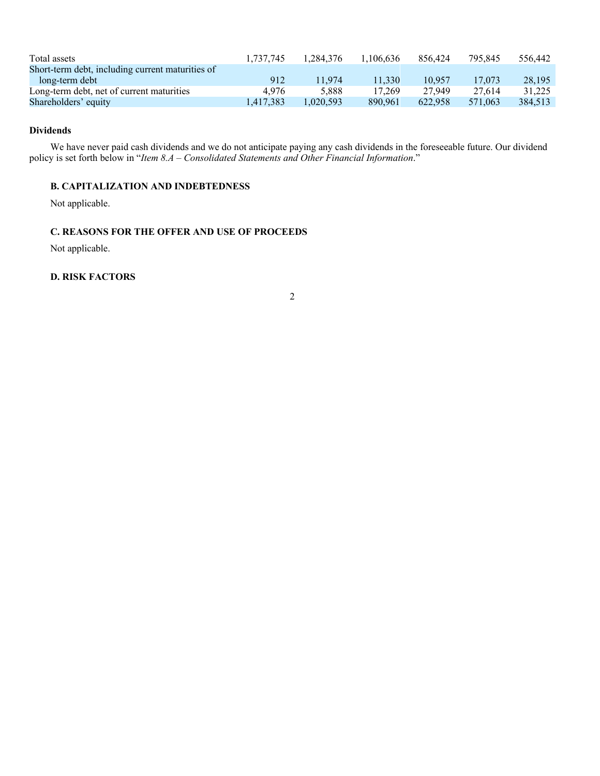| Total assets                                     | 1.737.745 | .284.376 | 1.106.636 | 856.424 | 795.845 | 556,442 |
|--------------------------------------------------|-----------|----------|-----------|---------|---------|---------|
| Short-term debt, including current maturities of |           |          |           |         |         |         |
| long-term debt                                   | 912       | 11.974   | 11.330    | 10.957  | 17.073  | 28.195  |
| Long-term debt, net of current maturities        | 4.976     | 5.888    | 17.269    | 27.949  | 27.614  | 31.225  |
| Shareholders' equity                             | 1.417.383 | .020.593 | 890.961   | 622.958 | 571.063 | 384.513 |

# **Dividends**

We have never paid cash dividends and we do not anticipate paying any cash dividends in the foreseeable future. Our dividend policy is set forth below in "*Item 8.A – Consolidated Statements and Other Financial Information*."

# **B. CAPITALIZATION AND INDEBTEDNESS**

Not applicable.

## **C. REASONS FOR THE OFFER AND USE OF PROCEEDS**

Not applicable.

#### **D. RISK FACTORS**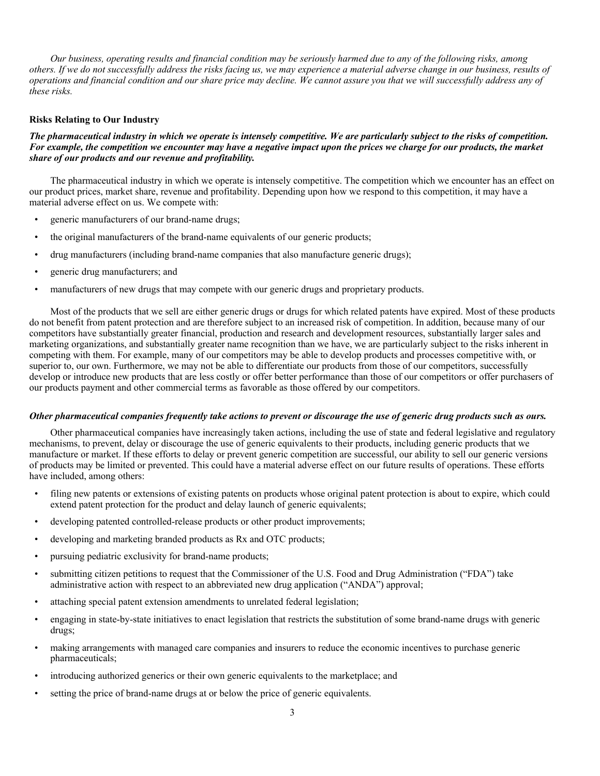*Our business, operating results and financial condition may be seriously harmed due to any of the following risks, among others. If we do not successfully address the risks facing us, we may experience a material adverse change in our business, results of operations and financial condition and our share price may decline. We cannot assure you that we will successfully address any of these risks.* 

#### **Risks Relating to Our Industry**

#### *The pharmaceutical industry in which we operate is intensely competitive. We are particularly subject to the risks of competition. For example, the competition we encounter may have a negative impact upon the prices we charge for our products, the market share of our products and our revenue and profitability.*

The pharmaceutical industry in which we operate is intensely competitive. The competition which we encounter has an effect on our product prices, market share, revenue and profitability. Depending upon how we respond to this competition, it may have a material adverse effect on us. We compete with:

- generic manufacturers of our brand-name drugs;
- the original manufacturers of the brand-name equivalents of our generic products;
- drug manufacturers (including brand-name companies that also manufacture generic drugs);
- generic drug manufacturers; and
- manufacturers of new drugs that may compete with our generic drugs and proprietary products.

Most of the products that we sell are either generic drugs or drugs for which related patents have expired. Most of these products do not benefit from patent protection and are therefore subject to an increased risk of competition. In addition, because many of our competitors have substantially greater financial, production and research and development resources, substantially larger sales and marketing organizations, and substantially greater name recognition than we have, we are particularly subject to the risks inherent in competing with them. For example, many of our competitors may be able to develop products and processes competitive with, or superior to, our own. Furthermore, we may not be able to differentiate our products from those of our competitors, successfully develop or introduce new products that are less costly or offer better performance than those of our competitors or offer purchasers of our products payment and other commercial terms as favorable as those offered by our competitors.

#### *Other pharmaceutical companies frequently take actions to prevent or discourage the use of generic drug products such as ours.*

Other pharmaceutical companies have increasingly taken actions, including the use of state and federal legislative and regulatory mechanisms, to prevent, delay or discourage the use of generic equivalents to their products, including generic products that we manufacture or market. If these efforts to delay or prevent generic competition are successful, our ability to sell our generic versions of products may be limited or prevented. This could have a material adverse effect on our future results of operations. These efforts have included, among others:

- filing new patents or extensions of existing patents on products whose original patent protection is about to expire, which could extend patent protection for the product and delay launch of generic equivalents;
- developing patented controlled-release products or other product improvements;
- developing and marketing branded products as Rx and OTC products;
- pursuing pediatric exclusivity for brand-name products;
- submitting citizen petitions to request that the Commissioner of the U.S. Food and Drug Administration ("FDA") take administrative action with respect to an abbreviated new drug application ("ANDA") approval;
- attaching special patent extension amendments to unrelated federal legislation;
- engaging in state-by-state initiatives to enact legislation that restricts the substitution of some brand-name drugs with generic drugs;
- making arrangements with managed care companies and insurers to reduce the economic incentives to purchase generic pharmaceuticals;
- introducing authorized generics or their own generic equivalents to the marketplace; and
- setting the price of brand-name drugs at or below the price of generic equivalents.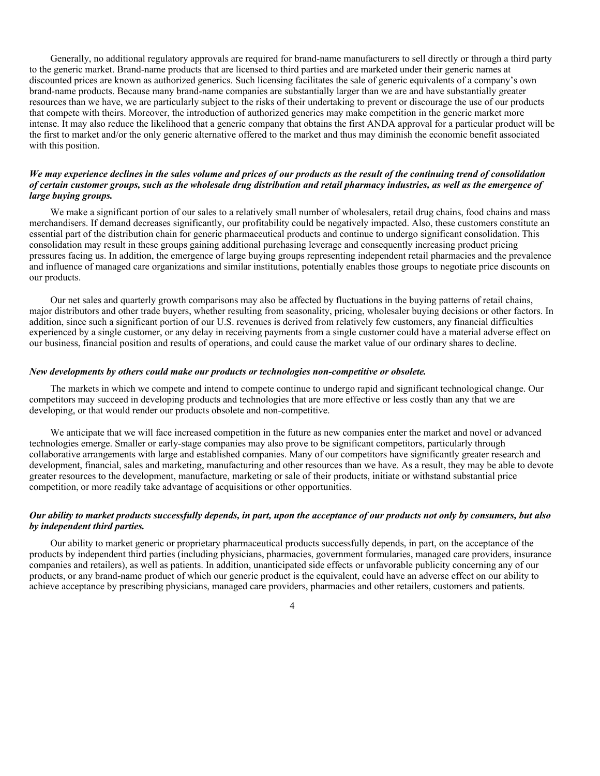Generally, no additional regulatory approvals are required for brand-name manufacturers to sell directly or through a third party to the generic market. Brand-name products that are licensed to third parties and are marketed under their generic names at discounted prices are known as authorized generics. Such licensing facilitates the sale of generic equivalents of a company's own brand-name products. Because many brand-name companies are substantially larger than we are and have substantially greater resources than we have, we are particularly subject to the risks of their undertaking to prevent or discourage the use of our products that compete with theirs. Moreover, the introduction of authorized generics may make competition in the generic market more intense. It may also reduce the likelihood that a generic company that obtains the first ANDA approval for a particular product will be the first to market and/or the only generic alternative offered to the market and thus may diminish the economic benefit associated with this position.

#### *We may experience declines in the sales volume and prices of our products as the result of the continuing trend of consolidation of certain customer groups, such as the wholesale drug distribution and retail pharmacy industries, as well as the emergence of large buying groups.*

We make a significant portion of our sales to a relatively small number of wholesalers, retail drug chains, food chains and mass merchandisers. If demand decreases significantly, our profitability could be negatively impacted. Also, these customers constitute an essential part of the distribution chain for generic pharmaceutical products and continue to undergo significant consolidation. This consolidation may result in these groups gaining additional purchasing leverage and consequently increasing product pricing pressures facing us. In addition, the emergence of large buying groups representing independent retail pharmacies and the prevalence and influence of managed care organizations and similar institutions, potentially enables those groups to negotiate price discounts on our products.

Our net sales and quarterly growth comparisons may also be affected by fluctuations in the buying patterns of retail chains, major distributors and other trade buyers, whether resulting from seasonality, pricing, wholesaler buying decisions or other factors. In addition, since such a significant portion of our U.S. revenues is derived from relatively few customers, any financial difficulties experienced by a single customer, or any delay in receiving payments from a single customer could have a material adverse effect on our business, financial position and results of operations, and could cause the market value of our ordinary shares to decline.

#### *New developments by others could make our products or technologies non-competitive or obsolete.*

The markets in which we compete and intend to compete continue to undergo rapid and significant technological change. Our competitors may succeed in developing products and technologies that are more effective or less costly than any that we are developing, or that would render our products obsolete and non-competitive.

We anticipate that we will face increased competition in the future as new companies enter the market and novel or advanced technologies emerge. Smaller or early-stage companies may also prove to be significant competitors, particularly through collaborative arrangements with large and established companies. Many of our competitors have significantly greater research and development, financial, sales and marketing, manufacturing and other resources than we have. As a result, they may be able to devote greater resources to the development, manufacture, marketing or sale of their products, initiate or withstand substantial price competition, or more readily take advantage of acquisitions or other opportunities.

#### *Our ability to market products successfully depends, in part, upon the acceptance of our products not only by consumers, but also by independent third parties.*

Our ability to market generic or proprietary pharmaceutical products successfully depends, in part, on the acceptance of the products by independent third parties (including physicians, pharmacies, government formularies, managed care providers, insurance companies and retailers), as well as patients. In addition, unanticipated side effects or unfavorable publicity concerning any of our products, or any brand-name product of which our generic product is the equivalent, could have an adverse effect on our ability to achieve acceptance by prescribing physicians, managed care providers, pharmacies and other retailers, customers and patients.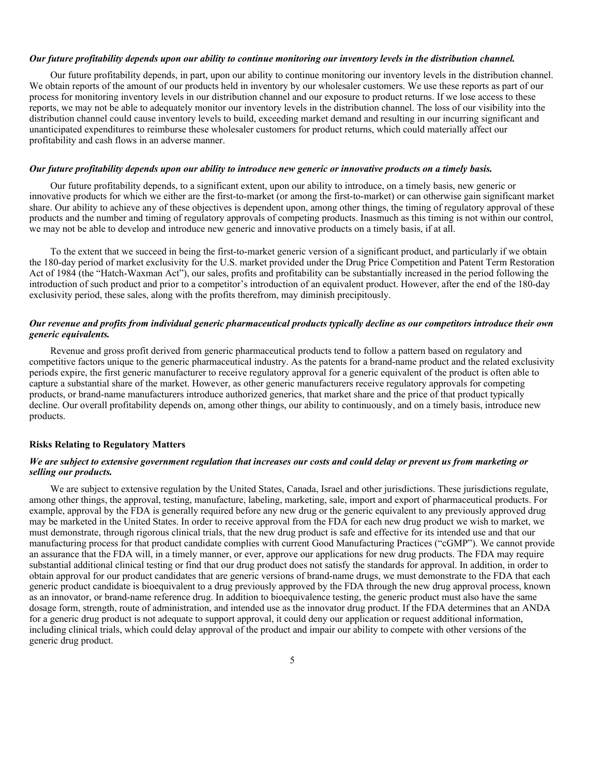#### *Our future profitability depends upon our ability to continue monitoring our inventory levels in the distribution channel.*

Our future profitability depends, in part, upon our ability to continue monitoring our inventory levels in the distribution channel. We obtain reports of the amount of our products held in inventory by our wholesaler customers. We use these reports as part of our process for monitoring inventory levels in our distribution channel and our exposure to product returns. If we lose access to these reports, we may not be able to adequately monitor our inventory levels in the distribution channel. The loss of our visibility into the distribution channel could cause inventory levels to build, exceeding market demand and resulting in our incurring significant and unanticipated expenditures to reimburse these wholesaler customers for product returns, which could materially affect our profitability and cash flows in an adverse manner.

#### *Our future profitability depends upon our ability to introduce new generic or innovative products on a timely basis.*

Our future profitability depends, to a significant extent, upon our ability to introduce, on a timely basis, new generic or innovative products for which we either are the first-to-market (or among the first-to-market) or can otherwise gain significant market share. Our ability to achieve any of these objectives is dependent upon, among other things, the timing of regulatory approval of these products and the number and timing of regulatory approvals of competing products. Inasmuch as this timing is not within our control, we may not be able to develop and introduce new generic and innovative products on a timely basis, if at all.

To the extent that we succeed in being the first-to-market generic version of a significant product, and particularly if we obtain the 180-day period of market exclusivity for the U.S. market provided under the Drug Price Competition and Patent Term Restoration Act of 1984 (the "Hatch-Waxman Act"), our sales, profits and profitability can be substantially increased in the period following the introduction of such product and prior to a competitor's introduction of an equivalent product. However, after the end of the 180-day exclusivity period, these sales, along with the profits therefrom, may diminish precipitously.

#### *Our revenue and profits from individual generic pharmaceutical products typically decline as our competitors introduce their own generic equivalents.*

Revenue and gross profit derived from generic pharmaceutical products tend to follow a pattern based on regulatory and competitive factors unique to the generic pharmaceutical industry. As the patents for a brand-name product and the related exclusivity periods expire, the first generic manufacturer to receive regulatory approval for a generic equivalent of the product is often able to capture a substantial share of the market. However, as other generic manufacturers receive regulatory approvals for competing products, or brand-name manufacturers introduce authorized generics, that market share and the price of that product typically decline. Our overall profitability depends on, among other things, our ability to continuously, and on a timely basis, introduce new products.

#### **Risks Relating to Regulatory Matters**

#### *We are subject to extensive government regulation that increases our costs and could delay or prevent us from marketing or selling our products.*

We are subject to extensive regulation by the United States, Canada, Israel and other jurisdictions. These jurisdictions regulate, among other things, the approval, testing, manufacture, labeling, marketing, sale, import and export of pharmaceutical products. For example, approval by the FDA is generally required before any new drug or the generic equivalent to any previously approved drug may be marketed in the United States. In order to receive approval from the FDA for each new drug product we wish to market, we must demonstrate, through rigorous clinical trials, that the new drug product is safe and effective for its intended use and that our manufacturing process for that product candidate complies with current Good Manufacturing Practices ("cGMP"). We cannot provide an assurance that the FDA will, in a timely manner, or ever, approve our applications for new drug products. The FDA may require substantial additional clinical testing or find that our drug product does not satisfy the standards for approval. In addition, in order to obtain approval for our product candidates that are generic versions of brand-name drugs, we must demonstrate to the FDA that each generic product candidate is bioequivalent to a drug previously approved by the FDA through the new drug approval process, known as an innovator, or brand-name reference drug. In addition to bioequivalence testing, the generic product must also have the same dosage form, strength, route of administration, and intended use as the innovator drug product. If the FDA determines that an ANDA for a generic drug product is not adequate to support approval, it could deny our application or request additional information, including clinical trials, which could delay approval of the product and impair our ability to compete with other versions of the generic drug product.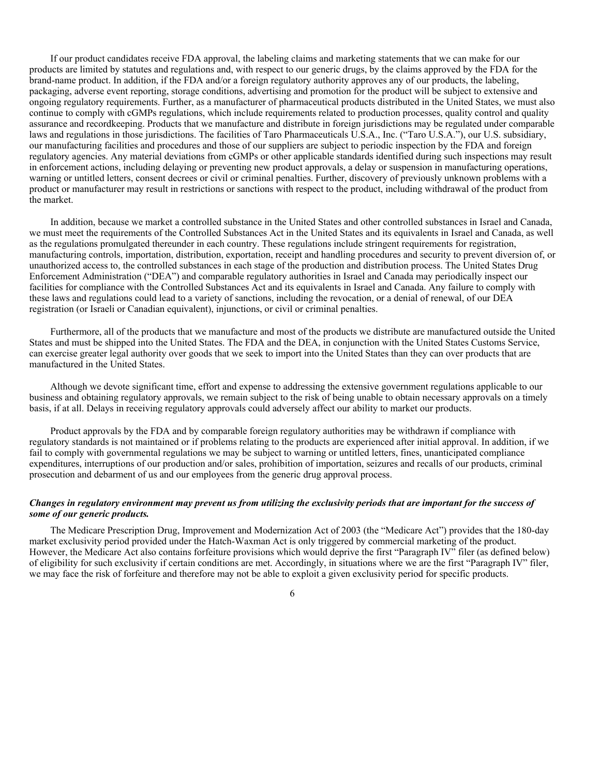If our product candidates receive FDA approval, the labeling claims and marketing statements that we can make for our products are limited by statutes and regulations and, with respect to our generic drugs, by the claims approved by the FDA for the brand-name product. In addition, if the FDA and/or a foreign regulatory authority approves any of our products, the labeling, packaging, adverse event reporting, storage conditions, advertising and promotion for the product will be subject to extensive and ongoing regulatory requirements. Further, as a manufacturer of pharmaceutical products distributed in the United States, we must also continue to comply with cGMPs regulations, which include requirements related to production processes, quality control and quality assurance and recordkeeping. Products that we manufacture and distribute in foreign jurisdictions may be regulated under comparable laws and regulations in those jurisdictions. The facilities of Taro Pharmaceuticals U.S.A., Inc. ("Taro U.S.A."), our U.S. subsidiary, our manufacturing facilities and procedures and those of our suppliers are subject to periodic inspection by the FDA and foreign regulatory agencies. Any material deviations from cGMPs or other applicable standards identified during such inspections may result in enforcement actions, including delaying or preventing new product approvals, a delay or suspension in manufacturing operations, warning or untitled letters, consent decrees or civil or criminal penalties. Further, discovery of previously unknown problems with a product or manufacturer may result in restrictions or sanctions with respect to the product, including withdrawal of the product from the market.

In addition, because we market a controlled substance in the United States and other controlled substances in Israel and Canada, we must meet the requirements of the Controlled Substances Act in the United States and its equivalents in Israel and Canada, as well as the regulations promulgated thereunder in each country. These regulations include stringent requirements for registration, manufacturing controls, importation, distribution, exportation, receipt and handling procedures and security to prevent diversion of, or unauthorized access to, the controlled substances in each stage of the production and distribution process. The United States Drug Enforcement Administration ("DEA") and comparable regulatory authorities in Israel and Canada may periodically inspect our facilities for compliance with the Controlled Substances Act and its equivalents in Israel and Canada. Any failure to comply with these laws and regulations could lead to a variety of sanctions, including the revocation, or a denial of renewal, of our DEA registration (or Israeli or Canadian equivalent), injunctions, or civil or criminal penalties.

Furthermore, all of the products that we manufacture and most of the products we distribute are manufactured outside the United States and must be shipped into the United States. The FDA and the DEA, in conjunction with the United States Customs Service, can exercise greater legal authority over goods that we seek to import into the United States than they can over products that are manufactured in the United States.

Although we devote significant time, effort and expense to addressing the extensive government regulations applicable to our business and obtaining regulatory approvals, we remain subject to the risk of being unable to obtain necessary approvals on a timely basis, if at all. Delays in receiving regulatory approvals could adversely affect our ability to market our products.

Product approvals by the FDA and by comparable foreign regulatory authorities may be withdrawn if compliance with regulatory standards is not maintained or if problems relating to the products are experienced after initial approval. In addition, if we fail to comply with governmental regulations we may be subject to warning or untitled letters, fines, unanticipated compliance expenditures, interruptions of our production and/or sales, prohibition of importation, seizures and recalls of our products, criminal prosecution and debarment of us and our employees from the generic drug approval process.

#### *Changes in regulatory environment may prevent us from utilizing the exclusivity periods that are important for the success of some of our generic products.*

The Medicare Prescription Drug, Improvement and Modernization Act of 2003 (the "Medicare Act") provides that the 180-day market exclusivity period provided under the Hatch-Waxman Act is only triggered by commercial marketing of the product. However, the Medicare Act also contains forfeiture provisions which would deprive the first "Paragraph IV" filer (as defined below) of eligibility for such exclusivity if certain conditions are met. Accordingly, in situations where we are the first "Paragraph IV" filer, we may face the risk of forfeiture and therefore may not be able to exploit a given exclusivity period for specific products.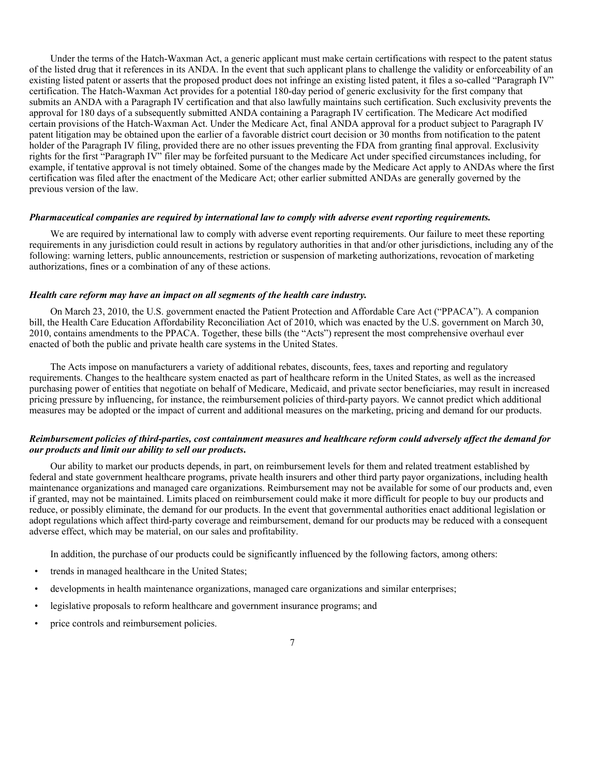Under the terms of the Hatch-Waxman Act, a generic applicant must make certain certifications with respect to the patent status of the listed drug that it references in its ANDA. In the event that such applicant plans to challenge the validity or enforceability of an existing listed patent or asserts that the proposed product does not infringe an existing listed patent, it files a so-called "Paragraph IV" certification. The Hatch-Waxman Act provides for a potential 180-day period of generic exclusivity for the first company that submits an ANDA with a Paragraph IV certification and that also lawfully maintains such certification. Such exclusivity prevents the approval for 180 days of a subsequently submitted ANDA containing a Paragraph IV certification. The Medicare Act modified certain provisions of the Hatch-Waxman Act. Under the Medicare Act, final ANDA approval for a product subject to Paragraph IV patent litigation may be obtained upon the earlier of a favorable district court decision or 30 months from notification to the patent holder of the Paragraph IV filing, provided there are no other issues preventing the FDA from granting final approval. Exclusivity rights for the first "Paragraph IV" filer may be forfeited pursuant to the Medicare Act under specified circumstances including, for example, if tentative approval is not timely obtained. Some of the changes made by the Medicare Act apply to ANDAs where the first certification was filed after the enactment of the Medicare Act; other earlier submitted ANDAs are generally governed by the previous version of the law.

#### *Pharmaceutical companies are required by international law to comply with adverse event reporting requirements.*

We are required by international law to comply with adverse event reporting requirements. Our failure to meet these reporting requirements in any jurisdiction could result in actions by regulatory authorities in that and/or other jurisdictions, including any of the following: warning letters, public announcements, restriction or suspension of marketing authorizations, revocation of marketing authorizations, fines or a combination of any of these actions.

#### *Health care reform may have an impact on all segments of the health care industry.*

On March 23, 2010, the U.S. government enacted the Patient Protection and Affordable Care Act ("PPACA"). A companion bill, the Health Care Education Affordability Reconciliation Act of 2010, which was enacted by the U.S. government on March 30, 2010, contains amendments to the PPACA. Together, these bills (the "Acts") represent the most comprehensive overhaul ever enacted of both the public and private health care systems in the United States.

The Acts impose on manufacturers a variety of additional rebates, discounts, fees, taxes and reporting and regulatory requirements. Changes to the healthcare system enacted as part of healthcare reform in the United States, as well as the increased purchasing power of entities that negotiate on behalf of Medicare, Medicaid, and private sector beneficiaries, may result in increased pricing pressure by influencing, for instance, the reimbursement policies of third-party payors. We cannot predict which additional measures may be adopted or the impact of current and additional measures on the marketing, pricing and demand for our products.

#### *Reimbursement policies of third-parties, cost containment measures and healthcare reform could adversely affect the demand for our products and limit our ability to sell our products***.**

Our ability to market our products depends, in part, on reimbursement levels for them and related treatment established by federal and state government healthcare programs, private health insurers and other third party payor organizations, including health maintenance organizations and managed care organizations. Reimbursement may not be available for some of our products and, even if granted, may not be maintained. Limits placed on reimbursement could make it more difficult for people to buy our products and reduce, or possibly eliminate, the demand for our products. In the event that governmental authorities enact additional legislation or adopt regulations which affect third-party coverage and reimbursement, demand for our products may be reduced with a consequent adverse effect, which may be material, on our sales and profitability.

In addition, the purchase of our products could be significantly influenced by the following factors, among others:

- trends in managed healthcare in the United States;
- developments in health maintenance organizations, managed care organizations and similar enterprises;
- legislative proposals to reform healthcare and government insurance programs; and
- price controls and reimbursement policies.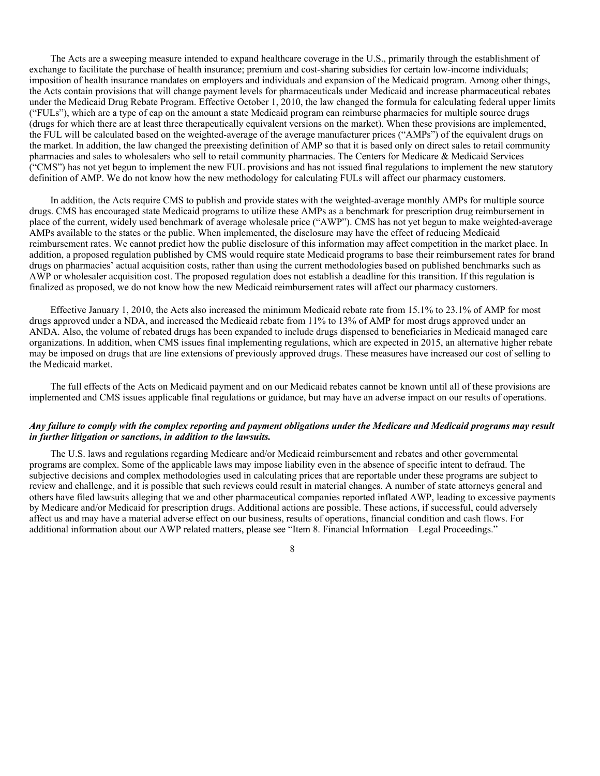The Acts are a sweeping measure intended to expand healthcare coverage in the U.S., primarily through the establishment of exchange to facilitate the purchase of health insurance; premium and cost-sharing subsidies for certain low-income individuals; imposition of health insurance mandates on employers and individuals and expansion of the Medicaid program. Among other things, the Acts contain provisions that will change payment levels for pharmaceuticals under Medicaid and increase pharmaceutical rebates under the Medicaid Drug Rebate Program. Effective October 1, 2010, the law changed the formula for calculating federal upper limits ("FULs"), which are a type of cap on the amount a state Medicaid program can reimburse pharmacies for multiple source drugs (drugs for which there are at least three therapeutically equivalent versions on the market). When these provisions are implemented, the FUL will be calculated based on the weighted-average of the average manufacturer prices ("AMPs") of the equivalent drugs on the market. In addition, the law changed the preexisting definition of AMP so that it is based only on direct sales to retail community pharmacies and sales to wholesalers who sell to retail community pharmacies. The Centers for Medicare & Medicaid Services ("CMS") has not yet begun to implement the new FUL provisions and has not issued final regulations to implement the new statutory definition of AMP. We do not know how the new methodology for calculating FULs will affect our pharmacy customers.

In addition, the Acts require CMS to publish and provide states with the weighted-average monthly AMPs for multiple source drugs. CMS has encouraged state Medicaid programs to utilize these AMPs as a benchmark for prescription drug reimbursement in place of the current, widely used benchmark of average wholesale price ("AWP"). CMS has not yet begun to make weighted-average AMPs available to the states or the public. When implemented, the disclosure may have the effect of reducing Medicaid reimbursement rates. We cannot predict how the public disclosure of this information may affect competition in the market place. In addition, a proposed regulation published by CMS would require state Medicaid programs to base their reimbursement rates for brand drugs on pharmacies' actual acquisition costs, rather than using the current methodologies based on published benchmarks such as AWP or wholesaler acquisition cost. The proposed regulation does not establish a deadline for this transition. If this regulation is finalized as proposed, we do not know how the new Medicaid reimbursement rates will affect our pharmacy customers.

Effective January 1, 2010, the Acts also increased the minimum Medicaid rebate rate from 15.1% to 23.1% of AMP for most drugs approved under a NDA, and increased the Medicaid rebate from 11% to 13% of AMP for most drugs approved under an ANDA. Also, the volume of rebated drugs has been expanded to include drugs dispensed to beneficiaries in Medicaid managed care organizations. In addition, when CMS issues final implementing regulations, which are expected in 2015, an alternative higher rebate may be imposed on drugs that are line extensions of previously approved drugs. These measures have increased our cost of selling to the Medicaid market.

The full effects of the Acts on Medicaid payment and on our Medicaid rebates cannot be known until all of these provisions are implemented and CMS issues applicable final regulations or guidance, but may have an adverse impact on our results of operations.

#### *Any failure to comply with the complex reporting and payment obligations under the Medicare and Medicaid programs may result in further litigation or sanctions, in addition to the lawsuits.*

The U.S. laws and regulations regarding Medicare and/or Medicaid reimbursement and rebates and other governmental programs are complex. Some of the applicable laws may impose liability even in the absence of specific intent to defraud. The subjective decisions and complex methodologies used in calculating prices that are reportable under these programs are subject to review and challenge, and it is possible that such reviews could result in material changes. A number of state attorneys general and others have filed lawsuits alleging that we and other pharmaceutical companies reported inflated AWP, leading to excessive payments by Medicare and/or Medicaid for prescription drugs. Additional actions are possible. These actions, if successful, could adversely affect us and may have a material adverse effect on our business, results of operations, financial condition and cash flows. For additional information about our AWP related matters, please see "Item 8. Financial Information—Legal Proceedings."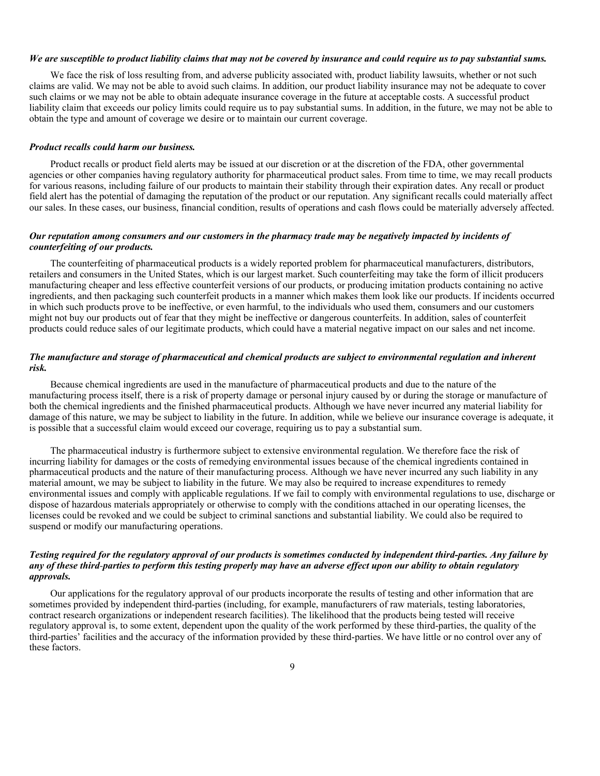#### *We are susceptible to product liability claims that may not be covered by insurance and could require us to pay substantial sums.*

We face the risk of loss resulting from, and adverse publicity associated with, product liability lawsuits, whether or not such claims are valid. We may not be able to avoid such claims. In addition, our product liability insurance may not be adequate to cover such claims or we may not be able to obtain adequate insurance coverage in the future at acceptable costs. A successful product liability claim that exceeds our policy limits could require us to pay substantial sums. In addition, in the future, we may not be able to obtain the type and amount of coverage we desire or to maintain our current coverage.

#### *Product recalls could harm our business.*

Product recalls or product field alerts may be issued at our discretion or at the discretion of the FDA, other governmental agencies or other companies having regulatory authority for pharmaceutical product sales. From time to time, we may recall products for various reasons, including failure of our products to maintain their stability through their expiration dates. Any recall or product field alert has the potential of damaging the reputation of the product or our reputation. Any significant recalls could materially affect our sales. In these cases, our business, financial condition, results of operations and cash flows could be materially adversely affected.

#### *Our reputation among consumers and our customers in the pharmacy trade may be negatively impacted by incidents of counterfeiting of our products.*

The counterfeiting of pharmaceutical products is a widely reported problem for pharmaceutical manufacturers, distributors, retailers and consumers in the United States, which is our largest market. Such counterfeiting may take the form of illicit producers manufacturing cheaper and less effective counterfeit versions of our products, or producing imitation products containing no active ingredients, and then packaging such counterfeit products in a manner which makes them look like our products. If incidents occurred in which such products prove to be ineffective, or even harmful, to the individuals who used them, consumers and our customers might not buy our products out of fear that they might be ineffective or dangerous counterfeits. In addition, sales of counterfeit products could reduce sales of our legitimate products, which could have a material negative impact on our sales and net income.

#### *The manufacture and storage of pharmaceutical and chemical products are subject to environmental regulation and inherent risk.*

Because chemical ingredients are used in the manufacture of pharmaceutical products and due to the nature of the manufacturing process itself, there is a risk of property damage or personal injury caused by or during the storage or manufacture of both the chemical ingredients and the finished pharmaceutical products. Although we have never incurred any material liability for damage of this nature, we may be subject to liability in the future. In addition, while we believe our insurance coverage is adequate, it is possible that a successful claim would exceed our coverage, requiring us to pay a substantial sum.

The pharmaceutical industry is furthermore subject to extensive environmental regulation. We therefore face the risk of incurring liability for damages or the costs of remedying environmental issues because of the chemical ingredients contained in pharmaceutical products and the nature of their manufacturing process. Although we have never incurred any such liability in any material amount, we may be subject to liability in the future. We may also be required to increase expenditures to remedy environmental issues and comply with applicable regulations. If we fail to comply with environmental regulations to use, discharge or dispose of hazardous materials appropriately or otherwise to comply with the conditions attached in our operating licenses, the licenses could be revoked and we could be subject to criminal sanctions and substantial liability. We could also be required to suspend or modify our manufacturing operations.

#### *Testing required for the regulatory approval of our products is sometimes conducted by independent third-parties. Any failure by any of these third-parties to perform this testing properly may have an adverse effect upon our ability to obtain regulatory approvals.*

Our applications for the regulatory approval of our products incorporate the results of testing and other information that are sometimes provided by independent third-parties (including, for example, manufacturers of raw materials, testing laboratories, contract research organizations or independent research facilities). The likelihood that the products being tested will receive regulatory approval is, to some extent, dependent upon the quality of the work performed by these third-parties, the quality of the third-parties' facilities and the accuracy of the information provided by these third-parties. We have little or no control over any of these factors.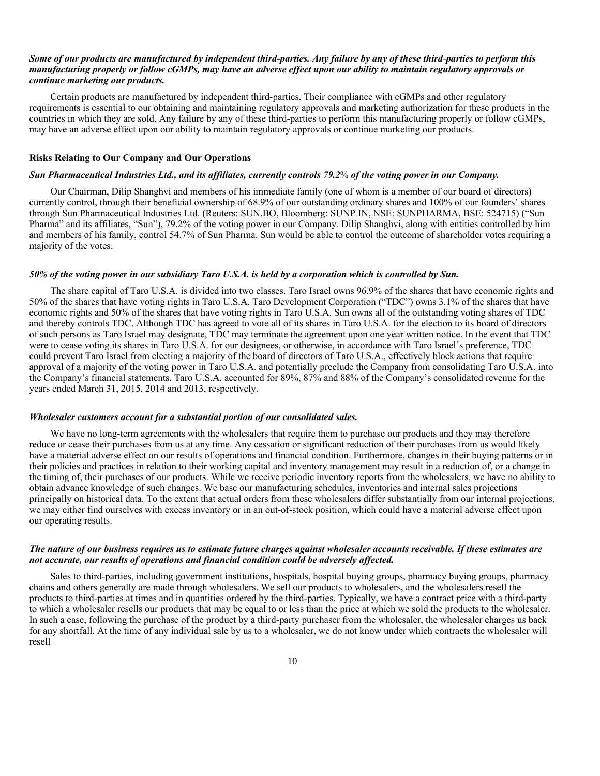#### *Some of our products are manufactured by independent third-parties. Any failure by any of these third-parties to perform this manufacturing properly or follow cGMPs, may have an adverse effect upon our ability to maintain regulatory approvals or continue marketing our products.*

Certain products are manufactured by independent third-parties. Their compliance with cGMPs and other regulatory requirements is essential to our obtaining and maintaining regulatory approvals and marketing authorization for these products in the countries in which they are sold. Any failure by any of these third-parties to perform this manufacturing properly or follow cGMPs, may have an adverse effect upon our ability to maintain regulatory approvals or continue marketing our products.

#### **Risks Relating to Our Company and Our Operations**

#### *Sun Pharmaceutical Industries Ltd., and its affiliates, currently controls 79.2*% *of the voting power in our Company.*

Our Chairman, Dilip Shanghvi and members of his immediate family (one of whom is a member of our board of directors) currently control, through their beneficial ownership of 68.9% of our outstanding ordinary shares and 100% of our founders' shares through Sun Pharmaceutical Industries Ltd. (Reuters: SUN.BO, Bloomberg: SUNP IN, NSE: SUNPHARMA, BSE: 524715) ("Sun Pharma" and its affiliates, "Sun"), 79.2% of the voting power in our Company. Dilip Shanghvi, along with entities controlled by him and members of his family, control 54.7% of Sun Pharma. Sun would be able to control the outcome of shareholder votes requiring a majority of the votes.

#### *50% of the voting power in our subsidiary Taro U.S.A. is held by a corporation which is controlled by Sun.*

The share capital of Taro U.S.A. is divided into two classes. Taro Israel owns 96.9% of the shares that have economic rights and 50% of the shares that have voting rights in Taro U.S.A. Taro Development Corporation ("TDC") owns 3.1% of the shares that have economic rights and 50% of the shares that have voting rights in Taro U.S.A. Sun owns all of the outstanding voting shares of TDC and thereby controls TDC. Although TDC has agreed to vote all of its shares in Taro U.S.A. for the election to its board of directors of such persons as Taro Israel may designate, TDC may terminate the agreement upon one year written notice. In the event that TDC were to cease voting its shares in Taro U.S.A. for our designees, or otherwise, in accordance with Taro Israel's preference, TDC could prevent Taro Israel from electing a majority of the board of directors of Taro U.S.A., effectively block actions that require approval of a majority of the voting power in Taro U.S.A. and potentially preclude the Company from consolidating Taro U.S.A. into the Company's financial statements. Taro U.S.A. accounted for 89%, 87% and 88% of the Company's consolidated revenue for the years ended March 31, 2015, 2014 and 2013, respectively.

#### *Wholesaler customers account for a substantial portion of our consolidated sales.*

We have no long-term agreements with the wholesalers that require them to purchase our products and they may therefore reduce or cease their purchases from us at any time. Any cessation or significant reduction of their purchases from us would likely have a material adverse effect on our results of operations and financial condition. Furthermore, changes in their buying patterns or in their policies and practices in relation to their working capital and inventory management may result in a reduction of, or a change in the timing of, their purchases of our products. While we receive periodic inventory reports from the wholesalers, we have no ability to obtain advance knowledge of such changes. We base our manufacturing schedules, inventories and internal sales projections principally on historical data. To the extent that actual orders from these wholesalers differ substantially from our internal projections, we may either find ourselves with excess inventory or in an out-of-stock position, which could have a material adverse effect upon our operating results.

#### *The nature of our business requires us to estimate future charges against wholesaler accounts receivable. If these estimates are not accurate, our results of operations and financial condition could be adversely affected.*

Sales to third-parties, including government institutions, hospitals, hospital buying groups, pharmacy buying groups, pharmacy chains and others generally are made through wholesalers. We sell our products to wholesalers, and the wholesalers resell the products to third-parties at times and in quantities ordered by the third-parties. Typically, we have a contract price with a third-party to which a wholesaler resells our products that may be equal to or less than the price at which we sold the products to the wholesaler. In such a case, following the purchase of the product by a third-party purchaser from the wholesaler, the wholesaler charges us back for any shortfall. At the time of any individual sale by us to a wholesaler, we do not know under which contracts the wholesaler will resell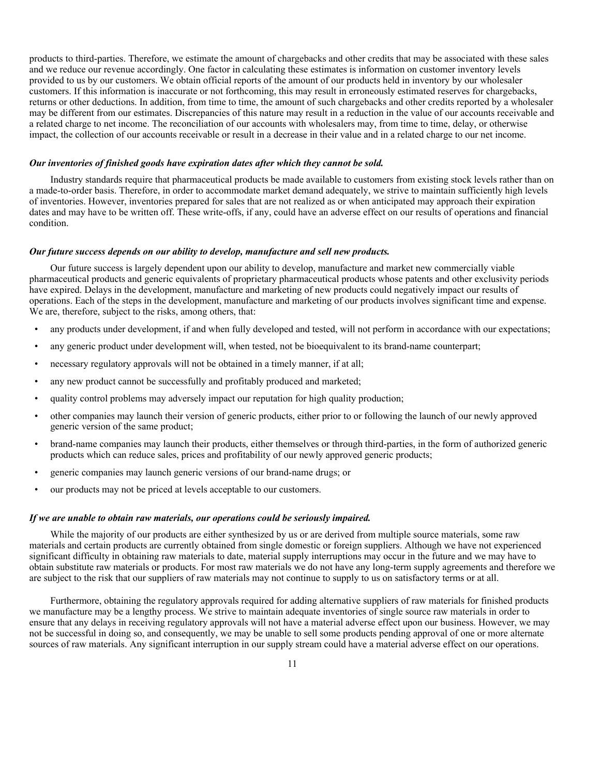products to third-parties. Therefore, we estimate the amount of chargebacks and other credits that may be associated with these sales and we reduce our revenue accordingly. One factor in calculating these estimates is information on customer inventory levels provided to us by our customers. We obtain official reports of the amount of our products held in inventory by our wholesaler customers. If this information is inaccurate or not forthcoming, this may result in erroneously estimated reserves for chargebacks, returns or other deductions. In addition, from time to time, the amount of such chargebacks and other credits reported by a wholesaler may be different from our estimates. Discrepancies of this nature may result in a reduction in the value of our accounts receivable and a related charge to net income. The reconciliation of our accounts with wholesalers may, from time to time, delay, or otherwise impact, the collection of our accounts receivable or result in a decrease in their value and in a related charge to our net income.

#### *Our inventories of finished goods have expiration dates after which they cannot be sold.*

Industry standards require that pharmaceutical products be made available to customers from existing stock levels rather than on a made-to-order basis. Therefore, in order to accommodate market demand adequately, we strive to maintain sufficiently high levels of inventories. However, inventories prepared for sales that are not realized as or when anticipated may approach their expiration dates and may have to be written off. These write-offs, if any, could have an adverse effect on our results of operations and financial condition.

#### *Our future success depends on our ability to develop, manufacture and sell new products.*

Our future success is largely dependent upon our ability to develop, manufacture and market new commercially viable pharmaceutical products and generic equivalents of proprietary pharmaceutical products whose patents and other exclusivity periods have expired. Delays in the development, manufacture and marketing of new products could negatively impact our results of operations. Each of the steps in the development, manufacture and marketing of our products involves significant time and expense. We are, therefore, subject to the risks, among others, that:

- any products under development, if and when fully developed and tested, will not perform in accordance with our expectations;
- any generic product under development will, when tested, not be bioequivalent to its brand-name counterpart;
- necessary regulatory approvals will not be obtained in a timely manner, if at all;
- any new product cannot be successfully and profitably produced and marketed;
- quality control problems may adversely impact our reputation for high quality production;
- other companies may launch their version of generic products, either prior to or following the launch of our newly approved generic version of the same product;
- brand-name companies may launch their products, either themselves or through third-parties, in the form of authorized generic products which can reduce sales, prices and profitability of our newly approved generic products;
- generic companies may launch generic versions of our brand-name drugs; or
- our products may not be priced at levels acceptable to our customers.

#### *If we are unable to obtain raw materials, our operations could be seriously impaired.*

While the majority of our products are either synthesized by us or are derived from multiple source materials, some raw materials and certain products are currently obtained from single domestic or foreign suppliers. Although we have not experienced significant difficulty in obtaining raw materials to date, material supply interruptions may occur in the future and we may have to obtain substitute raw materials or products. For most raw materials we do not have any long-term supply agreements and therefore we are subject to the risk that our suppliers of raw materials may not continue to supply to us on satisfactory terms or at all.

Furthermore, obtaining the regulatory approvals required for adding alternative suppliers of raw materials for finished products we manufacture may be a lengthy process. We strive to maintain adequate inventories of single source raw materials in order to ensure that any delays in receiving regulatory approvals will not have a material adverse effect upon our business. However, we may not be successful in doing so, and consequently, we may be unable to sell some products pending approval of one or more alternate sources of raw materials. Any significant interruption in our supply stream could have a material adverse effect on our operations.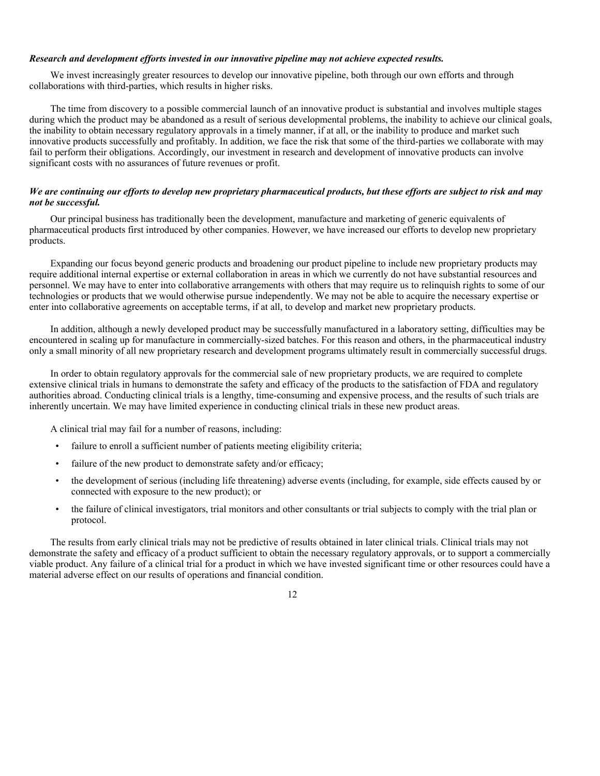#### *Research and development efforts invested in our innovative pipeline may not achieve expected results.*

We invest increasingly greater resources to develop our innovative pipeline, both through our own efforts and through collaborations with third-parties, which results in higher risks.

The time from discovery to a possible commercial launch of an innovative product is substantial and involves multiple stages during which the product may be abandoned as a result of serious developmental problems, the inability to achieve our clinical goals, the inability to obtain necessary regulatory approvals in a timely manner, if at all, or the inability to produce and market such innovative products successfully and profitably. In addition, we face the risk that some of the third-parties we collaborate with may fail to perform their obligations. Accordingly, our investment in research and development of innovative products can involve significant costs with no assurances of future revenues or profit.

#### *We are continuing our efforts to develop new proprietary pharmaceutical products, but these efforts are subject to risk and may not be successful.*

Our principal business has traditionally been the development, manufacture and marketing of generic equivalents of pharmaceutical products first introduced by other companies. However, we have increased our efforts to develop new proprietary products.

Expanding our focus beyond generic products and broadening our product pipeline to include new proprietary products may require additional internal expertise or external collaboration in areas in which we currently do not have substantial resources and personnel. We may have to enter into collaborative arrangements with others that may require us to relinquish rights to some of our technologies or products that we would otherwise pursue independently. We may not be able to acquire the necessary expertise or enter into collaborative agreements on acceptable terms, if at all, to develop and market new proprietary products.

In addition, although a newly developed product may be successfully manufactured in a laboratory setting, difficulties may be encountered in scaling up for manufacture in commercially-sized batches. For this reason and others, in the pharmaceutical industry only a small minority of all new proprietary research and development programs ultimately result in commercially successful drugs.

In order to obtain regulatory approvals for the commercial sale of new proprietary products, we are required to complete extensive clinical trials in humans to demonstrate the safety and efficacy of the products to the satisfaction of FDA and regulatory authorities abroad. Conducting clinical trials is a lengthy, time-consuming and expensive process, and the results of such trials are inherently uncertain. We may have limited experience in conducting clinical trials in these new product areas.

A clinical trial may fail for a number of reasons, including:

- failure to enroll a sufficient number of patients meeting eligibility criteria;
- failure of the new product to demonstrate safety and/or efficacy;
- the development of serious (including life threatening) adverse events (including, for example, side effects caused by or connected with exposure to the new product); or
- the failure of clinical investigators, trial monitors and other consultants or trial subjects to comply with the trial plan or protocol.

The results from early clinical trials may not be predictive of results obtained in later clinical trials. Clinical trials may not demonstrate the safety and efficacy of a product sufficient to obtain the necessary regulatory approvals, or to support a commercially viable product. Any failure of a clinical trial for a product in which we have invested significant time or other resources could have a material adverse effect on our results of operations and financial condition.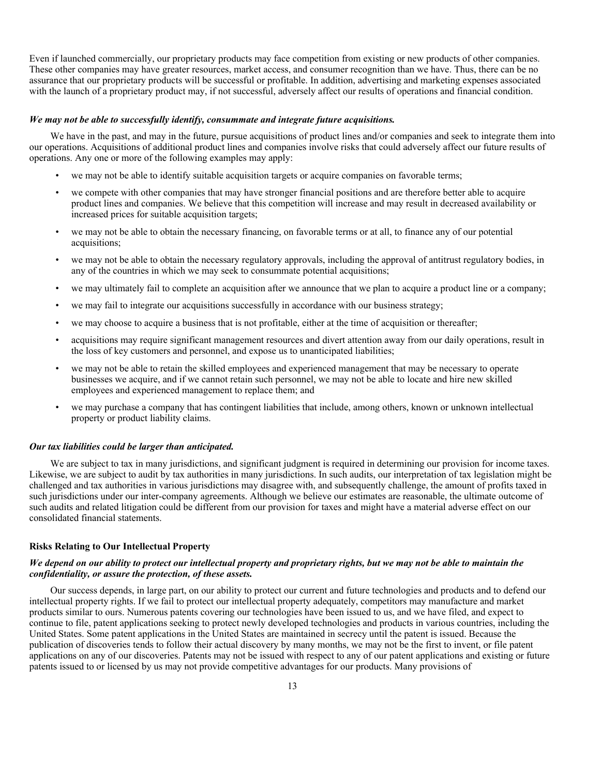Even if launched commercially, our proprietary products may face competition from existing or new products of other companies. These other companies may have greater resources, market access, and consumer recognition than we have. Thus, there can be no assurance that our proprietary products will be successful or profitable. In addition, advertising and marketing expenses associated with the launch of a proprietary product may, if not successful, adversely affect our results of operations and financial condition.

#### *We may not be able to successfully identify, consummate and integrate future acquisitions.*

We have in the past, and may in the future, pursue acquisitions of product lines and/or companies and seek to integrate them into our operations. Acquisitions of additional product lines and companies involve risks that could adversely affect our future results of operations. Any one or more of the following examples may apply:

- we may not be able to identify suitable acquisition targets or acquire companies on favorable terms;
- we compete with other companies that may have stronger financial positions and are therefore better able to acquire product lines and companies. We believe that this competition will increase and may result in decreased availability or increased prices for suitable acquisition targets;
- we may not be able to obtain the necessary financing, on favorable terms or at all, to finance any of our potential acquisitions;
- we may not be able to obtain the necessary regulatory approvals, including the approval of antitrust regulatory bodies, in any of the countries in which we may seek to consummate potential acquisitions;
- we may ultimately fail to complete an acquisition after we announce that we plan to acquire a product line or a company;
- we may fail to integrate our acquisitions successfully in accordance with our business strategy;
- we may choose to acquire a business that is not profitable, either at the time of acquisition or thereafter;
- acquisitions may require significant management resources and divert attention away from our daily operations, result in the loss of key customers and personnel, and expose us to unanticipated liabilities;
- we may not be able to retain the skilled employees and experienced management that may be necessary to operate businesses we acquire, and if we cannot retain such personnel, we may not be able to locate and hire new skilled employees and experienced management to replace them; and
- we may purchase a company that has contingent liabilities that include, among others, known or unknown intellectual property or product liability claims.

#### *Our tax liabilities could be larger than anticipated.*

We are subject to tax in many jurisdictions, and significant judgment is required in determining our provision for income taxes. Likewise, we are subject to audit by tax authorities in many jurisdictions. In such audits, our interpretation of tax legislation might be challenged and tax authorities in various jurisdictions may disagree with, and subsequently challenge, the amount of profits taxed in such jurisdictions under our inter-company agreements. Although we believe our estimates are reasonable, the ultimate outcome of such audits and related litigation could be different from our provision for taxes and might have a material adverse effect on our consolidated financial statements.

#### **Risks Relating to Our Intellectual Property**

#### *We depend on our ability to protect our intellectual property and proprietary rights, but we may not be able to maintain the confidentiality, or assure the protection, of these assets.*

Our success depends, in large part, on our ability to protect our current and future technologies and products and to defend our intellectual property rights. If we fail to protect our intellectual property adequately, competitors may manufacture and market products similar to ours. Numerous patents covering our technologies have been issued to us, and we have filed, and expect to continue to file, patent applications seeking to protect newly developed technologies and products in various countries, including the United States. Some patent applications in the United States are maintained in secrecy until the patent is issued. Because the publication of discoveries tends to follow their actual discovery by many months, we may not be the first to invent, or file patent applications on any of our discoveries. Patents may not be issued with respect to any of our patent applications and existing or future patents issued to or licensed by us may not provide competitive advantages for our products. Many provisions of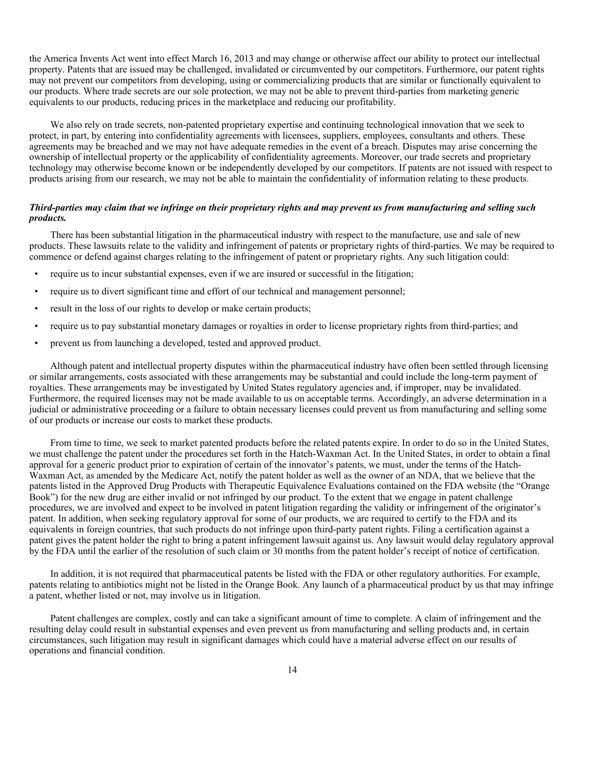the America Invents Act went into effect March 16, 2013 and may change or otherwise affect our ability to protect our intellectual property. Patents that are issued may be challenged, invalidated or circumvented by our competitors. Furthermore, our patent rights may not prevent our competitors from developing, using or commercializing products that are similar or functionally equivalent to our products. Where trade secrets are our sole protection, we may not be able to prevent third-parties from marketing generic equivalents to our products, reducing prices in the marketplace and reducing our profitability.

We also rely on trade secrets, non-patented proprietary expertise and continuing technological innovation that we seek to protect, in part, by entering into confidentiality agreements with licensees, suppliers, employees, consultants and others. These agreements may be breached and we may not have adequate remedies in the event of a breach. Disputes may arise concerning the ownership of intellectual property or the applicability of confidentiality agreements. Moreover, our trade secrets and proprietary technology may otherwise become known or be independently developed by our competitors. If patents are not issued with respect to products arising from our research, we may not be able to maintain the confidentiality of information relating to these products.

#### *Third-parties may claim that we infringe on their proprietary rights and may prevent us from manufacturing and selling such products.*

There has been substantial litigation in the pharmaceutical industry with respect to the manufacture, use and sale of new products. These lawsuits relate to the validity and infringement of patents or proprietary rights of third-parties. We may be required to commence or defend against charges relating to the infringement of patent or proprietary rights. Any such litigation could:

- require us to incur substantial expenses, even if we are insured or successful in the litigation;
- require us to divert significant time and effort of our technical and management personnel;
- result in the loss of our rights to develop or make certain products;
- require us to pay substantial monetary damages or royalties in order to license proprietary rights from third-parties; and
- prevent us from launching a developed, tested and approved product.

Although patent and intellectual property disputes within the pharmaceutical industry have often been settled through licensing or similar arrangements, costs associated with these arrangements may be substantial and could include the long-term payment of royalties. These arrangements may be investigated by United States regulatory agencies and, if improper, may be invalidated. Furthermore, the required licenses may not be made available to us on acceptable terms. Accordingly, an adverse determination in a judicial or administrative proceeding or a failure to obtain necessary licenses could prevent us from manufacturing and selling some of our products or increase our costs to market these products.

From time to time, we seek to market patented products before the related patents expire. In order to do so in the United States, we must challenge the patent under the procedures set forth in the Hatch-Waxman Act. In the United States, in order to obtain a final approval for a generic product prior to expiration of certain of the innovator's patents, we must, under the terms of the Hatch-Waxman Act, as amended by the Medicare Act, notify the patent holder as well as the owner of an NDA, that we believe that the patents listed in the Approved Drug Products with Therapeutic Equivalence Evaluations contained on the FDA website (the "Orange Book") for the new drug are either invalid or not infringed by our product. To the extent that we engage in patent challenge procedures, we are involved and expect to be involved in patent litigation regarding the validity or infringement of the originator's patent. In addition, when seeking regulatory approval for some of our products, we are required to certify to the FDA and its equivalents in foreign countries, that such products do not infringe upon third-party patent rights. Filing a certification against a patent gives the patent holder the right to bring a patent infringement lawsuit against us. Any lawsuit would delay regulatory approval by the FDA until the earlier of the resolution of such claim or 30 months from the patent holder's receipt of notice of certification.

In addition, it is not required that pharmaceutical patents be listed with the FDA or other regulatory authorities. For example, patents relating to antibiotics might not be listed in the Orange Book. Any launch of a pharmaceutical product by us that may infringe a patent, whether listed or not, may involve us in litigation.

Patent challenges are complex, costly and can take a significant amount of time to complete. A claim of infringement and the resulting delay could result in substantial expenses and even prevent us from manufacturing and selling products and, in certain circumstances, such litigation may result in significant damages which could have a material adverse effect on our results of operations and financial condition.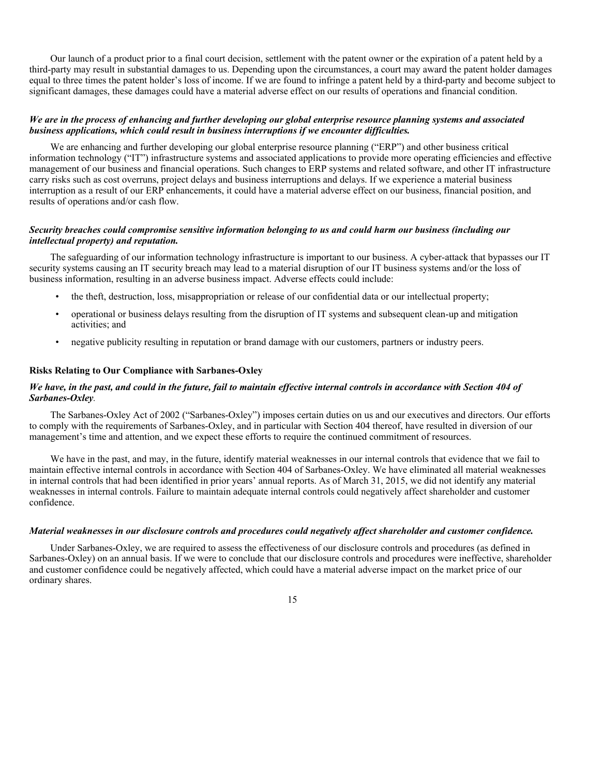Our launch of a product prior to a final court decision, settlement with the patent owner or the expiration of a patent held by a third-party may result in substantial damages to us. Depending upon the circumstances, a court may award the patent holder damages equal to three times the patent holder's loss of income. If we are found to infringe a patent held by a third-party and become subject to significant damages, these damages could have a material adverse effect on our results of operations and financial condition.

#### *We are in the process of enhancing and further developing our global enterprise resource planning systems and associated business applications, which could result in business interruptions if we encounter difficulties.*

We are enhancing and further developing our global enterprise resource planning ("ERP") and other business critical information technology ("IT") infrastructure systems and associated applications to provide more operating efficiencies and effective management of our business and financial operations. Such changes to ERP systems and related software, and other IT infrastructure carry risks such as cost overruns, project delays and business interruptions and delays. If we experience a material business interruption as a result of our ERP enhancements, it could have a material adverse effect on our business, financial position, and results of operations and/or cash flow.

#### *Security breaches could compromise sensitive information belonging to us and could harm our business (including our intellectual property) and reputation.*

The safeguarding of our information technology infrastructure is important to our business. A cyber-attack that bypasses our IT security systems causing an IT security breach may lead to a material disruption of our IT business systems and/or the loss of business information, resulting in an adverse business impact. Adverse effects could include:

- the theft, destruction, loss, misappropriation or release of our confidential data or our intellectual property;
- operational or business delays resulting from the disruption of IT systems and subsequent clean-up and mitigation activities; and
- negative publicity resulting in reputation or brand damage with our customers, partners or industry peers.

#### **Risks Relating to Our Compliance with Sarbanes-Oxley**

#### *We have, in the past, and could in the future, fail to maintain effective internal controls in accordance with Section 404 of Sarbanes-Oxley.*

The Sarbanes-Oxley Act of 2002 ("Sarbanes-Oxley") imposes certain duties on us and our executives and directors. Our efforts to comply with the requirements of Sarbanes-Oxley, and in particular with Section 404 thereof, have resulted in diversion of our management's time and attention, and we expect these efforts to require the continued commitment of resources.

We have in the past, and may, in the future, identify material weaknesses in our internal controls that evidence that we fail to maintain effective internal controls in accordance with Section 404 of Sarbanes-Oxley. We have eliminated all material weaknesses in internal controls that had been identified in prior years' annual reports. As of March 31, 2015, we did not identify any material weaknesses in internal controls. Failure to maintain adequate internal controls could negatively affect shareholder and customer confidence.

#### *Material weaknesses in our disclosure controls and procedures could negatively affect shareholder and customer confidence.*

Under Sarbanes-Oxley, we are required to assess the effectiveness of our disclosure controls and procedures (as defined in Sarbanes-Oxley) on an annual basis. If we were to conclude that our disclosure controls and procedures were ineffective, shareholder and customer confidence could be negatively affected, which could have a material adverse impact on the market price of our ordinary shares.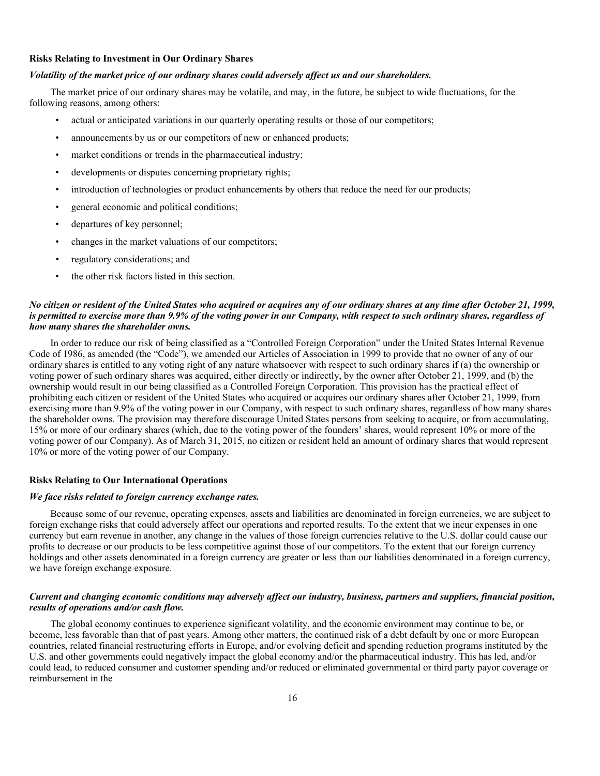#### **Risks Relating to Investment in Our Ordinary Shares**

#### *Volatility of the market price of our ordinary shares could adversely affect us and our shareholders.*

The market price of our ordinary shares may be volatile, and may, in the future, be subject to wide fluctuations, for the following reasons, among others:

- actual or anticipated variations in our quarterly operating results or those of our competitors;
- announcements by us or our competitors of new or enhanced products;
- market conditions or trends in the pharmaceutical industry;
- developments or disputes concerning proprietary rights;
- introduction of technologies or product enhancements by others that reduce the need for our products;
- general economic and political conditions;
- departures of key personnel;
- changes in the market valuations of our competitors;
- regulatory considerations; and
- the other risk factors listed in this section.

#### *No citizen or resident of the United States who acquired or acquires any of our ordinary shares at any time after October 21, 1999, is permitted to exercise more than 9.9% of the voting power in our Company, with respect to such ordinary shares, regardless of how many shares the shareholder owns.*

In order to reduce our risk of being classified as a "Controlled Foreign Corporation" under the United States Internal Revenue Code of 1986, as amended (the "Code"), we amended our Articles of Association in 1999 to provide that no owner of any of our ordinary shares is entitled to any voting right of any nature whatsoever with respect to such ordinary shares if (a) the ownership or voting power of such ordinary shares was acquired, either directly or indirectly, by the owner after October 21, 1999, and (b) the ownership would result in our being classified as a Controlled Foreign Corporation. This provision has the practical effect of prohibiting each citizen or resident of the United States who acquired or acquires our ordinary shares after October 21, 1999, from exercising more than 9.9% of the voting power in our Company, with respect to such ordinary shares, regardless of how many shares the shareholder owns. The provision may therefore discourage United States persons from seeking to acquire, or from accumulating, 15% or more of our ordinary shares (which, due to the voting power of the founders' shares, would represent 10% or more of the voting power of our Company). As of March 31, 2015, no citizen or resident held an amount of ordinary shares that would represent 10% or more of the voting power of our Company.

#### **Risks Relating to Our International Operations**

#### *We face risks related to foreign currency exchange rates.*

Because some of our revenue, operating expenses, assets and liabilities are denominated in foreign currencies, we are subject to foreign exchange risks that could adversely affect our operations and reported results. To the extent that we incur expenses in one currency but earn revenue in another, any change in the values of those foreign currencies relative to the U.S. dollar could cause our profits to decrease or our products to be less competitive against those of our competitors. To the extent that our foreign currency holdings and other assets denominated in a foreign currency are greater or less than our liabilities denominated in a foreign currency, we have foreign exchange exposure.

#### *Current and changing economic conditions may adversely affect our industry, business, partners and suppliers, financial position, results of operations and/or cash flow.*

The global economy continues to experience significant volatility, and the economic environment may continue to be, or become, less favorable than that of past years. Among other matters, the continued risk of a debt default by one or more European countries, related financial restructuring efforts in Europe, and/or evolving deficit and spending reduction programs instituted by the U.S. and other governments could negatively impact the global economy and/or the pharmaceutical industry. This has led, and/or could lead, to reduced consumer and customer spending and/or reduced or eliminated governmental or third party payor coverage or reimbursement in the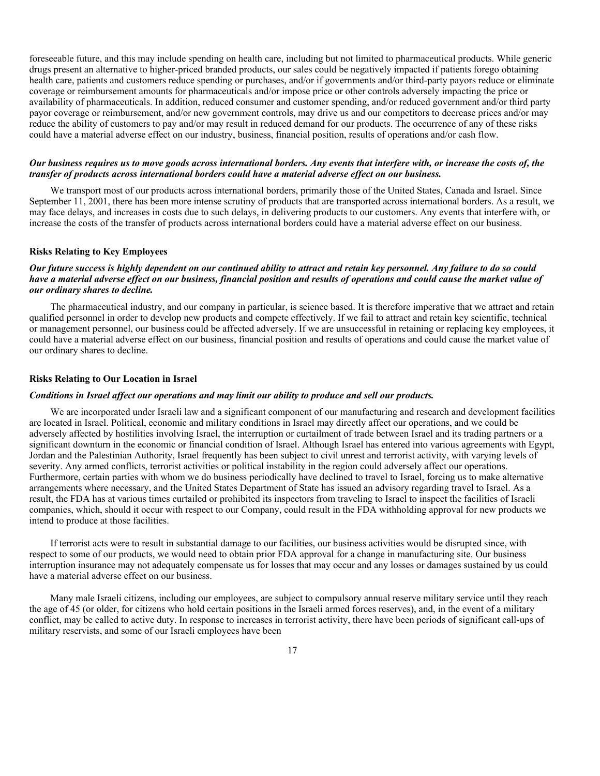foreseeable future, and this may include spending on health care, including but not limited to pharmaceutical products. While generic drugs present an alternative to higher-priced branded products, our sales could be negatively impacted if patients forego obtaining health care, patients and customers reduce spending or purchases, and/or if governments and/or third-party payors reduce or eliminate coverage or reimbursement amounts for pharmaceuticals and/or impose price or other controls adversely impacting the price or availability of pharmaceuticals. In addition, reduced consumer and customer spending, and/or reduced government and/or third party payor coverage or reimbursement, and/or new government controls, may drive us and our competitors to decrease prices and/or may reduce the ability of customers to pay and/or may result in reduced demand for our products. The occurrence of any of these risks could have a material adverse effect on our industry, business, financial position, results of operations and/or cash flow.

#### *Our business requires us to move goods across international borders. Any events that interfere with, or increase the costs of, the transfer of products across international borders could have a material adverse effect on our business.*

We transport most of our products across international borders, primarily those of the United States, Canada and Israel. Since September 11, 2001, there has been more intense scrutiny of products that are transported across international borders. As a result, we may face delays, and increases in costs due to such delays, in delivering products to our customers. Any events that interfere with, or increase the costs of the transfer of products across international borders could have a material adverse effect on our business.

#### **Risks Relating to Key Employees**

#### *Our future success is highly dependent on our continued ability to attract and retain key personnel. Any failure to do so could have a material adverse effect on our business, financial position and results of operations and could cause the market value of our ordinary shares to decline.*

The pharmaceutical industry, and our company in particular, is science based. It is therefore imperative that we attract and retain qualified personnel in order to develop new products and compete effectively. If we fail to attract and retain key scientific, technical or management personnel, our business could be affected adversely. If we are unsuccessful in retaining or replacing key employees, it could have a material adverse effect on our business, financial position and results of operations and could cause the market value of our ordinary shares to decline.

#### **Risks Relating to Our Location in Israel**

#### *Conditions in Israel affect our operations and may limit our ability to produce and sell our products.*

We are incorporated under Israeli law and a significant component of our manufacturing and research and development facilities are located in Israel. Political, economic and military conditions in Israel may directly affect our operations, and we could be adversely affected by hostilities involving Israel, the interruption or curtailment of trade between Israel and its trading partners or a significant downturn in the economic or financial condition of Israel. Although Israel has entered into various agreements with Egypt, Jordan and the Palestinian Authority, Israel frequently has been subject to civil unrest and terrorist activity, with varying levels of severity. Any armed conflicts, terrorist activities or political instability in the region could adversely affect our operations. Furthermore, certain parties with whom we do business periodically have declined to travel to Israel, forcing us to make alternative arrangements where necessary, and the United States Department of State has issued an advisory regarding travel to Israel. As a result, the FDA has at various times curtailed or prohibited its inspectors from traveling to Israel to inspect the facilities of Israeli companies, which, should it occur with respect to our Company, could result in the FDA withholding approval for new products we intend to produce at those facilities.

If terrorist acts were to result in substantial damage to our facilities, our business activities would be disrupted since, with respect to some of our products, we would need to obtain prior FDA approval for a change in manufacturing site. Our business interruption insurance may not adequately compensate us for losses that may occur and any losses or damages sustained by us could have a material adverse effect on our business.

Many male Israeli citizens, including our employees, are subject to compulsory annual reserve military service until they reach the age of 45 (or older, for citizens who hold certain positions in the Israeli armed forces reserves), and, in the event of a military conflict, may be called to active duty. In response to increases in terrorist activity, there have been periods of significant call-ups of military reservists, and some of our Israeli employees have been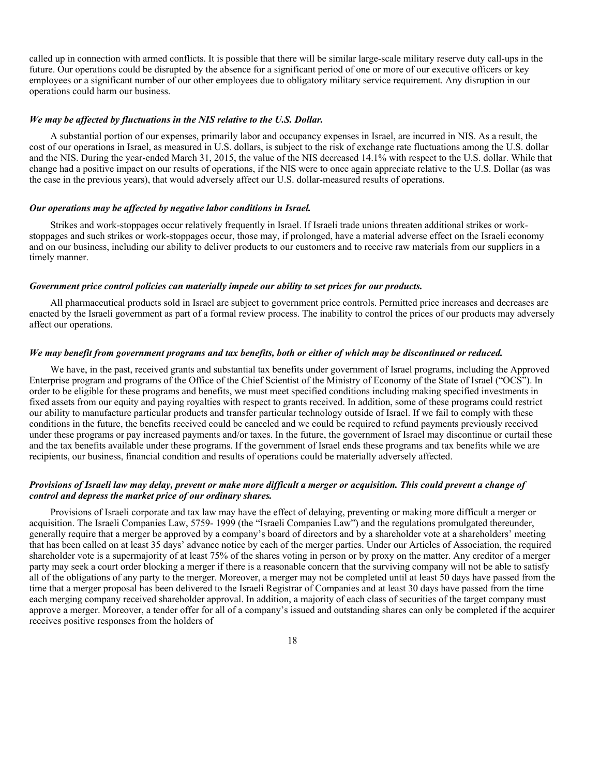called up in connection with armed conflicts. It is possible that there will be similar large-scale military reserve duty call-ups in the future. Our operations could be disrupted by the absence for a significant period of one or more of our executive officers or key employees or a significant number of our other employees due to obligatory military service requirement. Any disruption in our operations could harm our business.

#### *We may be affected by fluctuations in the NIS relative to the U.S. Dollar.*

A substantial portion of our expenses, primarily labor and occupancy expenses in Israel, are incurred in NIS. As a result, the cost of our operations in Israel, as measured in U.S. dollars, is subject to the risk of exchange rate fluctuations among the U.S. dollar and the NIS. During the year-ended March 31, 2015, the value of the NIS decreased 14.1% with respect to the U.S. dollar. While that change had a positive impact on our results of operations, if the NIS were to once again appreciate relative to the U.S. Dollar (as was the case in the previous years), that would adversely affect our U.S. dollar-measured results of operations.

#### *Our operations may be affected by negative labor conditions in Israel.*

Strikes and work-stoppages occur relatively frequently in Israel. If Israeli trade unions threaten additional strikes or workstoppages and such strikes or work-stoppages occur, those may, if prolonged, have a material adverse effect on the Israeli economy and on our business, including our ability to deliver products to our customers and to receive raw materials from our suppliers in a timely manner.

#### *Government price control policies can materially impede our ability to set prices for our products.*

All pharmaceutical products sold in Israel are subject to government price controls. Permitted price increases and decreases are enacted by the Israeli government as part of a formal review process. The inability to control the prices of our products may adversely affect our operations.

#### *We may benefit from government programs and tax benefits, both or either of which may be discontinued or reduced.*

We have, in the past, received grants and substantial tax benefits under government of Israel programs, including the Approved Enterprise program and programs of the Office of the Chief Scientist of the Ministry of Economy of the State of Israel ("OCS"). In order to be eligible for these programs and benefits, we must meet specified conditions including making specified investments in fixed assets from our equity and paying royalties with respect to grants received. In addition, some of these programs could restrict our ability to manufacture particular products and transfer particular technology outside of Israel. If we fail to comply with these conditions in the future, the benefits received could be canceled and we could be required to refund payments previously received under these programs or pay increased payments and/or taxes. In the future, the government of Israel may discontinue or curtail these and the tax benefits available under these programs. If the government of Israel ends these programs and tax benefits while we are recipients, our business, financial condition and results of operations could be materially adversely affected.

#### *Provisions of Israeli law may delay, prevent or make more difficult a merger or acquisition. This could prevent a change of control and depress the market price of our ordinary shares.*

Provisions of Israeli corporate and tax law may have the effect of delaying, preventing or making more difficult a merger or acquisition. The Israeli Companies Law, 5759- 1999 (the "Israeli Companies Law") and the regulations promulgated thereunder, generally require that a merger be approved by a company's board of directors and by a shareholder vote at a shareholders' meeting that has been called on at least 35 days' advance notice by each of the merger parties. Under our Articles of Association, the required shareholder vote is a supermajority of at least 75% of the shares voting in person or by proxy on the matter. Any creditor of a merger party may seek a court order blocking a merger if there is a reasonable concern that the surviving company will not be able to satisfy all of the obligations of any party to the merger. Moreover, a merger may not be completed until at least 50 days have passed from the time that a merger proposal has been delivered to the Israeli Registrar of Companies and at least 30 days have passed from the time each merging company received shareholder approval. In addition, a majority of each class of securities of the target company must approve a merger. Moreover, a tender offer for all of a company's issued and outstanding shares can only be completed if the acquirer receives positive responses from the holders of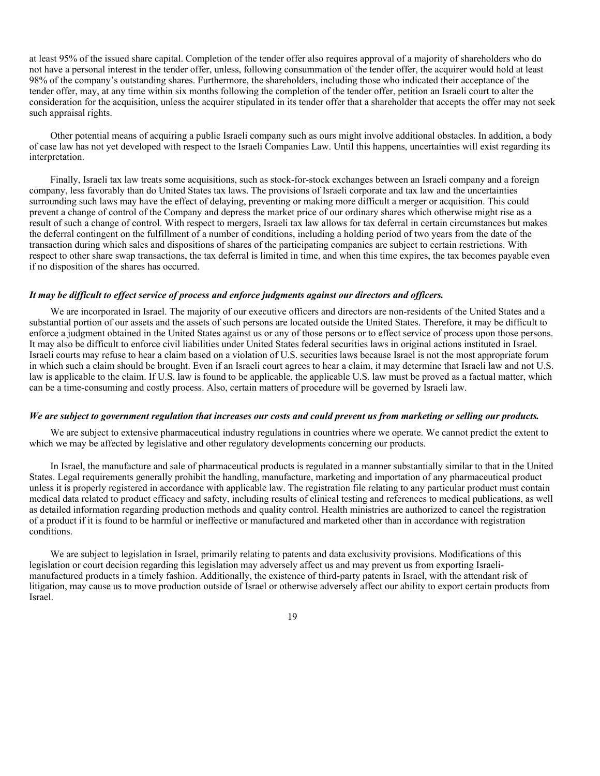at least 95% of the issued share capital. Completion of the tender offer also requires approval of a majority of shareholders who do not have a personal interest in the tender offer, unless, following consummation of the tender offer, the acquirer would hold at least 98% of the company's outstanding shares. Furthermore, the shareholders, including those who indicated their acceptance of the tender offer, may, at any time within six months following the completion of the tender offer, petition an Israeli court to alter the consideration for the acquisition, unless the acquirer stipulated in its tender offer that a shareholder that accepts the offer may not seek such appraisal rights.

Other potential means of acquiring a public Israeli company such as ours might involve additional obstacles. In addition, a body of case law has not yet developed with respect to the Israeli Companies Law. Until this happens, uncertainties will exist regarding its interpretation.

Finally, Israeli tax law treats some acquisitions, such as stock-for-stock exchanges between an Israeli company and a foreign company, less favorably than do United States tax laws. The provisions of Israeli corporate and tax law and the uncertainties surrounding such laws may have the effect of delaying, preventing or making more difficult a merger or acquisition. This could prevent a change of control of the Company and depress the market price of our ordinary shares which otherwise might rise as a result of such a change of control. With respect to mergers, Israeli tax law allows for tax deferral in certain circumstances but makes the deferral contingent on the fulfillment of a number of conditions, including a holding period of two years from the date of the transaction during which sales and dispositions of shares of the participating companies are subject to certain restrictions. With respect to other share swap transactions, the tax deferral is limited in time, and when this time expires, the tax becomes payable even if no disposition of the shares has occurred.

#### *It may be difficult to effect service of process and enforce judgments against our directors and officers.*

We are incorporated in Israel. The majority of our executive officers and directors are non-residents of the United States and a substantial portion of our assets and the assets of such persons are located outside the United States. Therefore, it may be difficult to enforce a judgment obtained in the United States against us or any of those persons or to effect service of process upon those persons. It may also be difficult to enforce civil liabilities under United States federal securities laws in original actions instituted in Israel. Israeli courts may refuse to hear a claim based on a violation of U.S. securities laws because Israel is not the most appropriate forum in which such a claim should be brought. Even if an Israeli court agrees to hear a claim, it may determine that Israeli law and not U.S. law is applicable to the claim. If U.S. law is found to be applicable, the applicable U.S. law must be proved as a factual matter, which can be a time-consuming and costly process. Also, certain matters of procedure will be governed by Israeli law.

#### *We are subject to government regulation that increases our costs and could prevent us from marketing or selling our products.*

We are subject to extensive pharmaceutical industry regulations in countries where we operate. We cannot predict the extent to which we may be affected by legislative and other regulatory developments concerning our products.

In Israel, the manufacture and sale of pharmaceutical products is regulated in a manner substantially similar to that in the United States. Legal requirements generally prohibit the handling, manufacture, marketing and importation of any pharmaceutical product unless it is properly registered in accordance with applicable law. The registration file relating to any particular product must contain medical data related to product efficacy and safety, including results of clinical testing and references to medical publications, as well as detailed information regarding production methods and quality control. Health ministries are authorized to cancel the registration of a product if it is found to be harmful or ineffective or manufactured and marketed other than in accordance with registration conditions.

We are subject to legislation in Israel, primarily relating to patents and data exclusivity provisions. Modifications of this legislation or court decision regarding this legislation may adversely affect us and may prevent us from exporting Israelimanufactured products in a timely fashion. Additionally, the existence of third-party patents in Israel, with the attendant risk of litigation, may cause us to move production outside of Israel or otherwise adversely affect our ability to export certain products from Israel.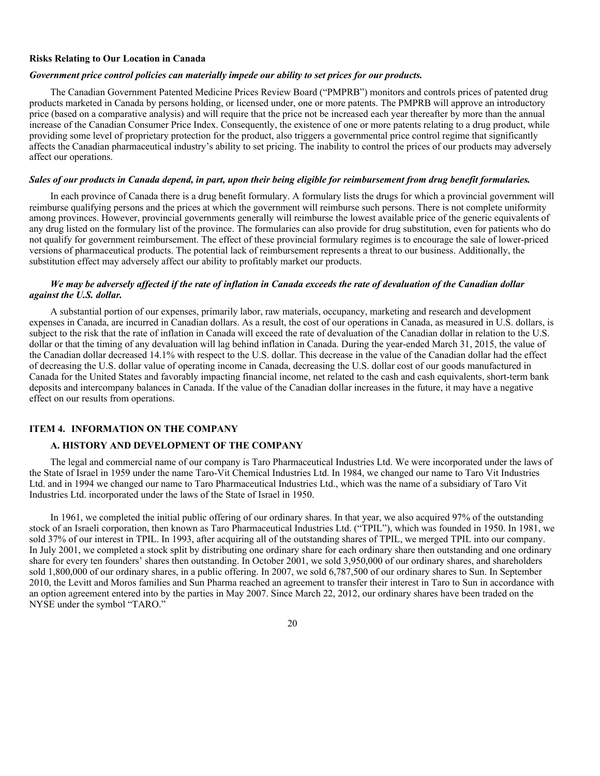#### **Risks Relating to Our Location in Canada**

#### *Government price control policies can materially impede our ability to set prices for our products.*

The Canadian Government Patented Medicine Prices Review Board ("PMPRB") monitors and controls prices of patented drug products marketed in Canada by persons holding, or licensed under, one or more patents. The PMPRB will approve an introductory price (based on a comparative analysis) and will require that the price not be increased each year thereafter by more than the annual increase of the Canadian Consumer Price Index. Consequently, the existence of one or more patents relating to a drug product, while providing some level of proprietary protection for the product, also triggers a governmental price control regime that significantly affects the Canadian pharmaceutical industry's ability to set pricing. The inability to control the prices of our products may adversely affect our operations.

#### *Sales of our products in Canada depend, in part, upon their being eligible for reimbursement from drug benefit formularies.*

In each province of Canada there is a drug benefit formulary. A formulary lists the drugs for which a provincial government will reimburse qualifying persons and the prices at which the government will reimburse such persons. There is not complete uniformity among provinces. However, provincial governments generally will reimburse the lowest available price of the generic equivalents of any drug listed on the formulary list of the province. The formularies can also provide for drug substitution, even for patients who do not qualify for government reimbursement. The effect of these provincial formulary regimes is to encourage the sale of lower-priced versions of pharmaceutical products. The potential lack of reimbursement represents a threat to our business. Additionally, the substitution effect may adversely affect our ability to profitably market our products.

#### *We may be adversely affected if the rate of inflation in Canada exceeds the rate of devaluation of the Canadian dollar against the U.S. dollar.*

A substantial portion of our expenses, primarily labor, raw materials, occupancy, marketing and research and development expenses in Canada, are incurred in Canadian dollars. As a result, the cost of our operations in Canada, as measured in U.S. dollars, is subject to the risk that the rate of inflation in Canada will exceed the rate of devaluation of the Canadian dollar in relation to the U.S. dollar or that the timing of any devaluation will lag behind inflation in Canada. During the year-ended March 31, 2015, the value of the Canadian dollar decreased 14.1% with respect to the U.S. dollar. This decrease in the value of the Canadian dollar had the effect of decreasing the U.S. dollar value of operating income in Canada, decreasing the U.S. dollar cost of our goods manufactured in Canada for the United States and favorably impacting financial income, net related to the cash and cash equivalents, short-term bank deposits and intercompany balances in Canada. If the value of the Canadian dollar increases in the future, it may have a negative effect on our results from operations.

#### **ITEM 4. INFORMATION ON THE COMPANY**

#### **A. HISTORY AND DEVELOPMENT OF THE COMPANY**

The legal and commercial name of our company is Taro Pharmaceutical Industries Ltd. We were incorporated under the laws of the State of Israel in 1959 under the name Taro-Vit Chemical Industries Ltd. In 1984, we changed our name to Taro Vit Industries Ltd. and in 1994 we changed our name to Taro Pharmaceutical Industries Ltd., which was the name of a subsidiary of Taro Vit Industries Ltd. incorporated under the laws of the State of Israel in 1950.

In 1961, we completed the initial public offering of our ordinary shares. In that year, we also acquired 97% of the outstanding stock of an Israeli corporation, then known as Taro Pharmaceutical Industries Ltd. ("TPIL"), which was founded in 1950. In 1981, we sold 37% of our interest in TPIL. In 1993, after acquiring all of the outstanding shares of TPIL, we merged TPIL into our company. In July 2001, we completed a stock split by distributing one ordinary share for each ordinary share then outstanding and one ordinary share for every ten founders' shares then outstanding. In October 2001, we sold 3,950,000 of our ordinary shares, and shareholders sold 1,800,000 of our ordinary shares, in a public offering. In 2007, we sold 6,787,500 of our ordinary shares to Sun. In September 2010, the Levitt and Moros families and Sun Pharma reached an agreement to transfer their interest in Taro to Sun in accordance with an option agreement entered into by the parties in May 2007. Since March 22, 2012, our ordinary shares have been traded on the NYSE under the symbol "TARO."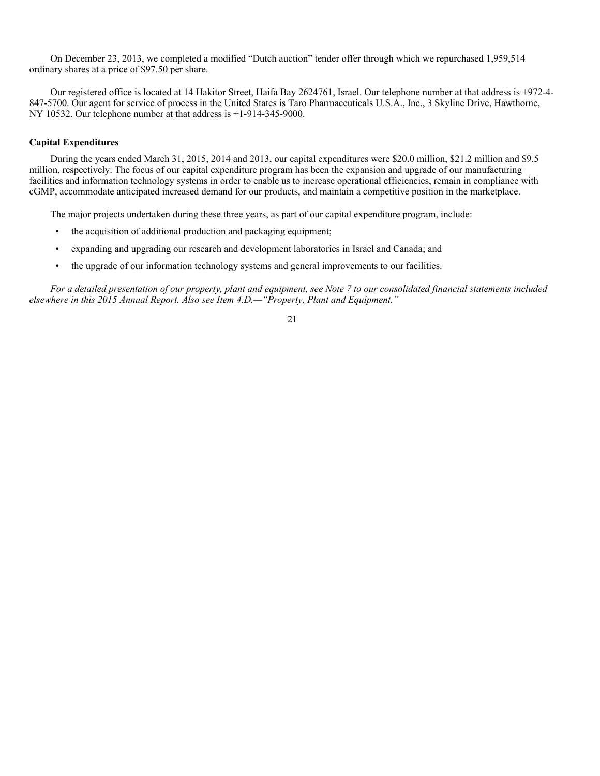On December 23, 2013, we completed a modified "Dutch auction" tender offer through which we repurchased 1,959,514 ordinary shares at a price of \$97.50 per share.

Our registered office is located at 14 Hakitor Street, Haifa Bay 2624761, Israel. Our telephone number at that address is +972-4- 847-5700. Our agent for service of process in the United States is Taro Pharmaceuticals U.S.A., Inc., 3 Skyline Drive, Hawthorne, NY 10532. Our telephone number at that address is +1-914-345-9000.

#### **Capital Expenditures**

During the years ended March 31, 2015, 2014 and 2013, our capital expenditures were \$20.0 million, \$21.2 million and \$9.5 million, respectively. The focus of our capital expenditure program has been the expansion and upgrade of our manufacturing facilities and information technology systems in order to enable us to increase operational efficiencies, remain in compliance with cGMP, accommodate anticipated increased demand for our products, and maintain a competitive position in the marketplace.

The major projects undertaken during these three years, as part of our capital expenditure program, include:

- the acquisition of additional production and packaging equipment;
- expanding and upgrading our research and development laboratories in Israel and Canada; and
- the upgrade of our information technology systems and general improvements to our facilities.

*For a detailed presentation of our property, plant and equipment, see Note 7 to our consolidated financial statements included elsewhere in this 2015 Annual Report. Also see Item 4.D.—"Property, Plant and Equipment."*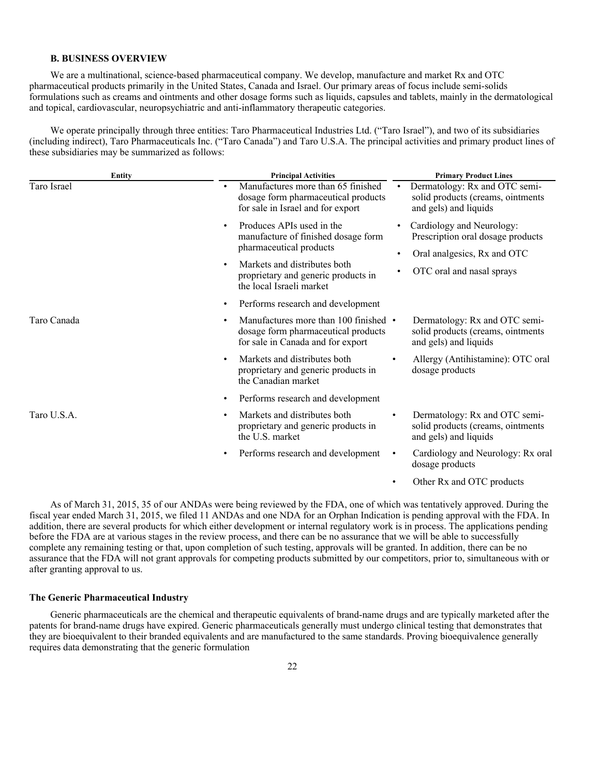#### **B. BUSINESS OVERVIEW**

We are a multinational, science-based pharmaceutical company. We develop, manufacture and market Rx and OTC pharmaceutical products primarily in the United States, Canada and Israel. Our primary areas of focus include semi-solids formulations such as creams and ointments and other dosage forms such as liquids, capsules and tablets, mainly in the dermatological and topical, cardiovascular, neuropsychiatric and anti-inflammatory therapeutic categories.

We operate principally through three entities: Taro Pharmaceutical Industries Ltd. ("Taro Israel"), and two of its subsidiaries (including indirect), Taro Pharmaceuticals Inc. ("Taro Canada") and Taro U.S.A. The principal activities and primary product lines of these subsidiaries may be summarized as follows:

| Entity      | <b>Principal Activities</b>                                                                                                 | <b>Primary Product Lines</b>                                                                |
|-------------|-----------------------------------------------------------------------------------------------------------------------------|---------------------------------------------------------------------------------------------|
| Taro Israel | Manufactures more than 65 finished<br>$\bullet$<br>dosage form pharmaceutical products<br>for sale in Israel and for export | Dermatology: Rx and OTC semi-<br>solid products (creams, ointments<br>and gels) and liquids |
|             | Produces APIs used in the<br>manufacture of finished dosage form                                                            | Cardiology and Neurology:<br>Prescription oral dosage products                              |
|             | pharmaceutical products                                                                                                     | Oral analgesics, Rx and OTC                                                                 |
|             | Markets and distributes both<br>proprietary and generic products in<br>the local Israeli market                             | OTC oral and nasal sprays                                                                   |
|             | Performs research and development                                                                                           |                                                                                             |
| Taro Canada | Manufactures more than 100 finished •<br>dosage form pharmaceutical products<br>for sale in Canada and for export           | Dermatology: Rx and OTC semi-<br>solid products (creams, ointments<br>and gels) and liquids |
|             | Markets and distributes both<br>proprietary and generic products in<br>the Canadian market                                  | Allergy (Antihistamine): OTC oral<br>dosage products                                        |
|             | Performs research and development                                                                                           |                                                                                             |
| Taro U.S.A. | Markets and distributes both<br>proprietary and generic products in<br>the U.S. market                                      | Dermatology: Rx and OTC semi-<br>solid products (creams, ointments<br>and gels) and liquids |
|             | Performs research and development<br>٠                                                                                      | Cardiology and Neurology: Rx oral<br>dosage products                                        |
|             |                                                                                                                             | Other Rx and OTC products                                                                   |

As of March 31, 2015, 35 of our ANDAs were being reviewed by the FDA, one of which was tentatively approved. During the fiscal year ended March 31, 2015, we filed 11 ANDAs and one NDA for an Orphan Indication is pending approval with the FDA. In addition, there are several products for which either development or internal regulatory work is in process. The applications pending before the FDA are at various stages in the review process, and there can be no assurance that we will be able to successfully complete any remaining testing or that, upon completion of such testing, approvals will be granted. In addition, there can be no assurance that the FDA will not grant approvals for competing products submitted by our competitors, prior to, simultaneous with or after granting approval to us.

#### **The Generic Pharmaceutical Industry**

Generic pharmaceuticals are the chemical and therapeutic equivalents of brand-name drugs and are typically marketed after the patents for brand-name drugs have expired. Generic pharmaceuticals generally must undergo clinical testing that demonstrates that they are bioequivalent to their branded equivalents and are manufactured to the same standards. Proving bioequivalence generally requires data demonstrating that the generic formulation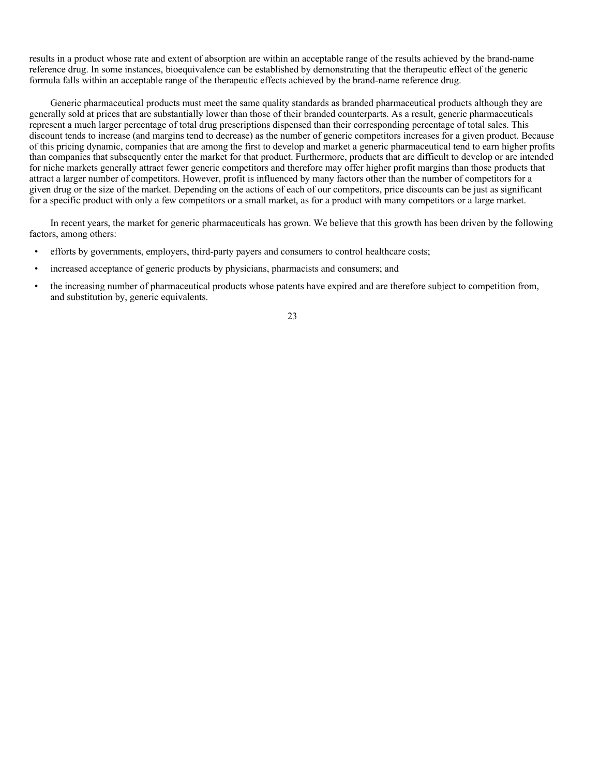results in a product whose rate and extent of absorption are within an acceptable range of the results achieved by the brand-name reference drug. In some instances, bioequivalence can be established by demonstrating that the therapeutic effect of the generic formula falls within an acceptable range of the therapeutic effects achieved by the brand-name reference drug.

Generic pharmaceutical products must meet the same quality standards as branded pharmaceutical products although they are generally sold at prices that are substantially lower than those of their branded counterparts. As a result, generic pharmaceuticals represent a much larger percentage of total drug prescriptions dispensed than their corresponding percentage of total sales. This discount tends to increase (and margins tend to decrease) as the number of generic competitors increases for a given product. Because of this pricing dynamic, companies that are among the first to develop and market a generic pharmaceutical tend to earn higher profits than companies that subsequently enter the market for that product. Furthermore, products that are difficult to develop or are intended for niche markets generally attract fewer generic competitors and therefore may offer higher profit margins than those products that attract a larger number of competitors. However, profit is influenced by many factors other than the number of competitors for a given drug or the size of the market. Depending on the actions of each of our competitors, price discounts can be just as significant for a specific product with only a few competitors or a small market, as for a product with many competitors or a large market.

In recent years, the market for generic pharmaceuticals has grown. We believe that this growth has been driven by the following factors, among others:

- efforts by governments, employers, third-party payers and consumers to control healthcare costs;
- increased acceptance of generic products by physicians, pharmacists and consumers; and
- the increasing number of pharmaceutical products whose patents have expired and are therefore subject to competition from, and substitution by, generic equivalents.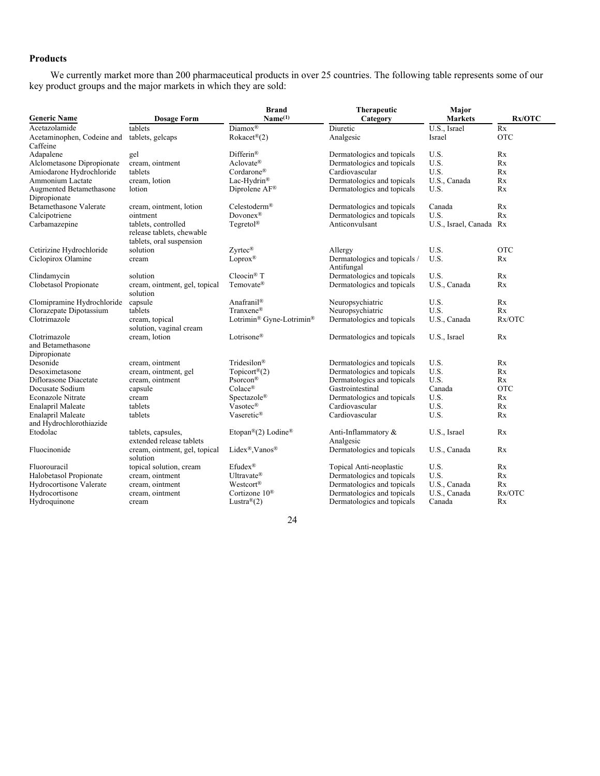## **Products**

We currently market more than 200 pharmaceutical products in over 25 countries. The following table represents some of our key product groups and the major markets in which they are sold:

|                                        |                                                                              | <b>Brand</b>                                | <b>Therapeutic</b>                         | Major                |            |
|----------------------------------------|------------------------------------------------------------------------------|---------------------------------------------|--------------------------------------------|----------------------|------------|
| <b>Generic Name</b>                    | <b>Dosage Form</b>                                                           | Name <sup>(1)</sup>                         | Category                                   | <b>Markets</b>       | Rx/OTC     |
| Acetazolamide                          | tablets                                                                      | Diamox®                                     | Diuretic                                   | U.S., Israel         | Rx         |
| Acetaminophen, Codeine and<br>Caffeine | tablets, gelcaps                                                             | $Rokacet$ <sup>®</sup> $(2)$                | Analgesic                                  | Israel               | <b>OTC</b> |
| Adapalene                              | gel                                                                          | Differin <sup>®</sup>                       | Dermatologics and topicals                 | U.S.                 | Rx         |
| Alclometasone Dipropionate             | cream, ointment                                                              | Aclovate®                                   | Dermatologics and topicals                 | U.S.                 | Rx         |
| Amiodarone Hydrochloride               | tablets                                                                      | Cordarone®                                  | Cardiovascular                             | U.S.                 | Rx         |
| Ammonium Lactate                       | cream, lotion                                                                | Lac-Hydrin®                                 | Dermatologics and topicals                 | U.S., Canada         | Rx         |
| Augmented Betamethasone                | lotion                                                                       | Diprolene AF <sup>®</sup>                   | Dermatologics and topicals                 | U.S.                 | Rx         |
| Dipropionate                           |                                                                              |                                             |                                            |                      |            |
| <b>Betamethasone Valerate</b>          | cream, ointment, lotion                                                      | Celestoderm®                                | Dermatologics and topicals                 | Canada               | Rx         |
| Calcipotriene                          | ointment                                                                     | Dovonex®                                    | Dermatologics and topicals                 | U.S.                 | Rx         |
| Carbamazepine                          | tablets, controlled<br>release tablets, chewable<br>tablets, oral suspension | Tegretol <sup>®</sup>                       | Anticonvulsant                             | U.S., Israel, Canada | Rx         |
| Cetirizine Hydrochloride               | solution                                                                     | $Z$ yrtec®                                  | Allergy                                    | U.S.                 | <b>OTC</b> |
| Ciclopirox Olamine                     | cream                                                                        | $L$ oprox®                                  | Dermatologics and topicals /<br>Antifungal | U.S.                 | Rx         |
| Clindamycin                            | solution                                                                     | $Cleocin^{\circledR}T$                      | Dermatologics and topicals                 | U.S.                 | Rx         |
| Clobetasol Propionate                  | cream, ointment, gel, topical<br>solution                                    | Temovate®                                   | Dermatologics and topicals                 | U.S., Canada         | Rx         |
| Clomipramine Hydrochloride             | capsule                                                                      | Anafranil®                                  | Neuropsychiatric                           | U.S.                 | Rx         |
| Clorazepate Dipotassium                | tablets                                                                      | Tranxene®                                   | Neuropsychiatric                           | U.S.                 | Rx         |
| Clotrimazole                           | cream, topical<br>solution, vaginal cream                                    | Lotrimin® Gyne-Lotrimin®                    | Dermatologics and topicals                 | U.S., Canada         | Rx/OTC     |
| Clotrimazole<br>and Betamethasone      | cream, lotion                                                                | Lotrisone <sup>®</sup>                      | Dermatologics and topicals                 | U.S., Israel         | Rx         |
| Dipropionate<br>Desonide               | cream, ointment                                                              | Tridesilon®                                 | Dermatologics and topicals                 | U.S.                 | Rx         |
| Desoximetasone                         | cream, ointment, gel                                                         | Topicort <sup>®</sup> $(2)$                 | Dermatologics and topicals                 | U.S.                 | Rx         |
| Diflorasone Diacetate                  | cream, ointment                                                              | $P\text{sorcon}^{\circledR}$                | Dermatologics and topicals                 | U.S.                 | Rx         |
| Docusate Sodium                        | capsule                                                                      | Colace®                                     | Gastrointestinal                           | Canada               | <b>OTC</b> |
| Econazole Nitrate                      | cream                                                                        | Spectazole®                                 | Dermatologics and topicals                 | U.S.                 | Rx         |
| <b>Enalapril Maleate</b>               | tablets                                                                      | Vasotec®                                    | Cardiovascular                             | U.S.                 | Rx         |
| <b>Enalapril Maleate</b>               | tablets                                                                      | Vaseretic®                                  | Cardiovascular                             | U.S.                 | Rx         |
| and Hydrochlorothiazide                |                                                                              |                                             |                                            |                      |            |
| Etodolac                               | tablets, capsules,<br>extended release tablets                               | Etopan <sup>®</sup> (2) Lodine <sup>®</sup> | Anti-Inflammatory &<br>Analgesic           | U.S., Israel         | Rx         |
| Fluocinonide                           | cream, ointment, gel, topical                                                | Lidex <sup>®</sup> , Vanos <sup>®</sup>     | Dermatologics and topicals                 | U.S., Canada         | Rx         |
|                                        | solution                                                                     |                                             |                                            |                      |            |
| Fluorouracil                           | topical solution, cream                                                      | Efudex®                                     | Topical Anti-neoplastic                    | U.S.                 | Rx         |
| Halobetasol Propionate                 | cream, ointment                                                              | Ultravate®                                  | Dermatologics and topicals                 | U.S.                 | Rx         |
| Hydrocortisone Valerate                | cream, ointment                                                              | Westcort <sup>®</sup>                       | Dermatologics and topicals                 | U.S., Canada         | Rx         |
| Hydrocortisone                         | cream, ointment                                                              | Cortizone $10^{\circledR}$                  | Dermatologics and topicals                 | U.S., Canada         | Rx/OTC     |
| Hydroquinone                           | cream                                                                        | Lustra®(2)                                  | Dermatologics and topicals                 | Canada               | Rx         |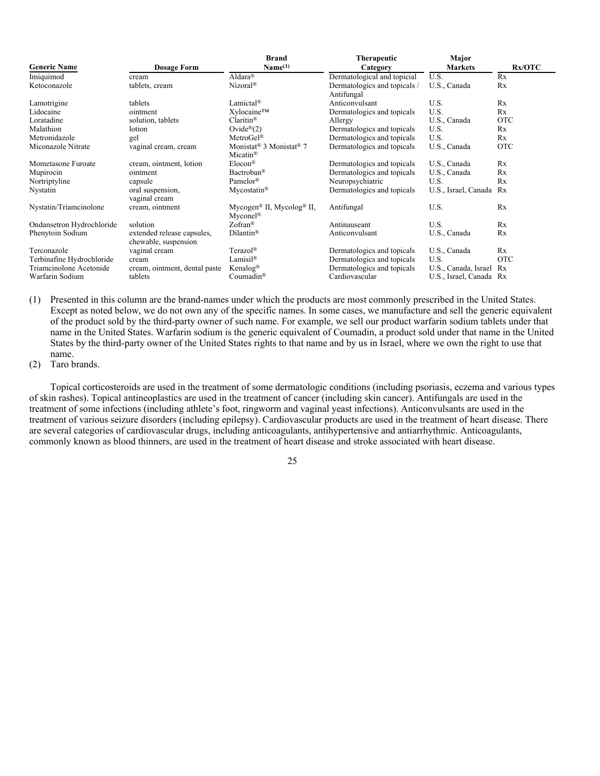|                           |                                                    | <b>Brand</b>                                                            | <b>Therapeutic</b>                         | Major                   |            |
|---------------------------|----------------------------------------------------|-------------------------------------------------------------------------|--------------------------------------------|-------------------------|------------|
| <b>Generic Name</b>       | <b>Dosage Form</b>                                 | Name <sup>(1)</sup>                                                     | Category                                   | <b>Markets</b>          | Rx/OTC     |
| Imiquimod                 | cream                                              | Aldara $^{\circledR}$                                                   | Dermatological and topicial                | U.S.                    | Rx         |
| Ketoconazole              | tablets, cream                                     | Nizoral <sup>®</sup>                                                    | Dermatologics and topicals /<br>Antifungal | U.S., Canada            | Rx         |
| Lamotrigine               | tablets                                            | Lamictal <sup>®</sup>                                                   | Anticonvulsant                             | U.S.                    | Rx         |
| Lidocaine                 | ointment                                           | Xylocaine™                                                              | Dermatologics and topicals                 | U.S.                    | Rx         |
| Loratadine                | solution, tablets                                  | Claritin <sup>®</sup>                                                   | Allergy                                    | U.S., Canada            | <b>OTC</b> |
| Malathion                 | lotion                                             | Ovide <sup>®</sup> $(2)$                                                | Dermatologics and topicals                 | U.S.                    | Rx         |
| Metronidazole             | gel                                                | MetroGel <sup>®</sup>                                                   | Dermatologics and topicals                 | U.S.                    | Rx         |
| Miconazole Nitrate        | vaginal cream, cream                               | Monistat <sup>®</sup> 3 Monistat <sup>®</sup> 7<br>Micatin <sup>®</sup> | Dermatologics and topicals                 | U.S., Canada            | <b>OTC</b> |
| Mometasone Furoate        | cream, ointment, lotion                            | Elocon <sup>®</sup>                                                     | Dermatologics and topicals                 | U.S., Canada            | Rx         |
| Mupirocin                 | ointment                                           | Bactroban <sup>®</sup>                                                  | Dermatologics and topicals                 | U.S., Canada            | Rx         |
| Nortriptyline             | capsule                                            | Pamelor <sup>®</sup>                                                    | Neuropsychiatric                           | U.S.                    | Rx         |
| Nystatin                  | oral suspension,<br>vaginal cream                  | Mycostatin <sup>®</sup>                                                 | Dermatologics and topicals                 | U.S., Israel, Canada    | Rx         |
| Nystatin/Triamcinolone    | cream, ointment                                    | Mycogen® II, Mycolog® II,<br>Myconel <sup>®</sup>                       | Antifungal                                 | U.S.                    | Rx         |
| Ondansetron Hydrochloride | solution                                           | $Zofran^{\circledR}$                                                    | Antinauseant                               | U.S.                    | Rx         |
| Phenytoin Sodium          | extended release capsules,<br>chewable, suspension | Dilantin <sup>®</sup>                                                   | Anticonvulsant                             | U.S., Canada            | Rx         |
| Terconazole               | vaginal cream                                      | Terazol <sup>®</sup>                                                    | Dermatologics and topicals                 | U.S., Canada            | Rx         |
| Terbinafine Hydrochloride | cream                                              | Lamisil®                                                                | Dermatologics and topicals                 | U.S.                    | <b>OTC</b> |
| Triamcinolone Acetonide   | cream, ointment, dental paste                      | Kenalog <sup>®</sup>                                                    | Dermatologics and topicals                 | U.S., Canada, Israel    | Rx         |
| Warfarin Sodium           | tablets                                            | Coumadin <sup>®</sup>                                                   | Cardiovascular                             | U.S., Israel, Canada Rx |            |

(1) Presented in this column are the brand-names under which the products are most commonly prescribed in the United States. Except as noted below, we do not own any of the specific names. In some cases, we manufacture and sell the generic equivalent of the product sold by the third-party owner of such name. For example, we sell our product warfarin sodium tablets under that name in the United States. Warfarin sodium is the generic equivalent of Coumadin, a product sold under that name in the United States by the third-party owner of the United States rights to that name and by us in Israel, where we own the right to use that name.

(2) Taro brands.

Topical corticosteroids are used in the treatment of some dermatologic conditions (including psoriasis, eczema and various types of skin rashes). Topical antineoplastics are used in the treatment of cancer (including skin cancer). Antifungals are used in the treatment of some infections (including athlete's foot, ringworm and vaginal yeast infections). Anticonvulsants are used in the treatment of various seizure disorders (including epilepsy). Cardiovascular products are used in the treatment of heart disease. There are several categories of cardiovascular drugs, including anticoagulants, antihypertensive and antiarrhythmic. Anticoagulants, commonly known as blood thinners, are used in the treatment of heart disease and stroke associated with heart disease.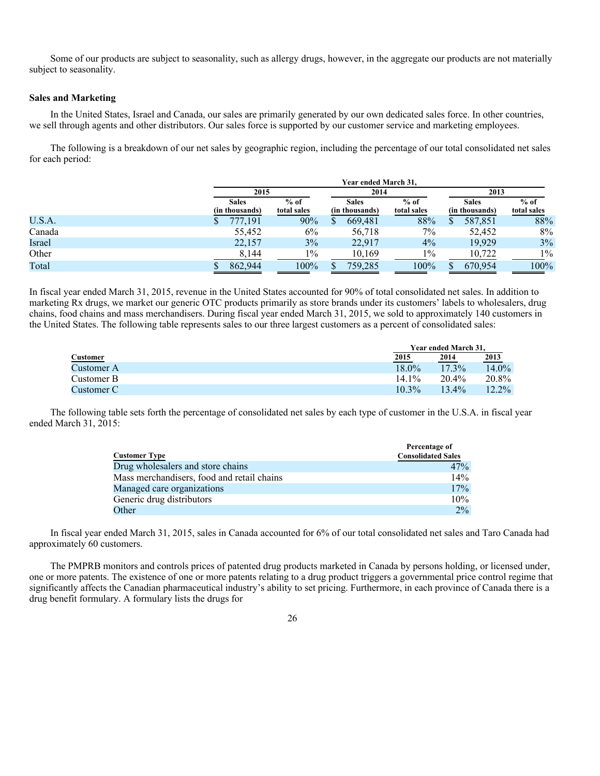Some of our products are subject to seasonality, such as allergy drugs, however, in the aggregate our products are not materially subject to seasonality.

#### **Sales and Marketing**

In the United States, Israel and Canada, our sales are primarily generated by our own dedicated sales force. In other countries, we sell through agents and other distributors. Our sales force is supported by our customer service and marketing employees.

The following is a breakdown of our net sales by geographic region, including the percentage of our total consolidated net sales for each period:

|        |                                | Year ended March 31.  |                                |                       |                                |                       |  |
|--------|--------------------------------|-----------------------|--------------------------------|-----------------------|--------------------------------|-----------------------|--|
|        | 2015                           |                       | 2014                           |                       | 2013                           |                       |  |
|        | <b>Sales</b><br>(in thousands) | $%$ of<br>total sales | <b>Sales</b><br>(in thousands) | $%$ of<br>total sales | <b>Sales</b><br>(in thousands) | $%$ of<br>total sales |  |
| U.S.A. | 777.191                        | 90%                   | 669,481                        | 88%                   | 587,851                        | 88%                   |  |
| Canada | 55,452                         | 6%                    | 56.718                         | 7%                    | 52,452                         | 8%                    |  |
| Israel | 22,157                         | 3%                    | 22.917                         | 4%                    | 19.929                         | 3%                    |  |
| Other  | 8,144                          | $1\%$                 | 10,169                         | $1\%$                 | 10,722                         | $1\%$                 |  |
| Total  | 862.944                        | 100%                  | 759.285                        | 100%                  | 670.954                        | $100\%$               |  |

In fiscal year ended March 31, 2015, revenue in the United States accounted for 90% of total consolidated net sales. In addition to marketing Rx drugs, we market our generic OTC products primarily as store brands under its customers' labels to wholesalers, drug chains, food chains and mass merchandisers. During fiscal year ended March 31, 2015, we sold to approximately 140 customers in the United States. The following table represents sales to our three largest customers as a percent of consolidated sales:

|            |          | Year ended March 31. |          |
|------------|----------|----------------------|----------|
| Customer   | 2015     | 2014                 | 2013     |
| Customer A | $18.0\%$ | $17.3\%$             | $14.0\%$ |
| Customer B | $14.1\%$ | 20.4%                | 20.8%    |
| Customer C | $10.3\%$ | $13.4\%$             | $12.2\%$ |

The following table sets forth the percentage of consolidated net sales by each type of customer in the U.S.A. in fiscal year ended March 31, 2015:

| <b>Customer Type</b>                       | Percentage of<br><b>Consolidated Sales</b> |
|--------------------------------------------|--------------------------------------------|
| Drug wholesalers and store chains          | 47%                                        |
| Mass merchandisers, food and retail chains | 14%                                        |
| Managed care organizations                 | 17%                                        |
| Generic drug distributors                  | 10%                                        |
| Other                                      | 2%                                         |

In fiscal year ended March 31, 2015, sales in Canada accounted for 6% of our total consolidated net sales and Taro Canada had approximately 60 customers.

The PMPRB monitors and controls prices of patented drug products marketed in Canada by persons holding, or licensed under, one or more patents. The existence of one or more patents relating to a drug product triggers a governmental price control regime that significantly affects the Canadian pharmaceutical industry's ability to set pricing. Furthermore, in each province of Canada there is a drug benefit formulary. A formulary lists the drugs for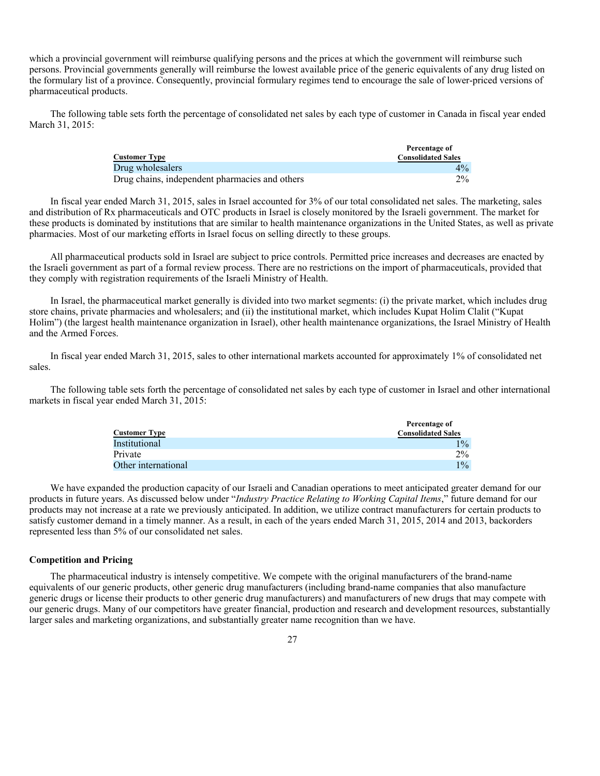which a provincial government will reimburse qualifying persons and the prices at which the government will reimburse such persons. Provincial governments generally will reimburse the lowest available price of the generic equivalents of any drug listed on the formulary list of a province. Consequently, provincial formulary regimes tend to encourage the sale of lower-priced versions of pharmaceutical products.

The following table sets forth the percentage of consolidated net sales by each type of customer in Canada in fiscal year ended March 31, 2015:

|                                                | Percentage of             |
|------------------------------------------------|---------------------------|
| <b>Customer Type</b>                           | <b>Consolidated Sales</b> |
| Drug wholesalers                               | $4\%$                     |
| Drug chains, independent pharmacies and others | $2\%$                     |

In fiscal year ended March 31, 2015, sales in Israel accounted for 3% of our total consolidated net sales. The marketing, sales and distribution of Rx pharmaceuticals and OTC products in Israel is closely monitored by the Israeli government. The market for these products is dominated by institutions that are similar to health maintenance organizations in the United States, as well as private pharmacies. Most of our marketing efforts in Israel focus on selling directly to these groups.

All pharmaceutical products sold in Israel are subject to price controls. Permitted price increases and decreases are enacted by the Israeli government as part of a formal review process. There are no restrictions on the import of pharmaceuticals, provided that they comply with registration requirements of the Israeli Ministry of Health.

In Israel, the pharmaceutical market generally is divided into two market segments: (i) the private market, which includes drug store chains, private pharmacies and wholesalers; and (ii) the institutional market, which includes Kupat Holim Clalit ("Kupat Holim") (the largest health maintenance organization in Israel), other health maintenance organizations, the Israel Ministry of Health and the Armed Forces.

In fiscal year ended March 31, 2015, sales to other international markets accounted for approximately 1% of consolidated net sales.

The following table sets forth the percentage of consolidated net sales by each type of customer in Israel and other international markets in fiscal year ended March 31, 2015:

|                      | Percentage of             |
|----------------------|---------------------------|
| <b>Customer Type</b> | <b>Consolidated Sales</b> |
| Institutional        | $1\%$                     |
| Private              | $2\%$                     |
| Other international  | $1\%$                     |

We have expanded the production capacity of our Israeli and Canadian operations to meet anticipated greater demand for our products in future years. As discussed below under "*Industry Practice Relating to Working Capital Items*," future demand for our products may not increase at a rate we previously anticipated. In addition, we utilize contract manufacturers for certain products to satisfy customer demand in a timely manner. As a result, in each of the years ended March 31, 2015, 2014 and 2013, backorders represented less than 5% of our consolidated net sales.

#### **Competition and Pricing**

The pharmaceutical industry is intensely competitive. We compete with the original manufacturers of the brand-name equivalents of our generic products, other generic drug manufacturers (including brand-name companies that also manufacture generic drugs or license their products to other generic drug manufacturers) and manufacturers of new drugs that may compete with our generic drugs. Many of our competitors have greater financial, production and research and development resources, substantially larger sales and marketing organizations, and substantially greater name recognition than we have.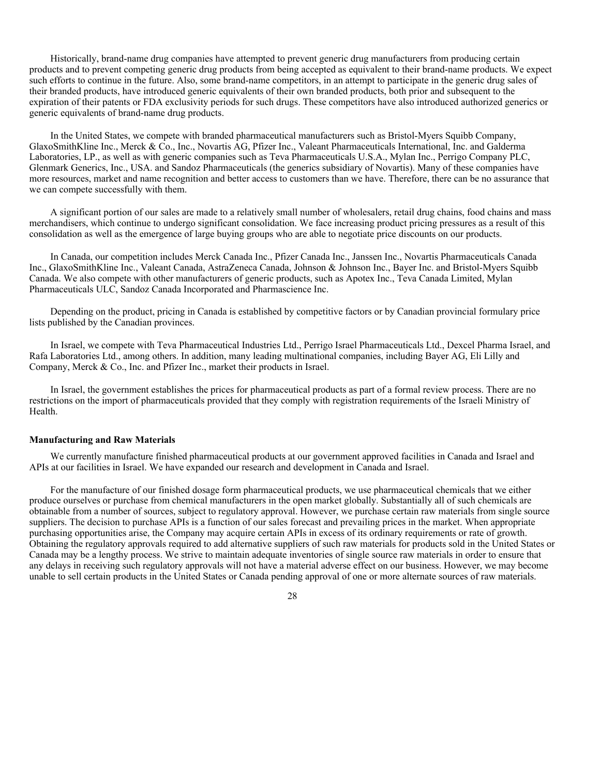Historically, brand-name drug companies have attempted to prevent generic drug manufacturers from producing certain products and to prevent competing generic drug products from being accepted as equivalent to their brand-name products. We expect such efforts to continue in the future. Also, some brand-name competitors, in an attempt to participate in the generic drug sales of their branded products, have introduced generic equivalents of their own branded products, both prior and subsequent to the expiration of their patents or FDA exclusivity periods for such drugs. These competitors have also introduced authorized generics or generic equivalents of brand-name drug products.

In the United States, we compete with branded pharmaceutical manufacturers such as Bristol-Myers Squibb Company, GlaxoSmithKline Inc., Merck & Co., Inc., Novartis AG, Pfizer Inc., Valeant Pharmaceuticals International, Inc. and Galderma Laboratories, LP., as well as with generic companies such as Teva Pharmaceuticals U.S.A., Mylan Inc., Perrigo Company PLC, Glenmark Generics, Inc., USA. and Sandoz Pharmaceuticals (the generics subsidiary of Novartis). Many of these companies have more resources, market and name recognition and better access to customers than we have. Therefore, there can be no assurance that we can compete successfully with them.

A significant portion of our sales are made to a relatively small number of wholesalers, retail drug chains, food chains and mass merchandisers, which continue to undergo significant consolidation. We face increasing product pricing pressures as a result of this consolidation as well as the emergence of large buying groups who are able to negotiate price discounts on our products.

In Canada, our competition includes Merck Canada Inc., Pfizer Canada Inc., Janssen Inc., Novartis Pharmaceuticals Canada Inc., GlaxoSmithKline Inc., Valeant Canada, AstraZeneca Canada, Johnson & Johnson Inc., Bayer Inc. and Bristol-Myers Squibb Canada. We also compete with other manufacturers of generic products, such as Apotex Inc., Teva Canada Limited, Mylan Pharmaceuticals ULC, Sandoz Canada Incorporated and Pharmascience Inc.

Depending on the product, pricing in Canada is established by competitive factors or by Canadian provincial formulary price lists published by the Canadian provinces.

In Israel, we compete with Teva Pharmaceutical Industries Ltd., Perrigo Israel Pharmaceuticals Ltd., Dexcel Pharma Israel, and Rafa Laboratories Ltd., among others. In addition, many leading multinational companies, including Bayer AG, Eli Lilly and Company, Merck & Co., Inc. and Pfizer Inc., market their products in Israel.

In Israel, the government establishes the prices for pharmaceutical products as part of a formal review process. There are no restrictions on the import of pharmaceuticals provided that they comply with registration requirements of the Israeli Ministry of Health.

#### **Manufacturing and Raw Materials**

We currently manufacture finished pharmaceutical products at our government approved facilities in Canada and Israel and APIs at our facilities in Israel. We have expanded our research and development in Canada and Israel.

For the manufacture of our finished dosage form pharmaceutical products, we use pharmaceutical chemicals that we either produce ourselves or purchase from chemical manufacturers in the open market globally. Substantially all of such chemicals are obtainable from a number of sources, subject to regulatory approval. However, we purchase certain raw materials from single source suppliers. The decision to purchase APIs is a function of our sales forecast and prevailing prices in the market. When appropriate purchasing opportunities arise, the Company may acquire certain APIs in excess of its ordinary requirements or rate of growth. Obtaining the regulatory approvals required to add alternative suppliers of such raw materials for products sold in the United States or Canada may be a lengthy process. We strive to maintain adequate inventories of single source raw materials in order to ensure that any delays in receiving such regulatory approvals will not have a material adverse effect on our business. However, we may become unable to sell certain products in the United States or Canada pending approval of one or more alternate sources of raw materials.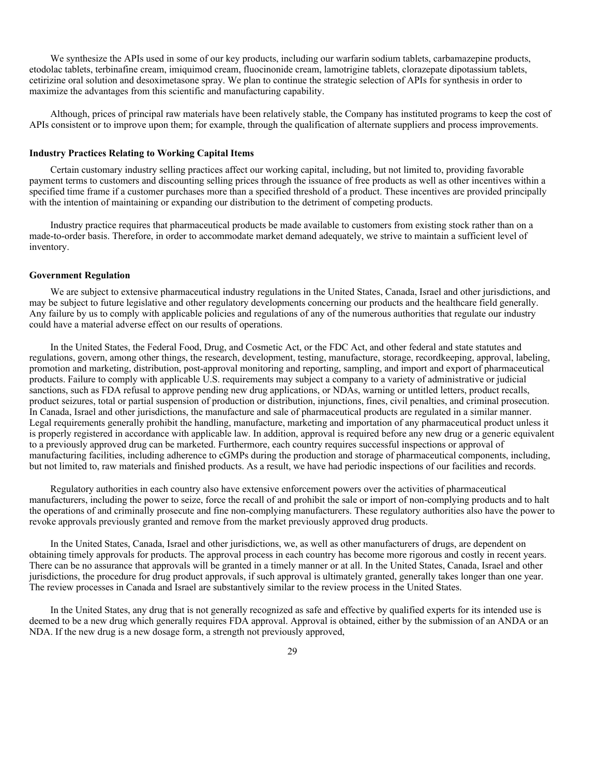We synthesize the APIs used in some of our key products, including our warfarin sodium tablets, carbamazepine products, etodolac tablets, terbinafine cream, imiquimod cream, fluocinonide cream, lamotrigine tablets, clorazepate dipotassium tablets, cetirizine oral solution and desoximetasone spray. We plan to continue the strategic selection of APIs for synthesis in order to maximize the advantages from this scientific and manufacturing capability.

Although, prices of principal raw materials have been relatively stable, the Company has instituted programs to keep the cost of APIs consistent or to improve upon them; for example, through the qualification of alternate suppliers and process improvements.

#### **Industry Practices Relating to Working Capital Items**

Certain customary industry selling practices affect our working capital, including, but not limited to, providing favorable payment terms to customers and discounting selling prices through the issuance of free products as well as other incentives within a specified time frame if a customer purchases more than a specified threshold of a product. These incentives are provided principally with the intention of maintaining or expanding our distribution to the detriment of competing products.

Industry practice requires that pharmaceutical products be made available to customers from existing stock rather than on a made-to-order basis. Therefore, in order to accommodate market demand adequately, we strive to maintain a sufficient level of inventory.

#### **Government Regulation**

We are subject to extensive pharmaceutical industry regulations in the United States, Canada, Israel and other jurisdictions, and may be subject to future legislative and other regulatory developments concerning our products and the healthcare field generally. Any failure by us to comply with applicable policies and regulations of any of the numerous authorities that regulate our industry could have a material adverse effect on our results of operations.

In the United States, the Federal Food, Drug, and Cosmetic Act, or the FDC Act, and other federal and state statutes and regulations, govern, among other things, the research, development, testing, manufacture, storage, recordkeeping, approval, labeling, promotion and marketing, distribution, post-approval monitoring and reporting, sampling, and import and export of pharmaceutical products. Failure to comply with applicable U.S. requirements may subject a company to a variety of administrative or judicial sanctions, such as FDA refusal to approve pending new drug applications, or NDAs, warning or untitled letters, product recalls, product seizures, total or partial suspension of production or distribution, injunctions, fines, civil penalties, and criminal prosecution. In Canada, Israel and other jurisdictions, the manufacture and sale of pharmaceutical products are regulated in a similar manner. Legal requirements generally prohibit the handling, manufacture, marketing and importation of any pharmaceutical product unless it is properly registered in accordance with applicable law. In addition, approval is required before any new drug or a generic equivalent to a previously approved drug can be marketed. Furthermore, each country requires successful inspections or approval of manufacturing facilities, including adherence to cGMPs during the production and storage of pharmaceutical components, including, but not limited to, raw materials and finished products. As a result, we have had periodic inspections of our facilities and records.

Regulatory authorities in each country also have extensive enforcement powers over the activities of pharmaceutical manufacturers, including the power to seize, force the recall of and prohibit the sale or import of non-complying products and to halt the operations of and criminally prosecute and fine non-complying manufacturers. These regulatory authorities also have the power to revoke approvals previously granted and remove from the market previously approved drug products.

In the United States, Canada, Israel and other jurisdictions, we, as well as other manufacturers of drugs, are dependent on obtaining timely approvals for products. The approval process in each country has become more rigorous and costly in recent years. There can be no assurance that approvals will be granted in a timely manner or at all. In the United States, Canada, Israel and other jurisdictions, the procedure for drug product approvals, if such approval is ultimately granted, generally takes longer than one year. The review processes in Canada and Israel are substantively similar to the review process in the United States.

In the United States, any drug that is not generally recognized as safe and effective by qualified experts for its intended use is deemed to be a new drug which generally requires FDA approval. Approval is obtained, either by the submission of an ANDA or an NDA. If the new drug is a new dosage form, a strength not previously approved,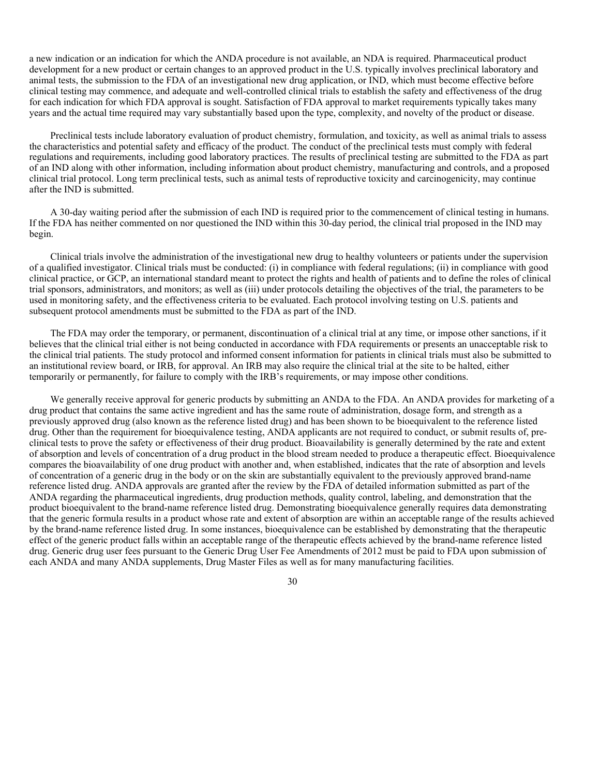a new indication or an indication for which the ANDA procedure is not available, an NDA is required. Pharmaceutical product development for a new product or certain changes to an approved product in the U.S. typically involves preclinical laboratory and animal tests, the submission to the FDA of an investigational new drug application, or IND, which must become effective before clinical testing may commence, and adequate and well-controlled clinical trials to establish the safety and effectiveness of the drug for each indication for which FDA approval is sought. Satisfaction of FDA approval to market requirements typically takes many years and the actual time required may vary substantially based upon the type, complexity, and novelty of the product or disease.

Preclinical tests include laboratory evaluation of product chemistry, formulation, and toxicity, as well as animal trials to assess the characteristics and potential safety and efficacy of the product. The conduct of the preclinical tests must comply with federal regulations and requirements, including good laboratory practices. The results of preclinical testing are submitted to the FDA as part of an IND along with other information, including information about product chemistry, manufacturing and controls, and a proposed clinical trial protocol. Long term preclinical tests, such as animal tests of reproductive toxicity and carcinogenicity, may continue after the IND is submitted.

A 30-day waiting period after the submission of each IND is required prior to the commencement of clinical testing in humans. If the FDA has neither commented on nor questioned the IND within this 30-day period, the clinical trial proposed in the IND may begin.

Clinical trials involve the administration of the investigational new drug to healthy volunteers or patients under the supervision of a qualified investigator. Clinical trials must be conducted: (i) in compliance with federal regulations; (ii) in compliance with good clinical practice, or GCP, an international standard meant to protect the rights and health of patients and to define the roles of clinical trial sponsors, administrators, and monitors; as well as (iii) under protocols detailing the objectives of the trial, the parameters to be used in monitoring safety, and the effectiveness criteria to be evaluated. Each protocol involving testing on U.S. patients and subsequent protocol amendments must be submitted to the FDA as part of the IND.

The FDA may order the temporary, or permanent, discontinuation of a clinical trial at any time, or impose other sanctions, if it believes that the clinical trial either is not being conducted in accordance with FDA requirements or presents an unacceptable risk to the clinical trial patients. The study protocol and informed consent information for patients in clinical trials must also be submitted to an institutional review board, or IRB, for approval. An IRB may also require the clinical trial at the site to be halted, either temporarily or permanently, for failure to comply with the IRB's requirements, or may impose other conditions.

We generally receive approval for generic products by submitting an ANDA to the FDA. An ANDA provides for marketing of a drug product that contains the same active ingredient and has the same route of administration, dosage form, and strength as a previously approved drug (also known as the reference listed drug) and has been shown to be bioequivalent to the reference listed drug. Other than the requirement for bioequivalence testing, ANDA applicants are not required to conduct, or submit results of, preclinical tests to prove the safety or effectiveness of their drug product. Bioavailability is generally determined by the rate and extent of absorption and levels of concentration of a drug product in the blood stream needed to produce a therapeutic effect. Bioequivalence compares the bioavailability of one drug product with another and, when established, indicates that the rate of absorption and levels of concentration of a generic drug in the body or on the skin are substantially equivalent to the previously approved brand-name reference listed drug. ANDA approvals are granted after the review by the FDA of detailed information submitted as part of the ANDA regarding the pharmaceutical ingredients, drug production methods, quality control, labeling, and demonstration that the product bioequivalent to the brand-name reference listed drug. Demonstrating bioequivalence generally requires data demonstrating that the generic formula results in a product whose rate and extent of absorption are within an acceptable range of the results achieved by the brand-name reference listed drug. In some instances, bioequivalence can be established by demonstrating that the therapeutic effect of the generic product falls within an acceptable range of the therapeutic effects achieved by the brand-name reference listed drug. Generic drug user fees pursuant to the Generic Drug User Fee Amendments of 2012 must be paid to FDA upon submission of each ANDA and many ANDA supplements, Drug Master Files as well as for many manufacturing facilities.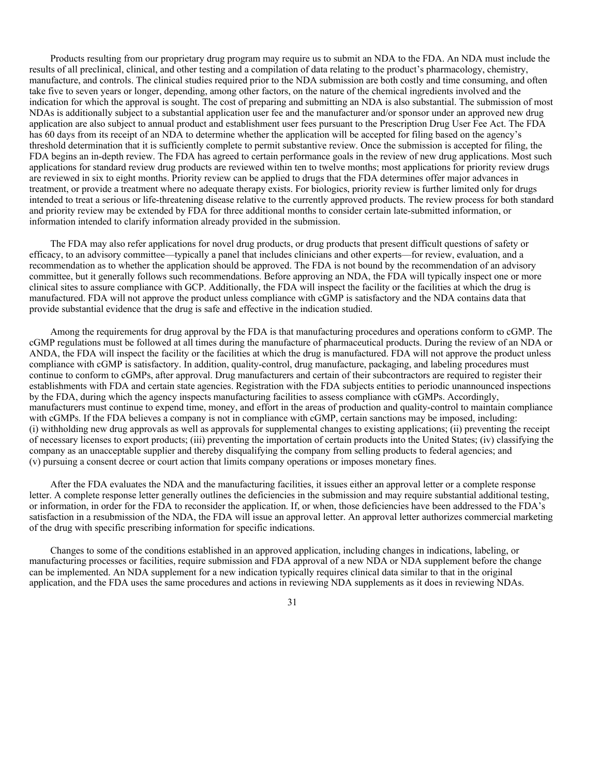Products resulting from our proprietary drug program may require us to submit an NDA to the FDA. An NDA must include the results of all preclinical, clinical, and other testing and a compilation of data relating to the product's pharmacology, chemistry, manufacture, and controls. The clinical studies required prior to the NDA submission are both costly and time consuming, and often take five to seven years or longer, depending, among other factors, on the nature of the chemical ingredients involved and the indication for which the approval is sought. The cost of preparing and submitting an NDA is also substantial. The submission of most NDAs is additionally subject to a substantial application user fee and the manufacturer and/or sponsor under an approved new drug application are also subject to annual product and establishment user fees pursuant to the Prescription Drug User Fee Act. The FDA has 60 days from its receipt of an NDA to determine whether the application will be accepted for filing based on the agency's threshold determination that it is sufficiently complete to permit substantive review. Once the submission is accepted for filing, the FDA begins an in-depth review. The FDA has agreed to certain performance goals in the review of new drug applications. Most such applications for standard review drug products are reviewed within ten to twelve months; most applications for priority review drugs are reviewed in six to eight months. Priority review can be applied to drugs that the FDA determines offer major advances in treatment, or provide a treatment where no adequate therapy exists. For biologics, priority review is further limited only for drugs intended to treat a serious or life-threatening disease relative to the currently approved products. The review process for both standard and priority review may be extended by FDA for three additional months to consider certain late-submitted information, or information intended to clarify information already provided in the submission.

The FDA may also refer applications for novel drug products, or drug products that present difficult questions of safety or efficacy, to an advisory committee—typically a panel that includes clinicians and other experts—for review, evaluation, and a recommendation as to whether the application should be approved. The FDA is not bound by the recommendation of an advisory committee, but it generally follows such recommendations. Before approving an NDA, the FDA will typically inspect one or more clinical sites to assure compliance with GCP. Additionally, the FDA will inspect the facility or the facilities at which the drug is manufactured. FDA will not approve the product unless compliance with cGMP is satisfactory and the NDA contains data that provide substantial evidence that the drug is safe and effective in the indication studied.

Among the requirements for drug approval by the FDA is that manufacturing procedures and operations conform to cGMP. The cGMP regulations must be followed at all times during the manufacture of pharmaceutical products. During the review of an NDA or ANDA, the FDA will inspect the facility or the facilities at which the drug is manufactured. FDA will not approve the product unless compliance with cGMP is satisfactory. In addition, quality-control, drug manufacture, packaging, and labeling procedures must continue to conform to cGMPs, after approval. Drug manufacturers and certain of their subcontractors are required to register their establishments with FDA and certain state agencies. Registration with the FDA subjects entities to periodic unannounced inspections by the FDA, during which the agency inspects manufacturing facilities to assess compliance with cGMPs. Accordingly, manufacturers must continue to expend time, money, and effort in the areas of production and quality-control to maintain compliance with cGMPs. If the FDA believes a company is not in compliance with cGMP, certain sanctions may be imposed, including: (i) withholding new drug approvals as well as approvals for supplemental changes to existing applications; (ii) preventing the receipt of necessary licenses to export products; (iii) preventing the importation of certain products into the United States; (iv) classifying the company as an unacceptable supplier and thereby disqualifying the company from selling products to federal agencies; and (v) pursuing a consent decree or court action that limits company operations or imposes monetary fines.

After the FDA evaluates the NDA and the manufacturing facilities, it issues either an approval letter or a complete response letter. A complete response letter generally outlines the deficiencies in the submission and may require substantial additional testing, or information, in order for the FDA to reconsider the application. If, or when, those deficiencies have been addressed to the FDA's satisfaction in a resubmission of the NDA, the FDA will issue an approval letter. An approval letter authorizes commercial marketing of the drug with specific prescribing information for specific indications.

Changes to some of the conditions established in an approved application, including changes in indications, labeling, or manufacturing processes or facilities, require submission and FDA approval of a new NDA or NDA supplement before the change can be implemented. An NDA supplement for a new indication typically requires clinical data similar to that in the original application, and the FDA uses the same procedures and actions in reviewing NDA supplements as it does in reviewing NDAs.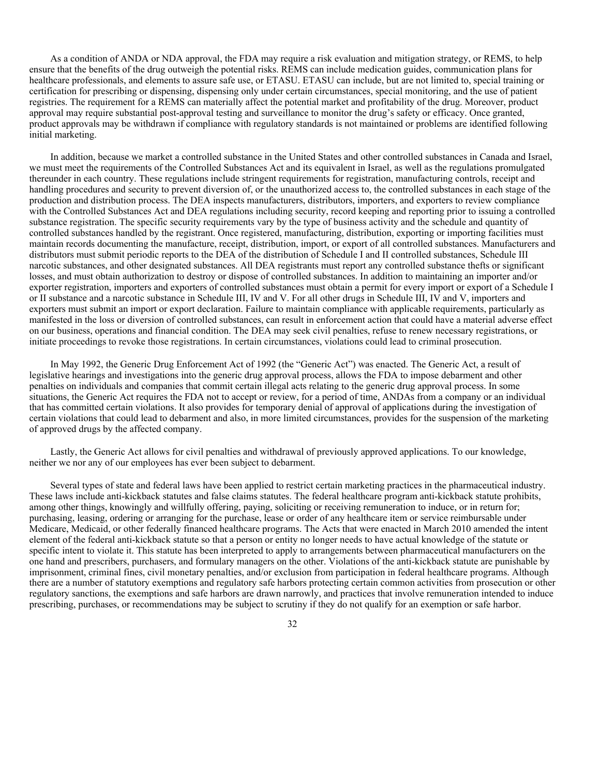As a condition of ANDA or NDA approval, the FDA may require a risk evaluation and mitigation strategy, or REMS, to help ensure that the benefits of the drug outweigh the potential risks. REMS can include medication guides, communication plans for healthcare professionals, and elements to assure safe use, or ETASU. ETASU can include, but are not limited to, special training or certification for prescribing or dispensing, dispensing only under certain circumstances, special monitoring, and the use of patient registries. The requirement for a REMS can materially affect the potential market and profitability of the drug. Moreover, product approval may require substantial post-approval testing and surveillance to monitor the drug's safety or efficacy. Once granted, product approvals may be withdrawn if compliance with regulatory standards is not maintained or problems are identified following initial marketing.

In addition, because we market a controlled substance in the United States and other controlled substances in Canada and Israel, we must meet the requirements of the Controlled Substances Act and its equivalent in Israel, as well as the regulations promulgated thereunder in each country. These regulations include stringent requirements for registration, manufacturing controls, receipt and handling procedures and security to prevent diversion of, or the unauthorized access to, the controlled substances in each stage of the production and distribution process. The DEA inspects manufacturers, distributors, importers, and exporters to review compliance with the Controlled Substances Act and DEA regulations including security, record keeping and reporting prior to issuing a controlled substance registration. The specific security requirements vary by the type of business activity and the schedule and quantity of controlled substances handled by the registrant. Once registered, manufacturing, distribution, exporting or importing facilities must maintain records documenting the manufacture, receipt, distribution, import, or export of all controlled substances. Manufacturers and distributors must submit periodic reports to the DEA of the distribution of Schedule I and II controlled substances, Schedule III narcotic substances, and other designated substances. All DEA registrants must report any controlled substance thefts or significant losses, and must obtain authorization to destroy or dispose of controlled substances. In addition to maintaining an importer and/or exporter registration, importers and exporters of controlled substances must obtain a permit for every import or export of a Schedule I or II substance and a narcotic substance in Schedule III, IV and V. For all other drugs in Schedule III, IV and V, importers and exporters must submit an import or export declaration. Failure to maintain compliance with applicable requirements, particularly as manifested in the loss or diversion of controlled substances, can result in enforcement action that could have a material adverse effect on our business, operations and financial condition. The DEA may seek civil penalties, refuse to renew necessary registrations, or initiate proceedings to revoke those registrations. In certain circumstances, violations could lead to criminal prosecution.

In May 1992, the Generic Drug Enforcement Act of 1992 (the "Generic Act") was enacted. The Generic Act, a result of legislative hearings and investigations into the generic drug approval process, allows the FDA to impose debarment and other penalties on individuals and companies that commit certain illegal acts relating to the generic drug approval process. In some situations, the Generic Act requires the FDA not to accept or review, for a period of time, ANDAs from a company or an individual that has committed certain violations. It also provides for temporary denial of approval of applications during the investigation of certain violations that could lead to debarment and also, in more limited circumstances, provides for the suspension of the marketing of approved drugs by the affected company.

Lastly, the Generic Act allows for civil penalties and withdrawal of previously approved applications. To our knowledge, neither we nor any of our employees has ever been subject to debarment.

Several types of state and federal laws have been applied to restrict certain marketing practices in the pharmaceutical industry. These laws include anti-kickback statutes and false claims statutes. The federal healthcare program anti-kickback statute prohibits, among other things, knowingly and willfully offering, paying, soliciting or receiving remuneration to induce, or in return for; purchasing, leasing, ordering or arranging for the purchase, lease or order of any healthcare item or service reimbursable under Medicare, Medicaid, or other federally financed healthcare programs. The Acts that were enacted in March 2010 amended the intent element of the federal anti-kickback statute so that a person or entity no longer needs to have actual knowledge of the statute or specific intent to violate it. This statute has been interpreted to apply to arrangements between pharmaceutical manufacturers on the one hand and prescribers, purchasers, and formulary managers on the other. Violations of the anti-kickback statute are punishable by imprisonment, criminal fines, civil monetary penalties, and/or exclusion from participation in federal healthcare programs. Although there are a number of statutory exemptions and regulatory safe harbors protecting certain common activities from prosecution or other regulatory sanctions, the exemptions and safe harbors are drawn narrowly, and practices that involve remuneration intended to induce prescribing, purchases, or recommendations may be subject to scrutiny if they do not qualify for an exemption or safe harbor.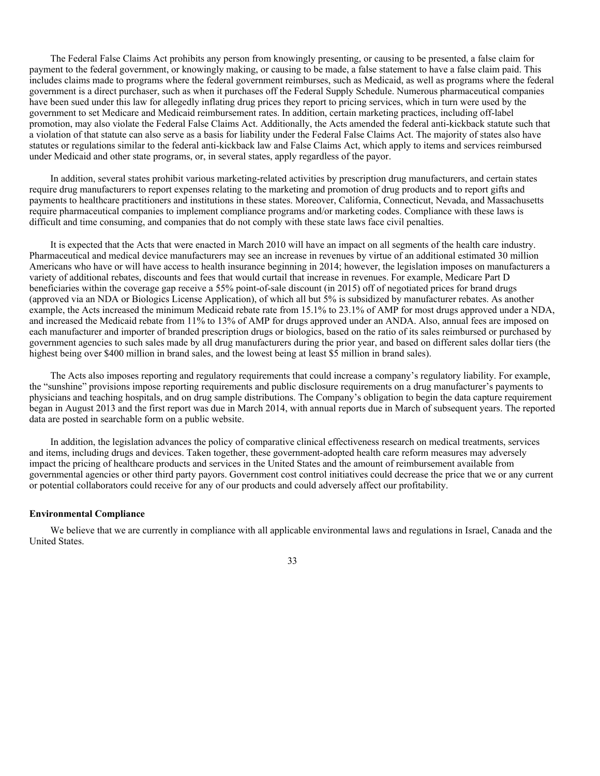The Federal False Claims Act prohibits any person from knowingly presenting, or causing to be presented, a false claim for payment to the federal government, or knowingly making, or causing to be made, a false statement to have a false claim paid. This includes claims made to programs where the federal government reimburses, such as Medicaid, as well as programs where the federal government is a direct purchaser, such as when it purchases off the Federal Supply Schedule. Numerous pharmaceutical companies have been sued under this law for allegedly inflating drug prices they report to pricing services, which in turn were used by the government to set Medicare and Medicaid reimbursement rates. In addition, certain marketing practices, including off-label promotion, may also violate the Federal False Claims Act. Additionally, the Acts amended the federal anti-kickback statute such that a violation of that statute can also serve as a basis for liability under the Federal False Claims Act. The majority of states also have statutes or regulations similar to the federal anti-kickback law and False Claims Act, which apply to items and services reimbursed under Medicaid and other state programs, or, in several states, apply regardless of the payor.

In addition, several states prohibit various marketing-related activities by prescription drug manufacturers, and certain states require drug manufacturers to report expenses relating to the marketing and promotion of drug products and to report gifts and payments to healthcare practitioners and institutions in these states. Moreover, California, Connecticut, Nevada, and Massachusetts require pharmaceutical companies to implement compliance programs and/or marketing codes. Compliance with these laws is difficult and time consuming, and companies that do not comply with these state laws face civil penalties.

It is expected that the Acts that were enacted in March 2010 will have an impact on all segments of the health care industry. Pharmaceutical and medical device manufacturers may see an increase in revenues by virtue of an additional estimated 30 million Americans who have or will have access to health insurance beginning in 2014; however, the legislation imposes on manufacturers a variety of additional rebates, discounts and fees that would curtail that increase in revenues. For example, Medicare Part D beneficiaries within the coverage gap receive a 55% point-of-sale discount (in 2015) off of negotiated prices for brand drugs (approved via an NDA or Biologics License Application), of which all but 5% is subsidized by manufacturer rebates. As another example, the Acts increased the minimum Medicaid rebate rate from 15.1% to 23.1% of AMP for most drugs approved under a NDA, and increased the Medicaid rebate from 11% to 13% of AMP for drugs approved under an ANDA. Also, annual fees are imposed on each manufacturer and importer of branded prescription drugs or biologics, based on the ratio of its sales reimbursed or purchased by government agencies to such sales made by all drug manufacturers during the prior year, and based on different sales dollar tiers (the highest being over \$400 million in brand sales, and the lowest being at least \$5 million in brand sales).

The Acts also imposes reporting and regulatory requirements that could increase a company's regulatory liability. For example, the "sunshine" provisions impose reporting requirements and public disclosure requirements on a drug manufacturer's payments to physicians and teaching hospitals, and on drug sample distributions. The Company's obligation to begin the data capture requirement began in August 2013 and the first report was due in March 2014, with annual reports due in March of subsequent years. The reported data are posted in searchable form on a public website.

In addition, the legislation advances the policy of comparative clinical effectiveness research on medical treatments, services and items, including drugs and devices. Taken together, these government-adopted health care reform measures may adversely impact the pricing of healthcare products and services in the United States and the amount of reimbursement available from governmental agencies or other third party payors. Government cost control initiatives could decrease the price that we or any current or potential collaborators could receive for any of our products and could adversely affect our profitability.

#### **Environmental Compliance**

We believe that we are currently in compliance with all applicable environmental laws and regulations in Israel, Canada and the United States.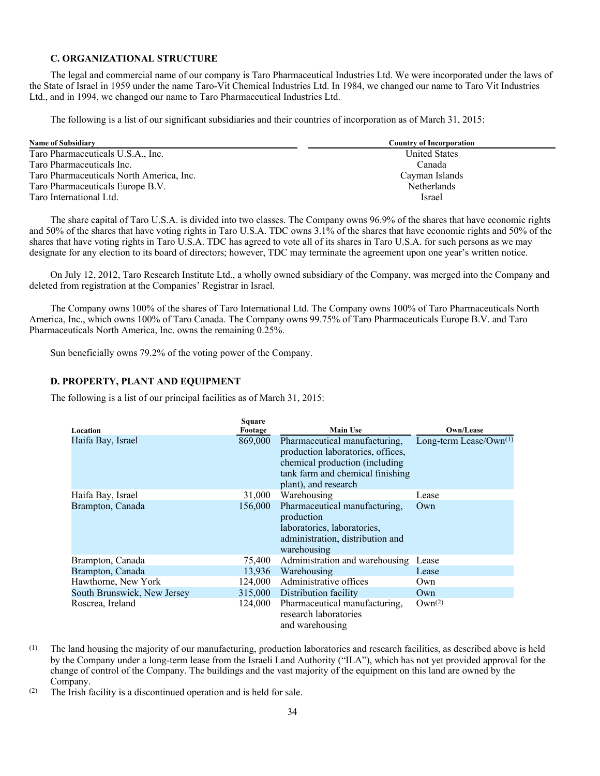## **C. ORGANIZATIONAL STRUCTURE**

The legal and commercial name of our company is Taro Pharmaceutical Industries Ltd. We were incorporated under the laws of the State of Israel in 1959 under the name Taro-Vit Chemical Industries Ltd. In 1984, we changed our name to Taro Vit Industries Ltd., and in 1994, we changed our name to Taro Pharmaceutical Industries Ltd.

The following is a list of our significant subsidiaries and their countries of incorporation as of March 31, 2015:

| <b>Name of Subsidiary</b>                | <b>Country of Incorporation</b> |
|------------------------------------------|---------------------------------|
| Taro Pharmaceuticals U.S.A., Inc.        | <b>United States</b>            |
| Taro Pharmaceuticals Inc.                | Canada                          |
| Taro Pharmaceuticals North America, Inc. | Cayman Islands                  |
| Taro Pharmaceuticals Europe B.V.         | Netherlands                     |
| Taro International Ltd.                  | Israel                          |

The share capital of Taro U.S.A. is divided into two classes. The Company owns 96.9% of the shares that have economic rights and 50% of the shares that have voting rights in Taro U.S.A. TDC owns 3.1% of the shares that have economic rights and 50% of the shares that have voting rights in Taro U.S.A. TDC has agreed to vote all of its shares in Taro U.S.A. for such persons as we may designate for any election to its board of directors; however, TDC may terminate the agreement upon one year's written notice.

On July 12, 2012, Taro Research Institute Ltd., a wholly owned subsidiary of the Company, was merged into the Company and deleted from registration at the Companies' Registrar in Israel.

The Company owns 100% of the shares of Taro International Ltd. The Company owns 100% of Taro Pharmaceuticals North America, Inc., which owns 100% of Taro Canada. The Company owns 99.75% of Taro Pharmaceuticals Europe B.V. and Taro Pharmaceuticals North America, Inc. owns the remaining 0.25%.

Sun beneficially owns 79.2% of the voting power of the Company.

### **D. PROPERTY, PLANT AND EQUIPMENT**

The following is a list of our principal facilities as of March 31, 2015:

|                             | <b>Square</b> |                                                                                                                                                                  |                              |
|-----------------------------|---------------|------------------------------------------------------------------------------------------------------------------------------------------------------------------|------------------------------|
| Location                    | Footage       | <b>Main Use</b>                                                                                                                                                  | Own/Lease                    |
| Haifa Bay, Israel           | 869,000       | Pharmaceutical manufacturing,<br>production laboratories, offices,<br>chemical production (including<br>tank farm and chemical finishing<br>plant), and research | Long-term Lease/ $Own^{(1)}$ |
| Haifa Bay, Israel           | 31,000        | Warehousing                                                                                                                                                      | Lease                        |
| Brampton, Canada            | 156,000       | Pharmaceutical manufacturing,<br>production<br>laboratories, laboratories,<br>administration, distribution and<br>warehousing                                    | Own                          |
| Brampton, Canada            | 75,400        | Administration and warehousing                                                                                                                                   | Lease                        |
| Brampton, Canada            | 13,936        | Warehousing                                                                                                                                                      | Lease                        |
| Hawthorne, New York         | 124,000       | Administrative offices                                                                                                                                           | Own                          |
| South Brunswick, New Jersey | 315,000       | Distribution facility                                                                                                                                            | Own                          |
| Roscrea, Ireland            | 124,000       | Pharmaceutical manufacturing,<br>research laboratories<br>and warehousing                                                                                        | $Own^{(2)}$                  |

- (1) The land housing the majority of our manufacturing, production laboratories and research facilities, as described above is held by the Company under a long-term lease from the Israeli Land Authority ("ILA"), which has not yet provided approval for the change of control of the Company. The buildings and the vast majority of the equipment on this land are owned by the Company.<br><sup>(2)</sup> The Irish facility is a discontinued operation and is held for sale.
-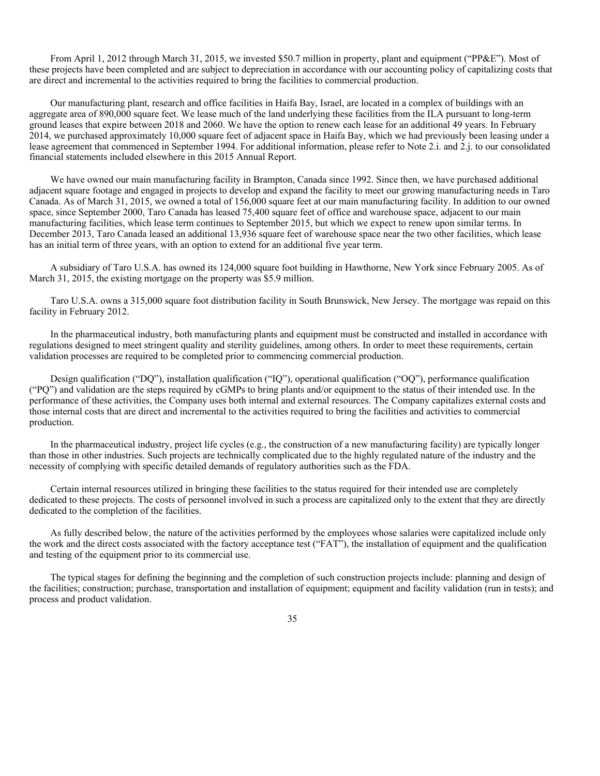From April 1, 2012 through March 31, 2015, we invested \$50.7 million in property, plant and equipment ("PP&E"). Most of these projects have been completed and are subject to depreciation in accordance with our accounting policy of capitalizing costs that are direct and incremental to the activities required to bring the facilities to commercial production.

Our manufacturing plant, research and office facilities in Haifa Bay, Israel, are located in a complex of buildings with an aggregate area of 890,000 square feet. We lease much of the land underlying these facilities from the ILA pursuant to long-term ground leases that expire between 2018 and 2060. We have the option to renew each lease for an additional 49 years. In February 2014, we purchased approximately 10,000 square feet of adjacent space in Haifa Bay, which we had previously been leasing under a lease agreement that commenced in September 1994. For additional information, please refer to Note 2.i. and 2.j. to our consolidated financial statements included elsewhere in this 2015 Annual Report.

We have owned our main manufacturing facility in Brampton, Canada since 1992. Since then, we have purchased additional adjacent square footage and engaged in projects to develop and expand the facility to meet our growing manufacturing needs in Taro Canada. As of March 31, 2015, we owned a total of 156,000 square feet at our main manufacturing facility. In addition to our owned space, since September 2000, Taro Canada has leased 75,400 square feet of office and warehouse space, adjacent to our main manufacturing facilities, which lease term continues to September 2015, but which we expect to renew upon similar terms. In December 2013, Taro Canada leased an additional 13,936 square feet of warehouse space near the two other facilities, which lease has an initial term of three years, with an option to extend for an additional five year term.

A subsidiary of Taro U.S.A. has owned its 124,000 square foot building in Hawthorne, New York since February 2005. As of March 31, 2015, the existing mortgage on the property was \$5.9 million.

Taro U.S.A. owns a 315,000 square foot distribution facility in South Brunswick, New Jersey. The mortgage was repaid on this facility in February 2012.

In the pharmaceutical industry, both manufacturing plants and equipment must be constructed and installed in accordance with regulations designed to meet stringent quality and sterility guidelines, among others. In order to meet these requirements, certain validation processes are required to be completed prior to commencing commercial production.

Design qualification ("DQ"), installation qualification ("IQ"), operational qualification ("OQ"), performance qualification ("PQ") and validation are the steps required by cGMPs to bring plants and/or equipment to the status of their intended use. In the performance of these activities, the Company uses both internal and external resources. The Company capitalizes external costs and those internal costs that are direct and incremental to the activities required to bring the facilities and activities to commercial production.

In the pharmaceutical industry, project life cycles (e.g., the construction of a new manufacturing facility) are typically longer than those in other industries. Such projects are technically complicated due to the highly regulated nature of the industry and the necessity of complying with specific detailed demands of regulatory authorities such as the FDA.

Certain internal resources utilized in bringing these facilities to the status required for their intended use are completely dedicated to these projects. The costs of personnel involved in such a process are capitalized only to the extent that they are directly dedicated to the completion of the facilities.

As fully described below, the nature of the activities performed by the employees whose salaries were capitalized include only the work and the direct costs associated with the factory acceptance test ("FAT"), the installation of equipment and the qualification and testing of the equipment prior to its commercial use.

The typical stages for defining the beginning and the completion of such construction projects include: planning and design of the facilities; construction; purchase, transportation and installation of equipment; equipment and facility validation (run in tests); and process and product validation.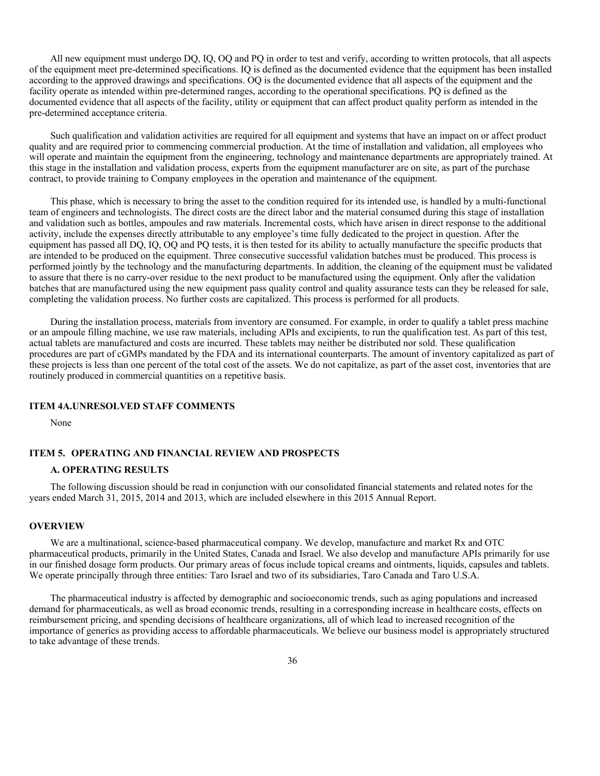All new equipment must undergo DQ, IQ, OQ and PQ in order to test and verify, according to written protocols, that all aspects of the equipment meet pre-determined specifications. IQ is defined as the documented evidence that the equipment has been installed according to the approved drawings and specifications. OQ is the documented evidence that all aspects of the equipment and the facility operate as intended within pre-determined ranges, according to the operational specifications. PQ is defined as the documented evidence that all aspects of the facility, utility or equipment that can affect product quality perform as intended in the pre-determined acceptance criteria.

Such qualification and validation activities are required for all equipment and systems that have an impact on or affect product quality and are required prior to commencing commercial production. At the time of installation and validation, all employees who will operate and maintain the equipment from the engineering, technology and maintenance departments are appropriately trained. At this stage in the installation and validation process, experts from the equipment manufacturer are on site, as part of the purchase contract, to provide training to Company employees in the operation and maintenance of the equipment.

This phase, which is necessary to bring the asset to the condition required for its intended use, is handled by a multi-functional team of engineers and technologists. The direct costs are the direct labor and the material consumed during this stage of installation and validation such as bottles, ampoules and raw materials. Incremental costs, which have arisen in direct response to the additional activity, include the expenses directly attributable to any employee's time fully dedicated to the project in question. After the equipment has passed all DQ, IQ, OQ and PQ tests, it is then tested for its ability to actually manufacture the specific products that are intended to be produced on the equipment. Three consecutive successful validation batches must be produced. This process is performed jointly by the technology and the manufacturing departments. In addition, the cleaning of the equipment must be validated to assure that there is no carry-over residue to the next product to be manufactured using the equipment. Only after the validation batches that are manufactured using the new equipment pass quality control and quality assurance tests can they be released for sale, completing the validation process. No further costs are capitalized. This process is performed for all products.

During the installation process, materials from inventory are consumed. For example, in order to qualify a tablet press machine or an ampoule filling machine, we use raw materials, including APIs and excipients, to run the qualification test. As part of this test, actual tablets are manufactured and costs are incurred. These tablets may neither be distributed nor sold. These qualification procedures are part of cGMPs mandated by the FDA and its international counterparts. The amount of inventory capitalized as part of these projects is less than one percent of the total cost of the assets. We do not capitalize, as part of the asset cost, inventories that are routinely produced in commercial quantities on a repetitive basis.

### **ITEM 4A.UNRESOLVED STAFF COMMENTS**

None

# **ITEM 5. OPERATING AND FINANCIAL REVIEW AND PROSPECTS**

### **A. OPERATING RESULTS**

The following discussion should be read in conjunction with our consolidated financial statements and related notes for the years ended March 31, 2015, 2014 and 2013, which are included elsewhere in this 2015 Annual Report.

### **OVERVIEW**

We are a multinational, science-based pharmaceutical company. We develop, manufacture and market Rx and OTC pharmaceutical products, primarily in the United States, Canada and Israel. We also develop and manufacture APIs primarily for use in our finished dosage form products. Our primary areas of focus include topical creams and ointments, liquids, capsules and tablets. We operate principally through three entities: Taro Israel and two of its subsidiaries, Taro Canada and Taro U.S.A.

The pharmaceutical industry is affected by demographic and socioeconomic trends, such as aging populations and increased demand for pharmaceuticals, as well as broad economic trends, resulting in a corresponding increase in healthcare costs, effects on reimbursement pricing, and spending decisions of healthcare organizations, all of which lead to increased recognition of the importance of generics as providing access to affordable pharmaceuticals. We believe our business model is appropriately structured to take advantage of these trends.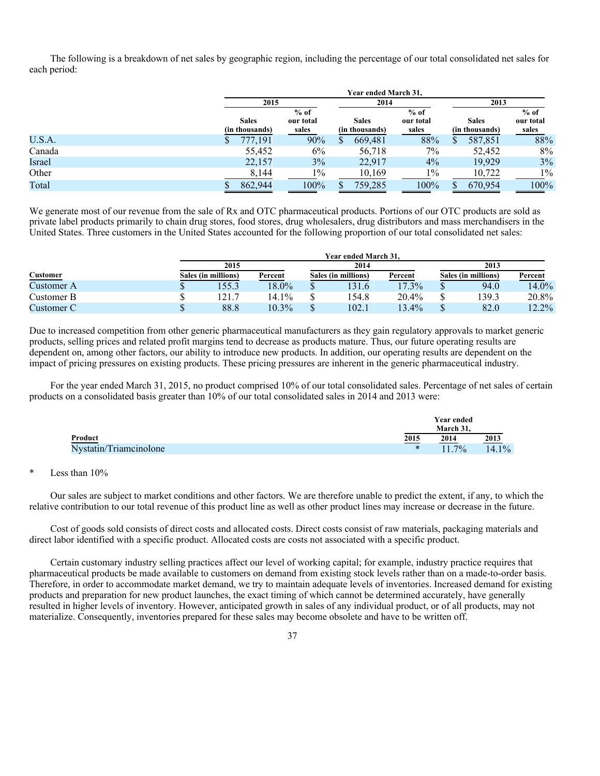The following is a breakdown of net sales by geographic region, including the percentage of our total consolidated net sales for each period:

|        | 2015                           |                              | 2014                           |                              | 2013                           |                              |  |
|--------|--------------------------------|------------------------------|--------------------------------|------------------------------|--------------------------------|------------------------------|--|
|        | <b>Sales</b><br>(in thousands) | $%$ of<br>our total<br>sales | <b>Sales</b><br>(in thousands) | $%$ of<br>our total<br>sales | <b>Sales</b><br>(in thousands) | $%$ of<br>our total<br>sales |  |
| U.S.A. | 777,191                        | 90%                          | 669,481<br>S                   | 88%                          | 587,851                        | 88%                          |  |
| Canada | 55,452                         | 6%                           | 56,718                         | 7%                           | 52,452                         | 8%                           |  |
| Israel | 22,157                         | 3%                           | 22.917                         | $4\%$                        | 19.929                         | 3%                           |  |
| Other  | 8,144                          | $1\%$                        | 10,169                         | $1\%$                        | 10,722                         | $1\%$                        |  |
| Total  | 862,944                        | 100%                         | 759,285                        | 100%                         | 670.954                        | 100%                         |  |

We generate most of our revenue from the sale of Rx and OTC pharmaceutical products. Portions of our OTC products are sold as private label products primarily to chain drug stores, food stores, drug wholesalers, drug distributors and mass merchandisers in the United States. Three customers in the United States accounted for the following proportion of our total consolidated net sales:

|            |  | Year ended March 31. |          |  |                     |          |  |                     |          |  |
|------------|--|----------------------|----------|--|---------------------|----------|--|---------------------|----------|--|
|            |  | 2015                 |          |  | 2014                |          |  | 2013                |          |  |
| Customer   |  | Sales (in millions)  | Percent  |  | Sales (in millions) | Percent  |  | Sales (in millions) | Percent  |  |
| Customer A |  | 155.3                | $18.0\%$ |  | 131.6               | $17.3\%$ |  | 94.0                | 14.0%    |  |
| Customer B |  | 121.7                | $14.1\%$ |  | 154.8               | 20.4%    |  | 139.3               | 20.8%    |  |
| Customer C |  | 88.8                 | $10.3\%$ |  | 102.1               | $13.4\%$ |  | 82.0                | $12.2\%$ |  |

Due to increased competition from other generic pharmaceutical manufacturers as they gain regulatory approvals to market generic products, selling prices and related profit margins tend to decrease as products mature. Thus, our future operating results are dependent on, among other factors, our ability to introduce new products. In addition, our operating results are dependent on the impact of pricing pressures on existing products. These pricing pressures are inherent in the generic pharmaceutical industry.

For the year ended March 31, 2015, no product comprised 10% of our total consolidated sales. Percentage of net sales of certain products on a consolidated basis greater than 10% of our total consolidated sales in 2014 and 2013 were:

|                        |        | Year ended       |          |
|------------------------|--------|------------------|----------|
|                        |        | <b>March 31.</b> |          |
| Product                | 2015   | 2014             | 2013     |
| Nystatin/Triamcinolone | $\ast$ | $11.7\%$         | $14.1\%$ |

#### Less than  $10%$

Our sales are subject to market conditions and other factors. We are therefore unable to predict the extent, if any, to which the relative contribution to our total revenue of this product line as well as other product lines may increase or decrease in the future.

Cost of goods sold consists of direct costs and allocated costs. Direct costs consist of raw materials, packaging materials and direct labor identified with a specific product. Allocated costs are costs not associated with a specific product.

Certain customary industry selling practices affect our level of working capital; for example, industry practice requires that pharmaceutical products be made available to customers on demand from existing stock levels rather than on a made-to-order basis. Therefore, in order to accommodate market demand, we try to maintain adequate levels of inventories. Increased demand for existing products and preparation for new product launches, the exact timing of which cannot be determined accurately, have generally resulted in higher levels of inventory. However, anticipated growth in sales of any individual product, or of all products, may not materialize. Consequently, inventories prepared for these sales may become obsolete and have to be written off.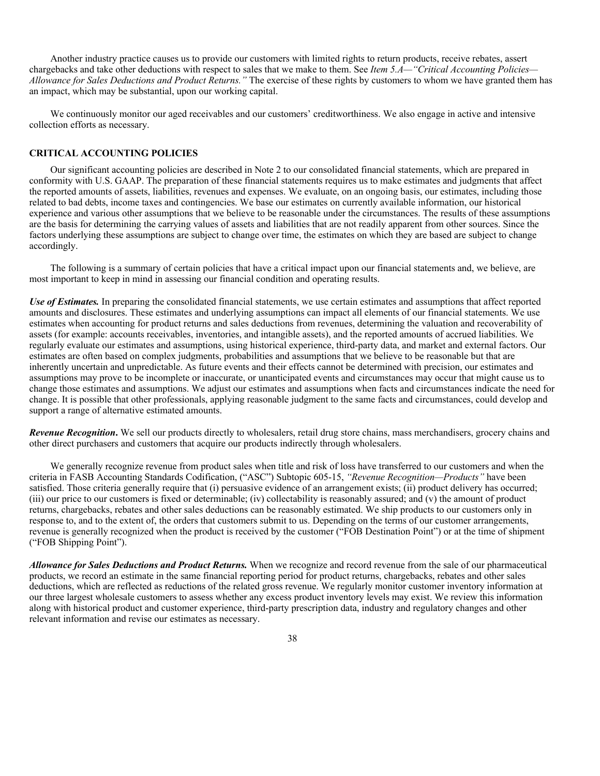Another industry practice causes us to provide our customers with limited rights to return products, receive rebates, assert chargebacks and take other deductions with respect to sales that we make to them. See *Item 5.A—"Critical Accounting Policies— Allowance for Sales Deductions and Product Returns."* The exercise of these rights by customers to whom we have granted them has an impact, which may be substantial, upon our working capital.

We continuously monitor our aged receivables and our customers' creditworthiness. We also engage in active and intensive collection efforts as necessary.

## **CRITICAL ACCOUNTING POLICIES**

Our significant accounting policies are described in Note 2 to our consolidated financial statements, which are prepared in conformity with U.S. GAAP. The preparation of these financial statements requires us to make estimates and judgments that affect the reported amounts of assets, liabilities, revenues and expenses. We evaluate, on an ongoing basis, our estimates, including those related to bad debts, income taxes and contingencies. We base our estimates on currently available information, our historical experience and various other assumptions that we believe to be reasonable under the circumstances. The results of these assumptions are the basis for determining the carrying values of assets and liabilities that are not readily apparent from other sources. Since the factors underlying these assumptions are subject to change over time, the estimates on which they are based are subject to change accordingly.

The following is a summary of certain policies that have a critical impact upon our financial statements and, we believe, are most important to keep in mind in assessing our financial condition and operating results.

*Use of Estimates.* In preparing the consolidated financial statements, we use certain estimates and assumptions that affect reported amounts and disclosures. These estimates and underlying assumptions can impact all elements of our financial statements. We use estimates when accounting for product returns and sales deductions from revenues, determining the valuation and recoverability of assets (for example: accounts receivables, inventories, and intangible assets), and the reported amounts of accrued liabilities. We regularly evaluate our estimates and assumptions, using historical experience, third-party data, and market and external factors. Our estimates are often based on complex judgments, probabilities and assumptions that we believe to be reasonable but that are inherently uncertain and unpredictable. As future events and their effects cannot be determined with precision, our estimates and assumptions may prove to be incomplete or inaccurate, or unanticipated events and circumstances may occur that might cause us to change those estimates and assumptions. We adjust our estimates and assumptions when facts and circumstances indicate the need for change. It is possible that other professionals, applying reasonable judgment to the same facts and circumstances, could develop and support a range of alternative estimated amounts.

*Revenue Recognition***.** We sell our products directly to wholesalers, retail drug store chains, mass merchandisers, grocery chains and other direct purchasers and customers that acquire our products indirectly through wholesalers.

We generally recognize revenue from product sales when title and risk of loss have transferred to our customers and when the criteria in FASB Accounting Standards Codification, ("ASC") Subtopic 605-15, *"Revenue Recognition—Products"* have been satisfied. Those criteria generally require that (i) persuasive evidence of an arrangement exists; (ii) product delivery has occurred; (iii) our price to our customers is fixed or determinable; (iv) collectability is reasonably assured; and (v) the amount of product returns, chargebacks, rebates and other sales deductions can be reasonably estimated. We ship products to our customers only in response to, and to the extent of, the orders that customers submit to us. Depending on the terms of our customer arrangements, revenue is generally recognized when the product is received by the customer ("FOB Destination Point") or at the time of shipment ("FOB Shipping Point").

*Allowance for Sales Deductions and Product Returns.* When we recognize and record revenue from the sale of our pharmaceutical products, we record an estimate in the same financial reporting period for product returns, chargebacks, rebates and other sales deductions, which are reflected as reductions of the related gross revenue. We regularly monitor customer inventory information at our three largest wholesale customers to assess whether any excess product inventory levels may exist. We review this information along with historical product and customer experience, third-party prescription data, industry and regulatory changes and other relevant information and revise our estimates as necessary.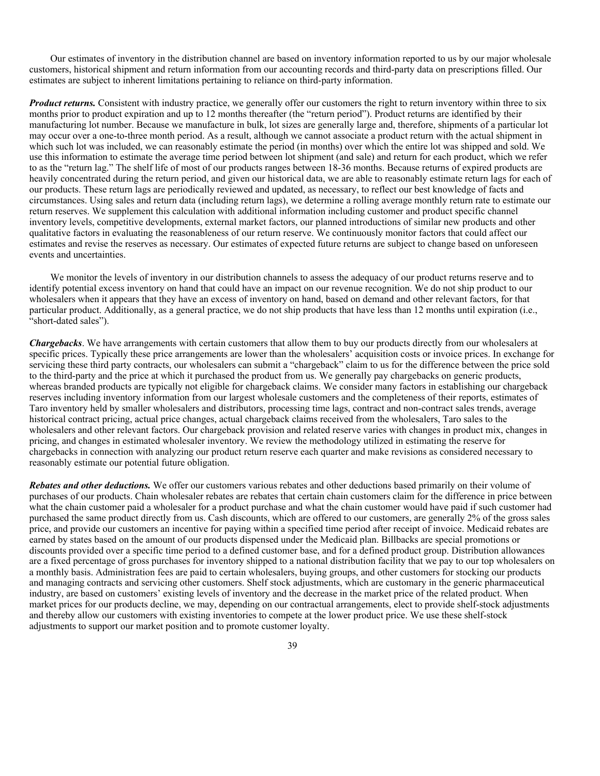Our estimates of inventory in the distribution channel are based on inventory information reported to us by our major wholesale customers, historical shipment and return information from our accounting records and third-party data on prescriptions filled. Our estimates are subject to inherent limitations pertaining to reliance on third-party information.

*Product returns.* Consistent with industry practice, we generally offer our customers the right to return inventory within three to six months prior to product expiration and up to 12 months thereafter (the "return period"). Product returns are identified by their manufacturing lot number. Because we manufacture in bulk, lot sizes are generally large and, therefore, shipments of a particular lot may occur over a one-to-three month period. As a result, although we cannot associate a product return with the actual shipment in which such lot was included, we can reasonably estimate the period (in months) over which the entire lot was shipped and sold. We use this information to estimate the average time period between lot shipment (and sale) and return for each product, which we refer to as the "return lag." The shelf life of most of our products ranges between 18-36 months. Because returns of expired products are heavily concentrated during the return period, and given our historical data, we are able to reasonably estimate return lags for each of our products. These return lags are periodically reviewed and updated, as necessary, to reflect our best knowledge of facts and circumstances. Using sales and return data (including return lags), we determine a rolling average monthly return rate to estimate our return reserves. We supplement this calculation with additional information including customer and product specific channel inventory levels, competitive developments, external market factors, our planned introductions of similar new products and other qualitative factors in evaluating the reasonableness of our return reserve. We continuously monitor factors that could affect our estimates and revise the reserves as necessary. Our estimates of expected future returns are subject to change based on unforeseen events and uncertainties.

We monitor the levels of inventory in our distribution channels to assess the adequacy of our product returns reserve and to identify potential excess inventory on hand that could have an impact on our revenue recognition. We do not ship product to our wholesalers when it appears that they have an excess of inventory on hand, based on demand and other relevant factors, for that particular product. Additionally, as a general practice, we do not ship products that have less than 12 months until expiration (i.e., "short-dated sales").

*Chargebacks*. We have arrangements with certain customers that allow them to buy our products directly from our wholesalers at specific prices. Typically these price arrangements are lower than the wholesalers' acquisition costs or invoice prices. In exchange for servicing these third party contracts, our wholesalers can submit a "chargeback" claim to us for the difference between the price sold to the third-party and the price at which it purchased the product from us. We generally pay chargebacks on generic products, whereas branded products are typically not eligible for chargeback claims. We consider many factors in establishing our chargeback reserves including inventory information from our largest wholesale customers and the completeness of their reports, estimates of Taro inventory held by smaller wholesalers and distributors, processing time lags, contract and non-contract sales trends, average historical contract pricing, actual price changes, actual chargeback claims received from the wholesalers, Taro sales to the wholesalers and other relevant factors. Our chargeback provision and related reserve varies with changes in product mix, changes in pricing, and changes in estimated wholesaler inventory. We review the methodology utilized in estimating the reserve for chargebacks in connection with analyzing our product return reserve each quarter and make revisions as considered necessary to reasonably estimate our potential future obligation.

*Rebates and other deductions.* We offer our customers various rebates and other deductions based primarily on their volume of purchases of our products. Chain wholesaler rebates are rebates that certain chain customers claim for the difference in price between what the chain customer paid a wholesaler for a product purchase and what the chain customer would have paid if such customer had purchased the same product directly from us. Cash discounts, which are offered to our customers, are generally 2% of the gross sales price, and provide our customers an incentive for paying within a specified time period after receipt of invoice. Medicaid rebates are earned by states based on the amount of our products dispensed under the Medicaid plan. Billbacks are special promotions or discounts provided over a specific time period to a defined customer base, and for a defined product group. Distribution allowances are a fixed percentage of gross purchases for inventory shipped to a national distribution facility that we pay to our top wholesalers on a monthly basis. Administration fees are paid to certain wholesalers, buying groups, and other customers for stocking our products and managing contracts and servicing other customers. Shelf stock adjustments, which are customary in the generic pharmaceutical industry, are based on customers' existing levels of inventory and the decrease in the market price of the related product. When market prices for our products decline, we may, depending on our contractual arrangements, elect to provide shelf-stock adjustments and thereby allow our customers with existing inventories to compete at the lower product price. We use these shelf-stock adjustments to support our market position and to promote customer loyalty.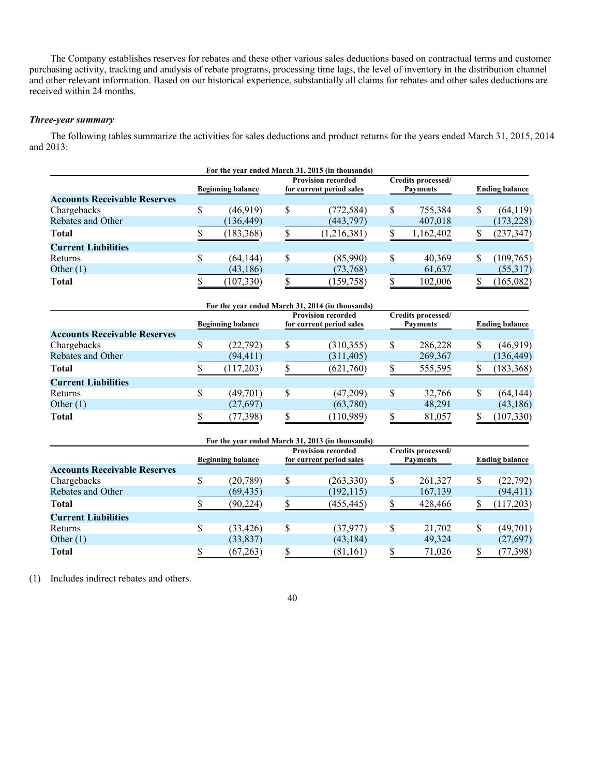The Company establishes reserves for rebates and these other various sales deductions based on contractual terms and customer purchasing activity, tracking and analysis of rebate programs, processing time lags, the level of inventory in the distribution channel and other relevant information. Based on our historical experience, substantially all claims for rebates and other sales deductions are received within 24 months.

## *Three-year summary*

The following tables summarize the activities for sales deductions and product returns for the years ended March 31, 2015, 2014 and 2013:

| For the year ended March 31, 2015 (in thousands) |                          |            |    |                                                       |                                       |           |                       |            |  |  |
|--------------------------------------------------|--------------------------|------------|----|-------------------------------------------------------|---------------------------------------|-----------|-----------------------|------------|--|--|
|                                                  | <b>Beginning balance</b> |            |    | <b>Provision recorded</b><br>for current period sales | Credits processed/<br><b>Payments</b> |           | <b>Ending balance</b> |            |  |  |
| <b>Accounts Receivable Reserves</b>              |                          |            |    |                                                       |                                       |           |                       |            |  |  |
| Chargebacks                                      |                          | (46,919)   | \$ | (772, 584)                                            | \$                                    | 755,384   | \$                    | (64, 119)  |  |  |
| Rebates and Other                                |                          | (136, 449) |    | (443, 797)                                            |                                       | 407,018   |                       | (173, 228) |  |  |
| Total                                            |                          | (183, 368) |    | (1,216,381)                                           |                                       | 1,162,402 |                       | (237, 347) |  |  |
| <b>Current Liabilities</b>                       |                          |            |    |                                                       |                                       |           |                       |            |  |  |
| Returns                                          |                          | (64, 144)  | \$ | (85,990)                                              | S                                     | 40,369    | \$                    | (109, 765) |  |  |
| Other $(1)$                                      |                          | (43, 186)  |    | (73,768)                                              |                                       | 61,637    |                       | (55,317)   |  |  |
| Total                                            |                          | (107, 330) |    | (159, 758)                                            |                                       | 102,006   |                       | (165,082)  |  |  |

|                                     |                          |           |                                                       | For the year ended March 31, 2014 (in thousands) |     |                                       |   |                       |
|-------------------------------------|--------------------------|-----------|-------------------------------------------------------|--------------------------------------------------|-----|---------------------------------------|---|-----------------------|
|                                     | <b>Beginning balance</b> |           | <b>Provision recorded</b><br>for current period sales |                                                  |     | Credits processed/<br><b>Payments</b> |   | <b>Ending balance</b> |
| <b>Accounts Receivable Reserves</b> |                          |           |                                                       |                                                  |     |                                       |   |                       |
| Chargebacks                         |                          | (22, 792) | S                                                     | (310, 355)                                       | S   | 286,228                               |   | (46,919)              |
| Rebates and Other                   |                          | (94, 411) |                                                       | (311, 405)                                       |     | 269,367                               |   | (136, 449)            |
| Total                               |                          | (117,203) |                                                       | (621,760)                                        |     | 555,595                               |   | (183, 368)            |
| <b>Current Liabilities</b>          |                          |           |                                                       |                                                  |     |                                       |   |                       |
| Returns                             |                          | (49,701)  | \$                                                    | (47,209)                                         | \$. | 32,766                                | S | (64, 144)             |
| Other $(1)$                         |                          | (27, 697) |                                                       | (63,780)                                         |     | 48,291                                |   | (43, 186)             |
| Total                               |                          | (77, 398) |                                                       | (110, 989)                                       |     | 81,057                                |   | (107, 330)            |

|                                     |                          |           |                                                       | For the year ended March 31, 2013 (in thousands) |                                       |         |                       |           |
|-------------------------------------|--------------------------|-----------|-------------------------------------------------------|--------------------------------------------------|---------------------------------------|---------|-----------------------|-----------|
|                                     | <b>Beginning balance</b> |           | <b>Provision recorded</b><br>for current period sales |                                                  | Credits processed/<br><b>Payments</b> |         | <b>Ending balance</b> |           |
| <b>Accounts Receivable Reserves</b> |                          |           |                                                       |                                                  |                                       |         |                       |           |
| Chargebacks                         |                          | (20, 789) | S                                                     | (263, 330)                                       |                                       | 261,327 | S                     | (22,792)  |
| Rebates and Other                   |                          | (69, 435) |                                                       | (192, 115)                                       |                                       | 167,139 |                       | (94, 411) |
| Total                               |                          | (90, 224) |                                                       | (455, 445)                                       |                                       | 428,466 |                       | (117,203) |
| <b>Current Liabilities</b>          |                          |           |                                                       |                                                  |                                       |         |                       |           |
| Returns                             |                          | (33, 426) | \$                                                    | (37, 977)                                        | S                                     | 21,702  | S                     | (49,701)  |
| Other $(1)$                         |                          | (33, 837) |                                                       | (43, 184)                                        |                                       | 49,324  |                       | (27, 697) |
| <b>Total</b>                        |                          | (67, 263) |                                                       | (81, 161)                                        |                                       | 71,026  |                       | (77, 398) |

(1) Includes indirect rebates and others.

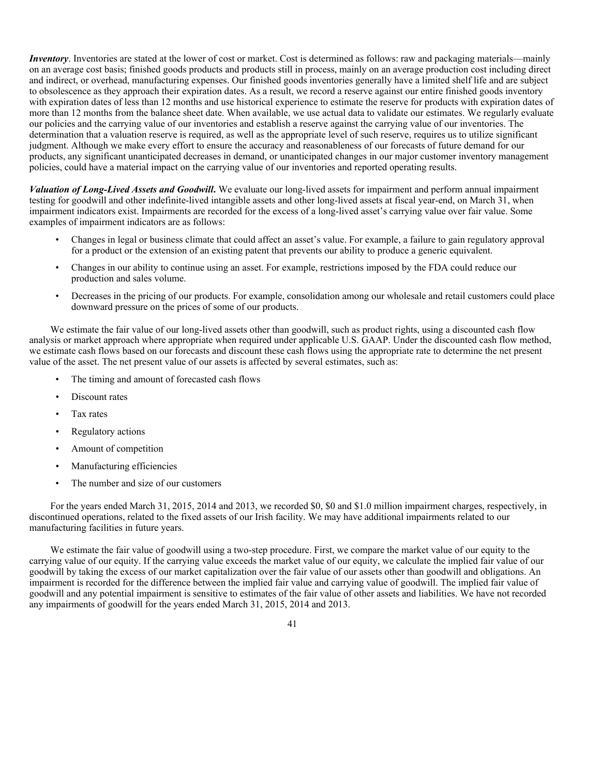*Inventory*. Inventories are stated at the lower of cost or market. Cost is determined as follows: raw and packaging materials—mainly on an average cost basis; finished goods products and products still in process, mainly on an average production cost including direct and indirect, or overhead, manufacturing expenses. Our finished goods inventories generally have a limited shelf life and are subject to obsolescence as they approach their expiration dates. As a result, we record a reserve against our entire finished goods inventory with expiration dates of less than 12 months and use historical experience to estimate the reserve for products with expiration dates of more than 12 months from the balance sheet date. When available, we use actual data to validate our estimates. We regularly evaluate our policies and the carrying value of our inventories and establish a reserve against the carrying value of our inventories. The determination that a valuation reserve is required, as well as the appropriate level of such reserve, requires us to utilize significant judgment. Although we make every effort to ensure the accuracy and reasonableness of our forecasts of future demand for our products, any significant unanticipated decreases in demand, or unanticipated changes in our major customer inventory management policies, could have a material impact on the carrying value of our inventories and reported operating results.

*Valuation of Long-Lived Assets and Goodwill***.** We evaluate our long-lived assets for impairment and perform annual impairment testing for goodwill and other indefinite-lived intangible assets and other long-lived assets at fiscal year-end, on March 31, when impairment indicators exist. Impairments are recorded for the excess of a long-lived asset's carrying value over fair value. Some examples of impairment indicators are as follows:

- Changes in legal or business climate that could affect an asset's value. For example, a failure to gain regulatory approval for a product or the extension of an existing patent that prevents our ability to produce a generic equivalent.
- Changes in our ability to continue using an asset. For example, restrictions imposed by the FDA could reduce our production and sales volume.
- Decreases in the pricing of our products. For example, consolidation among our wholesale and retail customers could place downward pressure on the prices of some of our products.

We estimate the fair value of our long-lived assets other than goodwill, such as product rights, using a discounted cash flow analysis or market approach where appropriate when required under applicable U.S. GAAP. Under the discounted cash flow method, we estimate cash flows based on our forecasts and discount these cash flows using the appropriate rate to determine the net present value of the asset. The net present value of our assets is affected by several estimates, such as:

- The timing and amount of forecasted cash flows
- Discount rates
- Tax rates
- Regulatory actions
- Amount of competition
- Manufacturing efficiencies
- The number and size of our customers

For the years ended March 31, 2015, 2014 and 2013, we recorded \$0, \$0 and \$1.0 million impairment charges, respectively, in discontinued operations, related to the fixed assets of our Irish facility. We may have additional impairments related to our manufacturing facilities in future years.

We estimate the fair value of goodwill using a two-step procedure. First, we compare the market value of our equity to the carrying value of our equity. If the carrying value exceeds the market value of our equity, we calculate the implied fair value of our goodwill by taking the excess of our market capitalization over the fair value of our assets other than goodwill and obligations. An impairment is recorded for the difference between the implied fair value and carrying value of goodwill. The implied fair value of goodwill and any potential impairment is sensitive to estimates of the fair value of other assets and liabilities. We have not recorded any impairments of goodwill for the years ended March 31, 2015, 2014 and 2013.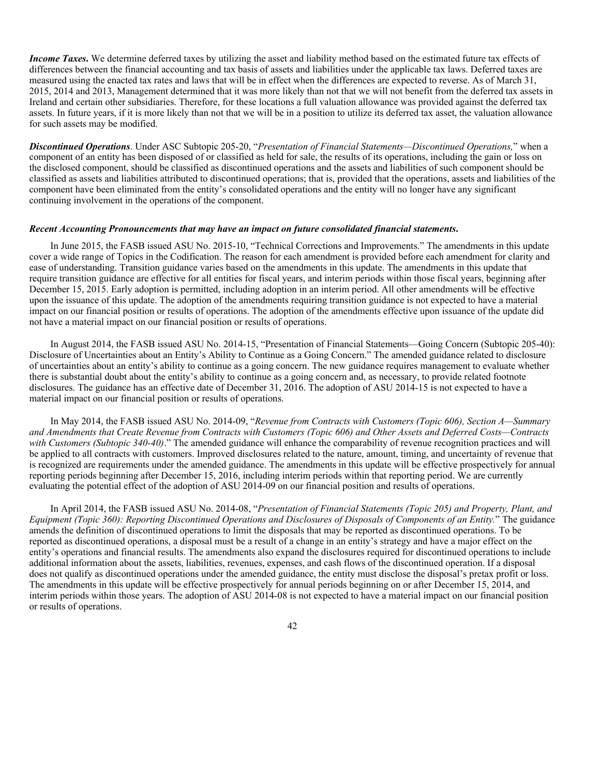*Income Taxes*. We determine deferred taxes by utilizing the asset and liability method based on the estimated future tax effects of differences between the financial accounting and tax basis of assets and liabilities under the applicable tax laws. Deferred taxes are measured using the enacted tax rates and laws that will be in effect when the differences are expected to reverse. As of March 31, 2015, 2014 and 2013, Management determined that it was more likely than not that we will not benefit from the deferred tax assets in Ireland and certain other subsidiaries. Therefore, for these locations a full valuation allowance was provided against the deferred tax assets. In future years, if it is more likely than not that we will be in a position to utilize its deferred tax asset, the valuation allowance for such assets may be modified.

*Discontinued Operations*. Under ASC Subtopic 205-20, "*Presentation of Financial Statements—Discontinued Operations,*" when a component of an entity has been disposed of or classified as held for sale, the results of its operations, including the gain or loss on the disclosed component, should be classified as discontinued operations and the assets and liabilities of such component should be classified as assets and liabilities attributed to discontinued operations; that is, provided that the operations, assets and liabilities of the component have been eliminated from the entity's consolidated operations and the entity will no longer have any significant continuing involvement in the operations of the component.

### *Recent Accounting Pronouncements that may have an impact on future consolidated financial statements***.**

In June 2015, the FASB issued ASU No. 2015-10, "Technical Corrections and Improvements." The amendments in this update cover a wide range of Topics in the Codification. The reason for each amendment is provided before each amendment for clarity and ease of understanding. Transition guidance varies based on the amendments in this update. The amendments in this update that require transition guidance are effective for all entities for fiscal years, and interim periods within those fiscal years, beginning after December 15, 2015. Early adoption is permitted, including adoption in an interim period. All other amendments will be effective upon the issuance of this update. The adoption of the amendments requiring transition guidance is not expected to have a material impact on our financial position or results of operations. The adoption of the amendments effective upon issuance of the update did not have a material impact on our financial position or results of operations.

In August 2014, the FASB issued ASU No. 2014-15, "Presentation of Financial Statements—Going Concern (Subtopic 205-40): Disclosure of Uncertainties about an Entity's Ability to Continue as a Going Concern." The amended guidance related to disclosure of uncertainties about an entity's ability to continue as a going concern. The new guidance requires management to evaluate whether there is substantial doubt about the entity's ability to continue as a going concern and, as necessary, to provide related footnote disclosures. The guidance has an effective date of December 31, 2016. The adoption of ASU 2014-15 is not expected to have a material impact on our financial position or results of operations.

In May 2014, the FASB issued ASU No. 2014-09, "*Revenue from Contracts with Customers (Topic 606), Section A—Summary and Amendments that Create Revenue from Contracts with Customers (Topic 606) and Other Assets and Deferred Costs—Contracts with Customers (Subtopic 340-40)*." The amended guidance will enhance the comparability of revenue recognition practices and will be applied to all contracts with customers. Improved disclosures related to the nature, amount, timing, and uncertainty of revenue that is recognized are requirements under the amended guidance. The amendments in this update will be effective prospectively for annual reporting periods beginning after December 15, 2016, including interim periods within that reporting period. We are currently evaluating the potential effect of the adoption of ASU 2014-09 on our financial position and results of operations.

In April 2014, the FASB issued ASU No. 2014-08, "*Presentation of Financial Statements (Topic 205) and Property, Plant, and Equipment (Topic 360): Reporting Discontinued Operations and Disclosures of Disposals of Components of an Entity.*" The guidance amends the definition of discontinued operations to limit the disposals that may be reported as discontinued operations. To be reported as discontinued operations, a disposal must be a result of a change in an entity's strategy and have a major effect on the entity's operations and financial results. The amendments also expand the disclosures required for discontinued operations to include additional information about the assets, liabilities, revenues, expenses, and cash flows of the discontinued operation. If a disposal does not qualify as discontinued operations under the amended guidance, the entity must disclose the disposal's pretax profit or loss. The amendments in this update will be effective prospectively for annual periods beginning on or after December 15, 2014, and interim periods within those years. The adoption of ASU 2014-08 is not expected to have a material impact on our financial position or results of operations.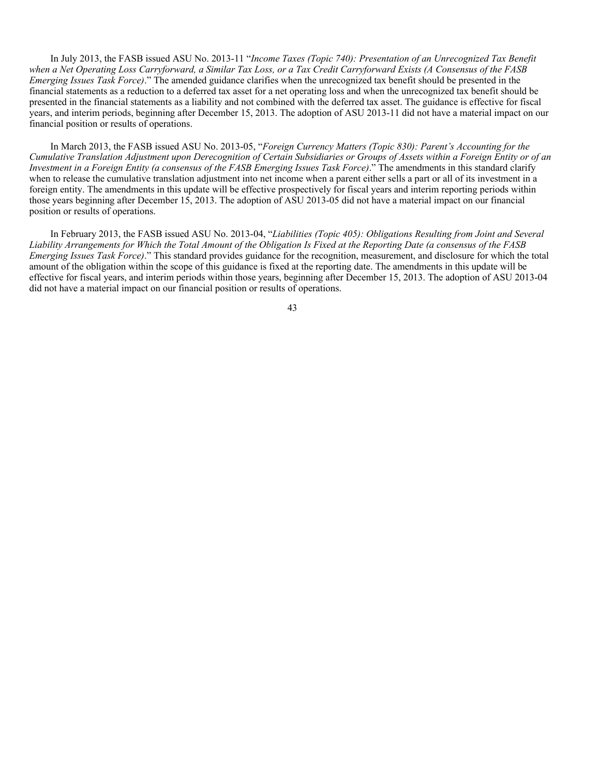In July 2013, the FASB issued ASU No. 2013-11 "*Income Taxes (Topic 740): Presentation of an Unrecognized Tax Benefit when a Net Operating Loss Carryforward, a Similar Tax Loss, or a Tax Credit Carryforward Exists (A Consensus of the FASB Emerging Issues Task Force)*." The amended guidance clarifies when the unrecognized tax benefit should be presented in the financial statements as a reduction to a deferred tax asset for a net operating loss and when the unrecognized tax benefit should be presented in the financial statements as a liability and not combined with the deferred tax asset. The guidance is effective for fiscal years, and interim periods, beginning after December 15, 2013. The adoption of ASU 2013-11 did not have a material impact on our financial position or results of operations.

In March 2013, the FASB issued ASU No. 2013-05, "*Foreign Currency Matters (Topic 830): Parent's Accounting for the Cumulative Translation Adjustment upon Derecognition of Certain Subsidiaries or Groups of Assets within a Foreign Entity or of an Investment in a Foreign Entity (a consensus of the FASB Emerging Issues Task Force)*." The amendments in this standard clarify when to release the cumulative translation adjustment into net income when a parent either sells a part or all of its investment in a foreign entity. The amendments in this update will be effective prospectively for fiscal years and interim reporting periods within those years beginning after December 15, 2013. The adoption of ASU 2013-05 did not have a material impact on our financial position or results of operations.

In February 2013, the FASB issued ASU No. 2013-04, "*Liabilities (Topic 405): Obligations Resulting from Joint and Several Liability Arrangements for Which the Total Amount of the Obligation Is Fixed at the Reporting Date (a consensus of the FASB Emerging Issues Task Force*)." This standard provides guidance for the recognition, measurement, and disclosure for which the total amount of the obligation within the scope of this guidance is fixed at the reporting date. The amendments in this update will be effective for fiscal years, and interim periods within those years, beginning after December 15, 2013. The adoption of ASU 2013-04 did not have a material impact on our financial position or results of operations.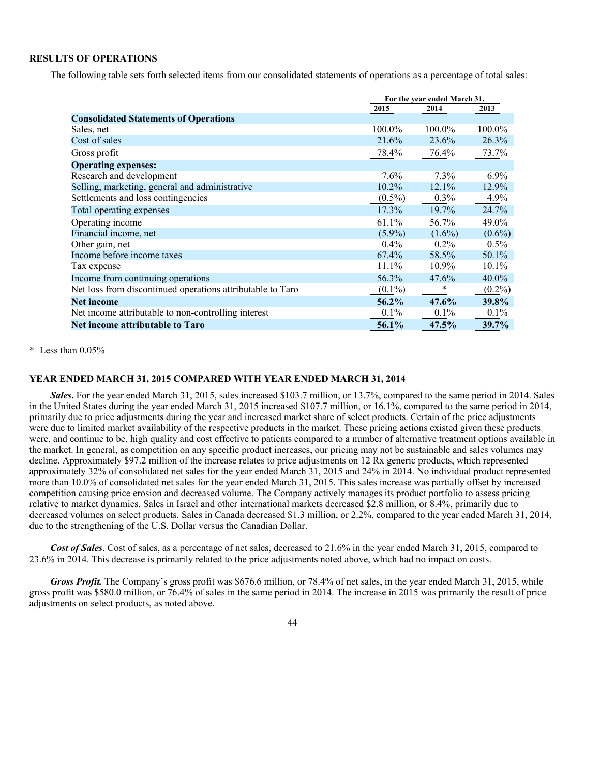## **RESULTS OF OPERATIONS**

The following table sets forth selected items from our consolidated statements of operations as a percentage of total sales:

|                                                            | For the year ended March 31, |           |           |  |
|------------------------------------------------------------|------------------------------|-----------|-----------|--|
|                                                            | 2015                         | 2014      | 2013      |  |
| <b>Consolidated Statements of Operations</b>               |                              |           |           |  |
| Sales, net                                                 | $100.0\%$                    | 100.0%    | 100.0%    |  |
| Cost of sales                                              | 21.6%                        | 23.6%     | 26.3%     |  |
| Gross profit                                               | 78.4%                        | 76.4%     | 73.7%     |  |
| <b>Operating expenses:</b>                                 |                              |           |           |  |
| Research and development                                   | $7.6\%$                      | $7.3\%$   | 6.9%      |  |
| Selling, marketing, general and administrative             | $10.2\%$                     | 12.1%     | 12.9%     |  |
| Settlements and loss contingencies                         | $(0.5\%)$                    | $0.3\%$   | 4.9%      |  |
| Total operating expenses                                   | $17.3\%$                     | 19.7%     | 24.7%     |  |
| Operating income                                           | 61.1%                        | 56.7%     | 49.0%     |  |
| Financial income, net                                      | $(5.9\%)$                    | $(1.6\%)$ | $(0.6\%)$ |  |
| Other gain, net                                            | 0.4%                         | $0.2\%$   | 0.5%      |  |
| Income before income taxes                                 | 67.4%                        | 58.5%     | 50.1%     |  |
| Tax expense                                                | 11.1%                        | 10.9%     | 10.1%     |  |
| Income from continuing operations                          | 56.3%                        | 47.6%     | 40.0%     |  |
| Net loss from discontinued operations attributable to Taro | $(0.1\%)$                    | *         | $(0.2\%)$ |  |
| <b>Net income</b>                                          | 56.2%                        | 47.6%     | 39.8%     |  |
| Net income attributable to non-controlling interest        | $0.1\%$                      | $0.1\%$   | $0.1\%$   |  |
| Net income attributable to Taro                            | 56.1%                        | 47.5%     | 39.7%     |  |

\* Less than  $0.05\%$ 

## **YEAR ENDED MARCH 31, 2015 COMPARED WITH YEAR ENDED MARCH 31, 2014**

*Sales*. For the year ended March 31, 2015, sales increased \$103.7 million, or 13.7%, compared to the same period in 2014. Sales in the United States during the year ended March 31, 2015 increased \$107.7 million, or 16.1%, compared to the same period in 2014, primarily due to price adjustments during the year and increased market share of select products. Certain of the price adjustments were due to limited market availability of the respective products in the market. These pricing actions existed given these products were, and continue to be, high quality and cost effective to patients compared to a number of alternative treatment options available in the market. In general, as competition on any specific product increases, our pricing may not be sustainable and sales volumes may decline. Approximately \$97.2 million of the increase relates to price adjustments on 12 Rx generic products, which represented approximately 32% of consolidated net sales for the year ended March 31, 2015 and 24% in 2014. No individual product represented more than 10.0% of consolidated net sales for the year ended March 31, 2015. This sales increase was partially offset by increased competition causing price erosion and decreased volume. The Company actively manages its product portfolio to assess pricing relative to market dynamics. Sales in Israel and other international markets decreased \$2.8 million, or 8.4%, primarily due to decreased volumes on select products. Sales in Canada decreased \$1.3 million, or 2.2%, compared to the year ended March 31, 2014, due to the strengthening of the U.S. Dollar versus the Canadian Dollar.

*Cost of Sales*. Cost of sales, as a percentage of net sales, decreased to 21.6% in the year ended March 31, 2015, compared to 23.6% in 2014. This decrease is primarily related to the price adjustments noted above, which had no impact on costs.

*Gross Profit.* The Company's gross profit was \$676.6 million, or 78.4% of net sales, in the year ended March 31, 2015, while gross profit was \$580.0 million, or 76.4% of sales in the same period in 2014. The increase in 2015 was primarily the result of price adjustments on select products, as noted above.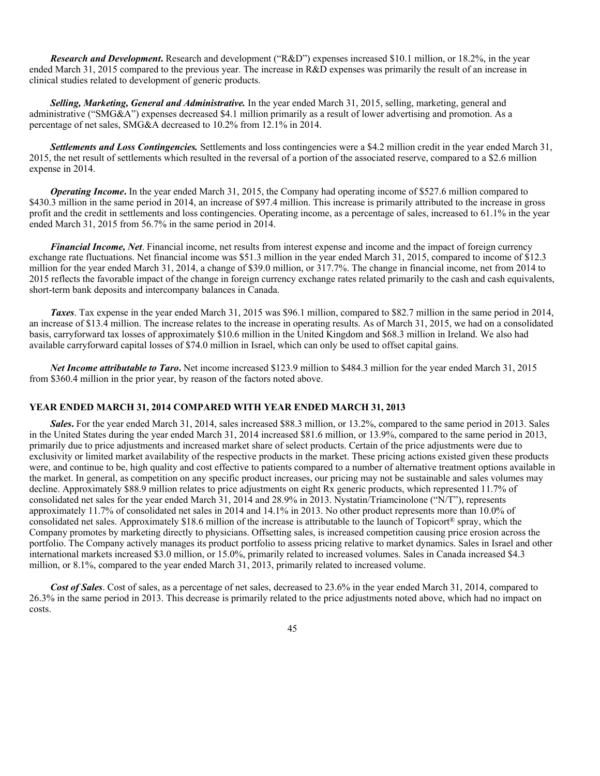*Research and Development***.** Research and development ("R&D") expenses increased \$10.1 million, or 18.2%, in the year ended March 31, 2015 compared to the previous year. The increase in R&D expenses was primarily the result of an increase in clinical studies related to development of generic products.

*Selling, Marketing, General and Administrative.* In the year ended March 31, 2015, selling, marketing, general and administrative ("SMG&A") expenses decreased \$4.1 million primarily as a result of lower advertising and promotion. As a percentage of net sales, SMG&A decreased to 10.2% from 12.1% in 2014.

*Settlements and Loss Contingencies.* Settlements and loss contingencies were a \$4.2 million credit in the year ended March 31, 2015, the net result of settlements which resulted in the reversal of a portion of the associated reserve, compared to a \$2.6 million expense in 2014.

*Operating Income***.** In the year ended March 31, 2015, the Company had operating income of \$527.6 million compared to \$430.3 million in the same period in 2014, an increase of \$97.4 million. This increase is primarily attributed to the increase in gross profit and the credit in settlements and loss contingencies. Operating income, as a percentage of sales, increased to 61.1% in the year ended March 31, 2015 from 56.7% in the same period in 2014.

*Financial Income, Net*. Financial income, net results from interest expense and income and the impact of foreign currency exchange rate fluctuations. Net financial income was \$51.3 million in the year ended March 31, 2015, compared to income of \$12.3 million for the year ended March 31, 2014, a change of \$39.0 million, or 317.7%. The change in financial income, net from 2014 to 2015 reflects the favorable impact of the change in foreign currency exchange rates related primarily to the cash and cash equivalents, short-term bank deposits and intercompany balances in Canada.

*Taxes*. Tax expense in the year ended March 31, 2015 was \$96.1 million, compared to \$82.7 million in the same period in 2014, an increase of \$13.4 million. The increase relates to the increase in operating results. As of March 31, 2015, we had on a consolidated basis, carryforward tax losses of approximately \$10.6 million in the United Kingdom and \$68.3 million in Ireland. We also had available carryforward capital losses of \$74.0 million in Israel, which can only be used to offset capital gains.

*Net Income attributable to Taro***.** Net income increased \$123.9 million to \$484.3 million for the year ended March 31, 2015 from \$360.4 million in the prior year, by reason of the factors noted above.

## **YEAR ENDED MARCH 31, 2014 COMPARED WITH YEAR ENDED MARCH 31, 2013**

*Sales***.** For the year ended March 31, 2014, sales increased \$88.3 million, or 13.2%, compared to the same period in 2013. Sales in the United States during the year ended March 31, 2014 increased \$81.6 million, or 13.9%, compared to the same period in 2013, primarily due to price adjustments and increased market share of select products. Certain of the price adjustments were due to exclusivity or limited market availability of the respective products in the market. These pricing actions existed given these products were, and continue to be, high quality and cost effective to patients compared to a number of alternative treatment options available in the market. In general, as competition on any specific product increases, our pricing may not be sustainable and sales volumes may decline. Approximately \$88.9 million relates to price adjustments on eight Rx generic products, which represented 11.7% of consolidated net sales for the year ended March 31, 2014 and 28.9% in 2013. Nystatin/Triamcinolone ("N/T"), represents approximately 11.7% of consolidated net sales in 2014 and 14.1% in 2013. No other product represents more than 10.0% of consolidated net sales. Approximately \$18.6 million of the increase is attributable to the launch of Topicort® spray, which the Company promotes by marketing directly to physicians. Offsetting sales, is increased competition causing price erosion across the portfolio. The Company actively manages its product portfolio to assess pricing relative to market dynamics. Sales in Israel and other international markets increased \$3.0 million, or 15.0%, primarily related to increased volumes. Sales in Canada increased \$4.3 million, or 8.1%, compared to the year ended March 31, 2013, primarily related to increased volume.

*Cost of Sales*. Cost of sales, as a percentage of net sales, decreased to 23.6% in the year ended March 31, 2014, compared to 26.3% in the same period in 2013. This decrease is primarily related to the price adjustments noted above, which had no impact on costs.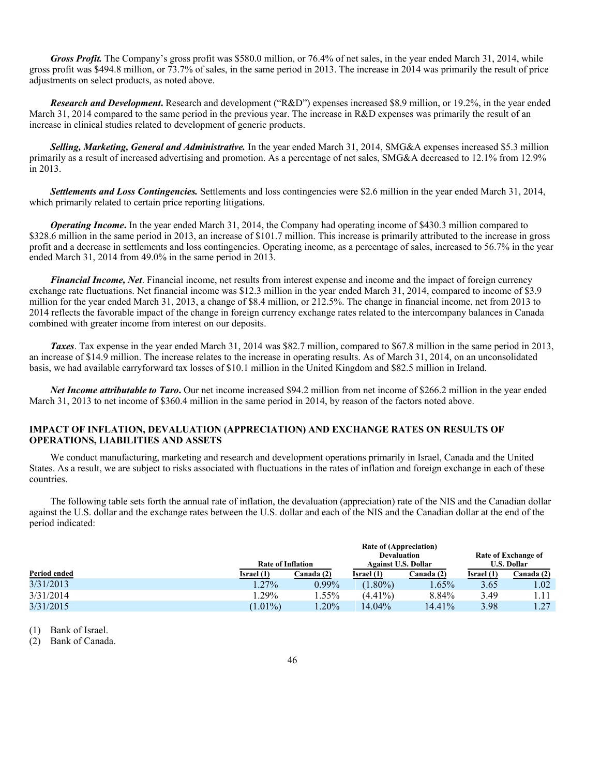*Gross Profit.* The Company's gross profit was \$580.0 million, or 76.4% of net sales, in the year ended March 31, 2014, while gross profit was \$494.8 million, or 73.7% of sales, in the same period in 2013. The increase in 2014 was primarily the result of price adjustments on select products, as noted above.

*Research and Development***.** Research and development ("R&D") expenses increased \$8.9 million, or 19.2%, in the year ended March 31, 2014 compared to the same period in the previous year. The increase in R&D expenses was primarily the result of an increase in clinical studies related to development of generic products.

*Selling, Marketing, General and Administrative.* In the year ended March 31, 2014, SMG&A expenses increased \$5.3 million primarily as a result of increased advertising and promotion. As a percentage of net sales, SMG&A decreased to 12.1% from 12.9% in 2013.

*Settlements and Loss Contingencies.* Settlements and loss contingencies were \$2.6 million in the year ended March 31, 2014, which primarily related to certain price reporting litigations.

*Operating Income***.** In the year ended March 31, 2014, the Company had operating income of \$430.3 million compared to \$328.6 million in the same period in 2013, an increase of \$101.7 million. This increase is primarily attributed to the increase in gross profit and a decrease in settlements and loss contingencies. Operating income, as a percentage of sales, increased to 56.7% in the year ended March 31, 2014 from 49.0% in the same period in 2013.

*Financial Income, Net*. Financial income, net results from interest expense and income and the impact of foreign currency exchange rate fluctuations. Net financial income was \$12.3 million in the year ended March 31, 2014, compared to income of \$3.9 million for the year ended March 31, 2013, a change of \$8.4 million, or 212.5%. The change in financial income, net from 2013 to 2014 reflects the favorable impact of the change in foreign currency exchange rates related to the intercompany balances in Canada combined with greater income from interest on our deposits.

*Taxes*. Tax expense in the year ended March 31, 2014 was \$82.7 million, compared to \$67.8 million in the same period in 2013, an increase of \$14.9 million. The increase relates to the increase in operating results. As of March 31, 2014, on an unconsolidated basis, we had available carryforward tax losses of \$10.1 million in the United Kingdom and \$82.5 million in Ireland.

*Net Income attributable to Taro***.** Our net income increased \$94.2 million from net income of \$266.2 million in the year ended March 31, 2013 to net income of \$360.4 million in the same period in 2014, by reason of the factors noted above.

## **IMPACT OF INFLATION, DEVALUATION (APPRECIATION) AND EXCHANGE RATES ON RESULTS OF OPERATIONS, LIABILITIES AND ASSETS**

We conduct manufacturing, marketing and research and development operations primarily in Israel, Canada and the United States. As a result, we are subject to risks associated with fluctuations in the rates of inflation and foreign exchange in each of these countries.

The following table sets forth the annual rate of inflation, the devaluation (appreciation) rate of the NIS and the Canadian dollar against the U.S. dollar and the exchange rates between the U.S. dollar and each of the NIS and the Canadian dollar at the end of the period indicated:

|              |                          | Rate of (Appreciation) |                            |            |                     |                   |  |  |  |
|--------------|--------------------------|------------------------|----------------------------|------------|---------------------|-------------------|--|--|--|
|              |                          |                        | <b>Devaluation</b>         |            | Rate of Exchange of |                   |  |  |  |
|              | <b>Rate of Inflation</b> |                        | <b>Against U.S. Dollar</b> |            | <b>U.S. Dollar</b>  |                   |  |  |  |
| Period ended | Israel (1)               | Canada (2)             | Israel(1)                  | Canada (2) | Israel $(1)$        | <b>Canada</b> (2) |  |  |  |
| 3/31/2013    | $.27\%$                  | $0.99\%$               | $(1.80\%)$                 | $.65\%$    | 3.65                | 1.02              |  |  |  |
| 3/31/2014    | $.29\%$                  | 1.55%                  | $(4.41\%)$                 | 8.84%      | 3.49                |                   |  |  |  |
| 3/31/2015    | $(1.01\%)$               | $.20\%$                | 14.04%                     | 14.41%     | 3.98                | 27                |  |  |  |

(1) Bank of Israel.

(2) Bank of Canada.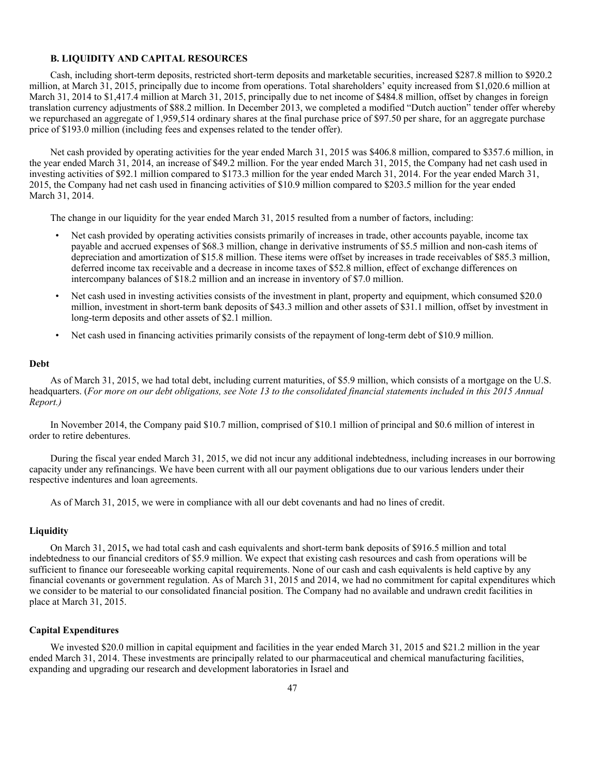## **B. LIQUIDITY AND CAPITAL RESOURCES**

Cash, including short-term deposits, restricted short-term deposits and marketable securities, increased \$287.8 million to \$920.2 million, at March 31, 2015, principally due to income from operations. Total shareholders' equity increased from \$1,020.6 million at March 31, 2014 to \$1,417.4 million at March 31, 2015, principally due to net income of \$484.8 million, offset by changes in foreign translation currency adjustments of \$88.2 million. In December 2013, we completed a modified "Dutch auction" tender offer whereby we repurchased an aggregate of 1,959,514 ordinary shares at the final purchase price of \$97.50 per share, for an aggregate purchase price of \$193.0 million (including fees and expenses related to the tender offer).

Net cash provided by operating activities for the year ended March 31, 2015 was \$406.8 million, compared to \$357.6 million, in the year ended March 31, 2014, an increase of \$49.2 million. For the year ended March 31, 2015, the Company had net cash used in investing activities of \$92.1 million compared to \$173.3 million for the year ended March 31, 2014. For the year ended March 31, 2015, the Company had net cash used in financing activities of \$10.9 million compared to \$203.5 million for the year ended March 31, 2014.

The change in our liquidity for the year ended March 31, 2015 resulted from a number of factors, including:

- Net cash provided by operating activities consists primarily of increases in trade, other accounts payable, income tax payable and accrued expenses of \$68.3 million, change in derivative instruments of \$5.5 million and non-cash items of depreciation and amortization of \$15.8 million. These items were offset by increases in trade receivables of \$85.3 million, deferred income tax receivable and a decrease in income taxes of \$52.8 million, effect of exchange differences on intercompany balances of \$18.2 million and an increase in inventory of \$7.0 million.
- Net cash used in investing activities consists of the investment in plant, property and equipment, which consumed \$20.0 million, investment in short-term bank deposits of \$43.3 million and other assets of \$31.1 million, offset by investment in long-term deposits and other assets of \$2.1 million.
- Net cash used in financing activities primarily consists of the repayment of long-term debt of \$10.9 million.

#### **Debt**

As of March 31, 2015, we had total debt, including current maturities, of \$5.9 million, which consists of a mortgage on the U.S. headquarters. (*For more on our debt obligations, see Note 13 to the consolidated financial statements included in this 2015 Annual Report.)* 

In November 2014, the Company paid \$10.7 million, comprised of \$10.1 million of principal and \$0.6 million of interest in order to retire debentures.

During the fiscal year ended March 31, 2015, we did not incur any additional indebtedness, including increases in our borrowing capacity under any refinancings. We have been current with all our payment obligations due to our various lenders under their respective indentures and loan agreements.

As of March 31, 2015, we were in compliance with all our debt covenants and had no lines of credit.

### **Liquidity**

On March 31, 2015**,** we had total cash and cash equivalents and short-term bank deposits of \$916.5 million and total indebtedness to our financial creditors of \$5.9 million. We expect that existing cash resources and cash from operations will be sufficient to finance our foreseeable working capital requirements. None of our cash and cash equivalents is held captive by any financial covenants or government regulation. As of March 31, 2015 and 2014, we had no commitment for capital expenditures which we consider to be material to our consolidated financial position. The Company had no available and undrawn credit facilities in place at March 31, 2015.

## **Capital Expenditures**

We invested \$20.0 million in capital equipment and facilities in the year ended March 31, 2015 and \$21.2 million in the year ended March 31, 2014. These investments are principally related to our pharmaceutical and chemical manufacturing facilities, expanding and upgrading our research and development laboratories in Israel and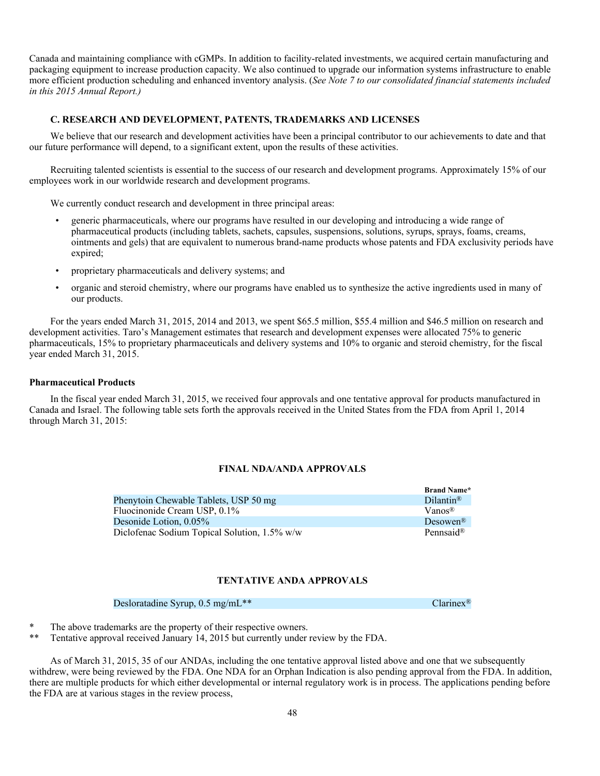Canada and maintaining compliance with cGMPs. In addition to facility-related investments, we acquired certain manufacturing and packaging equipment to increase production capacity. We also continued to upgrade our information systems infrastructure to enable more efficient production scheduling and enhanced inventory analysis. (*See Note 7 to our consolidated financial statements included in this 2015 Annual Report.)* 

## **C. RESEARCH AND DEVELOPMENT, PATENTS, TRADEMARKS AND LICENSES**

We believe that our research and development activities have been a principal contributor to our achievements to date and that our future performance will depend, to a significant extent, upon the results of these activities.

Recruiting talented scientists is essential to the success of our research and development programs. Approximately 15% of our employees work in our worldwide research and development programs.

We currently conduct research and development in three principal areas:

- generic pharmaceuticals, where our programs have resulted in our developing and introducing a wide range of pharmaceutical products (including tablets, sachets, capsules, suspensions, solutions, syrups, sprays, foams, creams, ointments and gels) that are equivalent to numerous brand-name products whose patents and FDA exclusivity periods have expired;
- proprietary pharmaceuticals and delivery systems; and
- organic and steroid chemistry, where our programs have enabled us to synthesize the active ingredients used in many of our products.

For the years ended March 31, 2015, 2014 and 2013, we spent \$65.5 million, \$55.4 million and \$46.5 million on research and development activities. Taro's Management estimates that research and development expenses were allocated 75% to generic pharmaceuticals, 15% to proprietary pharmaceuticals and delivery systems and 10% to organic and steroid chemistry, for the fiscal year ended March 31, 2015.

### **Pharmaceutical Products**

In the fiscal year ended March 31, 2015, we received four approvals and one tentative approval for products manufactured in Canada and Israel. The following table sets forth the approvals received in the United States from the FDA from April 1, 2014 through March 31, 2015:

## **FINAL NDA/ANDA APPROVALS**

|                                              | <b>Brand Name*</b>     |
|----------------------------------------------|------------------------|
| Phenytoin Chewable Tablets, USP 50 mg        | $Dilantin^{\circledR}$ |
| Fluocinonide Cream USP, 0.1%                 | $VanOS^{\circledR}$    |
| Desonide Lotion, 0.05%                       | Desowen <sup>®</sup>   |
| Diclofenac Sodium Topical Solution, 1.5% w/w | Pennsaid <sup>®</sup>  |

## **TENTATIVE ANDA APPROVALS**

## Desloratadine Syrup, 0.5 mg/mL\*\* Clarinex®

The above trademarks are the property of their respective owners.

Tentative approval received January 14, 2015 but currently under review by the FDA.

As of March 31, 2015, 35 of our ANDAs, including the one tentative approval listed above and one that we subsequently withdrew, were being reviewed by the FDA. One NDA for an Orphan Indication is also pending approval from the FDA. In addition, there are multiple products for which either developmental or internal regulatory work is in process. The applications pending before the FDA are at various stages in the review process,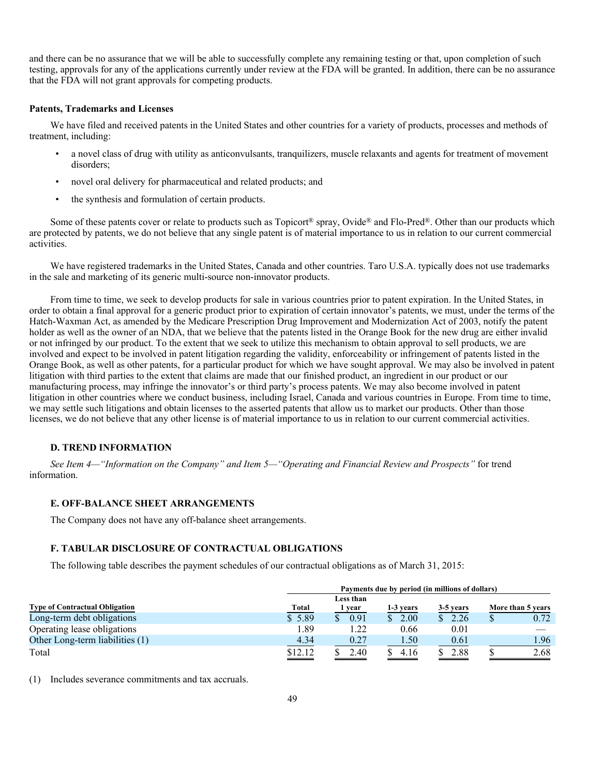and there can be no assurance that we will be able to successfully complete any remaining testing or that, upon completion of such testing, approvals for any of the applications currently under review at the FDA will be granted. In addition, there can be no assurance that the FDA will not grant approvals for competing products.

#### **Patents, Trademarks and Licenses**

We have filed and received patents in the United States and other countries for a variety of products, processes and methods of treatment, including:

- a novel class of drug with utility as anticonvulsants, tranquilizers, muscle relaxants and agents for treatment of movement disorders;
- novel oral delivery for pharmaceutical and related products; and
- the synthesis and formulation of certain products.

Some of these patents cover or relate to products such as Topicort<sup>®</sup> spray, Ovide<sup>®</sup> and Flo-Pred<sup>®</sup>. Other than our products which are protected by patents, we do not believe that any single patent is of material importance to us in relation to our current commercial activities.

We have registered trademarks in the United States, Canada and other countries. Taro U.S.A. typically does not use trademarks in the sale and marketing of its generic multi-source non-innovator products.

From time to time, we seek to develop products for sale in various countries prior to patent expiration. In the United States, in order to obtain a final approval for a generic product prior to expiration of certain innovator's patents, we must, under the terms of the Hatch-Waxman Act, as amended by the Medicare Prescription Drug Improvement and Modernization Act of 2003, notify the patent holder as well as the owner of an NDA, that we believe that the patents listed in the Orange Book for the new drug are either invalid or not infringed by our product. To the extent that we seek to utilize this mechanism to obtain approval to sell products, we are involved and expect to be involved in patent litigation regarding the validity, enforceability or infringement of patents listed in the Orange Book, as well as other patents, for a particular product for which we have sought approval. We may also be involved in patent litigation with third parties to the extent that claims are made that our finished product, an ingredient in our product or our manufacturing process, may infringe the innovator's or third party's process patents. We may also become involved in patent litigation in other countries where we conduct business, including Israel, Canada and various countries in Europe. From time to time, we may settle such litigations and obtain licenses to the asserted patents that allow us to market our products. Other than those licenses, we do not believe that any other license is of material importance to us in relation to our current commercial activities.

## **D. TREND INFORMATION**

*See Item 4—"Information on the Company" and Item 5—"Operating and Financial Review and Prospects"* for trend information.

## **E. OFF-BALANCE SHEET ARRANGEMENTS**

The Company does not have any off-balance sheet arrangements.

## **F. TABULAR DISCLOSURE OF CONTRACTUAL OBLIGATIONS**

The following table describes the payment schedules of our contractual obligations as of March 31, 2015:

|                                       |                    | Payments due by period (in millions of dollars) |           |           |  |                   |  |  |  |
|---------------------------------------|--------------------|-------------------------------------------------|-----------|-----------|--|-------------------|--|--|--|
|                                       |                    | Less than                                       |           |           |  |                   |  |  |  |
| <b>Type of Contractual Obligation</b> | Total              | year                                            | 1-3 years | 3-5 years |  | More than 5 years |  |  |  |
| Long-term debt obligations            | $\overline{$}5.89$ | 0.91                                            | 2.00      | 2.26      |  | 0.72              |  |  |  |
| Operating lease obligations           | .89                | .22                                             | 0.66      | 0.01      |  |                   |  |  |  |
| Other Long-term liabilities (1)       | 4.34               | 0.27                                            | 1.50      | 0.61      |  | 1.96              |  |  |  |
| Total                                 | \$12.12            | 2.40                                            | 4.16      | 2.88      |  | 2.68              |  |  |  |

(1) Includes severance commitments and tax accruals.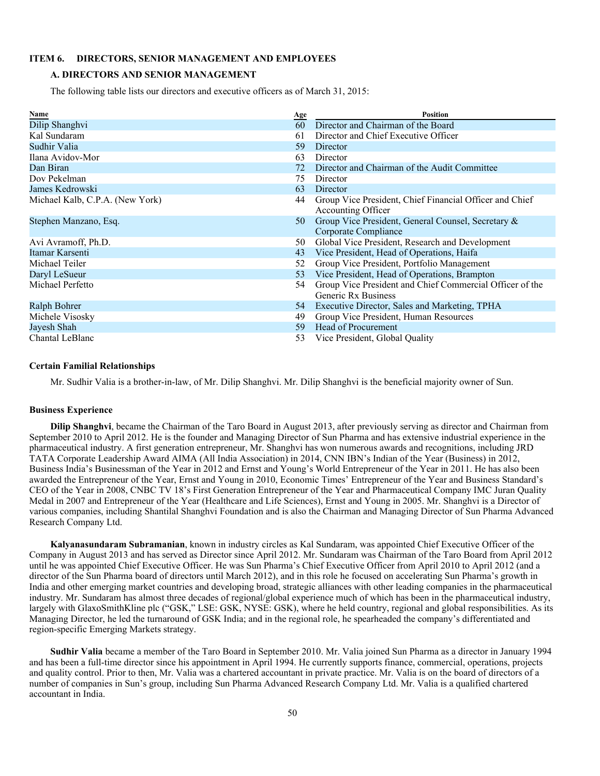### **ITEM 6. DIRECTORS, SENIOR MANAGEMENT AND EMPLOYEES**

### **A. DIRECTORS AND SENIOR MANAGEMENT**

The following table lists our directors and executive officers as of March 31, 2015:

| Name                            | <u>Age</u> | <b>Position</b>                                                                 |
|---------------------------------|------------|---------------------------------------------------------------------------------|
| Dilip Shanghvi                  | 60         | Director and Chairman of the Board                                              |
| Kal Sundaram                    | 61         | Director and Chief Executive Officer                                            |
| Sudhir Valia                    | 59         | Director                                                                        |
| Ilana Avidov-Mor                | 63         | Director                                                                        |
| Dan Biran                       | 72         | Director and Chairman of the Audit Committee                                    |
| Dov Pekelman                    | 75         | Director                                                                        |
| James Kedrowski                 | 63         | Director                                                                        |
| Michael Kalb, C.P.A. (New York) | 44         | Group Vice President, Chief Financial Officer and Chief<br>Accounting Officer   |
| Stephen Manzano, Esq.           | 50         | Group Vice President, General Counsel, Secretary &<br>Corporate Compliance      |
| Avi Avramoff, Ph.D.             | 50         | Global Vice President, Research and Development                                 |
| Itamar Karsenti                 | 43         | Vice President, Head of Operations, Haifa                                       |
| Michael Teiler                  | 52         | Group Vice President, Portfolio Management                                      |
| Daryl LeSueur                   | 53         | Vice President, Head of Operations, Brampton                                    |
| Michael Perfetto                | 54         | Group Vice President and Chief Commercial Officer of the<br>Generic Rx Business |
| Ralph Bohrer                    | 54         | Executive Director, Sales and Marketing, TPHA                                   |
| Michele Visosky                 | 49         | Group Vice President, Human Resources                                           |
| Jayesh Shah                     | 59         | Head of Procurement                                                             |
| Chantal LeBlanc                 | 53         | Vice President, Global Quality                                                  |

#### **Certain Familial Relationships**

Mr. Sudhir Valia is a brother-in-law, of Mr. Dilip Shanghvi. Mr. Dilip Shanghvi is the beneficial majority owner of Sun.

## **Business Experience**

**Dilip Shanghvi**, became the Chairman of the Taro Board in August 2013, after previously serving as director and Chairman from September 2010 to April 2012. He is the founder and Managing Director of Sun Pharma and has extensive industrial experience in the pharmaceutical industry. A first generation entrepreneur, Mr. Shanghvi has won numerous awards and recognitions, including JRD TATA Corporate Leadership Award AIMA (All India Association) in 2014, CNN IBN's Indian of the Year (Business) in 2012, Business India's Businessman of the Year in 2012 and Ernst and Young's World Entrepreneur of the Year in 2011. He has also been awarded the Entrepreneur of the Year, Ernst and Young in 2010, Economic Times' Entrepreneur of the Year and Business Standard's CEO of the Year in 2008, CNBC TV 18's First Generation Entrepreneur of the Year and Pharmaceutical Company IMC Juran Quality Medal in 2007 and Entrepreneur of the Year (Healthcare and Life Sciences), Ernst and Young in 2005. Mr. Shanghvi is a Director of various companies, including Shantilal Shanghvi Foundation and is also the Chairman and Managing Director of Sun Pharma Advanced Research Company Ltd.

**Kalyanasundaram Subramanian**, known in industry circles as Kal Sundaram, was appointed Chief Executive Officer of the Company in August 2013 and has served as Director since April 2012. Mr. Sundaram was Chairman of the Taro Board from April 2012 until he was appointed Chief Executive Officer. He was Sun Pharma's Chief Executive Officer from April 2010 to April 2012 (and a director of the Sun Pharma board of directors until March 2012), and in this role he focused on accelerating Sun Pharma's growth in India and other emerging market countries and developing broad, strategic alliances with other leading companies in the pharmaceutical industry. Mr. Sundaram has almost three decades of regional/global experience much of which has been in the pharmaceutical industry, largely with GlaxoSmithKline plc ("GSK," LSE: GSK, NYSE: GSK), where he held country, regional and global responsibilities. As its Managing Director, he led the turnaround of GSK India; and in the regional role, he spearheaded the company's differentiated and region-specific Emerging Markets strategy.

**Sudhir Valia** became a member of the Taro Board in September 2010. Mr. Valia joined Sun Pharma as a director in January 1994 and has been a full-time director since his appointment in April 1994. He currently supports finance, commercial, operations, projects and quality control. Prior to then, Mr. Valia was a chartered accountant in private practice. Mr. Valia is on the board of directors of a number of companies in Sun's group, including Sun Pharma Advanced Research Company Ltd. Mr. Valia is a qualified chartered accountant in India.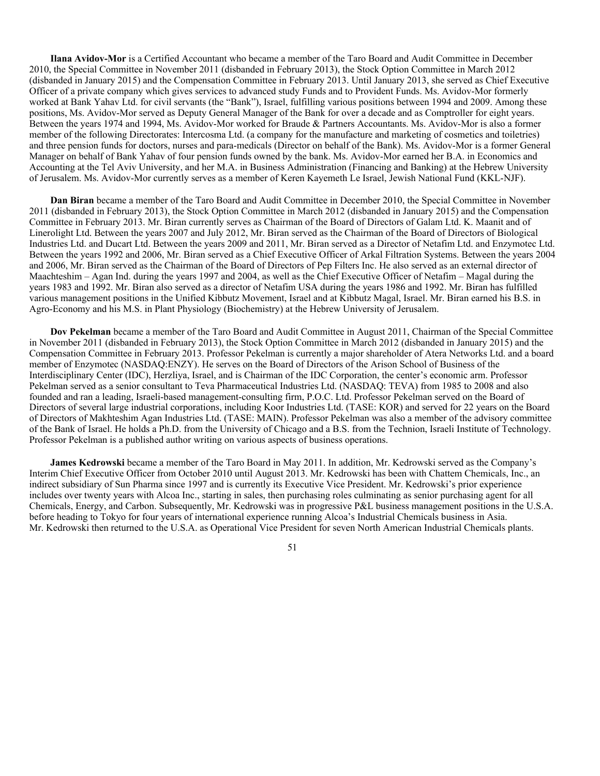**Ilana Avidov-Mor** is a Certified Accountant who became a member of the Taro Board and Audit Committee in December 2010, the Special Committee in November 2011 (disbanded in February 2013), the Stock Option Committee in March 2012 (disbanded in January 2015) and the Compensation Committee in February 2013. Until January 2013, she served as Chief Executive Officer of a private company which gives services to advanced study Funds and to Provident Funds. Ms. Avidov-Mor formerly worked at Bank Yahav Ltd. for civil servants (the "Bank"), Israel, fulfilling various positions between 1994 and 2009. Among these positions, Ms. Avidov-Mor served as Deputy General Manager of the Bank for over a decade and as Comptroller for eight years. Between the years 1974 and 1994, Ms. Avidov-Mor worked for Braude & Partners Accountants. Ms. Avidov-Mor is also a former member of the following Directorates: Intercosma Ltd. (a company for the manufacture and marketing of cosmetics and toiletries) and three pension funds for doctors, nurses and para-medicals (Director on behalf of the Bank). Ms. Avidov-Mor is a former General Manager on behalf of Bank Yahav of four pension funds owned by the bank. Ms. Avidov-Mor earned her B.A. in Economics and Accounting at the Tel Aviv University, and her M.A. in Business Administration (Financing and Banking) at the Hebrew University of Jerusalem. Ms. Avidov-Mor currently serves as a member of Keren Kayemeth Le Israel, Jewish National Fund (KKL-NJF).

**Dan Biran** became a member of the Taro Board and Audit Committee in December 2010, the Special Committee in November 2011 (disbanded in February 2013), the Stock Option Committee in March 2012 (disbanded in January 2015) and the Compensation Committee in February 2013. Mr. Biran currently serves as Chairman of the Board of Directors of Galam Ltd. K. Maanit and of Linerolight Ltd. Between the years 2007 and July 2012, Mr. Biran served as the Chairman of the Board of Directors of Biological Industries Ltd. and Ducart Ltd. Between the years 2009 and 2011, Mr. Biran served as a Director of Netafim Ltd. and Enzymotec Ltd. Between the years 1992 and 2006, Mr. Biran served as a Chief Executive Officer of Arkal Filtration Systems. Between the years 2004 and 2006, Mr. Biran served as the Chairman of the Board of Directors of Pep Filters Inc. He also served as an external director of Maachteshim – Agan Ind. during the years 1997 and 2004, as well as the Chief Executive Officer of Netafim – Magal during the years 1983 and 1992. Mr. Biran also served as a director of Netafim USA during the years 1986 and 1992. Mr. Biran has fulfilled various management positions in the Unified Kibbutz Movement, Israel and at Kibbutz Magal, Israel. Mr. Biran earned his B.S. in Agro-Economy and his M.S. in Plant Physiology (Biochemistry) at the Hebrew University of Jerusalem.

**Dov Pekelman** became a member of the Taro Board and Audit Committee in August 2011, Chairman of the Special Committee in November 2011 (disbanded in February 2013), the Stock Option Committee in March 2012 (disbanded in January 2015) and the Compensation Committee in February 2013. Professor Pekelman is currently a major shareholder of Atera Networks Ltd. and a board member of Enzymotec (NASDAQ:ENZY). He serves on the Board of Directors of the Arison School of Business of the Interdisciplinary Center (IDC), Herzliya, Israel, and is Chairman of the IDC Corporation, the center's economic arm. Professor Pekelman served as a senior consultant to Teva Pharmaceutical Industries Ltd. (NASDAQ: TEVA) from 1985 to 2008 and also founded and ran a leading, Israeli-based management-consulting firm, P.O.C. Ltd. Professor Pekelman served on the Board of Directors of several large industrial corporations, including Koor Industries Ltd. (TASE: KOR) and served for 22 years on the Board of Directors of Makhteshim Agan Industries Ltd. (TASE: MAIN). Professor Pekelman was also a member of the advisory committee of the Bank of Israel. He holds a Ph.D. from the University of Chicago and a B.S. from the Technion, Israeli Institute of Technology. Professor Pekelman is a published author writing on various aspects of business operations.

**James Kedrowski** became a member of the Taro Board in May 2011. In addition, Mr. Kedrowski served as the Company's Interim Chief Executive Officer from October 2010 until August 2013. Mr. Kedrowski has been with Chattem Chemicals, Inc., an indirect subsidiary of Sun Pharma since 1997 and is currently its Executive Vice President. Mr. Kedrowski's prior experience includes over twenty years with Alcoa Inc., starting in sales, then purchasing roles culminating as senior purchasing agent for all Chemicals, Energy, and Carbon. Subsequently, Mr. Kedrowski was in progressive P&L business management positions in the U.S.A. before heading to Tokyo for four years of international experience running Alcoa's Industrial Chemicals business in Asia. Mr. Kedrowski then returned to the U.S.A. as Operational Vice President for seven North American Industrial Chemicals plants.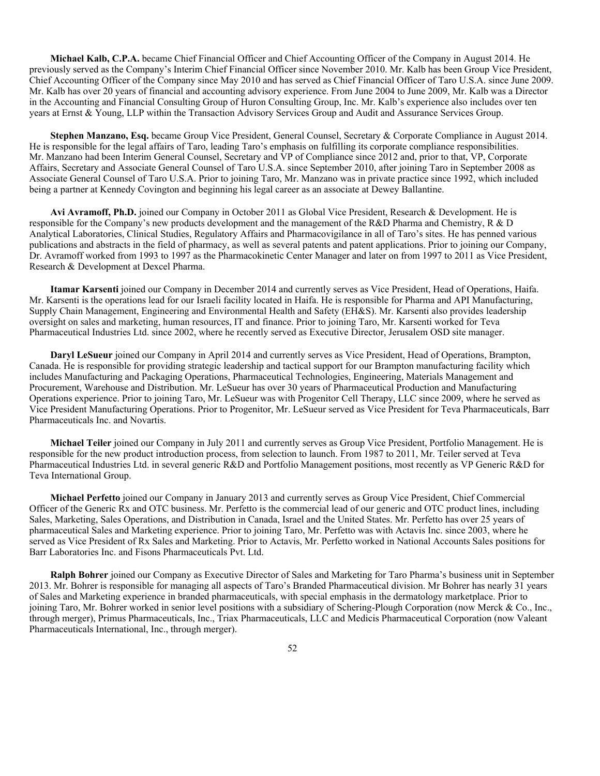**Michael Kalb, C.P.A.** became Chief Financial Officer and Chief Accounting Officer of the Company in August 2014. He previously served as the Company's Interim Chief Financial Officer since November 2010. Mr. Kalb has been Group Vice President, Chief Accounting Officer of the Company since May 2010 and has served as Chief Financial Officer of Taro U.S.A. since June 2009. Mr. Kalb has over 20 years of financial and accounting advisory experience. From June 2004 to June 2009, Mr. Kalb was a Director in the Accounting and Financial Consulting Group of Huron Consulting Group, Inc. Mr. Kalb's experience also includes over ten years at Ernst & Young, LLP within the Transaction Advisory Services Group and Audit and Assurance Services Group.

**Stephen Manzano, Esq.** became Group Vice President, General Counsel, Secretary & Corporate Compliance in August 2014. He is responsible for the legal affairs of Taro, leading Taro's emphasis on fulfilling its corporate compliance responsibilities. Mr. Manzano had been Interim General Counsel, Secretary and VP of Compliance since 2012 and, prior to that, VP, Corporate Affairs, Secretary and Associate General Counsel of Taro U.S.A. since September 2010, after joining Taro in September 2008 as Associate General Counsel of Taro U.S.A. Prior to joining Taro, Mr. Manzano was in private practice since 1992, which included being a partner at Kennedy Covington and beginning his legal career as an associate at Dewey Ballantine.

**Avi Avramoff, Ph.D.** joined our Company in October 2011 as Global Vice President, Research & Development. He is responsible for the Company's new products development and the management of the R&D Pharma and Chemistry, R & D Analytical Laboratories, Clinical Studies, Regulatory Affairs and Pharmacovigilance in all of Taro's sites. He has penned various publications and abstracts in the field of pharmacy, as well as several patents and patent applications. Prior to joining our Company, Dr. Avramoff worked from 1993 to 1997 as the Pharmacokinetic Center Manager and later on from 1997 to 2011 as Vice President, Research & Development at Dexcel Pharma.

**Itamar Karsenti** joined our Company in December 2014 and currently serves as Vice President, Head of Operations, Haifa. Mr. Karsenti is the operations lead for our Israeli facility located in Haifa. He is responsible for Pharma and API Manufacturing, Supply Chain Management, Engineering and Environmental Health and Safety (EH&S). Mr. Karsenti also provides leadership oversight on sales and marketing, human resources, IT and finance. Prior to joining Taro, Mr. Karsenti worked for Teva Pharmaceutical Industries Ltd. since 2002, where he recently served as Executive Director, Jerusalem OSD site manager.

**Daryl LeSueur** joined our Company in April 2014 and currently serves as Vice President, Head of Operations, Brampton, Canada. He is responsible for providing strategic leadership and tactical support for our Brampton manufacturing facility which includes Manufacturing and Packaging Operations, Pharmaceutical Technologies, Engineering, Materials Management and Procurement, Warehouse and Distribution. Mr. LeSueur has over 30 years of Pharmaceutical Production and Manufacturing Operations experience. Prior to joining Taro, Mr. LeSueur was with Progenitor Cell Therapy, LLC since 2009, where he served as Vice President Manufacturing Operations. Prior to Progenitor, Mr. LeSueur served as Vice President for Teva Pharmaceuticals, Barr Pharmaceuticals Inc. and Novartis.

**Michael Teiler** joined our Company in July 2011 and currently serves as Group Vice President, Portfolio Management. He is responsible for the new product introduction process, from selection to launch. From 1987 to 2011, Mr. Teiler served at Teva Pharmaceutical Industries Ltd. in several generic R&D and Portfolio Management positions, most recently as VP Generic R&D for Teva International Group.

**Michael Perfetto** joined our Company in January 2013 and currently serves as Group Vice President, Chief Commercial Officer of the Generic Rx and OTC business. Mr. Perfetto is the commercial lead of our generic and OTC product lines, including Sales, Marketing, Sales Operations, and Distribution in Canada, Israel and the United States. Mr. Perfetto has over 25 years of pharmaceutical Sales and Marketing experience. Prior to joining Taro, Mr. Perfetto was with Actavis Inc. since 2003, where he served as Vice President of Rx Sales and Marketing. Prior to Actavis, Mr. Perfetto worked in National Accounts Sales positions for Barr Laboratories Inc. and Fisons Pharmaceuticals Pvt. Ltd.

**Ralph Bohrer** joined our Company as Executive Director of Sales and Marketing for Taro Pharma's business unit in September 2013. Mr. Bohrer is responsible for managing all aspects of Taro's Branded Pharmaceutical division. Mr Bohrer has nearly 31 years of Sales and Marketing experience in branded pharmaceuticals, with special emphasis in the dermatology marketplace. Prior to joining Taro, Mr. Bohrer worked in senior level positions with a subsidiary of Schering-Plough Corporation (now Merck & Co., Inc., through merger), Primus Pharmaceuticals, Inc., Triax Pharmaceuticals, LLC and Medicis Pharmaceutical Corporation (now Valeant Pharmaceuticals International, Inc., through merger).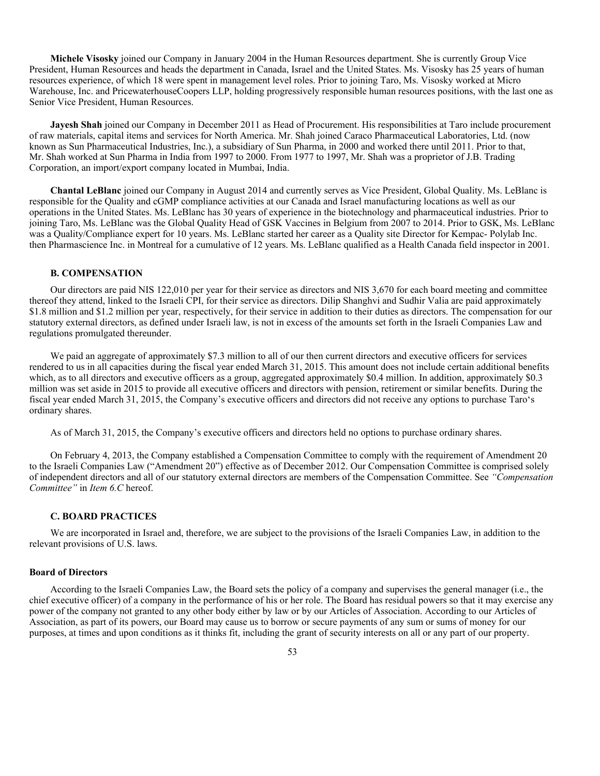**Michele Visosky** joined our Company in January 2004 in the Human Resources department. She is currently Group Vice President, Human Resources and heads the department in Canada, Israel and the United States. Ms. Visosky has 25 years of human resources experience, of which 18 were spent in management level roles. Prior to joining Taro, Ms. Visosky worked at Micro Warehouse, Inc. and PricewaterhouseCoopers LLP, holding progressively responsible human resources positions, with the last one as Senior Vice President, Human Resources.

**Jayesh Shah** joined our Company in December 2011 as Head of Procurement. His responsibilities at Taro include procurement of raw materials, capital items and services for North America. Mr. Shah joined Caraco Pharmaceutical Laboratories, Ltd. (now known as Sun Pharmaceutical Industries, Inc.), a subsidiary of Sun Pharma, in 2000 and worked there until 2011. Prior to that, Mr. Shah worked at Sun Pharma in India from 1997 to 2000. From 1977 to 1997, Mr. Shah was a proprietor of J.B. Trading Corporation, an import/export company located in Mumbai, India.

**Chantal LeBlanc** joined our Company in August 2014 and currently serves as Vice President, Global Quality. Ms. LeBlanc is responsible for the Quality and cGMP compliance activities at our Canada and Israel manufacturing locations as well as our operations in the United States. Ms. LeBlanc has 30 years of experience in the biotechnology and pharmaceutical industries. Prior to joining Taro, Ms. LeBlanc was the Global Quality Head of GSK Vaccines in Belgium from 2007 to 2014. Prior to GSK, Ms. LeBlanc was a Quality/Compliance expert for 10 years. Ms. LeBlanc started her career as a Quality site Director for Kempac- Polylab Inc. then Pharmascience Inc. in Montreal for a cumulative of 12 years. Ms. LeBlanc qualified as a Health Canada field inspector in 2001.

### **B. COMPENSATION**

Our directors are paid NIS 122,010 per year for their service as directors and NIS 3,670 for each board meeting and committee thereof they attend, linked to the Israeli CPI, for their service as directors. Dilip Shanghvi and Sudhir Valia are paid approximately \$1.8 million and \$1.2 million per year, respectively, for their service in addition to their duties as directors. The compensation for our statutory external directors, as defined under Israeli law, is not in excess of the amounts set forth in the Israeli Companies Law and regulations promulgated thereunder.

We paid an aggregate of approximately \$7.3 million to all of our then current directors and executive officers for services rendered to us in all capacities during the fiscal year ended March 31, 2015. This amount does not include certain additional benefits which, as to all directors and executive officers as a group, aggregated approximately \$0.4 million. In addition, approximately \$0.3 million was set aside in 2015 to provide all executive officers and directors with pension, retirement or similar benefits. During the fiscal year ended March 31, 2015, the Company's executive officers and directors did not receive any options to purchase Taro's ordinary shares.

As of March 31, 2015, the Company's executive officers and directors held no options to purchase ordinary shares.

On February 4, 2013, the Company established a Compensation Committee to comply with the requirement of Amendment 20 to the Israeli Companies Law ("Amendment 20") effective as of December 2012. Our Compensation Committee is comprised solely of independent directors and all of our statutory external directors are members of the Compensation Committee. See *"Compensation Committee"* in *Item 6.C* hereof.

## **C. BOARD PRACTICES**

We are incorporated in Israel and, therefore, we are subject to the provisions of the Israeli Companies Law, in addition to the relevant provisions of U.S. laws.

### **Board of Directors**

According to the Israeli Companies Law, the Board sets the policy of a company and supervises the general manager (i.e., the chief executive officer) of a company in the performance of his or her role. The Board has residual powers so that it may exercise any power of the company not granted to any other body either by law or by our Articles of Association. According to our Articles of Association, as part of its powers, our Board may cause us to borrow or secure payments of any sum or sums of money for our purposes, at times and upon conditions as it thinks fit, including the grant of security interests on all or any part of our property.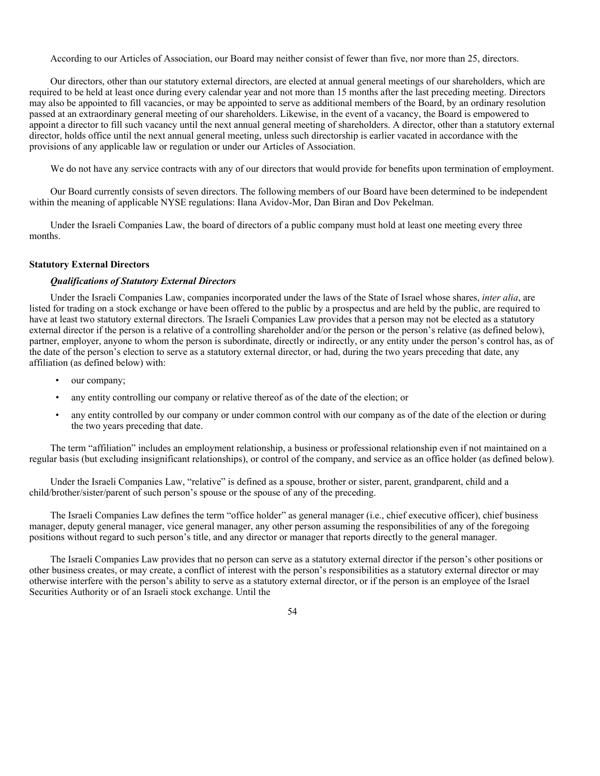According to our Articles of Association, our Board may neither consist of fewer than five, nor more than 25, directors.

Our directors, other than our statutory external directors, are elected at annual general meetings of our shareholders, which are required to be held at least once during every calendar year and not more than 15 months after the last preceding meeting. Directors may also be appointed to fill vacancies, or may be appointed to serve as additional members of the Board, by an ordinary resolution passed at an extraordinary general meeting of our shareholders. Likewise, in the event of a vacancy, the Board is empowered to appoint a director to fill such vacancy until the next annual general meeting of shareholders. A director, other than a statutory external director, holds office until the next annual general meeting, unless such directorship is earlier vacated in accordance with the provisions of any applicable law or regulation or under our Articles of Association.

We do not have any service contracts with any of our directors that would provide for benefits upon termination of employment.

Our Board currently consists of seven directors. The following members of our Board have been determined to be independent within the meaning of applicable NYSE regulations: Ilana Avidov-Mor, Dan Biran and Dov Pekelman.

Under the Israeli Companies Law, the board of directors of a public company must hold at least one meeting every three months.

## **Statutory External Directors**

#### *Qualifications of Statutory External Directors*

Under the Israeli Companies Law, companies incorporated under the laws of the State of Israel whose shares, *inter alia*, are listed for trading on a stock exchange or have been offered to the public by a prospectus and are held by the public, are required to have at least two statutory external directors. The Israeli Companies Law provides that a person may not be elected as a statutory external director if the person is a relative of a controlling shareholder and/or the person or the person's relative (as defined below), partner, employer, anyone to whom the person is subordinate, directly or indirectly, or any entity under the person's control has, as of the date of the person's election to serve as a statutory external director, or had, during the two years preceding that date, any affiliation (as defined below) with:

- our company;
- any entity controlling our company or relative thereof as of the date of the election; or
- any entity controlled by our company or under common control with our company as of the date of the election or during the two years preceding that date.

The term "affiliation" includes an employment relationship, a business or professional relationship even if not maintained on a regular basis (but excluding insignificant relationships), or control of the company, and service as an office holder (as defined below).

Under the Israeli Companies Law, "relative" is defined as a spouse, brother or sister, parent, grandparent, child and a child/brother/sister/parent of such person's spouse or the spouse of any of the preceding.

The Israeli Companies Law defines the term "office holder" as general manager (i.e., chief executive officer), chief business manager, deputy general manager, vice general manager, any other person assuming the responsibilities of any of the foregoing positions without regard to such person's title, and any director or manager that reports directly to the general manager.

The Israeli Companies Law provides that no person can serve as a statutory external director if the person's other positions or other business creates, or may create, a conflict of interest with the person's responsibilities as a statutory external director or may otherwise interfere with the person's ability to serve as a statutory external director, or if the person is an employee of the Israel Securities Authority or of an Israeli stock exchange. Until the

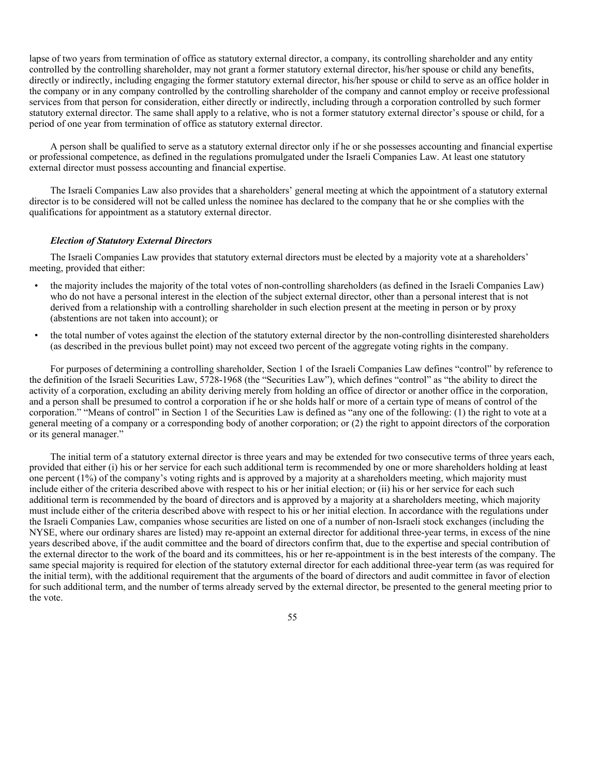lapse of two years from termination of office as statutory external director, a company, its controlling shareholder and any entity controlled by the controlling shareholder, may not grant a former statutory external director, his/her spouse or child any benefits, directly or indirectly, including engaging the former statutory external director, his/her spouse or child to serve as an office holder in the company or in any company controlled by the controlling shareholder of the company and cannot employ or receive professional services from that person for consideration, either directly or indirectly, including through a corporation controlled by such former statutory external director. The same shall apply to a relative, who is not a former statutory external director's spouse or child, for a period of one year from termination of office as statutory external director.

A person shall be qualified to serve as a statutory external director only if he or she possesses accounting and financial expertise or professional competence, as defined in the regulations promulgated under the Israeli Companies Law. At least one statutory external director must possess accounting and financial expertise.

The Israeli Companies Law also provides that a shareholders' general meeting at which the appointment of a statutory external director is to be considered will not be called unless the nominee has declared to the company that he or she complies with the qualifications for appointment as a statutory external director.

#### *Election of Statutory External Directors*

The Israeli Companies Law provides that statutory external directors must be elected by a majority vote at a shareholders' meeting, provided that either:

- the majority includes the majority of the total votes of non-controlling shareholders (as defined in the Israeli Companies Law) who do not have a personal interest in the election of the subject external director, other than a personal interest that is not derived from a relationship with a controlling shareholder in such election present at the meeting in person or by proxy (abstentions are not taken into account); or
- the total number of votes against the election of the statutory external director by the non-controlling disinterested shareholders (as described in the previous bullet point) may not exceed two percent of the aggregate voting rights in the company.

For purposes of determining a controlling shareholder, Section 1 of the Israeli Companies Law defines "control" by reference to the definition of the Israeli Securities Law, 5728-1968 (the "Securities Law"), which defines "control" as "the ability to direct the activity of a corporation, excluding an ability deriving merely from holding an office of director or another office in the corporation, and a person shall be presumed to control a corporation if he or she holds half or more of a certain type of means of control of the corporation." "Means of control" in Section 1 of the Securities Law is defined as "any one of the following: (1) the right to vote at a general meeting of a company or a corresponding body of another corporation; or (2) the right to appoint directors of the corporation or its general manager."

The initial term of a statutory external director is three years and may be extended for two consecutive terms of three years each, provided that either (i) his or her service for each such additional term is recommended by one or more shareholders holding at least one percent (1%) of the company's voting rights and is approved by a majority at a shareholders meeting, which majority must include either of the criteria described above with respect to his or her initial election; or (ii) his or her service for each such additional term is recommended by the board of directors and is approved by a majority at a shareholders meeting, which majority must include either of the criteria described above with respect to his or her initial election. In accordance with the regulations under the Israeli Companies Law, companies whose securities are listed on one of a number of non-Israeli stock exchanges (including the NYSE, where our ordinary shares are listed) may re-appoint an external director for additional three-year terms, in excess of the nine years described above, if the audit committee and the board of directors confirm that, due to the expertise and special contribution of the external director to the work of the board and its committees, his or her re-appointment is in the best interests of the company. The same special majority is required for election of the statutory external director for each additional three-year term (as was required for the initial term), with the additional requirement that the arguments of the board of directors and audit committee in favor of election for such additional term, and the number of terms already served by the external director, be presented to the general meeting prior to the vote.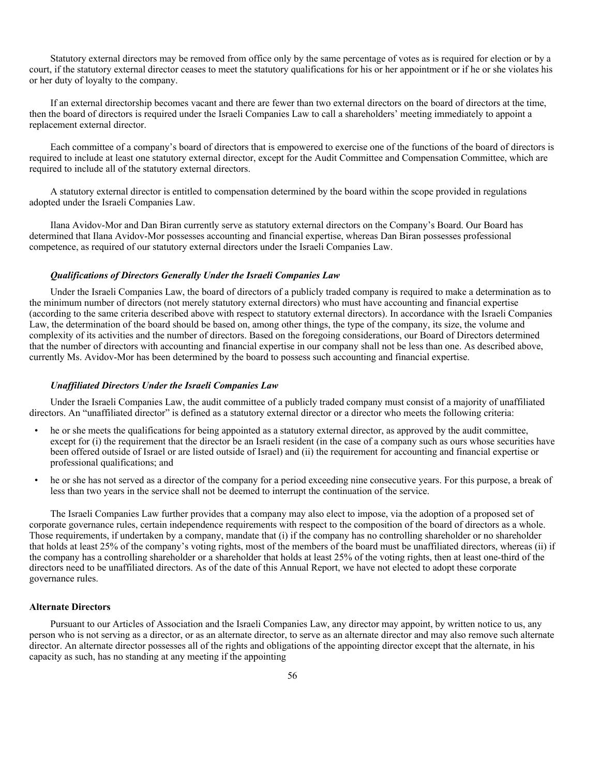Statutory external directors may be removed from office only by the same percentage of votes as is required for election or by a court, if the statutory external director ceases to meet the statutory qualifications for his or her appointment or if he or she violates his or her duty of loyalty to the company.

If an external directorship becomes vacant and there are fewer than two external directors on the board of directors at the time, then the board of directors is required under the Israeli Companies Law to call a shareholders' meeting immediately to appoint a replacement external director.

Each committee of a company's board of directors that is empowered to exercise one of the functions of the board of directors is required to include at least one statutory external director, except for the Audit Committee and Compensation Committee, which are required to include all of the statutory external directors.

A statutory external director is entitled to compensation determined by the board within the scope provided in regulations adopted under the Israeli Companies Law.

Ilana Avidov-Mor and Dan Biran currently serve as statutory external directors on the Company's Board. Our Board has determined that Ilana Avidov-Mor possesses accounting and financial expertise, whereas Dan Biran possesses professional competence, as required of our statutory external directors under the Israeli Companies Law.

## *Qualifications of Directors Generally Under the Israeli Companies Law*

Under the Israeli Companies Law, the board of directors of a publicly traded company is required to make a determination as to the minimum number of directors (not merely statutory external directors) who must have accounting and financial expertise (according to the same criteria described above with respect to statutory external directors). In accordance with the Israeli Companies Law, the determination of the board should be based on, among other things, the type of the company, its size, the volume and complexity of its activities and the number of directors. Based on the foregoing considerations, our Board of Directors determined that the number of directors with accounting and financial expertise in our company shall not be less than one. As described above, currently Ms. Avidov-Mor has been determined by the board to possess such accounting and financial expertise.

#### *Unaffiliated Directors Under the Israeli Companies Law*

Under the Israeli Companies Law, the audit committee of a publicly traded company must consist of a majority of unaffiliated directors. An "unaffiliated director" is defined as a statutory external director or a director who meets the following criteria:

- he or she meets the qualifications for being appointed as a statutory external director, as approved by the audit committee, except for (i) the requirement that the director be an Israeli resident (in the case of a company such as ours whose securities have been offered outside of Israel or are listed outside of Israel) and (ii) the requirement for accounting and financial expertise or professional qualifications; and
- he or she has not served as a director of the company for a period exceeding nine consecutive years. For this purpose, a break of less than two years in the service shall not be deemed to interrupt the continuation of the service.

The Israeli Companies Law further provides that a company may also elect to impose, via the adoption of a proposed set of corporate governance rules, certain independence requirements with respect to the composition of the board of directors as a whole. Those requirements, if undertaken by a company, mandate that (i) if the company has no controlling shareholder or no shareholder that holds at least 25% of the company's voting rights, most of the members of the board must be unaffiliated directors, whereas (ii) if the company has a controlling shareholder or a shareholder that holds at least 25% of the voting rights, then at least one-third of the directors need to be unaffiliated directors. As of the date of this Annual Report, we have not elected to adopt these corporate governance rules.

### **Alternate Directors**

Pursuant to our Articles of Association and the Israeli Companies Law, any director may appoint, by written notice to us, any person who is not serving as a director, or as an alternate director, to serve as an alternate director and may also remove such alternate director. An alternate director possesses all of the rights and obligations of the appointing director except that the alternate, in his capacity as such, has no standing at any meeting if the appointing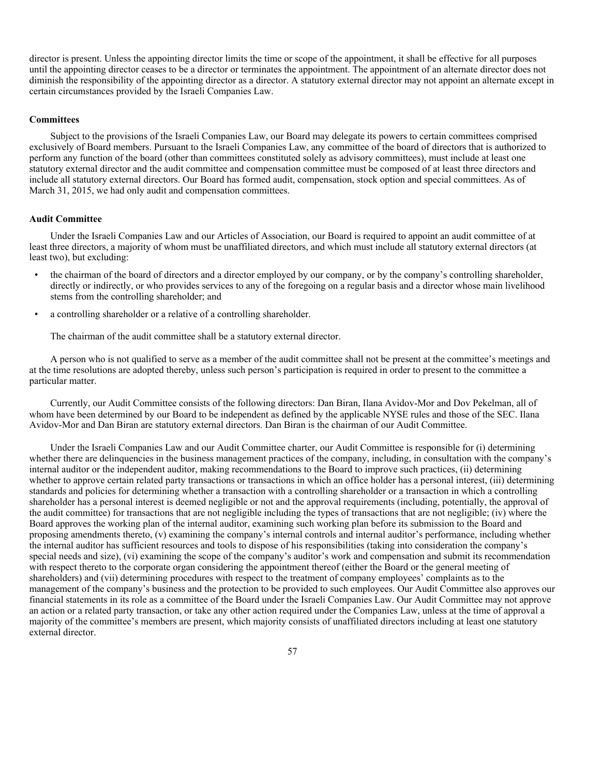director is present. Unless the appointing director limits the time or scope of the appointment, it shall be effective for all purposes until the appointing director ceases to be a director or terminates the appointment. The appointment of an alternate director does not diminish the responsibility of the appointing director as a director. A statutory external director may not appoint an alternate except in certain circumstances provided by the Israeli Companies Law.

## **Committees**

Subject to the provisions of the Israeli Companies Law, our Board may delegate its powers to certain committees comprised exclusively of Board members. Pursuant to the Israeli Companies Law, any committee of the board of directors that is authorized to perform any function of the board (other than committees constituted solely as advisory committees), must include at least one statutory external director and the audit committee and compensation committee must be composed of at least three directors and include all statutory external directors. Our Board has formed audit, compensation, stock option and special committees. As of March 31, 2015, we had only audit and compensation committees.

### **Audit Committee**

Under the Israeli Companies Law and our Articles of Association, our Board is required to appoint an audit committee of at least three directors, a majority of whom must be unaffiliated directors, and which must include all statutory external directors (at least two), but excluding:

- the chairman of the board of directors and a director employed by our company, or by the company's controlling shareholder, directly or indirectly, or who provides services to any of the foregoing on a regular basis and a director whose main livelihood stems from the controlling shareholder; and
- a controlling shareholder or a relative of a controlling shareholder.

The chairman of the audit committee shall be a statutory external director.

A person who is not qualified to serve as a member of the audit committee shall not be present at the committee's meetings and at the time resolutions are adopted thereby, unless such person's participation is required in order to present to the committee a particular matter.

Currently, our Audit Committee consists of the following directors: Dan Biran, Ilana Avidov-Mor and Dov Pekelman, all of whom have been determined by our Board to be independent as defined by the applicable NYSE rules and those of the SEC. Ilana Avidov-Mor and Dan Biran are statutory external directors. Dan Biran is the chairman of our Audit Committee.

Under the Israeli Companies Law and our Audit Committee charter, our Audit Committee is responsible for (i) determining whether there are delinquencies in the business management practices of the company, including, in consultation with the company's internal auditor or the independent auditor, making recommendations to the Board to improve such practices, (ii) determining whether to approve certain related party transactions or transactions in which an office holder has a personal interest, (iii) determining standards and policies for determining whether a transaction with a controlling shareholder or a transaction in which a controlling shareholder has a personal interest is deemed negligible or not and the approval requirements (including, potentially, the approval of the audit committee) for transactions that are not negligible including the types of transactions that are not negligible; (iv) where the Board approves the working plan of the internal auditor, examining such working plan before its submission to the Board and proposing amendments thereto, (v) examining the company's internal controls and internal auditor's performance, including whether the internal auditor has sufficient resources and tools to dispose of his responsibilities (taking into consideration the company's special needs and size), (vi) examining the scope of the company's auditor's work and compensation and submit its recommendation with respect thereto to the corporate organ considering the appointment thereof (either the Board or the general meeting of shareholders) and (vii) determining procedures with respect to the treatment of company employees' complaints as to the management of the company's business and the protection to be provided to such employees. Our Audit Committee also approves our financial statements in its role as a committee of the Board under the Israeli Companies Law. Our Audit Committee may not approve an action or a related party transaction, or take any other action required under the Companies Law, unless at the time of approval a majority of the committee's members are present, which majority consists of unaffiliated directors including at least one statutory external director.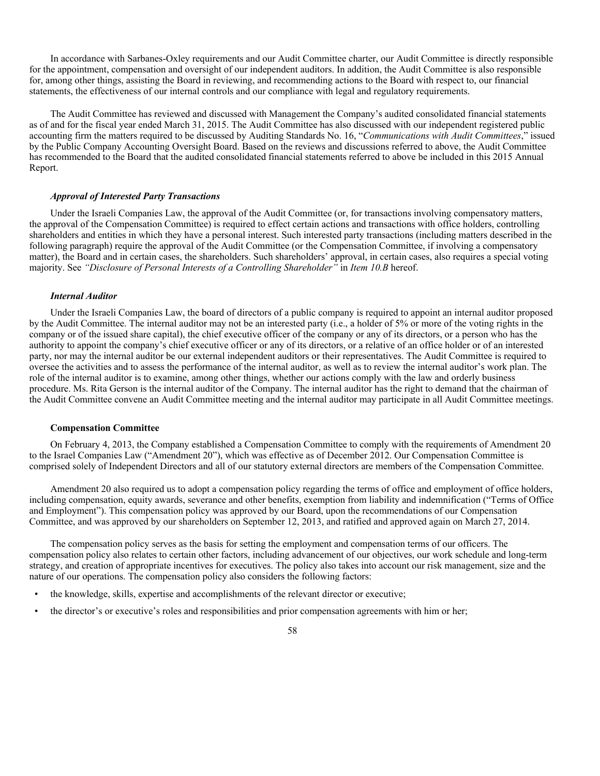In accordance with Sarbanes-Oxley requirements and our Audit Committee charter, our Audit Committee is directly responsible for the appointment, compensation and oversight of our independent auditors. In addition, the Audit Committee is also responsible for, among other things, assisting the Board in reviewing, and recommending actions to the Board with respect to, our financial statements, the effectiveness of our internal controls and our compliance with legal and regulatory requirements.

The Audit Committee has reviewed and discussed with Management the Company's audited consolidated financial statements as of and for the fiscal year ended March 31, 2015. The Audit Committee has also discussed with our independent registered public accounting firm the matters required to be discussed by Auditing Standards No. 16, "*Communications with Audit Committees*," issued by the Public Company Accounting Oversight Board. Based on the reviews and discussions referred to above, the Audit Committee has recommended to the Board that the audited consolidated financial statements referred to above be included in this 2015 Annual Report.

#### *Approval of Interested Party Transactions*

Under the Israeli Companies Law, the approval of the Audit Committee (or, for transactions involving compensatory matters, the approval of the Compensation Committee) is required to effect certain actions and transactions with office holders, controlling shareholders and entities in which they have a personal interest. Such interested party transactions (including matters described in the following paragraph) require the approval of the Audit Committee (or the Compensation Committee, if involving a compensatory matter), the Board and in certain cases, the shareholders. Such shareholders' approval, in certain cases, also requires a special voting majority. See *"Disclosure of Personal Interests of a Controlling Shareholder"* in *Item 10.B* hereof.

### *Internal Auditor*

Under the Israeli Companies Law, the board of directors of a public company is required to appoint an internal auditor proposed by the Audit Committee. The internal auditor may not be an interested party (i.e., a holder of 5% or more of the voting rights in the company or of the issued share capital), the chief executive officer of the company or any of its directors, or a person who has the authority to appoint the company's chief executive officer or any of its directors, or a relative of an office holder or of an interested party, nor may the internal auditor be our external independent auditors or their representatives. The Audit Committee is required to oversee the activities and to assess the performance of the internal auditor, as well as to review the internal auditor's work plan. The role of the internal auditor is to examine, among other things, whether our actions comply with the law and orderly business procedure. Ms. Rita Gerson is the internal auditor of the Company. The internal auditor has the right to demand that the chairman of the Audit Committee convene an Audit Committee meeting and the internal auditor may participate in all Audit Committee meetings.

#### **Compensation Committee**

On February 4, 2013, the Company established a Compensation Committee to comply with the requirements of Amendment 20 to the Israel Companies Law ("Amendment 20"), which was effective as of December 2012. Our Compensation Committee is comprised solely of Independent Directors and all of our statutory external directors are members of the Compensation Committee.

Amendment 20 also required us to adopt a compensation policy regarding the terms of office and employment of office holders, including compensation, equity awards, severance and other benefits, exemption from liability and indemnification ("Terms of Office and Employment"). This compensation policy was approved by our Board, upon the recommendations of our Compensation Committee, and was approved by our shareholders on September 12, 2013, and ratified and approved again on March 27, 2014.

The compensation policy serves as the basis for setting the employment and compensation terms of our officers. The compensation policy also relates to certain other factors, including advancement of our objectives, our work schedule and long-term strategy, and creation of appropriate incentives for executives. The policy also takes into account our risk management, size and the nature of our operations. The compensation policy also considers the following factors:

- the knowledge, skills, expertise and accomplishments of the relevant director or executive;
- the director's or executive's roles and responsibilities and prior compensation agreements with him or her;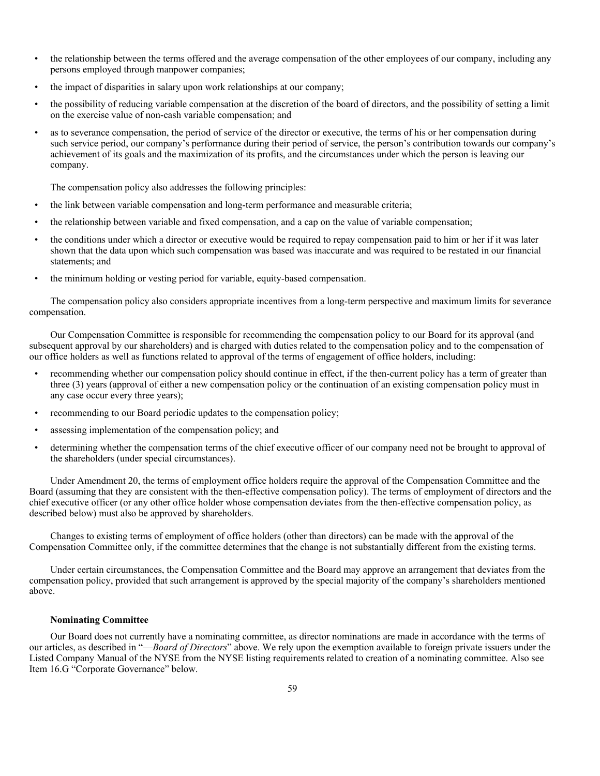- the relationship between the terms offered and the average compensation of the other employees of our company, including any persons employed through manpower companies;
- the impact of disparities in salary upon work relationships at our company;
- the possibility of reducing variable compensation at the discretion of the board of directors, and the possibility of setting a limit on the exercise value of non-cash variable compensation; and
- as to severance compensation, the period of service of the director or executive, the terms of his or her compensation during such service period, our company's performance during their period of service, the person's contribution towards our company's achievement of its goals and the maximization of its profits, and the circumstances under which the person is leaving our company.

The compensation policy also addresses the following principles:

- the link between variable compensation and long-term performance and measurable criteria;
- the relationship between variable and fixed compensation, and a cap on the value of variable compensation;
- the conditions under which a director or executive would be required to repay compensation paid to him or her if it was later shown that the data upon which such compensation was based was inaccurate and was required to be restated in our financial statements; and
- the minimum holding or vesting period for variable, equity-based compensation.

The compensation policy also considers appropriate incentives from a long-term perspective and maximum limits for severance compensation.

Our Compensation Committee is responsible for recommending the compensation policy to our Board for its approval (and subsequent approval by our shareholders) and is charged with duties related to the compensation policy and to the compensation of our office holders as well as functions related to approval of the terms of engagement of office holders, including:

- recommending whether our compensation policy should continue in effect, if the then-current policy has a term of greater than three (3) years (approval of either a new compensation policy or the continuation of an existing compensation policy must in any case occur every three years);
- recommending to our Board periodic updates to the compensation policy;
- assessing implementation of the compensation policy; and
- determining whether the compensation terms of the chief executive officer of our company need not be brought to approval of the shareholders (under special circumstances).

Under Amendment 20, the terms of employment office holders require the approval of the Compensation Committee and the Board (assuming that they are consistent with the then-effective compensation policy). The terms of employment of directors and the chief executive officer (or any other office holder whose compensation deviates from the then-effective compensation policy, as described below) must also be approved by shareholders.

Changes to existing terms of employment of office holders (other than directors) can be made with the approval of the Compensation Committee only, if the committee determines that the change is not substantially different from the existing terms.

Under certain circumstances, the Compensation Committee and the Board may approve an arrangement that deviates from the compensation policy, provided that such arrangement is approved by the special majority of the company's shareholders mentioned above.

## **Nominating Committee**

Our Board does not currently have a nominating committee, as director nominations are made in accordance with the terms of our articles, as described in "—*Board of Directors*" above. We rely upon the exemption available to foreign private issuers under the Listed Company Manual of the NYSE from the NYSE listing requirements related to creation of a nominating committee. Also see Item 16.G "Corporate Governance" below.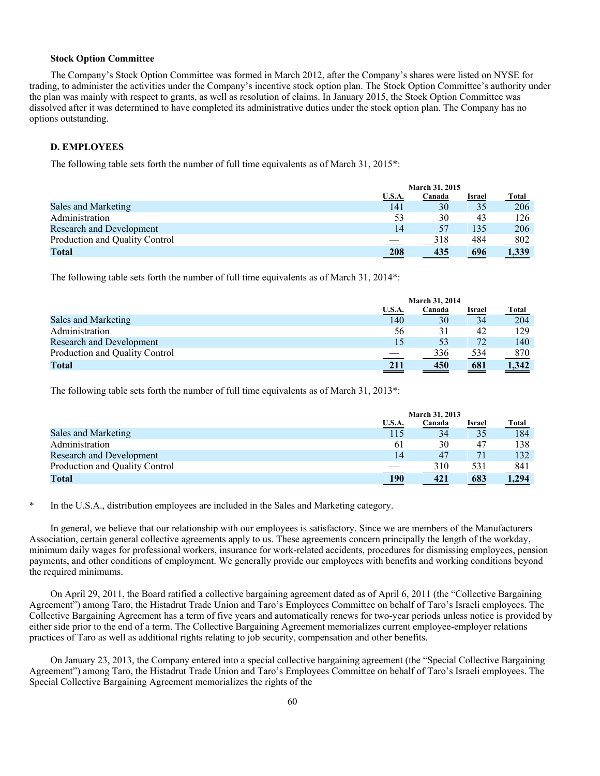## **Stock Option Committee**

The Company's Stock Option Committee was formed in March 2012, after the Company's shares were listed on NYSE for trading, to administer the activities under the Company's incentive stock option plan. The Stock Option Committee's authority under the plan was mainly with respect to grants, as well as resolution of claims. In January 2015, the Stock Option Committee was dissolved after it was determined to have completed its administrative duties under the stock option plan. The Company has no options outstanding.

## **D. EMPLOYEES**

The following table sets forth the number of full time equivalents as of March 31, 2015\*:

|                                 |               | March 31, 2015 |        |              |
|---------------------------------|---------------|----------------|--------|--------------|
|                                 | <b>U.S.A.</b> | Canada         | Israel | <b>Total</b> |
| Sales and Marketing             | 141           | 30             | 35     | 206          |
| Administration                  | 53            | 30             | 43     | 126          |
| <b>Research and Development</b> | 14            |                | 135    | 206          |
| Production and Quality Control  |               | 318            | 484    | 802          |
| <b>Total</b>                    | 208           | 435            | 696    | <u>1,339</u> |

The following table sets forth the number of full time equivalents as of March 31, 2014\*:

|                                 | March 31, 2014 |        |               |              |
|---------------------------------|----------------|--------|---------------|--------------|
|                                 | <b>U.S.A.</b>  | Canada | <b>Israel</b> | <b>Total</b> |
| Sales and Marketing             | 140            | 30     | 34            | 204          |
| Administration                  | 56             |        | 42            | 129          |
| <b>Research and Development</b> | 15             | 53     | 72            | 140          |
| Production and Quality Control  |                | 336    | 534           | 870          |
| <b>Total</b>                    | 211            | 450    | <u>681</u>    | 1,342        |

The following table sets forth the number of full time equivalents as of March 31, 2013\*:

|                                 |        | March 31, 2013 |               |              |
|---------------------------------|--------|----------------|---------------|--------------|
|                                 | U.S.A. | Canada         | <b>Israel</b> | <b>Total</b> |
| Sales and Marketing             |        | 34             | 35            | 184          |
| Administration                  | 61     | 30             | 47            | 138          |
| <b>Research and Development</b> | 14     | 47             |               | 132          |
| Production and Quality Control  |        | 310            | 531           | 841          |
| Total                           | 190    | 421            | 683           | <u>1,294</u> |

\* In the U.S.A., distribution employees are included in the Sales and Marketing category.

In general, we believe that our relationship with our employees is satisfactory. Since we are members of the Manufacturers Association, certain general collective agreements apply to us. These agreements concern principally the length of the workday, minimum daily wages for professional workers, insurance for work-related accidents, procedures for dismissing employees, pension payments, and other conditions of employment. We generally provide our employees with benefits and working conditions beyond the required minimums.

On April 29, 2011, the Board ratified a collective bargaining agreement dated as of April 6, 2011 (the "Collective Bargaining Agreement") among Taro, the Histadrut Trade Union and Taro's Employees Committee on behalf of Taro's Israeli employees. The Collective Bargaining Agreement has a term of five years and automatically renews for two-year periods unless notice is provided by either side prior to the end of a term. The Collective Bargaining Agreement memorializes current employee-employer relations practices of Taro as well as additional rights relating to job security, compensation and other benefits.

On January 23, 2013, the Company entered into a special collective bargaining agreement (the "Special Collective Bargaining Agreement") among Taro, the Histadrut Trade Union and Taro's Employees Committee on behalf of Taro's Israeli employees. The Special Collective Bargaining Agreement memorializes the rights of the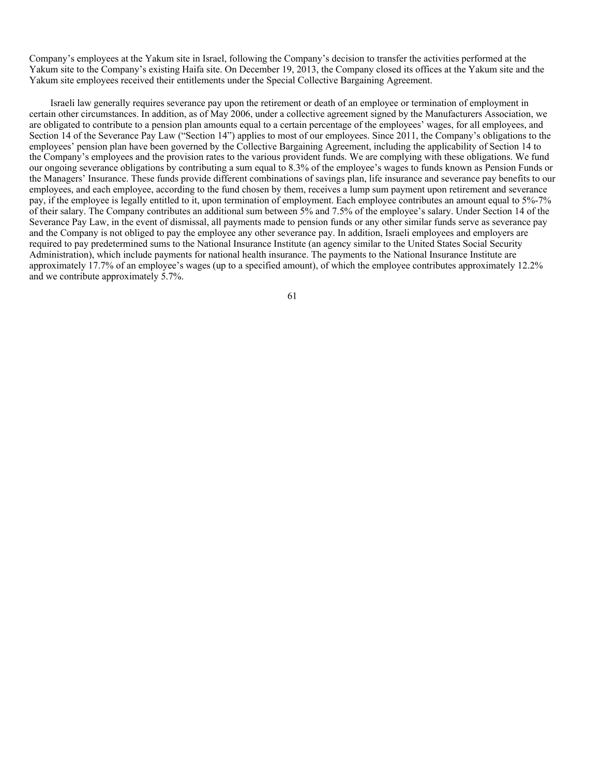Company's employees at the Yakum site in Israel, following the Company's decision to transfer the activities performed at the Yakum site to the Company's existing Haifa site. On December 19, 2013, the Company closed its offices at the Yakum site and the Yakum site employees received their entitlements under the Special Collective Bargaining Agreement.

Israeli law generally requires severance pay upon the retirement or death of an employee or termination of employment in certain other circumstances. In addition, as of May 2006, under a collective agreement signed by the Manufacturers Association, we are obligated to contribute to a pension plan amounts equal to a certain percentage of the employees' wages, for all employees, and Section 14 of the Severance Pay Law ("Section 14") applies to most of our employees. Since 2011, the Company's obligations to the employees' pension plan have been governed by the Collective Bargaining Agreement, including the applicability of Section 14 to the Company's employees and the provision rates to the various provident funds. We are complying with these obligations. We fund our ongoing severance obligations by contributing a sum equal to 8.3% of the employee's wages to funds known as Pension Funds or the Managers' Insurance. These funds provide different combinations of savings plan, life insurance and severance pay benefits to our employees, and each employee, according to the fund chosen by them, receives a lump sum payment upon retirement and severance pay, if the employee is legally entitled to it, upon termination of employment. Each employee contributes an amount equal to 5%-7% of their salary. The Company contributes an additional sum between 5% and 7.5% of the employee's salary. Under Section 14 of the Severance Pay Law, in the event of dismissal, all payments made to pension funds or any other similar funds serve as severance pay and the Company is not obliged to pay the employee any other severance pay. In addition, Israeli employees and employers are required to pay predetermined sums to the National Insurance Institute (an agency similar to the United States Social Security Administration), which include payments for national health insurance. The payments to the National Insurance Institute are approximately 17.7% of an employee's wages (up to a specified amount), of which the employee contributes approximately 12.2% and we contribute approximately 5.7%.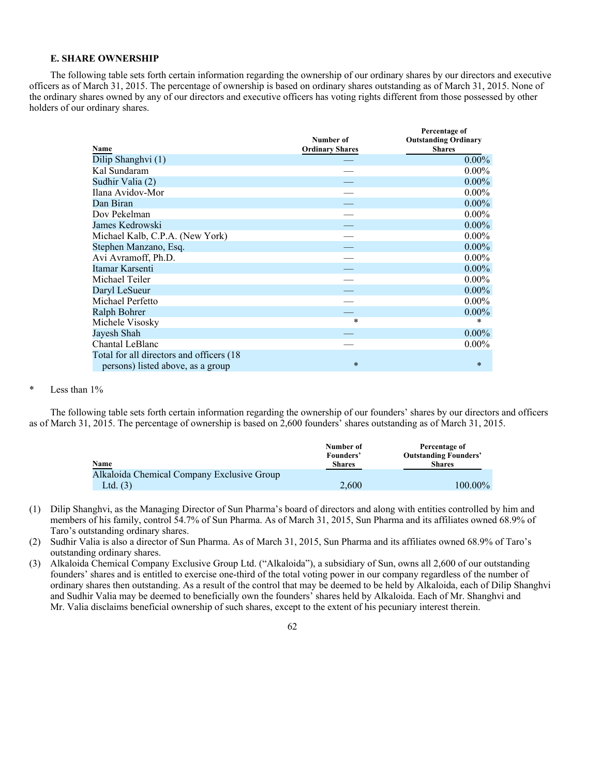#### **E. SHARE OWNERSHIP**

The following table sets forth certain information regarding the ownership of our ordinary shares by our directors and executive officers as of March 31, 2015. The percentage of ownership is based on ordinary shares outstanding as of March 31, 2015. None of the ordinary shares owned by any of our directors and executive officers has voting rights different from those possessed by other holders of our ordinary shares.

|                                                                               |                                     | Percentage of                                |
|-------------------------------------------------------------------------------|-------------------------------------|----------------------------------------------|
| Name                                                                          | Number of<br><b>Ordinary Shares</b> | <b>Outstanding Ordinary</b><br><b>Shares</b> |
| Dilip Shanghvi (1)                                                            |                                     | $0.00\%$                                     |
| Kal Sundaram                                                                  |                                     | $0.00\%$                                     |
| Sudhir Valia (2)                                                              |                                     | $0.00\%$                                     |
| Ilana Avidov-Mor                                                              |                                     | $0.00\%$                                     |
| Dan Biran                                                                     |                                     | $0.00\%$                                     |
| Dov Pekelman                                                                  |                                     | $0.00\%$                                     |
| James Kedrowski                                                               |                                     | $0.00\%$                                     |
| Michael Kalb, C.P.A. (New York)                                               |                                     | $0.00\%$                                     |
| Stephen Manzano, Esq.                                                         |                                     | $0.00\%$                                     |
| Avi Avramoff, Ph.D.                                                           |                                     | $0.00\%$                                     |
| Itamar Karsenti                                                               |                                     | $0.00\%$                                     |
| Michael Teiler                                                                |                                     | $0.00\%$                                     |
| Daryl LeSueur                                                                 |                                     | $0.00\%$                                     |
| Michael Perfetto                                                              |                                     | $0.00\%$                                     |
| Ralph Bohrer                                                                  |                                     | $0.00\%$                                     |
| Michele Visosky                                                               | $\ast$                              | *                                            |
| Jayesh Shah                                                                   |                                     | $0.00\%$                                     |
| Chantal LeBlanc                                                               |                                     | $0.00\%$                                     |
| Total for all directors and officers (18<br>persons) listed above, as a group | $\ast$                              | $\ast$                                       |

### \* Less than 1%

The following table sets forth certain information regarding the ownership of our founders' shares by our directors and officers as of March 31, 2015. The percentage of ownership is based on 2,600 founders' shares outstanding as of March 31, 2015.

| Name                                                   | Number of<br>Founders'<br><b>Shares</b> | Percentage of<br><b>Outstanding Founders'</b><br><b>Shares</b> |
|--------------------------------------------------------|-----------------------------------------|----------------------------------------------------------------|
| Alkaloida Chemical Company Exclusive Group<br>Ltd. (3) | 2,600                                   | $100.00\%$                                                     |

- (1) Dilip Shanghvi, as the Managing Director of Sun Pharma's board of directors and along with entities controlled by him and members of his family, control 54.7% of Sun Pharma. As of March 31, 2015, Sun Pharma and its affiliates owned 68.9% of Taro's outstanding ordinary shares.
- (2) Sudhir Valia is also a director of Sun Pharma. As of March 31, 2015, Sun Pharma and its affiliates owned 68.9% of Taro's outstanding ordinary shares.
- (3) Alkaloida Chemical Company Exclusive Group Ltd. ("Alkaloida"), a subsidiary of Sun, owns all 2,600 of our outstanding founders' shares and is entitled to exercise one-third of the total voting power in our company regardless of the number of ordinary shares then outstanding. As a result of the control that may be deemed to be held by Alkaloida, each of Dilip Shanghvi and Sudhir Valia may be deemed to beneficially own the founders' shares held by Alkaloida. Each of Mr. Shanghvi and Mr. Valia disclaims beneficial ownership of such shares, except to the extent of his pecuniary interest therein.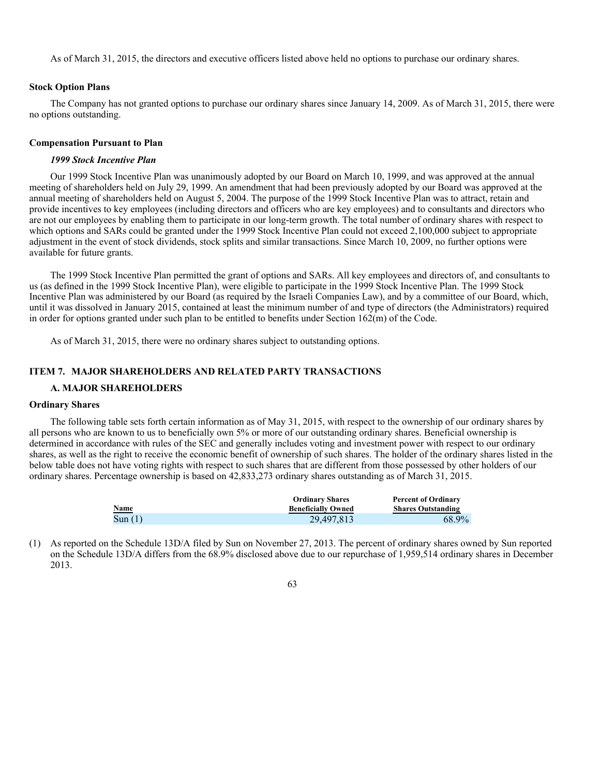As of March 31, 2015, the directors and executive officers listed above held no options to purchase our ordinary shares.

#### **Stock Option Plans**

The Company has not granted options to purchase our ordinary shares since January 14, 2009. As of March 31, 2015, there were no options outstanding.

#### **Compensation Pursuant to Plan**

## *1999 Stock Incentive Plan*

Our 1999 Stock Incentive Plan was unanimously adopted by our Board on March 10, 1999, and was approved at the annual meeting of shareholders held on July 29, 1999. An amendment that had been previously adopted by our Board was approved at the annual meeting of shareholders held on August 5, 2004. The purpose of the 1999 Stock Incentive Plan was to attract, retain and provide incentives to key employees (including directors and officers who are key employees) and to consultants and directors who are not our employees by enabling them to participate in our long-term growth. The total number of ordinary shares with respect to which options and SARs could be granted under the 1999 Stock Incentive Plan could not exceed 2,100,000 subject to appropriate adjustment in the event of stock dividends, stock splits and similar transactions. Since March 10, 2009, no further options were available for future grants.

The 1999 Stock Incentive Plan permitted the grant of options and SARs. All key employees and directors of, and consultants to us (as defined in the 1999 Stock Incentive Plan), were eligible to participate in the 1999 Stock Incentive Plan. The 1999 Stock Incentive Plan was administered by our Board (as required by the Israeli Companies Law), and by a committee of our Board, which, until it was dissolved in January 2015, contained at least the minimum number of and type of directors (the Administrators) required in order for options granted under such plan to be entitled to benefits under Section 162(m) of the Code.

As of March 31, 2015, there were no ordinary shares subject to outstanding options.

# **ITEM 7. MAJOR SHAREHOLDERS AND RELATED PARTY TRANSACTIONS**

### **A. MAJOR SHAREHOLDERS**

#### **Ordinary Shares**

The following table sets forth certain information as of May 31, 2015, with respect to the ownership of our ordinary shares by all persons who are known to us to beneficially own 5% or more of our outstanding ordinary shares. Beneficial ownership is determined in accordance with rules of the SEC and generally includes voting and investment power with respect to our ordinary shares, as well as the right to receive the economic benefit of ownership of such shares. The holder of the ordinary shares listed in the below table does not have voting rights with respect to such shares that are different from those possessed by other holders of our ordinary shares. Percentage ownership is based on 42,833,273 ordinary shares outstanding as of March 31, 2015.

|           | <b>Ordinary Shares</b>    | <b>Percent of Ordinary</b> |
|-----------|---------------------------|----------------------------|
| Name      | <b>Beneficially Owned</b> | <b>Shares Outstanding</b>  |
| Sun $(1)$ | 29.497.813                | 68.9%                      |

(1) As reported on the Schedule 13D/A filed by Sun on November 27, 2013. The percent of ordinary shares owned by Sun reported on the Schedule 13D/A differs from the 68.9% disclosed above due to our repurchase of 1,959,514 ordinary shares in December 2013.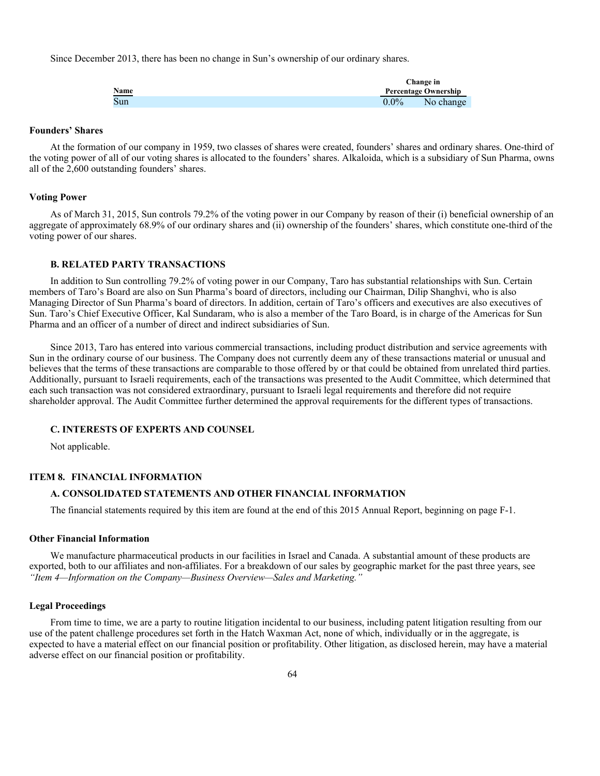Since December 2013, there has been no change in Sun's ownership of our ordinary shares.

|      | Change in                   |
|------|-----------------------------|
| Name | <b>Percentage Ownership</b> |
| Sun  | $0.0\%$<br>No change        |

## **Founders' Shares**

At the formation of our company in 1959, two classes of shares were created, founders' shares and ordinary shares. One-third of the voting power of all of our voting shares is allocated to the founders' shares. Alkaloida, which is a subsidiary of Sun Pharma, owns all of the 2,600 outstanding founders' shares.

#### **Voting Power**

As of March 31, 2015, Sun controls 79.2% of the voting power in our Company by reason of their (i) beneficial ownership of an aggregate of approximately 68.9% of our ordinary shares and (ii) ownership of the founders' shares, which constitute one-third of the voting power of our shares.

## **B. RELATED PARTY TRANSACTIONS**

In addition to Sun controlling 79.2% of voting power in our Company, Taro has substantial relationships with Sun. Certain members of Taro's Board are also on Sun Pharma's board of directors, including our Chairman, Dilip Shanghvi, who is also Managing Director of Sun Pharma's board of directors. In addition, certain of Taro's officers and executives are also executives of Sun. Taro's Chief Executive Officer, Kal Sundaram, who is also a member of the Taro Board, is in charge of the Americas for Sun Pharma and an officer of a number of direct and indirect subsidiaries of Sun.

Since 2013, Taro has entered into various commercial transactions, including product distribution and service agreements with Sun in the ordinary course of our business. The Company does not currently deem any of these transactions material or unusual and believes that the terms of these transactions are comparable to those offered by or that could be obtained from unrelated third parties. Additionally, pursuant to Israeli requirements, each of the transactions was presented to the Audit Committee, which determined that each such transaction was not considered extraordinary, pursuant to Israeli legal requirements and therefore did not require shareholder approval. The Audit Committee further determined the approval requirements for the different types of transactions.

#### **C. INTERESTS OF EXPERTS AND COUNSEL**

Not applicable.

## **ITEM 8. FINANCIAL INFORMATION**

### **A. CONSOLIDATED STATEMENTS AND OTHER FINANCIAL INFORMATION**

The financial statements required by this item are found at the end of this 2015 Annual Report, beginning on page F-1.

### **Other Financial Information**

We manufacture pharmaceutical products in our facilities in Israel and Canada. A substantial amount of these products are exported, both to our affiliates and non-affiliates. For a breakdown of our sales by geographic market for the past three years, see *"Item 4—Information on the Company—Business Overview—Sales and Marketing."* 

#### **Legal Proceedings**

From time to time, we are a party to routine litigation incidental to our business, including patent litigation resulting from our use of the patent challenge procedures set forth in the Hatch Waxman Act, none of which, individually or in the aggregate, is expected to have a material effect on our financial position or profitability. Other litigation, as disclosed herein, may have a material adverse effect on our financial position or profitability.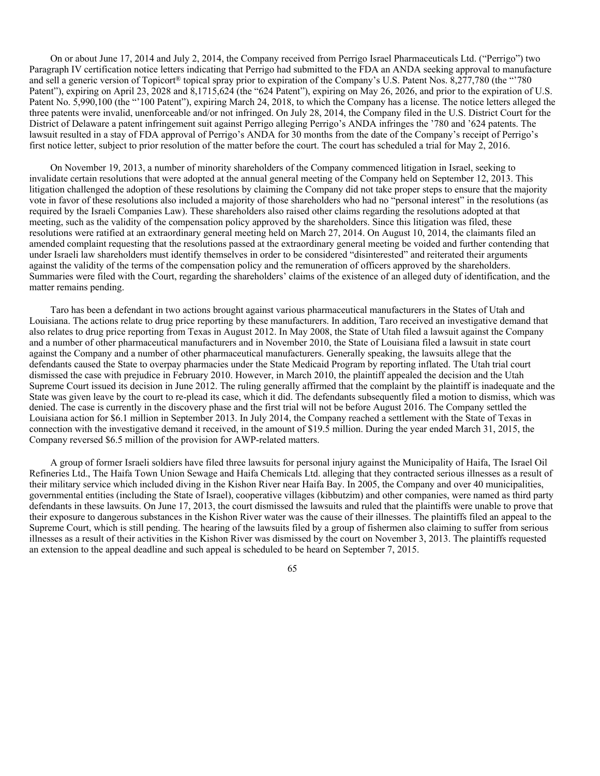On or about June 17, 2014 and July 2, 2014, the Company received from Perrigo Israel Pharmaceuticals Ltd. ("Perrigo") two Paragraph IV certification notice letters indicating that Perrigo had submitted to the FDA an ANDA seeking approval to manufacture and sell a generic version of Topicort® topical spray prior to expiration of the Company's U.S. Patent Nos. 8,277,780 (the "'780 Patent"), expiring on April 23, 2028 and 8,1715,624 (the "624 Patent"), expiring on May 26, 2026, and prior to the expiration of U.S. Patent No. 5,990,100 (the "'100 Patent"), expiring March 24, 2018, to which the Company has a license. The notice letters alleged the three patents were invalid, unenforceable and/or not infringed. On July 28, 2014, the Company filed in the U.S. District Court for the District of Delaware a patent infringement suit against Perrigo alleging Perrigo's ANDA infringes the '780 and '624 patents. The lawsuit resulted in a stay of FDA approval of Perrigo's ANDA for 30 months from the date of the Company's receipt of Perrigo's first notice letter, subject to prior resolution of the matter before the court. The court has scheduled a trial for May 2, 2016.

On November 19, 2013, a number of minority shareholders of the Company commenced litigation in Israel, seeking to invalidate certain resolutions that were adopted at the annual general meeting of the Company held on September 12, 2013. This litigation challenged the adoption of these resolutions by claiming the Company did not take proper steps to ensure that the majority vote in favor of these resolutions also included a majority of those shareholders who had no "personal interest" in the resolutions (as required by the Israeli Companies Law). These shareholders also raised other claims regarding the resolutions adopted at that meeting, such as the validity of the compensation policy approved by the shareholders. Since this litigation was filed, these resolutions were ratified at an extraordinary general meeting held on March 27, 2014. On August 10, 2014, the claimants filed an amended complaint requesting that the resolutions passed at the extraordinary general meeting be voided and further contending that under Israeli law shareholders must identify themselves in order to be considered "disinterested" and reiterated their arguments against the validity of the terms of the compensation policy and the remuneration of officers approved by the shareholders. Summaries were filed with the Court, regarding the shareholders' claims of the existence of an alleged duty of identification, and the matter remains pending.

Taro has been a defendant in two actions brought against various pharmaceutical manufacturers in the States of Utah and Louisiana. The actions relate to drug price reporting by these manufacturers. In addition, Taro received an investigative demand that also relates to drug price reporting from Texas in August 2012. In May 2008, the State of Utah filed a lawsuit against the Company and a number of other pharmaceutical manufacturers and in November 2010, the State of Louisiana filed a lawsuit in state court against the Company and a number of other pharmaceutical manufacturers. Generally speaking, the lawsuits allege that the defendants caused the State to overpay pharmacies under the State Medicaid Program by reporting inflated. The Utah trial court dismissed the case with prejudice in February 2010. However, in March 2010, the plaintiff appealed the decision and the Utah Supreme Court issued its decision in June 2012. The ruling generally affirmed that the complaint by the plaintiff is inadequate and the State was given leave by the court to re-plead its case, which it did. The defendants subsequently filed a motion to dismiss, which was denied. The case is currently in the discovery phase and the first trial will not be before August 2016. The Company settled the Louisiana action for \$6.1 million in September 2013. In July 2014, the Company reached a settlement with the State of Texas in connection with the investigative demand it received, in the amount of \$19.5 million. During the year ended March 31, 2015, the Company reversed \$6.5 million of the provision for AWP-related matters.

A group of former Israeli soldiers have filed three lawsuits for personal injury against the Municipality of Haifa, The Israel Oil Refineries Ltd., The Haifa Town Union Sewage and Haifa Chemicals Ltd. alleging that they contracted serious illnesses as a result of their military service which included diving in the Kishon River near Haifa Bay. In 2005, the Company and over 40 municipalities, governmental entities (including the State of Israel), cooperative villages (kibbutzim) and other companies, were named as third party defendants in these lawsuits. On June 17, 2013, the court dismissed the lawsuits and ruled that the plaintiffs were unable to prove that their exposure to dangerous substances in the Kishon River water was the cause of their illnesses. The plaintiffs filed an appeal to the Supreme Court, which is still pending. The hearing of the lawsuits filed by a group of fishermen also claiming to suffer from serious illnesses as a result of their activities in the Kishon River was dismissed by the court on November 3, 2013. The plaintiffs requested an extension to the appeal deadline and such appeal is scheduled to be heard on September 7, 2015.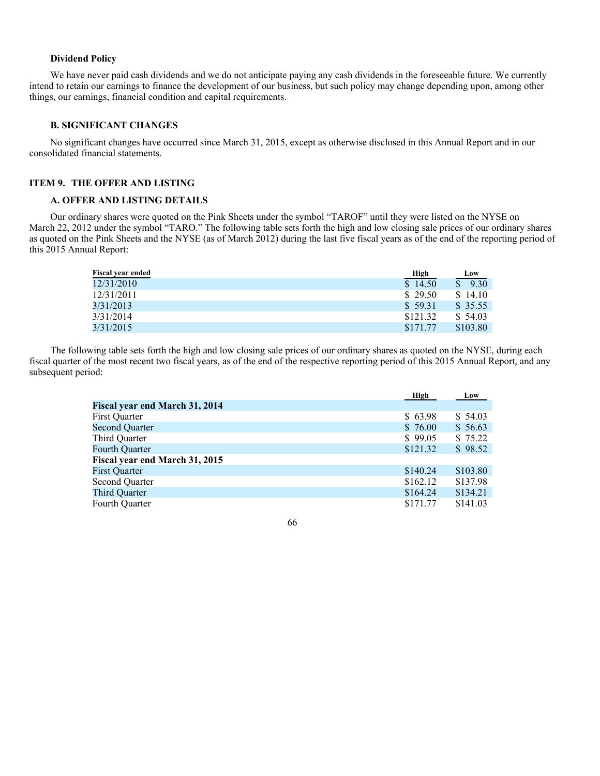## **Dividend Policy**

We have never paid cash dividends and we do not anticipate paying any cash dividends in the foreseeable future. We currently intend to retain our earnings to finance the development of our business, but such policy may change depending upon, among other things, our earnings, financial condition and capital requirements.

# **B. SIGNIFICANT CHANGES**

No significant changes have occurred since March 31, 2015, except as otherwise disclosed in this Annual Report and in our consolidated financial statements.

## **ITEM 9. THE OFFER AND LISTING**

## **A. OFFER AND LISTING DETAILS**

Our ordinary shares were quoted on the Pink Sheets under the symbol "TAROF" until they were listed on the NYSE on March 22, 2012 under the symbol "TARO." The following table sets forth the high and low closing sale prices of our ordinary shares as quoted on the Pink Sheets and the NYSE (as of March 2012) during the last five fiscal years as of the end of the reporting period of this 2015 Annual Report:

| <b>Fiscal year ended</b> | High     | Low         |
|--------------------------|----------|-------------|
| 12/31/2010               | \$14.50  | 9.30        |
| 12/31/2011               | \$29.50  | 14 10<br>S. |
| 3/31/2013                | \$ 59.31 | \$35.55     |
| 3/31/2014                | \$121.32 | \$ 54.03    |
| 3/31/2015                | \$171.77 | \$103.80    |

The following table sets forth the high and low closing sale prices of our ordinary shares as quoted on the NYSE, during each fiscal quarter of the most recent two fiscal years, as of the end of the respective reporting period of this 2015 Annual Report, and any subsequent period:

|                                | High     | Low      |
|--------------------------------|----------|----------|
| Fiscal year end March 31, 2014 |          |          |
| First Quarter                  | \$63.98  | \$54.03  |
| <b>Second Quarter</b>          | \$76.00  | \$56.63  |
| Third Quarter                  | \$99.05  | \$75.22  |
| <b>Fourth Quarter</b>          | \$121.32 | \$98.52  |
| Fiscal year end March 31, 2015 |          |          |
| <b>First Quarter</b>           | \$140.24 | \$103.80 |
| <b>Second Quarter</b>          | \$162.12 | \$137.98 |
| <b>Third Quarter</b>           | \$164.24 | \$134.21 |
| Fourth Quarter                 | \$171.77 | \$141.03 |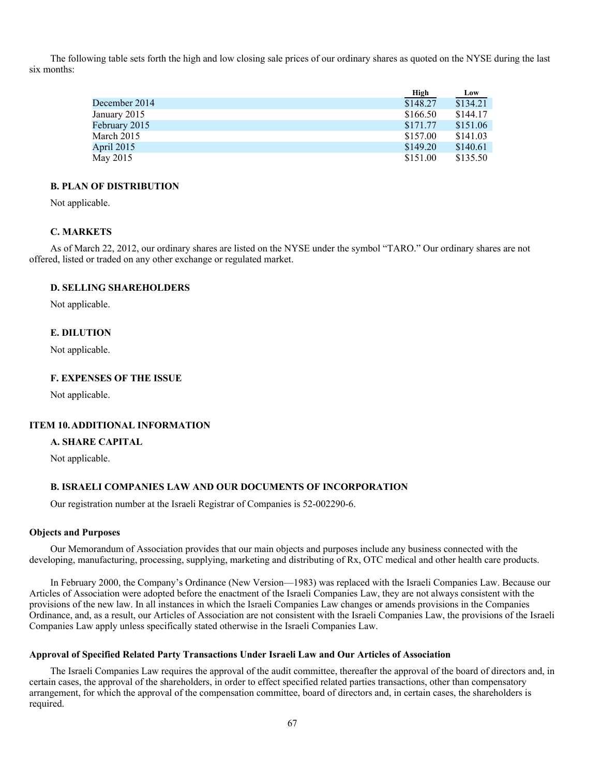The following table sets forth the high and low closing sale prices of our ordinary shares as quoted on the NYSE during the last six months:

|               | High     | Low      |
|---------------|----------|----------|
| December 2014 | \$148.27 | \$134.21 |
| January 2015  | \$166.50 | \$144.17 |
| February 2015 | \$171.77 | \$151.06 |
| March 2015    | \$157.00 | \$141.03 |
| April 2015    | \$149.20 | \$140.61 |
| May 2015      | \$151.00 | \$135.50 |

### **B. PLAN OF DISTRIBUTION**

Not applicable.

# **C. MARKETS**

As of March 22, 2012, our ordinary shares are listed on the NYSE under the symbol "TARO." Our ordinary shares are not offered, listed or traded on any other exchange or regulated market.

# **D. SELLING SHAREHOLDERS**

Not applicable.

# **E. DILUTION**

Not applicable.

### **F. EXPENSES OF THE ISSUE**

Not applicable.

# **ITEM 10. ADDITIONAL INFORMATION**

# **A. SHARE CAPITAL**

Not applicable.

### **B. ISRAELI COMPANIES LAW AND OUR DOCUMENTS OF INCORPORATION**

Our registration number at the Israeli Registrar of Companies is 52-002290-6.

# **Objects and Purposes**

Our Memorandum of Association provides that our main objects and purposes include any business connected with the developing, manufacturing, processing, supplying, marketing and distributing of Rx, OTC medical and other health care products.

In February 2000, the Company's Ordinance (New Version—1983) was replaced with the Israeli Companies Law. Because our Articles of Association were adopted before the enactment of the Israeli Companies Law, they are not always consistent with the provisions of the new law. In all instances in which the Israeli Companies Law changes or amends provisions in the Companies Ordinance, and, as a result, our Articles of Association are not consistent with the Israeli Companies Law, the provisions of the Israeli Companies Law apply unless specifically stated otherwise in the Israeli Companies Law.

### **Approval of Specified Related Party Transactions Under Israeli Law and Our Articles of Association**

The Israeli Companies Law requires the approval of the audit committee, thereafter the approval of the board of directors and, in certain cases, the approval of the shareholders, in order to effect specified related parties transactions, other than compensatory arrangement, for which the approval of the compensation committee, board of directors and, in certain cases, the shareholders is required.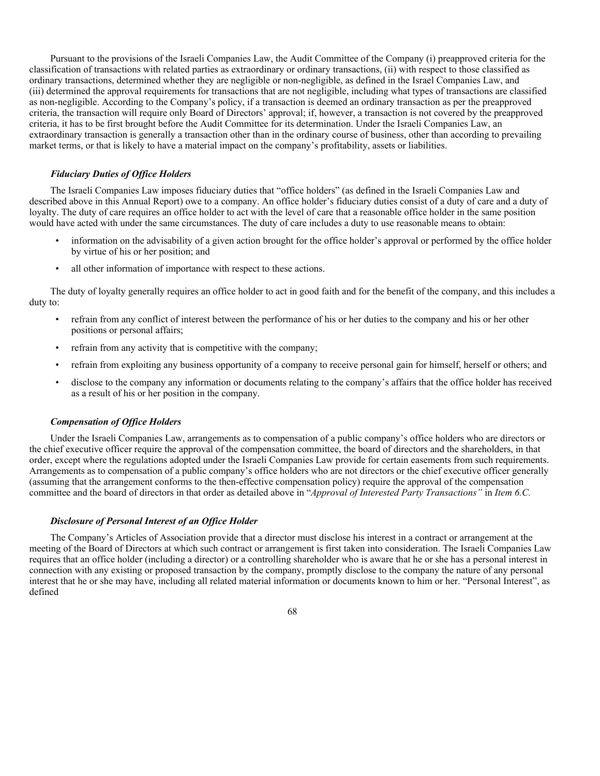Pursuant to the provisions of the Israeli Companies Law, the Audit Committee of the Company (i) preapproved criteria for the classification of transactions with related parties as extraordinary or ordinary transactions, (ii) with respect to those classified as ordinary transactions, determined whether they are negligible or non-negligible, as defined in the Israel Companies Law, and (iii) determined the approval requirements for transactions that are not negligible, including what types of transactions are classified as non-negligible. According to the Company's policy, if a transaction is deemed an ordinary transaction as per the preapproved criteria, the transaction will require only Board of Directors' approval; if, however, a transaction is not covered by the preapproved criteria, it has to be first brought before the Audit Committee for its determination. Under the Israeli Companies Law, an extraordinary transaction is generally a transaction other than in the ordinary course of business, other than according to prevailing market terms, or that is likely to have a material impact on the company's profitability, assets or liabilities.

### *Fiduciary Duties of Office Holders*

The Israeli Companies Law imposes fiduciary duties that "office holders" (as defined in the Israeli Companies Law and described above in this Annual Report) owe to a company. An office holder's fiduciary duties consist of a duty of care and a duty of loyalty. The duty of care requires an office holder to act with the level of care that a reasonable office holder in the same position would have acted with under the same circumstances. The duty of care includes a duty to use reasonable means to obtain:

- information on the advisability of a given action brought for the office holder's approval or performed by the office holder by virtue of his or her position; and
- all other information of importance with respect to these actions.

The duty of loyalty generally requires an office holder to act in good faith and for the benefit of the company, and this includes a duty to:

- refrain from any conflict of interest between the performance of his or her duties to the company and his or her other positions or personal affairs;
- refrain from any activity that is competitive with the company;
- refrain from exploiting any business opportunity of a company to receive personal gain for himself, herself or others; and
- disclose to the company any information or documents relating to the company's affairs that the office holder has received as a result of his or her position in the company.

# *Compensation of Office Holders*

Under the Israeli Companies Law, arrangements as to compensation of a public company's office holders who are directors or the chief executive officer require the approval of the compensation committee, the board of directors and the shareholders, in that order, except where the regulations adopted under the Israeli Companies Law provide for certain easements from such requirements. Arrangements as to compensation of a public company's office holders who are not directors or the chief executive officer generally (assuming that the arrangement conforms to the then-effective compensation policy) require the approval of the compensation committee and the board of directors in that order as detailed above in "*Approval of Interested Party Transactions"* in *Item 6.C.* 

### *Disclosure of Personal Interest of an Office Holder*

The Company's Articles of Association provide that a director must disclose his interest in a contract or arrangement at the meeting of the Board of Directors at which such contract or arrangement is first taken into consideration. The Israeli Companies Law requires that an office holder (including a director) or a controlling shareholder who is aware that he or she has a personal interest in connection with any existing or proposed transaction by the company, promptly disclose to the company the nature of any personal interest that he or she may have, including all related material information or documents known to him or her. "Personal Interest", as defined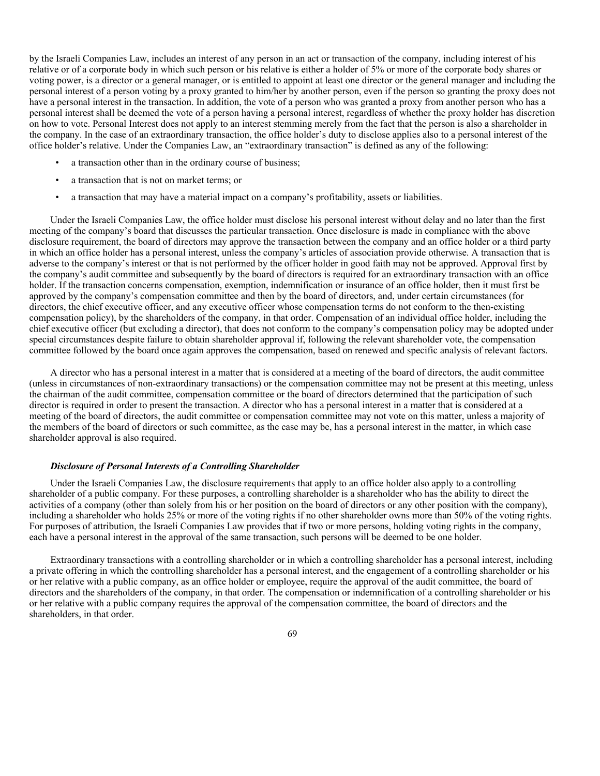by the Israeli Companies Law, includes an interest of any person in an act or transaction of the company, including interest of his relative or of a corporate body in which such person or his relative is either a holder of 5% or more of the corporate body shares or voting power, is a director or a general manager, or is entitled to appoint at least one director or the general manager and including the personal interest of a person voting by a proxy granted to him/her by another person, even if the person so granting the proxy does not have a personal interest in the transaction. In addition, the vote of a person who was granted a proxy from another person who has a personal interest shall be deemed the vote of a person having a personal interest, regardless of whether the proxy holder has discretion on how to vote. Personal Interest does not apply to an interest stemming merely from the fact that the person is also a shareholder in the company. In the case of an extraordinary transaction, the office holder's duty to disclose applies also to a personal interest of the office holder's relative. Under the Companies Law, an "extraordinary transaction" is defined as any of the following:

- a transaction other than in the ordinary course of business;
- a transaction that is not on market terms; or
- a transaction that may have a material impact on a company's profitability, assets or liabilities.

Under the Israeli Companies Law, the office holder must disclose his personal interest without delay and no later than the first meeting of the company's board that discusses the particular transaction. Once disclosure is made in compliance with the above disclosure requirement, the board of directors may approve the transaction between the company and an office holder or a third party in which an office holder has a personal interest, unless the company's articles of association provide otherwise. A transaction that is adverse to the company's interest or that is not performed by the officer holder in good faith may not be approved. Approval first by the company's audit committee and subsequently by the board of directors is required for an extraordinary transaction with an office holder. If the transaction concerns compensation, exemption, indemnification or insurance of an office holder, then it must first be approved by the company's compensation committee and then by the board of directors, and, under certain circumstances (for directors, the chief executive officer, and any executive officer whose compensation terms do not conform to the then-existing compensation policy), by the shareholders of the company, in that order. Compensation of an individual office holder, including the chief executive officer (but excluding a director), that does not conform to the company's compensation policy may be adopted under special circumstances despite failure to obtain shareholder approval if, following the relevant shareholder vote, the compensation committee followed by the board once again approves the compensation, based on renewed and specific analysis of relevant factors.

A director who has a personal interest in a matter that is considered at a meeting of the board of directors, the audit committee (unless in circumstances of non-extraordinary transactions) or the compensation committee may not be present at this meeting, unless the chairman of the audit committee, compensation committee or the board of directors determined that the participation of such director is required in order to present the transaction. A director who has a personal interest in a matter that is considered at a meeting of the board of directors, the audit committee or compensation committee may not vote on this matter, unless a majority of the members of the board of directors or such committee, as the case may be, has a personal interest in the matter, in which case shareholder approval is also required.

### *Disclosure of Personal Interests of a Controlling Shareholder*

Under the Israeli Companies Law, the disclosure requirements that apply to an office holder also apply to a controlling shareholder of a public company. For these purposes, a controlling shareholder is a shareholder who has the ability to direct the activities of a company (other than solely from his or her position on the board of directors or any other position with the company), including a shareholder who holds 25% or more of the voting rights if no other shareholder owns more than 50% of the voting rights. For purposes of attribution, the Israeli Companies Law provides that if two or more persons, holding voting rights in the company, each have a personal interest in the approval of the same transaction, such persons will be deemed to be one holder.

Extraordinary transactions with a controlling shareholder or in which a controlling shareholder has a personal interest, including a private offering in which the controlling shareholder has a personal interest, and the engagement of a controlling shareholder or his or her relative with a public company, as an office holder or employee, require the approval of the audit committee, the board of directors and the shareholders of the company, in that order. The compensation or indemnification of a controlling shareholder or his or her relative with a public company requires the approval of the compensation committee, the board of directors and the shareholders, in that order.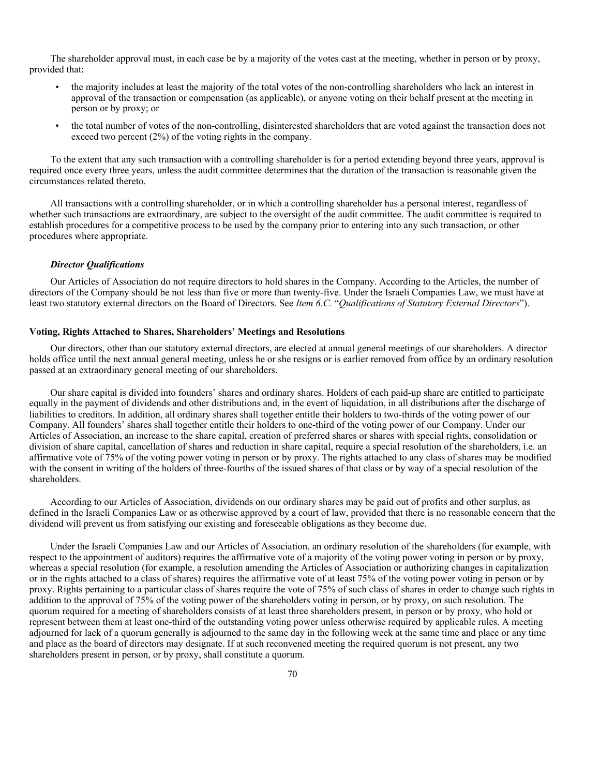The shareholder approval must, in each case be by a majority of the votes cast at the meeting, whether in person or by proxy, provided that:

- the majority includes at least the majority of the total votes of the non-controlling shareholders who lack an interest in approval of the transaction or compensation (as applicable), or anyone voting on their behalf present at the meeting in person or by proxy; or
- the total number of votes of the non-controlling, disinterested shareholders that are voted against the transaction does not exceed two percent (2%) of the voting rights in the company.

To the extent that any such transaction with a controlling shareholder is for a period extending beyond three years, approval is required once every three years, unless the audit committee determines that the duration of the transaction is reasonable given the circumstances related thereto.

All transactions with a controlling shareholder, or in which a controlling shareholder has a personal interest, regardless of whether such transactions are extraordinary, are subject to the oversight of the audit committee. The audit committee is required to establish procedures for a competitive process to be used by the company prior to entering into any such transaction, or other procedures where appropriate.

# *Director Qualifications*

Our Articles of Association do not require directors to hold shares in the Company. According to the Articles, the number of directors of the Company should be not less than five or more than twenty-five. Under the Israeli Companies Law, we must have at least two statutory external directors on the Board of Directors. See *Item 6.C.* "*Qualifications of Statutory External Directors*").

# **Voting, Rights Attached to Shares, Shareholders' Meetings and Resolutions**

Our directors, other than our statutory external directors, are elected at annual general meetings of our shareholders. A director holds office until the next annual general meeting, unless he or she resigns or is earlier removed from office by an ordinary resolution passed at an extraordinary general meeting of our shareholders.

Our share capital is divided into founders' shares and ordinary shares. Holders of each paid-up share are entitled to participate equally in the payment of dividends and other distributions and, in the event of liquidation, in all distributions after the discharge of liabilities to creditors. In addition, all ordinary shares shall together entitle their holders to two-thirds of the voting power of our Company. All founders' shares shall together entitle their holders to one-third of the voting power of our Company. Under our Articles of Association, an increase to the share capital, creation of preferred shares or shares with special rights, consolidation or division of share capital, cancellation of shares and reduction in share capital, require a special resolution of the shareholders, i.e. an affirmative vote of 75% of the voting power voting in person or by proxy. The rights attached to any class of shares may be modified with the consent in writing of the holders of three-fourths of the issued shares of that class or by way of a special resolution of the shareholders.

According to our Articles of Association, dividends on our ordinary shares may be paid out of profits and other surplus, as defined in the Israeli Companies Law or as otherwise approved by a court of law, provided that there is no reasonable concern that the dividend will prevent us from satisfying our existing and foreseeable obligations as they become due.

Under the Israeli Companies Law and our Articles of Association, an ordinary resolution of the shareholders (for example, with respect to the appointment of auditors) requires the affirmative vote of a majority of the voting power voting in person or by proxy, whereas a special resolution (for example, a resolution amending the Articles of Association or authorizing changes in capitalization or in the rights attached to a class of shares) requires the affirmative vote of at least 75% of the voting power voting in person or by proxy. Rights pertaining to a particular class of shares require the vote of 75% of such class of shares in order to change such rights in addition to the approval of 75% of the voting power of the shareholders voting in person, or by proxy, on such resolution. The quorum required for a meeting of shareholders consists of at least three shareholders present, in person or by proxy, who hold or represent between them at least one-third of the outstanding voting power unless otherwise required by applicable rules. A meeting adjourned for lack of a quorum generally is adjourned to the same day in the following week at the same time and place or any time and place as the board of directors may designate. If at such reconvened meeting the required quorum is not present, any two shareholders present in person, or by proxy, shall constitute a quorum.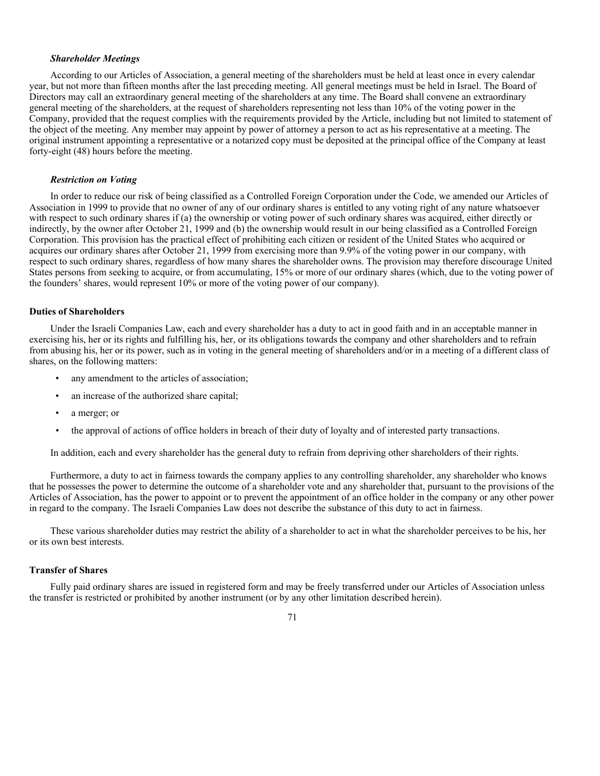### *Shareholder Meetings*

According to our Articles of Association, a general meeting of the shareholders must be held at least once in every calendar year, but not more than fifteen months after the last preceding meeting. All general meetings must be held in Israel. The Board of Directors may call an extraordinary general meeting of the shareholders at any time. The Board shall convene an extraordinary general meeting of the shareholders, at the request of shareholders representing not less than 10% of the voting power in the Company, provided that the request complies with the requirements provided by the Article, including but not limited to statement of the object of the meeting. Any member may appoint by power of attorney a person to act as his representative at a meeting. The original instrument appointing a representative or a notarized copy must be deposited at the principal office of the Company at least forty-eight (48) hours before the meeting.

### *Restriction on Voting*

In order to reduce our risk of being classified as a Controlled Foreign Corporation under the Code, we amended our Articles of Association in 1999 to provide that no owner of any of our ordinary shares is entitled to any voting right of any nature whatsoever with respect to such ordinary shares if (a) the ownership or voting power of such ordinary shares was acquired, either directly or indirectly, by the owner after October 21, 1999 and (b) the ownership would result in our being classified as a Controlled Foreign Corporation. This provision has the practical effect of prohibiting each citizen or resident of the United States who acquired or acquires our ordinary shares after October 21, 1999 from exercising more than 9.9% of the voting power in our company, with respect to such ordinary shares, regardless of how many shares the shareholder owns. The provision may therefore discourage United States persons from seeking to acquire, or from accumulating, 15% or more of our ordinary shares (which, due to the voting power of the founders' shares, would represent 10% or more of the voting power of our company).

### **Duties of Shareholders**

Under the Israeli Companies Law, each and every shareholder has a duty to act in good faith and in an acceptable manner in exercising his, her or its rights and fulfilling his, her, or its obligations towards the company and other shareholders and to refrain from abusing his, her or its power, such as in voting in the general meeting of shareholders and/or in a meeting of a different class of shares, on the following matters:

- any amendment to the articles of association;
- an increase of the authorized share capital;
- a merger; or
- the approval of actions of office holders in breach of their duty of loyalty and of interested party transactions.

In addition, each and every shareholder has the general duty to refrain from depriving other shareholders of their rights.

Furthermore, a duty to act in fairness towards the company applies to any controlling shareholder, any shareholder who knows that he possesses the power to determine the outcome of a shareholder vote and any shareholder that, pursuant to the provisions of the Articles of Association, has the power to appoint or to prevent the appointment of an office holder in the company or any other power in regard to the company. The Israeli Companies Law does not describe the substance of this duty to act in fairness.

These various shareholder duties may restrict the ability of a shareholder to act in what the shareholder perceives to be his, her or its own best interests.

#### **Transfer of Shares**

Fully paid ordinary shares are issued in registered form and may be freely transferred under our Articles of Association unless the transfer is restricted or prohibited by another instrument (or by any other limitation described herein).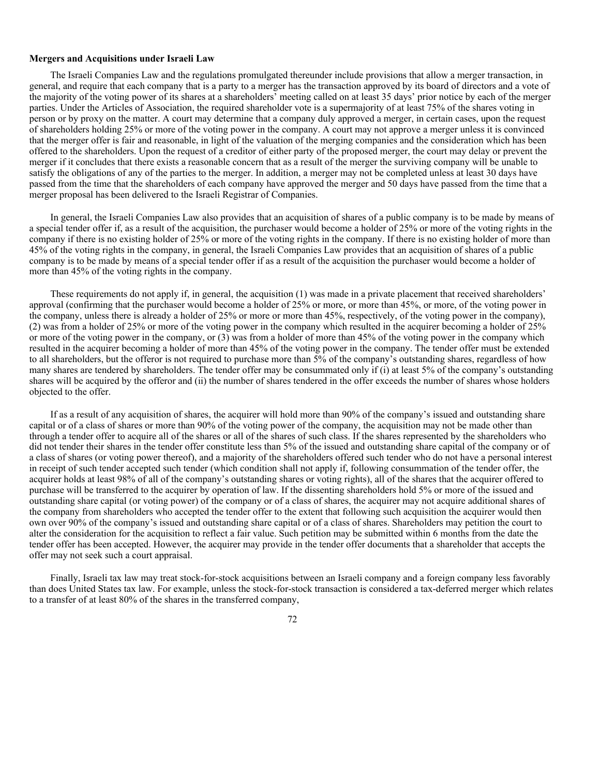# **Mergers and Acquisitions under Israeli Law**

The Israeli Companies Law and the regulations promulgated thereunder include provisions that allow a merger transaction, in general, and require that each company that is a party to a merger has the transaction approved by its board of directors and a vote of the majority of the voting power of its shares at a shareholders' meeting called on at least 35 days' prior notice by each of the merger parties. Under the Articles of Association, the required shareholder vote is a supermajority of at least 75% of the shares voting in person or by proxy on the matter. A court may determine that a company duly approved a merger, in certain cases, upon the request of shareholders holding 25% or more of the voting power in the company. A court may not approve a merger unless it is convinced that the merger offer is fair and reasonable, in light of the valuation of the merging companies and the consideration which has been offered to the shareholders. Upon the request of a creditor of either party of the proposed merger, the court may delay or prevent the merger if it concludes that there exists a reasonable concern that as a result of the merger the surviving company will be unable to satisfy the obligations of any of the parties to the merger. In addition, a merger may not be completed unless at least 30 days have passed from the time that the shareholders of each company have approved the merger and 50 days have passed from the time that a merger proposal has been delivered to the Israeli Registrar of Companies.

In general, the Israeli Companies Law also provides that an acquisition of shares of a public company is to be made by means of a special tender offer if, as a result of the acquisition, the purchaser would become a holder of 25% or more of the voting rights in the company if there is no existing holder of 25% or more of the voting rights in the company. If there is no existing holder of more than 45% of the voting rights in the company, in general, the Israeli Companies Law provides that an acquisition of shares of a public company is to be made by means of a special tender offer if as a result of the acquisition the purchaser would become a holder of more than 45% of the voting rights in the company.

These requirements do not apply if, in general, the acquisition (1) was made in a private placement that received shareholders' approval (confirming that the purchaser would become a holder of 25% or more, or more than 45%, or more, of the voting power in the company, unless there is already a holder of 25% or more or more than 45%, respectively, of the voting power in the company), (2) was from a holder of 25% or more of the voting power in the company which resulted in the acquirer becoming a holder of 25% or more of the voting power in the company, or (3) was from a holder of more than 45% of the voting power in the company which resulted in the acquirer becoming a holder of more than 45% of the voting power in the company. The tender offer must be extended to all shareholders, but the offeror is not required to purchase more than 5% of the company's outstanding shares, regardless of how many shares are tendered by shareholders. The tender offer may be consummated only if (i) at least 5% of the company's outstanding shares will be acquired by the offeror and (ii) the number of shares tendered in the offer exceeds the number of shares whose holders objected to the offer.

If as a result of any acquisition of shares, the acquirer will hold more than 90% of the company's issued and outstanding share capital or of a class of shares or more than 90% of the voting power of the company, the acquisition may not be made other than through a tender offer to acquire all of the shares or all of the shares of such class. If the shares represented by the shareholders who did not tender their shares in the tender offer constitute less than 5% of the issued and outstanding share capital of the company or of a class of shares (or voting power thereof), and a majority of the shareholders offered such tender who do not have a personal interest in receipt of such tender accepted such tender (which condition shall not apply if, following consummation of the tender offer, the acquirer holds at least 98% of all of the company's outstanding shares or voting rights), all of the shares that the acquirer offered to purchase will be transferred to the acquirer by operation of law. If the dissenting shareholders hold 5% or more of the issued and outstanding share capital (or voting power) of the company or of a class of shares, the acquirer may not acquire additional shares of the company from shareholders who accepted the tender offer to the extent that following such acquisition the acquirer would then own over 90% of the company's issued and outstanding share capital or of a class of shares. Shareholders may petition the court to alter the consideration for the acquisition to reflect a fair value. Such petition may be submitted within 6 months from the date the tender offer has been accepted. However, the acquirer may provide in the tender offer documents that a shareholder that accepts the offer may not seek such a court appraisal.

Finally, Israeli tax law may treat stock-for-stock acquisitions between an Israeli company and a foreign company less favorably than does United States tax law. For example, unless the stock-for-stock transaction is considered a tax-deferred merger which relates to a transfer of at least 80% of the shares in the transferred company,

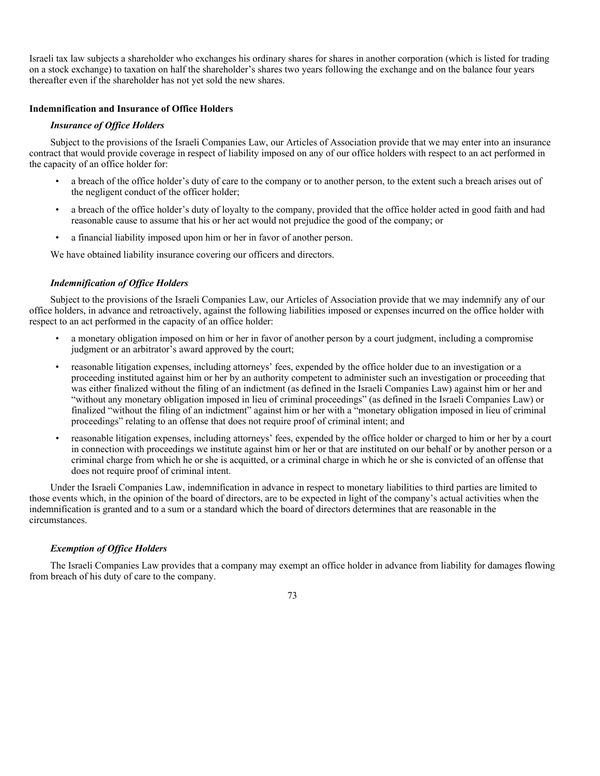Israeli tax law subjects a shareholder who exchanges his ordinary shares for shares in another corporation (which is listed for trading on a stock exchange) to taxation on half the shareholder's shares two years following the exchange and on the balance four years thereafter even if the shareholder has not yet sold the new shares.

### **Indemnification and Insurance of Office Holders**

# *Insurance of Office Holders*

Subject to the provisions of the Israeli Companies Law, our Articles of Association provide that we may enter into an insurance contract that would provide coverage in respect of liability imposed on any of our office holders with respect to an act performed in the capacity of an office holder for:

- a breach of the office holder's duty of care to the company or to another person, to the extent such a breach arises out of the negligent conduct of the officer holder;
- a breach of the office holder's duty of loyalty to the company, provided that the office holder acted in good faith and had reasonable cause to assume that his or her act would not prejudice the good of the company; or
- a financial liability imposed upon him or her in favor of another person.

We have obtained liability insurance covering our officers and directors.

# *Indemnification of Office Holders*

Subject to the provisions of the Israeli Companies Law, our Articles of Association provide that we may indemnify any of our office holders, in advance and retroactively, against the following liabilities imposed or expenses incurred on the office holder with respect to an act performed in the capacity of an office holder:

- a monetary obligation imposed on him or her in favor of another person by a court judgment, including a compromise judgment or an arbitrator's award approved by the court;
- reasonable litigation expenses, including attorneys' fees, expended by the office holder due to an investigation or a proceeding instituted against him or her by an authority competent to administer such an investigation or proceeding that was either finalized without the filing of an indictment (as defined in the Israeli Companies Law) against him or her and "without any monetary obligation imposed in lieu of criminal proceedings" (as defined in the Israeli Companies Law) or finalized "without the filing of an indictment" against him or her with a "monetary obligation imposed in lieu of criminal proceedings" relating to an offense that does not require proof of criminal intent; and
- reasonable litigation expenses, including attorneys' fees, expended by the office holder or charged to him or her by a court in connection with proceedings we institute against him or her or that are instituted on our behalf or by another person or a criminal charge from which he or she is acquitted, or a criminal charge in which he or she is convicted of an offense that does not require proof of criminal intent.

Under the Israeli Companies Law, indemnification in advance in respect to monetary liabilities to third parties are limited to those events which, in the opinion of the board of directors, are to be expected in light of the company's actual activities when the indemnification is granted and to a sum or a standard which the board of directors determines that are reasonable in the circumstances.

# *Exemption of Office Holders*

The Israeli Companies Law provides that a company may exempt an office holder in advance from liability for damages flowing from breach of his duty of care to the company.

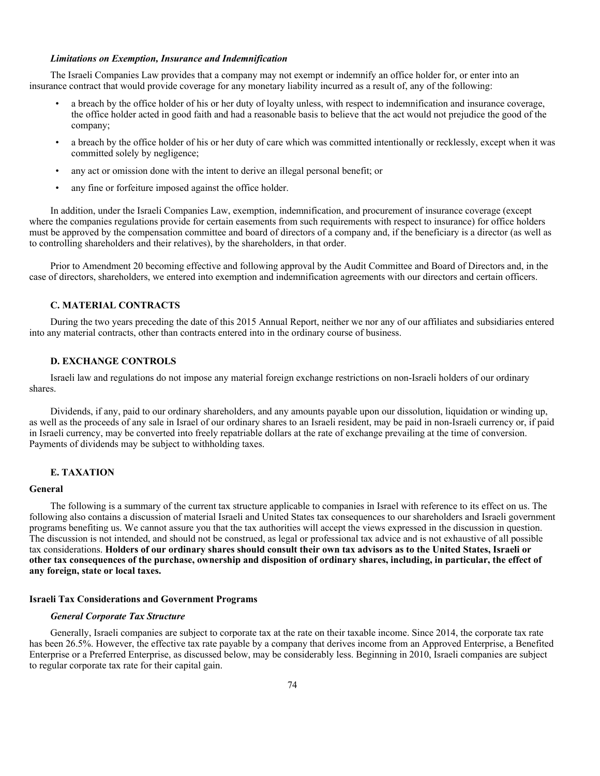### *Limitations on Exemption, Insurance and Indemnification*

The Israeli Companies Law provides that a company may not exempt or indemnify an office holder for, or enter into an insurance contract that would provide coverage for any monetary liability incurred as a result of, any of the following:

- a breach by the office holder of his or her duty of loyalty unless, with respect to indemnification and insurance coverage, the office holder acted in good faith and had a reasonable basis to believe that the act would not prejudice the good of the company;
- a breach by the office holder of his or her duty of care which was committed intentionally or recklessly, except when it was committed solely by negligence;
- any act or omission done with the intent to derive an illegal personal benefit; or
- any fine or forfeiture imposed against the office holder.

In addition, under the Israeli Companies Law, exemption, indemnification, and procurement of insurance coverage (except where the companies regulations provide for certain easements from such requirements with respect to insurance) for office holders must be approved by the compensation committee and board of directors of a company and, if the beneficiary is a director (as well as to controlling shareholders and their relatives), by the shareholders, in that order.

Prior to Amendment 20 becoming effective and following approval by the Audit Committee and Board of Directors and, in the case of directors, shareholders, we entered into exemption and indemnification agreements with our directors and certain officers.

### **C. MATERIAL CONTRACTS**

During the two years preceding the date of this 2015 Annual Report, neither we nor any of our affiliates and subsidiaries entered into any material contracts, other than contracts entered into in the ordinary course of business.

# **D. EXCHANGE CONTROLS**

Israeli law and regulations do not impose any material foreign exchange restrictions on non-Israeli holders of our ordinary shares.

Dividends, if any, paid to our ordinary shareholders, and any amounts payable upon our dissolution, liquidation or winding up, as well as the proceeds of any sale in Israel of our ordinary shares to an Israeli resident, may be paid in non-Israeli currency or, if paid in Israeli currency, may be converted into freely repatriable dollars at the rate of exchange prevailing at the time of conversion. Payments of dividends may be subject to withholding taxes.

# **E. TAXATION**

### **General**

The following is a summary of the current tax structure applicable to companies in Israel with reference to its effect on us. The following also contains a discussion of material Israeli and United States tax consequences to our shareholders and Israeli government programs benefiting us. We cannot assure you that the tax authorities will accept the views expressed in the discussion in question. The discussion is not intended, and should not be construed, as legal or professional tax advice and is not exhaustive of all possible tax considerations. **Holders of our ordinary shares should consult their own tax advisors as to the United States, Israeli or other tax consequences of the purchase, ownership and disposition of ordinary shares, including, in particular, the effect of any foreign, state or local taxes.** 

### **Israeli Tax Considerations and Government Programs**

#### *General Corporate Tax Structure*

Generally, Israeli companies are subject to corporate tax at the rate on their taxable income. Since 2014, the corporate tax rate has been 26.5%. However, the effective tax rate payable by a company that derives income from an Approved Enterprise, a Benefited Enterprise or a Preferred Enterprise, as discussed below, may be considerably less. Beginning in 2010, Israeli companies are subject to regular corporate tax rate for their capital gain.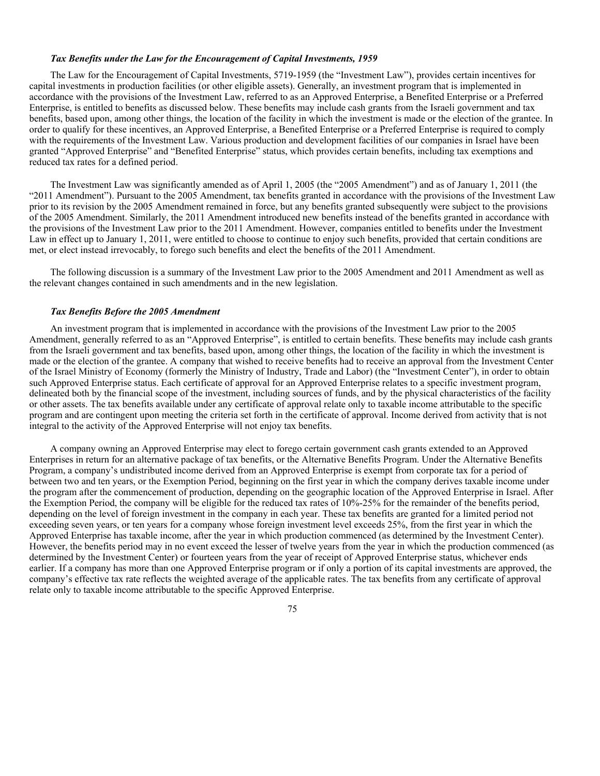# *Tax Benefits under the Law for the Encouragement of Capital Investments, 1959*

The Law for the Encouragement of Capital Investments, 5719-1959 (the "Investment Law"), provides certain incentives for capital investments in production facilities (or other eligible assets). Generally, an investment program that is implemented in accordance with the provisions of the Investment Law, referred to as an Approved Enterprise, a Benefited Enterprise or a Preferred Enterprise, is entitled to benefits as discussed below. These benefits may include cash grants from the Israeli government and tax benefits, based upon, among other things, the location of the facility in which the investment is made or the election of the grantee. In order to qualify for these incentives, an Approved Enterprise, a Benefited Enterprise or a Preferred Enterprise is required to comply with the requirements of the Investment Law. Various production and development facilities of our companies in Israel have been granted "Approved Enterprise" and "Benefited Enterprise" status, which provides certain benefits, including tax exemptions and reduced tax rates for a defined period.

The Investment Law was significantly amended as of April 1, 2005 (the "2005 Amendment") and as of January 1, 2011 (the "2011 Amendment"). Pursuant to the 2005 Amendment, tax benefits granted in accordance with the provisions of the Investment Law prior to its revision by the 2005 Amendment remained in force, but any benefits granted subsequently were subject to the provisions of the 2005 Amendment. Similarly, the 2011 Amendment introduced new benefits instead of the benefits granted in accordance with the provisions of the Investment Law prior to the 2011 Amendment. However, companies entitled to benefits under the Investment Law in effect up to January 1, 2011, were entitled to choose to continue to enjoy such benefits, provided that certain conditions are met, or elect instead irrevocably, to forego such benefits and elect the benefits of the 2011 Amendment.

The following discussion is a summary of the Investment Law prior to the 2005 Amendment and 2011 Amendment as well as the relevant changes contained in such amendments and in the new legislation.

### *Tax Benefits Before the 2005 Amendment*

An investment program that is implemented in accordance with the provisions of the Investment Law prior to the 2005 Amendment, generally referred to as an "Approved Enterprise", is entitled to certain benefits. These benefits may include cash grants from the Israeli government and tax benefits, based upon, among other things, the location of the facility in which the investment is made or the election of the grantee. A company that wished to receive benefits had to receive an approval from the Investment Center of the Israel Ministry of Economy (formerly the Ministry of Industry, Trade and Labor) (the "Investment Center"), in order to obtain such Approved Enterprise status. Each certificate of approval for an Approved Enterprise relates to a specific investment program, delineated both by the financial scope of the investment, including sources of funds, and by the physical characteristics of the facility or other assets. The tax benefits available under any certificate of approval relate only to taxable income attributable to the specific program and are contingent upon meeting the criteria set forth in the certificate of approval. Income derived from activity that is not integral to the activity of the Approved Enterprise will not enjoy tax benefits.

A company owning an Approved Enterprise may elect to forego certain government cash grants extended to an Approved Enterprises in return for an alternative package of tax benefits, or the Alternative Benefits Program. Under the Alternative Benefits Program, a company's undistributed income derived from an Approved Enterprise is exempt from corporate tax for a period of between two and ten years, or the Exemption Period, beginning on the first year in which the company derives taxable income under the program after the commencement of production, depending on the geographic location of the Approved Enterprise in Israel. After the Exemption Period, the company will be eligible for the reduced tax rates of 10%-25% for the remainder of the benefits period, depending on the level of foreign investment in the company in each year. These tax benefits are granted for a limited period not exceeding seven years, or ten years for a company whose foreign investment level exceeds 25%, from the first year in which the Approved Enterprise has taxable income, after the year in which production commenced (as determined by the Investment Center). However, the benefits period may in no event exceed the lesser of twelve years from the year in which the production commenced (as determined by the Investment Center) or fourteen years from the year of receipt of Approved Enterprise status, whichever ends earlier. If a company has more than one Approved Enterprise program or if only a portion of its capital investments are approved, the company's effective tax rate reflects the weighted average of the applicable rates. The tax benefits from any certificate of approval relate only to taxable income attributable to the specific Approved Enterprise.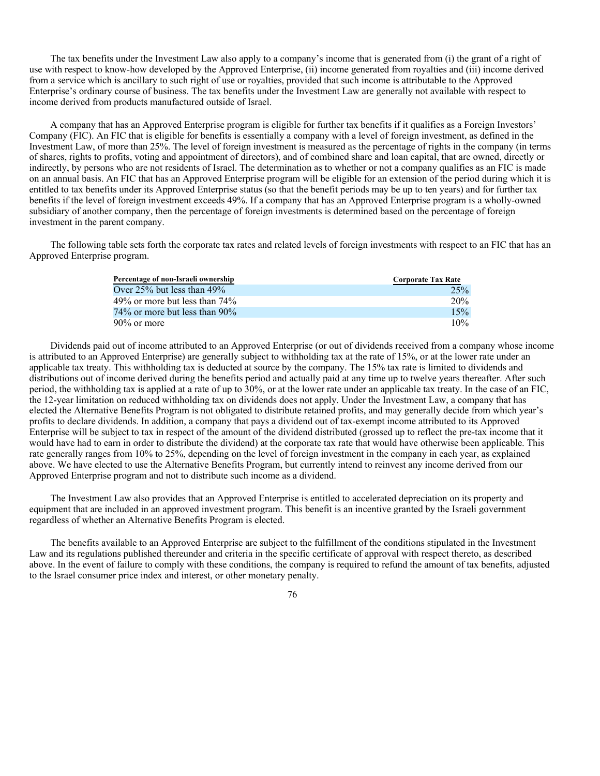The tax benefits under the Investment Law also apply to a company's income that is generated from (i) the grant of a right of use with respect to know-how developed by the Approved Enterprise, (ii) income generated from royalties and (iii) income derived from a service which is ancillary to such right of use or royalties, provided that such income is attributable to the Approved Enterprise's ordinary course of business. The tax benefits under the Investment Law are generally not available with respect to income derived from products manufactured outside of Israel.

A company that has an Approved Enterprise program is eligible for further tax benefits if it qualifies as a Foreign Investors' Company (FIC). An FIC that is eligible for benefits is essentially a company with a level of foreign investment, as defined in the Investment Law, of more than 25%. The level of foreign investment is measured as the percentage of rights in the company (in terms of shares, rights to profits, voting and appointment of directors), and of combined share and loan capital, that are owned, directly or indirectly, by persons who are not residents of Israel. The determination as to whether or not a company qualifies as an FIC is made on an annual basis. An FIC that has an Approved Enterprise program will be eligible for an extension of the period during which it is entitled to tax benefits under its Approved Enterprise status (so that the benefit periods may be up to ten years) and for further tax benefits if the level of foreign investment exceeds 49%. If a company that has an Approved Enterprise program is a wholly-owned subsidiary of another company, then the percentage of foreign investments is determined based on the percentage of foreign investment in the parent company.

The following table sets forth the corporate tax rates and related levels of foreign investments with respect to an FIC that has an Approved Enterprise program.

| Percentage of non-Israeli ownership | <b>Corporate Tax Rate</b> |
|-------------------------------------|---------------------------|
| Over 25% but less than $49\%$       | 25%                       |
| 49% or more but less than $74\%$    | 20%                       |
| 74% or more but less than $90\%$    | 15%                       |
| $90\%$ or more                      | $10\%$                    |

Dividends paid out of income attributed to an Approved Enterprise (or out of dividends received from a company whose income is attributed to an Approved Enterprise) are generally subject to withholding tax at the rate of 15%, or at the lower rate under an applicable tax treaty. This withholding tax is deducted at source by the company. The 15% tax rate is limited to dividends and distributions out of income derived during the benefits period and actually paid at any time up to twelve years thereafter. After such period, the withholding tax is applied at a rate of up to 30%, or at the lower rate under an applicable tax treaty. In the case of an FIC, the 12-year limitation on reduced withholding tax on dividends does not apply. Under the Investment Law, a company that has elected the Alternative Benefits Program is not obligated to distribute retained profits, and may generally decide from which year's profits to declare dividends. In addition, a company that pays a dividend out of tax-exempt income attributed to its Approved Enterprise will be subject to tax in respect of the amount of the dividend distributed (grossed up to reflect the pre-tax income that it would have had to earn in order to distribute the dividend) at the corporate tax rate that would have otherwise been applicable. This rate generally ranges from 10% to 25%, depending on the level of foreign investment in the company in each year, as explained above. We have elected to use the Alternative Benefits Program, but currently intend to reinvest any income derived from our Approved Enterprise program and not to distribute such income as a dividend.

The Investment Law also provides that an Approved Enterprise is entitled to accelerated depreciation on its property and equipment that are included in an approved investment program. This benefit is an incentive granted by the Israeli government regardless of whether an Alternative Benefits Program is elected.

The benefits available to an Approved Enterprise are subject to the fulfillment of the conditions stipulated in the Investment Law and its regulations published thereunder and criteria in the specific certificate of approval with respect thereto, as described above. In the event of failure to comply with these conditions, the company is required to refund the amount of tax benefits, adjusted to the Israel consumer price index and interest, or other monetary penalty.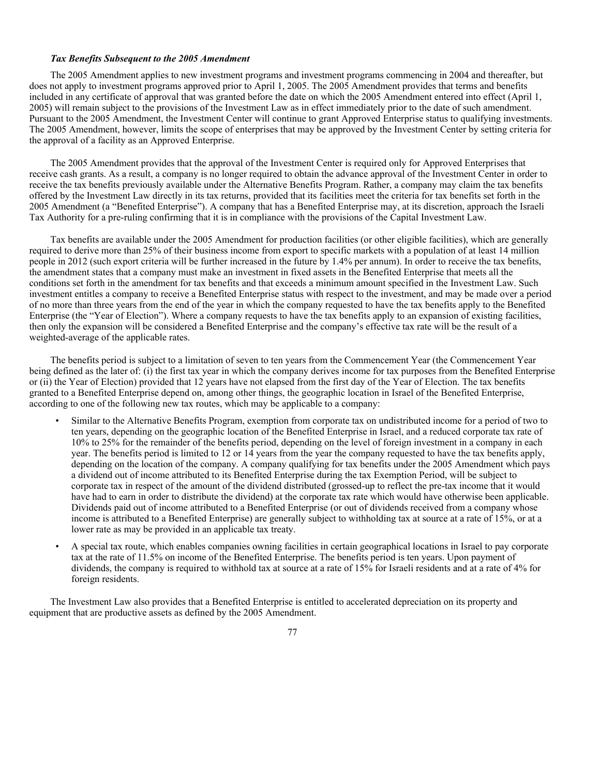# *Tax Benefits Subsequent to the 2005 Amendment*

The 2005 Amendment applies to new investment programs and investment programs commencing in 2004 and thereafter, but does not apply to investment programs approved prior to April 1, 2005. The 2005 Amendment provides that terms and benefits included in any certificate of approval that was granted before the date on which the 2005 Amendment entered into effect (April 1, 2005) will remain subject to the provisions of the Investment Law as in effect immediately prior to the date of such amendment. Pursuant to the 2005 Amendment, the Investment Center will continue to grant Approved Enterprise status to qualifying investments. The 2005 Amendment, however, limits the scope of enterprises that may be approved by the Investment Center by setting criteria for the approval of a facility as an Approved Enterprise.

The 2005 Amendment provides that the approval of the Investment Center is required only for Approved Enterprises that receive cash grants. As a result, a company is no longer required to obtain the advance approval of the Investment Center in order to receive the tax benefits previously available under the Alternative Benefits Program. Rather, a company may claim the tax benefits offered by the Investment Law directly in its tax returns, provided that its facilities meet the criteria for tax benefits set forth in the 2005 Amendment (a "Benefited Enterprise"). A company that has a Benefited Enterprise may, at its discretion, approach the Israeli Tax Authority for a pre-ruling confirming that it is in compliance with the provisions of the Capital Investment Law.

Tax benefits are available under the 2005 Amendment for production facilities (or other eligible facilities), which are generally required to derive more than 25% of their business income from export to specific markets with a population of at least 14 million people in 2012 (such export criteria will be further increased in the future by 1.4% per annum). In order to receive the tax benefits, the amendment states that a company must make an investment in fixed assets in the Benefited Enterprise that meets all the conditions set forth in the amendment for tax benefits and that exceeds a minimum amount specified in the Investment Law. Such investment entitles a company to receive a Benefited Enterprise status with respect to the investment, and may be made over a period of no more than three years from the end of the year in which the company requested to have the tax benefits apply to the Benefited Enterprise (the "Year of Election"). Where a company requests to have the tax benefits apply to an expansion of existing facilities, then only the expansion will be considered a Benefited Enterprise and the company's effective tax rate will be the result of a weighted-average of the applicable rates.

The benefits period is subject to a limitation of seven to ten years from the Commencement Year (the Commencement Year being defined as the later of: (i) the first tax year in which the company derives income for tax purposes from the Benefited Enterprise or (ii) the Year of Election) provided that 12 years have not elapsed from the first day of the Year of Election. The tax benefits granted to a Benefited Enterprise depend on, among other things, the geographic location in Israel of the Benefited Enterprise, according to one of the following new tax routes, which may be applicable to a company:

- Similar to the Alternative Benefits Program, exemption from corporate tax on undistributed income for a period of two to ten years, depending on the geographic location of the Benefited Enterprise in Israel, and a reduced corporate tax rate of 10% to 25% for the remainder of the benefits period, depending on the level of foreign investment in a company in each year. The benefits period is limited to 12 or 14 years from the year the company requested to have the tax benefits apply, depending on the location of the company. A company qualifying for tax benefits under the 2005 Amendment which pays a dividend out of income attributed to its Benefited Enterprise during the tax Exemption Period, will be subject to corporate tax in respect of the amount of the dividend distributed (grossed-up to reflect the pre-tax income that it would have had to earn in order to distribute the dividend) at the corporate tax rate which would have otherwise been applicable. Dividends paid out of income attributed to a Benefited Enterprise (or out of dividends received from a company whose income is attributed to a Benefited Enterprise) are generally subject to withholding tax at source at a rate of 15%, or at a lower rate as may be provided in an applicable tax treaty.
- A special tax route, which enables companies owning facilities in certain geographical locations in Israel to pay corporate tax at the rate of 11.5% on income of the Benefited Enterprise. The benefits period is ten years. Upon payment of dividends, the company is required to withhold tax at source at a rate of 15% for Israeli residents and at a rate of 4% for foreign residents.

The Investment Law also provides that a Benefited Enterprise is entitled to accelerated depreciation on its property and equipment that are productive assets as defined by the 2005 Amendment.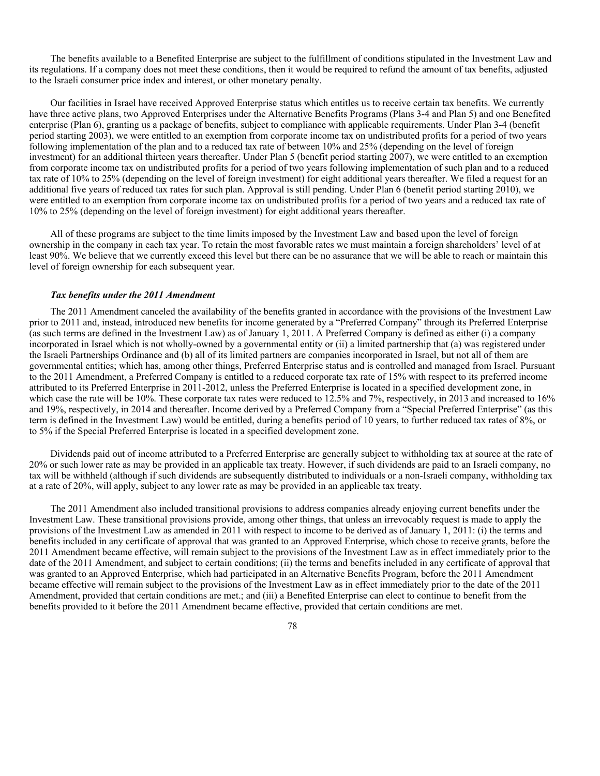The benefits available to a Benefited Enterprise are subject to the fulfillment of conditions stipulated in the Investment Law and its regulations. If a company does not meet these conditions, then it would be required to refund the amount of tax benefits, adjusted to the Israeli consumer price index and interest, or other monetary penalty.

Our facilities in Israel have received Approved Enterprise status which entitles us to receive certain tax benefits. We currently have three active plans, two Approved Enterprises under the Alternative Benefits Programs (Plans 3-4 and Plan 5) and one Benefited enterprise (Plan 6), granting us a package of benefits, subject to compliance with applicable requirements. Under Plan 3-4 (benefit period starting 2003), we were entitled to an exemption from corporate income tax on undistributed profits for a period of two years following implementation of the plan and to a reduced tax rate of between 10% and 25% (depending on the level of foreign investment) for an additional thirteen years thereafter. Under Plan 5 (benefit period starting 2007), we were entitled to an exemption from corporate income tax on undistributed profits for a period of two years following implementation of such plan and to a reduced tax rate of 10% to 25% (depending on the level of foreign investment) for eight additional years thereafter. We filed a request for an additional five years of reduced tax rates for such plan. Approval is still pending. Under Plan 6 (benefit period starting 2010), we were entitled to an exemption from corporate income tax on undistributed profits for a period of two years and a reduced tax rate of 10% to 25% (depending on the level of foreign investment) for eight additional years thereafter.

All of these programs are subject to the time limits imposed by the Investment Law and based upon the level of foreign ownership in the company in each tax year. To retain the most favorable rates we must maintain a foreign shareholders' level of at least 90%. We believe that we currently exceed this level but there can be no assurance that we will be able to reach or maintain this level of foreign ownership for each subsequent year.

### *Tax benefits under the 2011 Amendment*

The 2011 Amendment canceled the availability of the benefits granted in accordance with the provisions of the Investment Law prior to 2011 and, instead, introduced new benefits for income generated by a "Preferred Company" through its Preferred Enterprise (as such terms are defined in the Investment Law) as of January 1, 2011. A Preferred Company is defined as either (i) a company incorporated in Israel which is not wholly-owned by a governmental entity or (ii) a limited partnership that (a) was registered under the Israeli Partnerships Ordinance and (b) all of its limited partners are companies incorporated in Israel, but not all of them are governmental entities; which has, among other things, Preferred Enterprise status and is controlled and managed from Israel. Pursuant to the 2011 Amendment, a Preferred Company is entitled to a reduced corporate tax rate of 15% with respect to its preferred income attributed to its Preferred Enterprise in 2011-2012, unless the Preferred Enterprise is located in a specified development zone, in which case the rate will be 10%. These corporate tax rates were reduced to 12.5% and 7%, respectively, in 2013 and increased to 16% and 19%, respectively, in 2014 and thereafter. Income derived by a Preferred Company from a "Special Preferred Enterprise" (as this term is defined in the Investment Law) would be entitled, during a benefits period of 10 years, to further reduced tax rates of 8%, or to 5% if the Special Preferred Enterprise is located in a specified development zone.

Dividends paid out of income attributed to a Preferred Enterprise are generally subject to withholding tax at source at the rate of 20% or such lower rate as may be provided in an applicable tax treaty. However, if such dividends are paid to an Israeli company, no tax will be withheld (although if such dividends are subsequently distributed to individuals or a non-Israeli company, withholding tax at a rate of 20%, will apply, subject to any lower rate as may be provided in an applicable tax treaty.

The 2011 Amendment also included transitional provisions to address companies already enjoying current benefits under the Investment Law. These transitional provisions provide, among other things, that unless an irrevocably request is made to apply the provisions of the Investment Law as amended in 2011 with respect to income to be derived as of January 1, 2011: (i) the terms and benefits included in any certificate of approval that was granted to an Approved Enterprise, which chose to receive grants, before the 2011 Amendment became effective, will remain subject to the provisions of the Investment Law as in effect immediately prior to the date of the 2011 Amendment, and subject to certain conditions; (ii) the terms and benefits included in any certificate of approval that was granted to an Approved Enterprise, which had participated in an Alternative Benefits Program, before the 2011 Amendment became effective will remain subject to the provisions of the Investment Law as in effect immediately prior to the date of the 2011 Amendment, provided that certain conditions are met.; and (iii) a Benefited Enterprise can elect to continue to benefit from the benefits provided to it before the 2011 Amendment became effective, provided that certain conditions are met.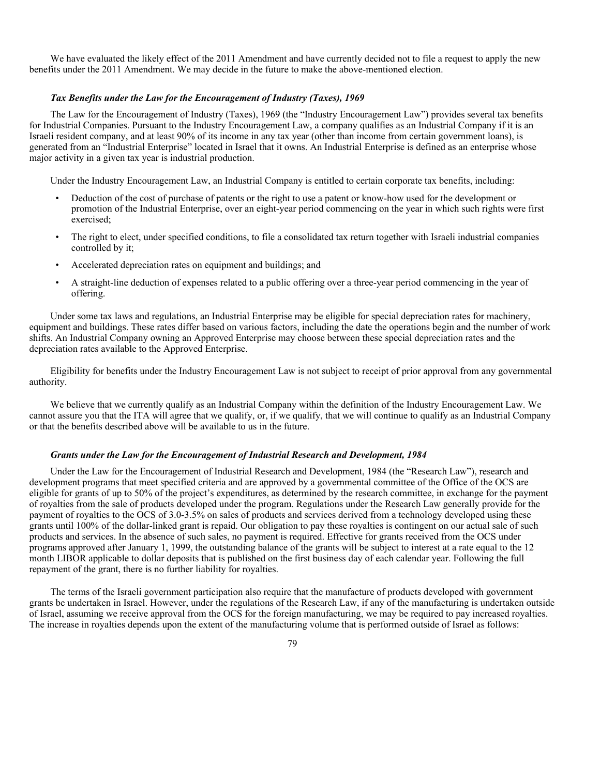We have evaluated the likely effect of the 2011 Amendment and have currently decided not to file a request to apply the new benefits under the 2011 Amendment. We may decide in the future to make the above-mentioned election.

### *Tax Benefits under the Law for the Encouragement of Industry (Taxes), 1969*

The Law for the Encouragement of Industry (Taxes), 1969 (the "Industry Encouragement Law") provides several tax benefits for Industrial Companies. Pursuant to the Industry Encouragement Law, a company qualifies as an Industrial Company if it is an Israeli resident company, and at least 90% of its income in any tax year (other than income from certain government loans), is generated from an "Industrial Enterprise" located in Israel that it owns. An Industrial Enterprise is defined as an enterprise whose major activity in a given tax year is industrial production.

Under the Industry Encouragement Law, an Industrial Company is entitled to certain corporate tax benefits, including:

- Deduction of the cost of purchase of patents or the right to use a patent or know-how used for the development or promotion of the Industrial Enterprise, over an eight-year period commencing on the year in which such rights were first exercised;
- The right to elect, under specified conditions, to file a consolidated tax return together with Israeli industrial companies controlled by it;
- Accelerated depreciation rates on equipment and buildings; and
- A straight-line deduction of expenses related to a public offering over a three-year period commencing in the year of offering.

Under some tax laws and regulations, an Industrial Enterprise may be eligible for special depreciation rates for machinery, equipment and buildings. These rates differ based on various factors, including the date the operations begin and the number of work shifts. An Industrial Company owning an Approved Enterprise may choose between these special depreciation rates and the depreciation rates available to the Approved Enterprise.

Eligibility for benefits under the Industry Encouragement Law is not subject to receipt of prior approval from any governmental authority.

We believe that we currently qualify as an Industrial Company within the definition of the Industry Encouragement Law. We cannot assure you that the ITA will agree that we qualify, or, if we qualify, that we will continue to qualify as an Industrial Company or that the benefits described above will be available to us in the future.

### *Grants under the Law for the Encouragement of Industrial Research and Development, 1984*

Under the Law for the Encouragement of Industrial Research and Development, 1984 (the "Research Law"), research and development programs that meet specified criteria and are approved by a governmental committee of the Office of the OCS are eligible for grants of up to 50% of the project's expenditures, as determined by the research committee, in exchange for the payment of royalties from the sale of products developed under the program. Regulations under the Research Law generally provide for the payment of royalties to the OCS of 3.0-3.5% on sales of products and services derived from a technology developed using these grants until 100% of the dollar-linked grant is repaid. Our obligation to pay these royalties is contingent on our actual sale of such products and services. In the absence of such sales, no payment is required. Effective for grants received from the OCS under programs approved after January 1, 1999, the outstanding balance of the grants will be subject to interest at a rate equal to the 12 month LIBOR applicable to dollar deposits that is published on the first business day of each calendar year. Following the full repayment of the grant, there is no further liability for royalties.

The terms of the Israeli government participation also require that the manufacture of products developed with government grants be undertaken in Israel. However, under the regulations of the Research Law, if any of the manufacturing is undertaken outside of Israel, assuming we receive approval from the OCS for the foreign manufacturing, we may be required to pay increased royalties. The increase in royalties depends upon the extent of the manufacturing volume that is performed outside of Israel as follows: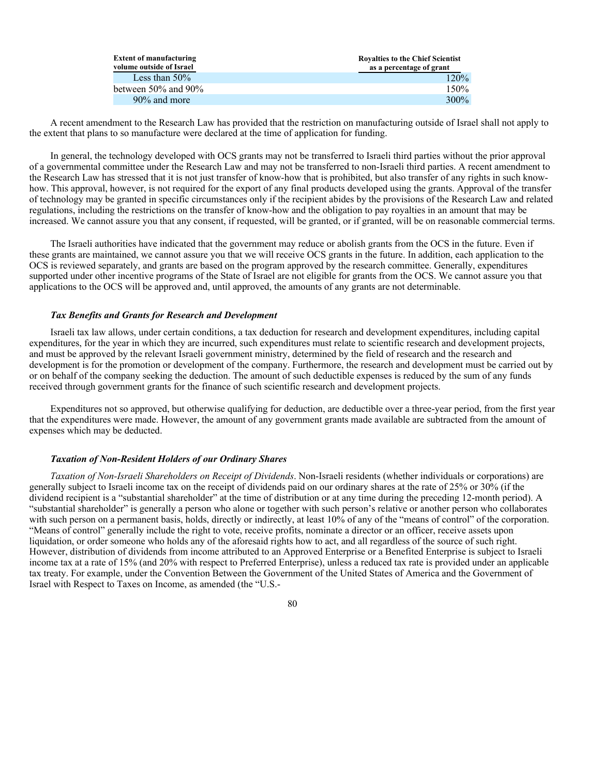| <b>Extent of manufacturing</b> | <b>Royalties to the Chief Scientist</b> |  |
|--------------------------------|-----------------------------------------|--|
| volume outside of Israel       | as a percentage of grant                |  |
| Less than $50\%$               | 120%                                    |  |
| between $50\%$ and $90\%$      | 150%                                    |  |
| 90% and more                   | $300\%$                                 |  |

A recent amendment to the Research Law has provided that the restriction on manufacturing outside of Israel shall not apply to the extent that plans to so manufacture were declared at the time of application for funding.

In general, the technology developed with OCS grants may not be transferred to Israeli third parties without the prior approval of a governmental committee under the Research Law and may not be transferred to non-Israeli third parties. A recent amendment to the Research Law has stressed that it is not just transfer of know-how that is prohibited, but also transfer of any rights in such knowhow. This approval, however, is not required for the export of any final products developed using the grants. Approval of the transfer of technology may be granted in specific circumstances only if the recipient abides by the provisions of the Research Law and related regulations, including the restrictions on the transfer of know-how and the obligation to pay royalties in an amount that may be increased. We cannot assure you that any consent, if requested, will be granted, or if granted, will be on reasonable commercial terms.

The Israeli authorities have indicated that the government may reduce or abolish grants from the OCS in the future. Even if these grants are maintained, we cannot assure you that we will receive OCS grants in the future. In addition, each application to the OCS is reviewed separately, and grants are based on the program approved by the research committee. Generally, expenditures supported under other incentive programs of the State of Israel are not eligible for grants from the OCS. We cannot assure you that applications to the OCS will be approved and, until approved, the amounts of any grants are not determinable.

### *Tax Benefits and Grants for Research and Development*

Israeli tax law allows, under certain conditions, a tax deduction for research and development expenditures, including capital expenditures, for the year in which they are incurred, such expenditures must relate to scientific research and development projects, and must be approved by the relevant Israeli government ministry, determined by the field of research and the research and development is for the promotion or development of the company. Furthermore, the research and development must be carried out by or on behalf of the company seeking the deduction. The amount of such deductible expenses is reduced by the sum of any funds received through government grants for the finance of such scientific research and development projects.

Expenditures not so approved, but otherwise qualifying for deduction, are deductible over a three-year period, from the first year that the expenditures were made. However, the amount of any government grants made available are subtracted from the amount of expenses which may be deducted.

### *Taxation of Non-Resident Holders of our Ordinary Shares*

*Taxation of Non-Israeli Shareholders on Receipt of Dividends*. Non-Israeli residents (whether individuals or corporations) are generally subject to Israeli income tax on the receipt of dividends paid on our ordinary shares at the rate of 25% or 30% (if the dividend recipient is a "substantial shareholder" at the time of distribution or at any time during the preceding 12-month period). A "substantial shareholder" is generally a person who alone or together with such person's relative or another person who collaborates with such person on a permanent basis, holds, directly or indirectly, at least 10% of any of the "means of control" of the corporation. "Means of control" generally include the right to vote, receive profits, nominate a director or an officer, receive assets upon liquidation, or order someone who holds any of the aforesaid rights how to act, and all regardless of the source of such right. However, distribution of dividends from income attributed to an Approved Enterprise or a Benefited Enterprise is subject to Israeli income tax at a rate of 15% (and 20% with respect to Preferred Enterprise), unless a reduced tax rate is provided under an applicable tax treaty. For example, under the Convention Between the Government of the United States of America and the Government of Israel with Respect to Taxes on Income, as amended (the "U.S.-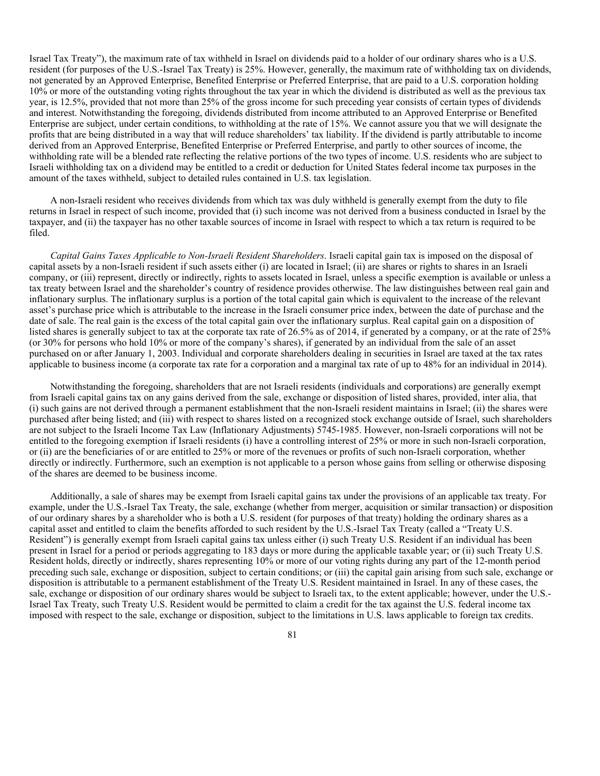Israel Tax Treaty"), the maximum rate of tax withheld in Israel on dividends paid to a holder of our ordinary shares who is a U.S. resident (for purposes of the U.S.-Israel Tax Treaty) is 25%. However, generally, the maximum rate of withholding tax on dividends, not generated by an Approved Enterprise, Benefited Enterprise or Preferred Enterprise, that are paid to a U.S. corporation holding 10% or more of the outstanding voting rights throughout the tax year in which the dividend is distributed as well as the previous tax year, is 12.5%, provided that not more than 25% of the gross income for such preceding year consists of certain types of dividends and interest. Notwithstanding the foregoing, dividends distributed from income attributed to an Approved Enterprise or Benefited Enterprise are subject, under certain conditions, to withholding at the rate of 15%. We cannot assure you that we will designate the profits that are being distributed in a way that will reduce shareholders' tax liability. If the dividend is partly attributable to income derived from an Approved Enterprise, Benefited Enterprise or Preferred Enterprise, and partly to other sources of income, the withholding rate will be a blended rate reflecting the relative portions of the two types of income. U.S. residents who are subject to Israeli withholding tax on a dividend may be entitled to a credit or deduction for United States federal income tax purposes in the amount of the taxes withheld, subject to detailed rules contained in U.S. tax legislation.

A non-Israeli resident who receives dividends from which tax was duly withheld is generally exempt from the duty to file returns in Israel in respect of such income, provided that (i) such income was not derived from a business conducted in Israel by the taxpayer, and (ii) the taxpayer has no other taxable sources of income in Israel with respect to which a tax return is required to be filed.

*Capital Gains Taxes Applicable to Non-Israeli Resident Shareholders*. Israeli capital gain tax is imposed on the disposal of capital assets by a non-Israeli resident if such assets either (i) are located in Israel; (ii) are shares or rights to shares in an Israeli company, or (iii) represent, directly or indirectly, rights to assets located in Israel, unless a specific exemption is available or unless a tax treaty between Israel and the shareholder's country of residence provides otherwise. The law distinguishes between real gain and inflationary surplus. The inflationary surplus is a portion of the total capital gain which is equivalent to the increase of the relevant asset's purchase price which is attributable to the increase in the Israeli consumer price index, between the date of purchase and the date of sale. The real gain is the excess of the total capital gain over the inflationary surplus. Real capital gain on a disposition of listed shares is generally subject to tax at the corporate tax rate of 26.5% as of 2014, if generated by a company, or at the rate of 25% (or 30% for persons who hold 10% or more of the company's shares), if generated by an individual from the sale of an asset purchased on or after January 1, 2003. Individual and corporate shareholders dealing in securities in Israel are taxed at the tax rates applicable to business income (a corporate tax rate for a corporation and a marginal tax rate of up to 48% for an individual in 2014).

Notwithstanding the foregoing, shareholders that are not Israeli residents (individuals and corporations) are generally exempt from Israeli capital gains tax on any gains derived from the sale, exchange or disposition of listed shares, provided, inter alia, that (i) such gains are not derived through a permanent establishment that the non-Israeli resident maintains in Israel; (ii) the shares were purchased after being listed; and (iii) with respect to shares listed on a recognized stock exchange outside of Israel, such shareholders are not subject to the Israeli Income Tax Law (Inflationary Adjustments) 5745-1985. However, non-Israeli corporations will not be entitled to the foregoing exemption if Israeli residents (i) have a controlling interest of 25% or more in such non-Israeli corporation, or (ii) are the beneficiaries of or are entitled to 25% or more of the revenues or profits of such non-Israeli corporation, whether directly or indirectly. Furthermore, such an exemption is not applicable to a person whose gains from selling or otherwise disposing of the shares are deemed to be business income.

Additionally, a sale of shares may be exempt from Israeli capital gains tax under the provisions of an applicable tax treaty. For example, under the U.S.-Israel Tax Treaty, the sale, exchange (whether from merger, acquisition or similar transaction) or disposition of our ordinary shares by a shareholder who is both a U.S. resident (for purposes of that treaty) holding the ordinary shares as a capital asset and entitled to claim the benefits afforded to such resident by the U.S.-Israel Tax Treaty (called a "Treaty U.S. Resident") is generally exempt from Israeli capital gains tax unless either (i) such Treaty U.S. Resident if an individual has been present in Israel for a period or periods aggregating to 183 days or more during the applicable taxable year; or (ii) such Treaty U.S. Resident holds, directly or indirectly, shares representing 10% or more of our voting rights during any part of the 12-month period preceding such sale, exchange or disposition, subject to certain conditions; or (iii) the capital gain arising from such sale, exchange or disposition is attributable to a permanent establishment of the Treaty U.S. Resident maintained in Israel. In any of these cases, the sale, exchange or disposition of our ordinary shares would be subject to Israeli tax, to the extent applicable; however, under the U.S.- Israel Tax Treaty, such Treaty U.S. Resident would be permitted to claim a credit for the tax against the U.S. federal income tax imposed with respect to the sale, exchange or disposition, subject to the limitations in U.S. laws applicable to foreign tax credits.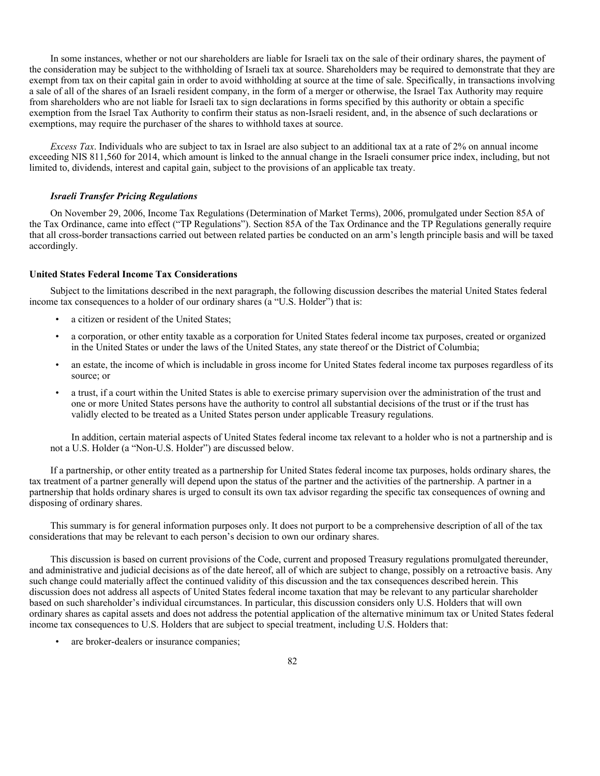In some instances, whether or not our shareholders are liable for Israeli tax on the sale of their ordinary shares, the payment of the consideration may be subject to the withholding of Israeli tax at source. Shareholders may be required to demonstrate that they are exempt from tax on their capital gain in order to avoid withholding at source at the time of sale. Specifically, in transactions involving a sale of all of the shares of an Israeli resident company, in the form of a merger or otherwise, the Israel Tax Authority may require from shareholders who are not liable for Israeli tax to sign declarations in forms specified by this authority or obtain a specific exemption from the Israel Tax Authority to confirm their status as non-Israeli resident, and, in the absence of such declarations or exemptions, may require the purchaser of the shares to withhold taxes at source.

*Excess Tax*. Individuals who are subject to tax in Israel are also subject to an additional tax at a rate of 2% on annual income exceeding NIS 811,560 for 2014, which amount is linked to the annual change in the Israeli consumer price index, including, but not limited to, dividends, interest and capital gain, subject to the provisions of an applicable tax treaty.

### *Israeli Transfer Pricing Regulations*

On November 29, 2006, Income Tax Regulations (Determination of Market Terms), 2006, promulgated under Section 85A of the Tax Ordinance, came into effect ("TP Regulations"). Section 85A of the Tax Ordinance and the TP Regulations generally require that all cross-border transactions carried out between related parties be conducted on an arm's length principle basis and will be taxed accordingly.

# **United States Federal Income Tax Considerations**

Subject to the limitations described in the next paragraph, the following discussion describes the material United States federal income tax consequences to a holder of our ordinary shares (a "U.S. Holder") that is:

- a citizen or resident of the United States;
- a corporation, or other entity taxable as a corporation for United States federal income tax purposes, created or organized in the United States or under the laws of the United States, any state thereof or the District of Columbia;
- an estate, the income of which is includable in gross income for United States federal income tax purposes regardless of its source; or
- a trust, if a court within the United States is able to exercise primary supervision over the administration of the trust and one or more United States persons have the authority to control all substantial decisions of the trust or if the trust has validly elected to be treated as a United States person under applicable Treasury regulations.

In addition, certain material aspects of United States federal income tax relevant to a holder who is not a partnership and is not a U.S. Holder (a "Non-U.S. Holder") are discussed below.

If a partnership, or other entity treated as a partnership for United States federal income tax purposes, holds ordinary shares, the tax treatment of a partner generally will depend upon the status of the partner and the activities of the partnership. A partner in a partnership that holds ordinary shares is urged to consult its own tax advisor regarding the specific tax consequences of owning and disposing of ordinary shares.

This summary is for general information purposes only. It does not purport to be a comprehensive description of all of the tax considerations that may be relevant to each person's decision to own our ordinary shares.

This discussion is based on current provisions of the Code, current and proposed Treasury regulations promulgated thereunder, and administrative and judicial decisions as of the date hereof, all of which are subject to change, possibly on a retroactive basis. Any such change could materially affect the continued validity of this discussion and the tax consequences described herein. This discussion does not address all aspects of United States federal income taxation that may be relevant to any particular shareholder based on such shareholder's individual circumstances. In particular, this discussion considers only U.S. Holders that will own ordinary shares as capital assets and does not address the potential application of the alternative minimum tax or United States federal income tax consequences to U.S. Holders that are subject to special treatment, including U.S. Holders that:

are broker-dealers or insurance companies;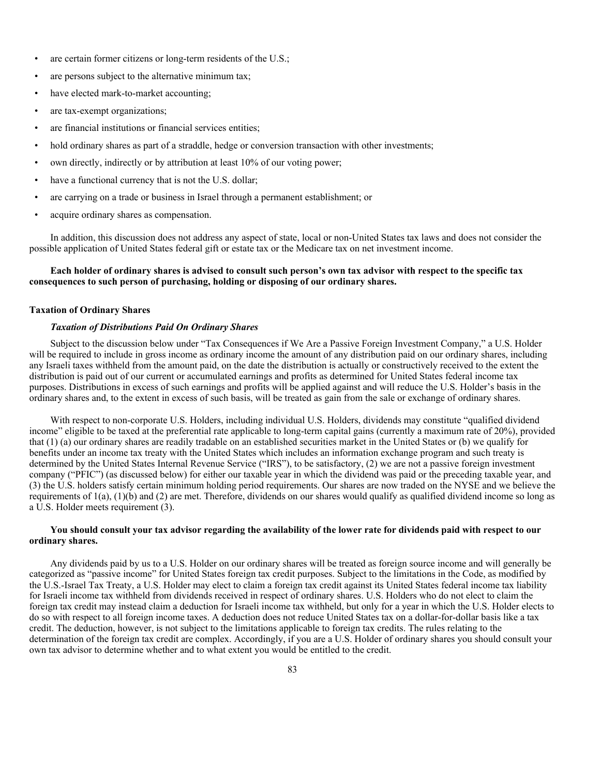- are certain former citizens or long-term residents of the U.S.;
- are persons subject to the alternative minimum tax;
- have elected mark-to-market accounting;
- are tax-exempt organizations;
- are financial institutions or financial services entities;
- hold ordinary shares as part of a straddle, hedge or conversion transaction with other investments;
- own directly, indirectly or by attribution at least 10% of our voting power;
- have a functional currency that is not the U.S. dollar;
- are carrying on a trade or business in Israel through a permanent establishment; or
- acquire ordinary shares as compensation.

In addition, this discussion does not address any aspect of state, local or non-United States tax laws and does not consider the possible application of United States federal gift or estate tax or the Medicare tax on net investment income.

## **Each holder of ordinary shares is advised to consult such person's own tax advisor with respect to the specific tax consequences to such person of purchasing, holding or disposing of our ordinary shares.**

#### **Taxation of Ordinary Shares**

### *Taxation of Distributions Paid On Ordinary Shares*

Subject to the discussion below under "Tax Consequences if We Are a Passive Foreign Investment Company," a U.S. Holder will be required to include in gross income as ordinary income the amount of any distribution paid on our ordinary shares, including any Israeli taxes withheld from the amount paid, on the date the distribution is actually or constructively received to the extent the distribution is paid out of our current or accumulated earnings and profits as determined for United States federal income tax purposes. Distributions in excess of such earnings and profits will be applied against and will reduce the U.S. Holder's basis in the ordinary shares and, to the extent in excess of such basis, will be treated as gain from the sale or exchange of ordinary shares.

With respect to non-corporate U.S. Holders, including individual U.S. Holders, dividends may constitute "qualified dividend income" eligible to be taxed at the preferential rate applicable to long-term capital gains (currently a maximum rate of 20%), provided that (1) (a) our ordinary shares are readily tradable on an established securities market in the United States or (b) we qualify for benefits under an income tax treaty with the United States which includes an information exchange program and such treaty is determined by the United States Internal Revenue Service ("IRS"), to be satisfactory, (2) we are not a passive foreign investment company ("PFIC") (as discussed below) for either our taxable year in which the dividend was paid or the preceding taxable year, and (3) the U.S. holders satisfy certain minimum holding period requirements. Our shares are now traded on the NYSE and we believe the requirements of  $1(a)$ ,  $(1)(b)$  and  $(2)$  are met. Therefore, dividends on our shares would qualify as qualified dividend income so long as a U.S. Holder meets requirement (3).

# **You should consult your tax advisor regarding the availability of the lower rate for dividends paid with respect to our ordinary shares.**

Any dividends paid by us to a U.S. Holder on our ordinary shares will be treated as foreign source income and will generally be categorized as "passive income" for United States foreign tax credit purposes. Subject to the limitations in the Code, as modified by the U.S.-Israel Tax Treaty, a U.S. Holder may elect to claim a foreign tax credit against its United States federal income tax liability for Israeli income tax withheld from dividends received in respect of ordinary shares. U.S. Holders who do not elect to claim the foreign tax credit may instead claim a deduction for Israeli income tax withheld, but only for a year in which the U.S. Holder elects to do so with respect to all foreign income taxes. A deduction does not reduce United States tax on a dollar-for-dollar basis like a tax credit. The deduction, however, is not subject to the limitations applicable to foreign tax credits. The rules relating to the determination of the foreign tax credit are complex. Accordingly, if you are a U.S. Holder of ordinary shares you should consult your own tax advisor to determine whether and to what extent you would be entitled to the credit.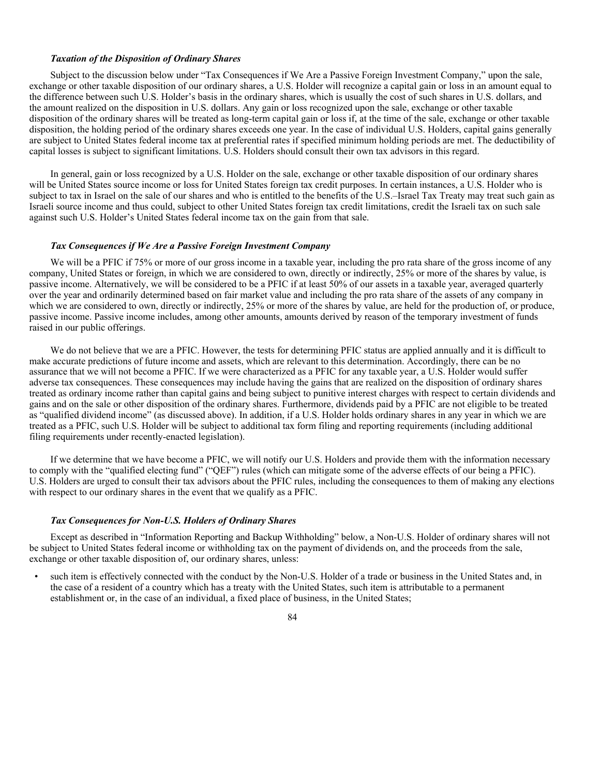# *Taxation of the Disposition of Ordinary Shares*

Subject to the discussion below under "Tax Consequences if We Are a Passive Foreign Investment Company," upon the sale, exchange or other taxable disposition of our ordinary shares, a U.S. Holder will recognize a capital gain or loss in an amount equal to the difference between such U.S. Holder's basis in the ordinary shares, which is usually the cost of such shares in U.S. dollars, and the amount realized on the disposition in U.S. dollars. Any gain or loss recognized upon the sale, exchange or other taxable disposition of the ordinary shares will be treated as long-term capital gain or loss if, at the time of the sale, exchange or other taxable disposition, the holding period of the ordinary shares exceeds one year. In the case of individual U.S. Holders, capital gains generally are subject to United States federal income tax at preferential rates if specified minimum holding periods are met. The deductibility of capital losses is subject to significant limitations. U.S. Holders should consult their own tax advisors in this regard.

In general, gain or loss recognized by a U.S. Holder on the sale, exchange or other taxable disposition of our ordinary shares will be United States source income or loss for United States foreign tax credit purposes. In certain instances, a U.S. Holder who is subject to tax in Israel on the sale of our shares and who is entitled to the benefits of the U.S.–Israel Tax Treaty may treat such gain as Israeli source income and thus could, subject to other United States foreign tax credit limitations, credit the Israeli tax on such sale against such U.S. Holder's United States federal income tax on the gain from that sale.

### *Tax Consequences if We Are a Passive Foreign Investment Company*

We will be a PFIC if 75% or more of our gross income in a taxable year, including the pro rata share of the gross income of any company, United States or foreign, in which we are considered to own, directly or indirectly, 25% or more of the shares by value, is passive income. Alternatively, we will be considered to be a PFIC if at least 50% of our assets in a taxable year, averaged quarterly over the year and ordinarily determined based on fair market value and including the pro rata share of the assets of any company in which we are considered to own, directly or indirectly, 25% or more of the shares by value, are held for the production of, or produce, passive income. Passive income includes, among other amounts, amounts derived by reason of the temporary investment of funds raised in our public offerings.

We do not believe that we are a PFIC. However, the tests for determining PFIC status are applied annually and it is difficult to make accurate predictions of future income and assets, which are relevant to this determination. Accordingly, there can be no assurance that we will not become a PFIC. If we were characterized as a PFIC for any taxable year, a U.S. Holder would suffer adverse tax consequences. These consequences may include having the gains that are realized on the disposition of ordinary shares treated as ordinary income rather than capital gains and being subject to punitive interest charges with respect to certain dividends and gains and on the sale or other disposition of the ordinary shares. Furthermore, dividends paid by a PFIC are not eligible to be treated as "qualified dividend income" (as discussed above). In addition, if a U.S. Holder holds ordinary shares in any year in which we are treated as a PFIC, such U.S. Holder will be subject to additional tax form filing and reporting requirements (including additional filing requirements under recently-enacted legislation).

If we determine that we have become a PFIC, we will notify our U.S. Holders and provide them with the information necessary to comply with the "qualified electing fund" ("QEF") rules (which can mitigate some of the adverse effects of our being a PFIC). U.S. Holders are urged to consult their tax advisors about the PFIC rules, including the consequences to them of making any elections with respect to our ordinary shares in the event that we qualify as a PFIC.

#### *Tax Consequences for Non-U.S. Holders of Ordinary Shares*

Except as described in "Information Reporting and Backup Withholding" below, a Non-U.S. Holder of ordinary shares will not be subject to United States federal income or withholding tax on the payment of dividends on, and the proceeds from the sale, exchange or other taxable disposition of, our ordinary shares, unless:

such item is effectively connected with the conduct by the Non-U.S. Holder of a trade or business in the United States and, in the case of a resident of a country which has a treaty with the United States, such item is attributable to a permanent establishment or, in the case of an individual, a fixed place of business, in the United States;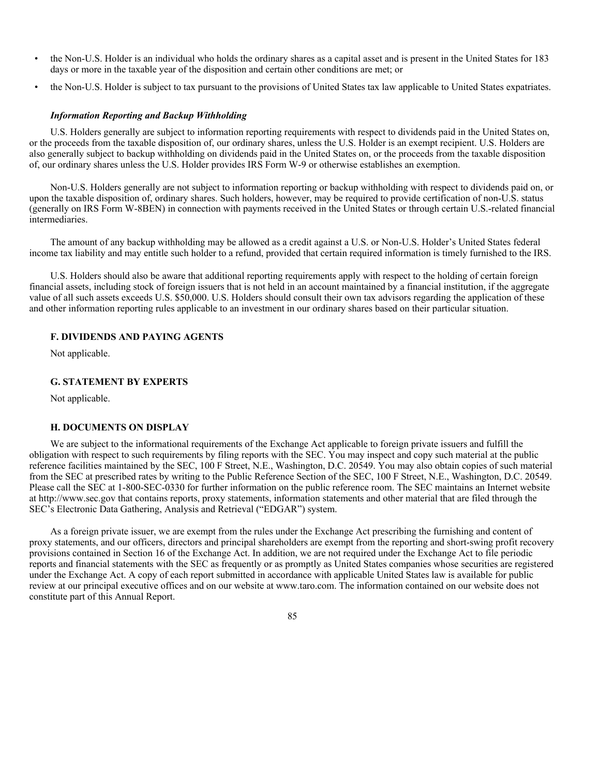- the Non-U.S. Holder is an individual who holds the ordinary shares as a capital asset and is present in the United States for 183 days or more in the taxable year of the disposition and certain other conditions are met; or
- the Non-U.S. Holder is subject to tax pursuant to the provisions of United States tax law applicable to United States expatriates.

# *Information Reporting and Backup Withholding*

U.S. Holders generally are subject to information reporting requirements with respect to dividends paid in the United States on, or the proceeds from the taxable disposition of, our ordinary shares, unless the U.S. Holder is an exempt recipient. U.S. Holders are also generally subject to backup withholding on dividends paid in the United States on, or the proceeds from the taxable disposition of, our ordinary shares unless the U.S. Holder provides IRS Form W-9 or otherwise establishes an exemption.

Non-U.S. Holders generally are not subject to information reporting or backup withholding with respect to dividends paid on, or upon the taxable disposition of, ordinary shares. Such holders, however, may be required to provide certification of non-U.S. status (generally on IRS Form W-8BEN) in connection with payments received in the United States or through certain U.S.-related financial intermediaries.

The amount of any backup withholding may be allowed as a credit against a U.S. or Non-U.S. Holder's United States federal income tax liability and may entitle such holder to a refund, provided that certain required information is timely furnished to the IRS.

U.S. Holders should also be aware that additional reporting requirements apply with respect to the holding of certain foreign financial assets, including stock of foreign issuers that is not held in an account maintained by a financial institution, if the aggregate value of all such assets exceeds U.S. \$50,000. U.S. Holders should consult their own tax advisors regarding the application of these and other information reporting rules applicable to an investment in our ordinary shares based on their particular situation.

# **F. DIVIDENDS AND PAYING AGENTS**

Not applicable.

# **G. STATEMENT BY EXPERTS**

Not applicable.

### **H. DOCUMENTS ON DISPLAY**

We are subject to the informational requirements of the Exchange Act applicable to foreign private issuers and fulfill the obligation with respect to such requirements by filing reports with the SEC. You may inspect and copy such material at the public reference facilities maintained by the SEC, 100 F Street, N.E., Washington, D.C. 20549. You may also obtain copies of such material from the SEC at prescribed rates by writing to the Public Reference Section of the SEC, 100 F Street, N.E., Washington, D.C. 20549. Please call the SEC at 1-800-SEC-0330 for further information on the public reference room. The SEC maintains an Internet website at http://www.sec.gov that contains reports, proxy statements, information statements and other material that are filed through the SEC's Electronic Data Gathering, Analysis and Retrieval ("EDGAR") system.

As a foreign private issuer, we are exempt from the rules under the Exchange Act prescribing the furnishing and content of proxy statements, and our officers, directors and principal shareholders are exempt from the reporting and short-swing profit recovery provisions contained in Section 16 of the Exchange Act. In addition, we are not required under the Exchange Act to file periodic reports and financial statements with the SEC as frequently or as promptly as United States companies whose securities are registered under the Exchange Act. A copy of each report submitted in accordance with applicable United States law is available for public review at our principal executive offices and on our website at www.taro.com. The information contained on our website does not constitute part of this Annual Report.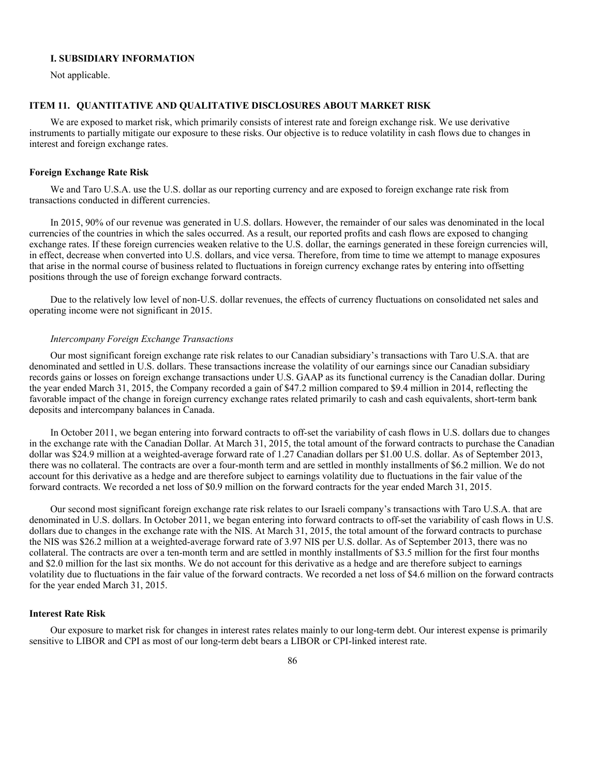### **I. SUBSIDIARY INFORMATION**

Not applicable.

# **ITEM 11. QUANTITATIVE AND QUALITATIVE DISCLOSURES ABOUT MARKET RISK**

We are exposed to market risk, which primarily consists of interest rate and foreign exchange risk. We use derivative instruments to partially mitigate our exposure to these risks. Our objective is to reduce volatility in cash flows due to changes in interest and foreign exchange rates.

### **Foreign Exchange Rate Risk**

We and Taro U.S.A. use the U.S. dollar as our reporting currency and are exposed to foreign exchange rate risk from transactions conducted in different currencies.

In 2015, 90% of our revenue was generated in U.S. dollars. However, the remainder of our sales was denominated in the local currencies of the countries in which the sales occurred. As a result, our reported profits and cash flows are exposed to changing exchange rates. If these foreign currencies weaken relative to the U.S. dollar, the earnings generated in these foreign currencies will, in effect, decrease when converted into U.S. dollars, and vice versa. Therefore, from time to time we attempt to manage exposures that arise in the normal course of business related to fluctuations in foreign currency exchange rates by entering into offsetting positions through the use of foreign exchange forward contracts.

Due to the relatively low level of non-U.S. dollar revenues, the effects of currency fluctuations on consolidated net sales and operating income were not significant in 2015.

### *Intercompany Foreign Exchange Transactions*

Our most significant foreign exchange rate risk relates to our Canadian subsidiary's transactions with Taro U.S.A. that are denominated and settled in U.S. dollars. These transactions increase the volatility of our earnings since our Canadian subsidiary records gains or losses on foreign exchange transactions under U.S. GAAP as its functional currency is the Canadian dollar. During the year ended March 31, 2015, the Company recorded a gain of \$47.2 million compared to \$9.4 million in 2014, reflecting the favorable impact of the change in foreign currency exchange rates related primarily to cash and cash equivalents, short-term bank deposits and intercompany balances in Canada.

In October 2011, we began entering into forward contracts to off-set the variability of cash flows in U.S. dollars due to changes in the exchange rate with the Canadian Dollar. At March 31, 2015, the total amount of the forward contracts to purchase the Canadian dollar was \$24.9 million at a weighted-average forward rate of 1.27 Canadian dollars per \$1.00 U.S. dollar. As of September 2013, there was no collateral. The contracts are over a four-month term and are settled in monthly installments of \$6.2 million. We do not account for this derivative as a hedge and are therefore subject to earnings volatility due to fluctuations in the fair value of the forward contracts. We recorded a net loss of \$0.9 million on the forward contracts for the year ended March 31, 2015.

Our second most significant foreign exchange rate risk relates to our Israeli company's transactions with Taro U.S.A. that are denominated in U.S. dollars. In October 2011, we began entering into forward contracts to off-set the variability of cash flows in U.S. dollars due to changes in the exchange rate with the NIS. At March 31, 2015, the total amount of the forward contracts to purchase the NIS was \$26.2 million at a weighted-average forward rate of 3.97 NIS per U.S. dollar. As of September 2013, there was no collateral. The contracts are over a ten-month term and are settled in monthly installments of \$3.5 million for the first four months and \$2.0 million for the last six months. We do not account for this derivative as a hedge and are therefore subject to earnings volatility due to fluctuations in the fair value of the forward contracts. We recorded a net loss of \$4.6 million on the forward contracts for the year ended March 31, 2015.

# **Interest Rate Risk**

Our exposure to market risk for changes in interest rates relates mainly to our long-term debt. Our interest expense is primarily sensitive to LIBOR and CPI as most of our long-term debt bears a LIBOR or CPI-linked interest rate.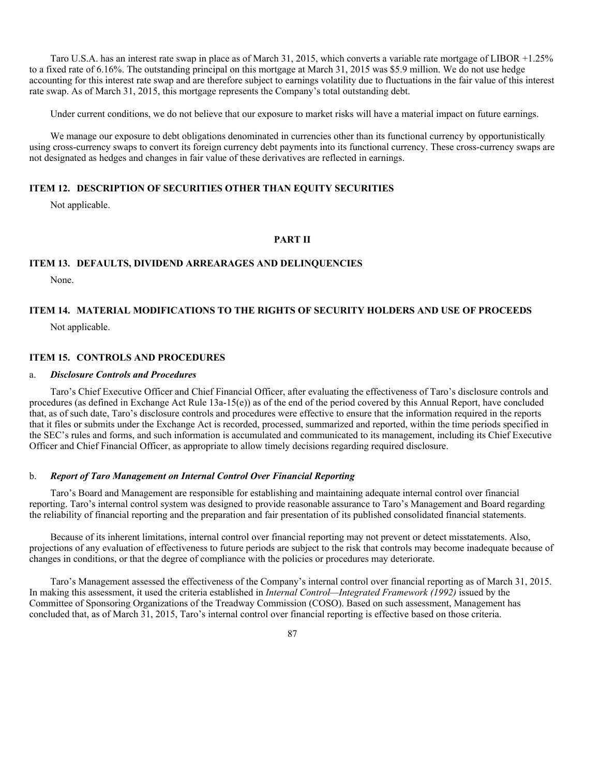Taro U.S.A. has an interest rate swap in place as of March 31, 2015, which converts a variable rate mortgage of LIBOR +1.25% to a fixed rate of 6.16%. The outstanding principal on this mortgage at March 31, 2015 was \$5.9 million. We do not use hedge accounting for this interest rate swap and are therefore subject to earnings volatility due to fluctuations in the fair value of this interest rate swap. As of March 31, 2015, this mortgage represents the Company's total outstanding debt.

Under current conditions, we do not believe that our exposure to market risks will have a material impact on future earnings.

We manage our exposure to debt obligations denominated in currencies other than its functional currency by opportunistically using cross-currency swaps to convert its foreign currency debt payments into its functional currency. These cross-currency swaps are not designated as hedges and changes in fair value of these derivatives are reflected in earnings.

# **ITEM 12. DESCRIPTION OF SECURITIES OTHER THAN EQUITY SECURITIES**

Not applicable.

### **PART II**

### **ITEM 13. DEFAULTS, DIVIDEND ARREARAGES AND DELINQUENCIES**

None.

# **ITEM 14. MATERIAL MODIFICATIONS TO THE RIGHTS OF SECURITY HOLDERS AND USE OF PROCEEDS**

Not applicable.

# **ITEM 15. CONTROLS AND PROCEDURES**

### a. *Disclosure Controls and Procedures*

Taro's Chief Executive Officer and Chief Financial Officer, after evaluating the effectiveness of Taro's disclosure controls and procedures (as defined in Exchange Act Rule 13a-15(e)) as of the end of the period covered by this Annual Report, have concluded that, as of such date, Taro's disclosure controls and procedures were effective to ensure that the information required in the reports that it files or submits under the Exchange Act is recorded, processed, summarized and reported, within the time periods specified in the SEC's rules and forms, and such information is accumulated and communicated to its management, including its Chief Executive Officer and Chief Financial Officer, as appropriate to allow timely decisions regarding required disclosure.

# b. *Report of Taro Management on Internal Control Over Financial Reporting*

Taro's Board and Management are responsible for establishing and maintaining adequate internal control over financial reporting. Taro's internal control system was designed to provide reasonable assurance to Taro's Management and Board regarding the reliability of financial reporting and the preparation and fair presentation of its published consolidated financial statements.

Because of its inherent limitations, internal control over financial reporting may not prevent or detect misstatements. Also, projections of any evaluation of effectiveness to future periods are subject to the risk that controls may become inadequate because of changes in conditions, or that the degree of compliance with the policies or procedures may deteriorate.

Taro's Management assessed the effectiveness of the Company's internal control over financial reporting as of March 31, 2015. In making this assessment, it used the criteria established in *Internal Control—Integrated Framework (1992)* issued by the Committee of Sponsoring Organizations of the Treadway Commission (COSO). Based on such assessment, Management has concluded that, as of March 31, 2015, Taro's internal control over financial reporting is effective based on those criteria.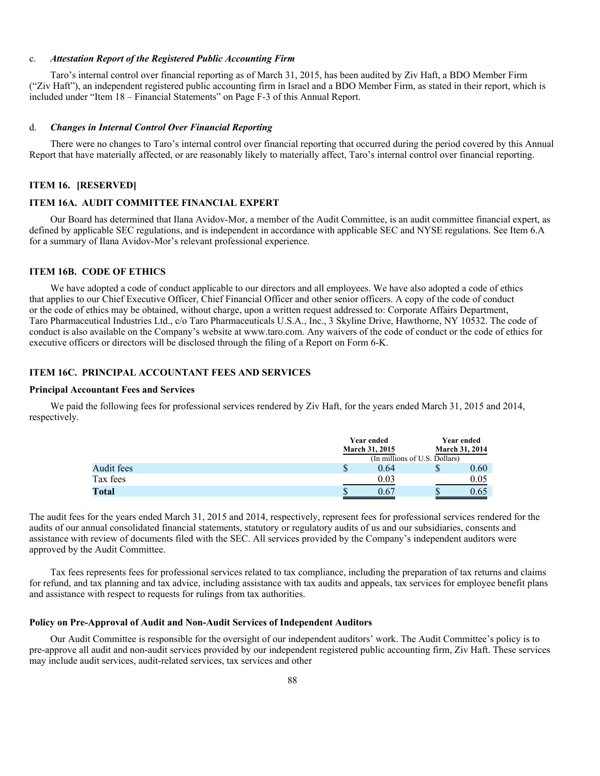### c. *Attestation Report of the Registered Public Accounting Firm*

Taro's internal control over financial reporting as of March 31, 2015, has been audited by Ziv Haft, a BDO Member Firm ("Ziv Haft"), an independent registered public accounting firm in Israel and a BDO Member Firm, as stated in their report, which is included under "Item 18 – Financial Statements" on Page F-3 of this Annual Report.

#### d. *Changes in Internal Control Over Financial Reporting*

There were no changes to Taro's internal control over financial reporting that occurred during the period covered by this Annual Report that have materially affected, or are reasonably likely to materially affect, Taro's internal control over financial reporting.

#### **ITEM 16. [RESERVED]**

### **ITEM 16A. AUDIT COMMITTEE FINANCIAL EXPERT**

Our Board has determined that Ilana Avidov-Mor, a member of the Audit Committee, is an audit committee financial expert, as defined by applicable SEC regulations, and is independent in accordance with applicable SEC and NYSE regulations. See Item 6.A for a summary of Ilana Avidov-Mor's relevant professional experience.

### **ITEM 16B. CODE OF ETHICS**

We have adopted a code of conduct applicable to our directors and all employees. We have also adopted a code of ethics that applies to our Chief Executive Officer, Chief Financial Officer and other senior officers. A copy of the code of conduct or the code of ethics may be obtained, without charge, upon a written request addressed to: Corporate Affairs Department, Taro Pharmaceutical Industries Ltd., c/o Taro Pharmaceuticals U.S.A., Inc., 3 Skyline Drive, Hawthorne, NY 10532. The code of conduct is also available on the Company's website at www.taro.com. Any waivers of the code of conduct or the code of ethics for executive officers or directors will be disclosed through the filing of a Report on Form 6-K.

# **ITEM 16C. PRINCIPAL ACCOUNTANT FEES AND SERVICES**

#### **Principal Accountant Fees and Services**

We paid the following fees for professional services rendered by Ziv Haft, for the years ended March 31, 2015 and 2014, respectively.

|              | <b>Year ended</b><br><b>March 31, 2015</b> | Year ended<br><b>March 31, 2014</b> |
|--------------|--------------------------------------------|-------------------------------------|
|              | (In millions of U.S. Dollars)              |                                     |
| Audit fees   | 0.64                                       | 0.60                                |
| Tax fees     | 0.03                                       | 0.05                                |
| <b>Total</b> | 0.67                                       | 0.65                                |

The audit fees for the years ended March 31, 2015 and 2014, respectively, represent fees for professional services rendered for the audits of our annual consolidated financial statements, statutory or regulatory audits of us and our subsidiaries, consents and assistance with review of documents filed with the SEC. All services provided by the Company's independent auditors were approved by the Audit Committee.

Tax fees represents fees for professional services related to tax compliance, including the preparation of tax returns and claims for refund, and tax planning and tax advice, including assistance with tax audits and appeals, tax services for employee benefit plans and assistance with respect to requests for rulings from tax authorities.

### **Policy on Pre-Approval of Audit and Non-Audit Services of Independent Auditors**

Our Audit Committee is responsible for the oversight of our independent auditors' work. The Audit Committee's policy is to pre-approve all audit and non-audit services provided by our independent registered public accounting firm, Ziv Haft. These services may include audit services, audit-related services, tax services and other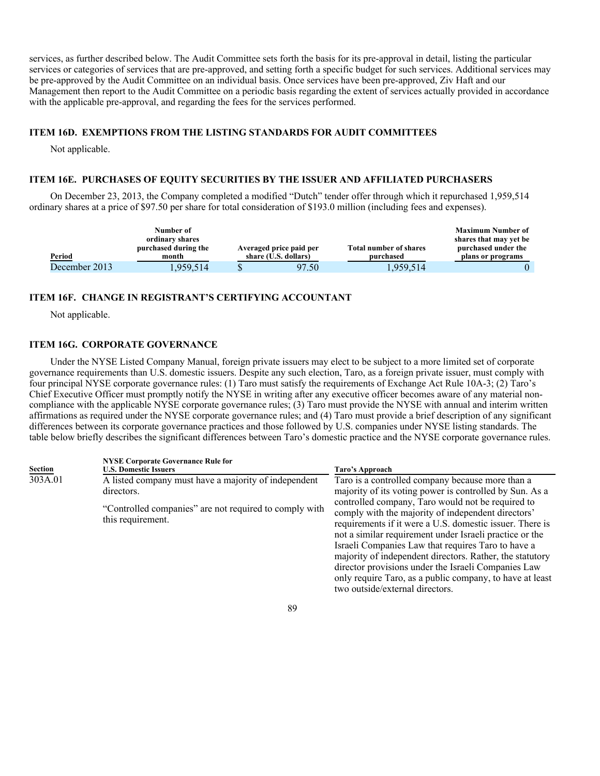services, as further described below. The Audit Committee sets forth the basis for its pre-approval in detail, listing the particular services or categories of services that are pre-approved, and setting forth a specific budget for such services. Additional services may be pre-approved by the Audit Committee on an individual basis. Once services have been pre-approved, Ziv Haft and our Management then report to the Audit Committee on a periodic basis regarding the extent of services actually provided in accordance with the applicable pre-approval, and regarding the fees for the services performed.

### **ITEM 16D. EXEMPTIONS FROM THE LISTING STANDARDS FOR AUDIT COMMITTEES**

Not applicable.

### **ITEM 16E. PURCHASES OF EQUITY SECURITIES BY THE ISSUER AND AFFILIATED PURCHASERS**

On December 23, 2013, the Company completed a modified "Dutch" tender offer through which it repurchased 1,959,514 ordinary shares at a price of \$97.50 per share for total consideration of \$193.0 million (including fees and expenses).

| Period        | Number of<br>ordinary shares<br>purchased during the<br>month | Averaged price paid per<br>share (U.S. dollars) | <b>Total number of shares</b><br>purchased | <b>Maximum Number of</b><br>shares that may vet be<br>purchased under the<br>plans or programs |
|---------------|---------------------------------------------------------------|-------------------------------------------------|--------------------------------------------|------------------------------------------------------------------------------------------------|
| December 2013 | .959.514                                                      | 97.50                                           | .959.514                                   |                                                                                                |

# **ITEM 16F. CHANGE IN REGISTRANT'S CERTIFYING ACCOUNTANT**

Not applicable.

# **ITEM 16G. CORPORATE GOVERNANCE**

Under the NYSE Listed Company Manual, foreign private issuers may elect to be subject to a more limited set of corporate governance requirements than U.S. domestic issuers. Despite any such election, Taro, as a foreign private issuer, must comply with four principal NYSE corporate governance rules: (1) Taro must satisfy the requirements of Exchange Act Rule 10A-3; (2) Taro's Chief Executive Officer must promptly notify the NYSE in writing after any executive officer becomes aware of any material noncompliance with the applicable NYSE corporate governance rules; (3) Taro must provide the NYSE with annual and interim written affirmations as required under the NYSE corporate governance rules; and (4) Taro must provide a brief description of any significant differences between its corporate governance practices and those followed by U.S. companies under NYSE listing standards. The table below briefly describes the significant differences between Taro's domestic practice and the NYSE corporate governance rules.

| <b>Section</b> | <b>NYSE Corporate Governance Rule for</b><br><b>U.S. Domestic Issuers</b>                                                                         | Taro's Approach                                                                                                                                                                                                                                                                                                                                                                                                                                                                                                                                                                    |
|----------------|---------------------------------------------------------------------------------------------------------------------------------------------------|------------------------------------------------------------------------------------------------------------------------------------------------------------------------------------------------------------------------------------------------------------------------------------------------------------------------------------------------------------------------------------------------------------------------------------------------------------------------------------------------------------------------------------------------------------------------------------|
| 303A.01        | A listed company must have a majority of independent<br>directors.<br>"Controlled companies" are not required to comply with<br>this requirement. | Taro is a controlled company because more than a<br>majority of its voting power is controlled by Sun. As a<br>controlled company, Taro would not be required to<br>comply with the majority of independent directors'<br>requirements if it were a U.S. domestic issuer. There is<br>not a similar requirement under Israeli practice or the<br>Israeli Companies Law that requires Taro to have a<br>majority of independent directors. Rather, the statutory<br>director provisions under the Israeli Companies Law<br>only require Taro, as a public company, to have at least |
|                |                                                                                                                                                   | two outside/external directors.                                                                                                                                                                                                                                                                                                                                                                                                                                                                                                                                                    |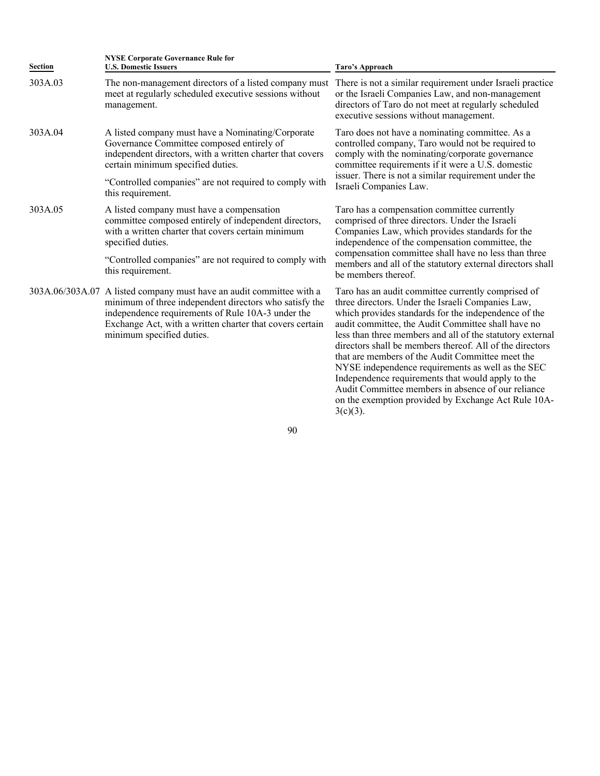| Section | <b>NYSE Corporate Governance Rule for</b><br><b>U.S. Domestic Issuers</b>                                                                                                                                                                                                    | Taro's Approach                                                                                                                                                                                                                                                                                                                                                                                                                                                                                                                                                                                                           |
|---------|------------------------------------------------------------------------------------------------------------------------------------------------------------------------------------------------------------------------------------------------------------------------------|---------------------------------------------------------------------------------------------------------------------------------------------------------------------------------------------------------------------------------------------------------------------------------------------------------------------------------------------------------------------------------------------------------------------------------------------------------------------------------------------------------------------------------------------------------------------------------------------------------------------------|
| 303A.03 | The non-management directors of a listed company must<br>meet at regularly scheduled executive sessions without<br>management.                                                                                                                                               | There is not a similar requirement under Israeli practice<br>or the Israeli Companies Law, and non-management<br>directors of Taro do not meet at regularly scheduled<br>executive sessions without management.                                                                                                                                                                                                                                                                                                                                                                                                           |
| 303A.04 | A listed company must have a Nominating/Corporate<br>Governance Committee composed entirely of<br>independent directors, with a written charter that covers<br>certain minimum specified duties.                                                                             | Taro does not have a nominating committee. As a<br>controlled company, Taro would not be required to<br>comply with the nominating/corporate governance<br>committee requirements if it were a U.S. domestic                                                                                                                                                                                                                                                                                                                                                                                                              |
|         | "Controlled companies" are not required to comply with<br>this requirement.                                                                                                                                                                                                  | issuer. There is not a similar requirement under the<br>Israeli Companies Law.                                                                                                                                                                                                                                                                                                                                                                                                                                                                                                                                            |
| 303A.05 | A listed company must have a compensation<br>committee composed entirely of independent directors,<br>with a written charter that covers certain minimum<br>specified duties.                                                                                                | Taro has a compensation committee currently<br>comprised of three directors. Under the Israeli<br>Companies Law, which provides standards for the<br>independence of the compensation committee, the                                                                                                                                                                                                                                                                                                                                                                                                                      |
|         | "Controlled companies" are not required to comply with<br>this requirement.                                                                                                                                                                                                  | compensation committee shall have no less than three<br>members and all of the statutory external directors shall<br>be members thereof.                                                                                                                                                                                                                                                                                                                                                                                                                                                                                  |
|         | 303A.06/303A.07 A listed company must have an audit committee with a<br>minimum of three independent directors who satisfy the<br>independence requirements of Rule 10A-3 under the<br>Exchange Act, with a written charter that covers certain<br>minimum specified duties. | Taro has an audit committee currently comprised of<br>three directors. Under the Israeli Companies Law,<br>which provides standards for the independence of the<br>audit committee, the Audit Committee shall have no<br>less than three members and all of the statutory external<br>directors shall be members thereof. All of the directors<br>that are members of the Audit Committee meet the<br>NYSE independence requirements as well as the SEC<br>Independence requirements that would apply to the<br>Audit Committee members in absence of our reliance<br>on the exemption provided by Exchange Act Rule 10A- |

90

 $3(c)(3)$ .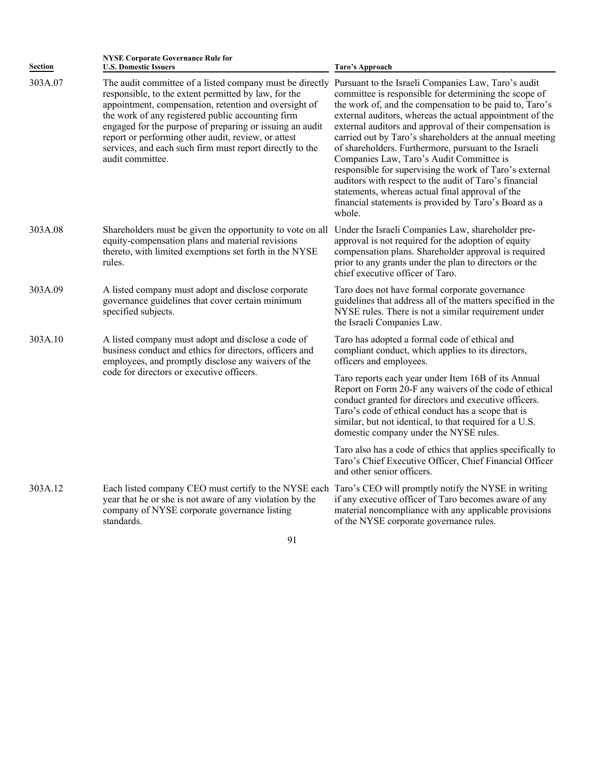| <b>Section</b> | <b>NYSE Corporate Governance Rule for</b><br><b>U.S. Domestic Issuers</b>                                                                                                                                                                                                                                                                                                                                                                                                             | Taro's Approach                                                                                                                                                                                                                                                                                                                                                                                                                                                                                                                                                                                                                                      |
|----------------|---------------------------------------------------------------------------------------------------------------------------------------------------------------------------------------------------------------------------------------------------------------------------------------------------------------------------------------------------------------------------------------------------------------------------------------------------------------------------------------|------------------------------------------------------------------------------------------------------------------------------------------------------------------------------------------------------------------------------------------------------------------------------------------------------------------------------------------------------------------------------------------------------------------------------------------------------------------------------------------------------------------------------------------------------------------------------------------------------------------------------------------------------|
| 303A.07        | The audit committee of a listed company must be directly Pursuant to the Israeli Companies Law, Taro's audit<br>responsible, to the extent permitted by law, for the<br>appointment, compensation, retention and oversight of<br>the work of any registered public accounting firm<br>engaged for the purpose of preparing or issuing an audit<br>report or performing other audit, review, or attest<br>services, and each such firm must report directly to the<br>audit committee. | committee is responsible for determining the scope of<br>the work of, and the compensation to be paid to, Taro's<br>external auditors, whereas the actual appointment of the<br>external auditors and approval of their compensation is<br>carried out by Taro's shareholders at the annual meeting<br>of shareholders. Furthermore, pursuant to the Israeli<br>Companies Law, Taro's Audit Committee is<br>responsible for supervising the work of Taro's external<br>auditors with respect to the audit of Taro's financial<br>statements, whereas actual final approval of the<br>financial statements is provided by Taro's Board as a<br>whole. |
| 303A.08        | Shareholders must be given the opportunity to vote on all<br>equity-compensation plans and material revisions<br>thereto, with limited exemptions set forth in the NYSE<br>rules.                                                                                                                                                                                                                                                                                                     | Under the Israeli Companies Law, shareholder pre-<br>approval is not required for the adoption of equity<br>compensation plans. Shareholder approval is required<br>prior to any grants under the plan to directors or the<br>chief executive officer of Taro.                                                                                                                                                                                                                                                                                                                                                                                       |
| 303A.09        | A listed company must adopt and disclose corporate<br>governance guidelines that cover certain minimum<br>specified subjects.                                                                                                                                                                                                                                                                                                                                                         | Taro does not have formal corporate governance<br>guidelines that address all of the matters specified in the<br>NYSE rules. There is not a similar requirement under<br>the Israeli Companies Law.                                                                                                                                                                                                                                                                                                                                                                                                                                                  |
| 303A.10        | A listed company must adopt and disclose a code of<br>business conduct and ethics for directors, officers and<br>employees, and promptly disclose any waivers of the<br>code for directors or executive officers.                                                                                                                                                                                                                                                                     | Taro has adopted a formal code of ethical and<br>compliant conduct, which applies to its directors,<br>officers and employees.                                                                                                                                                                                                                                                                                                                                                                                                                                                                                                                       |
|                |                                                                                                                                                                                                                                                                                                                                                                                                                                                                                       | Taro reports each year under Item 16B of its Annual<br>Report on Form 20-F any waivers of the code of ethical<br>conduct granted for directors and executive officers.<br>Taro's code of ethical conduct has a scope that is<br>similar, but not identical, to that required for a U.S.<br>domestic company under the NYSE rules.                                                                                                                                                                                                                                                                                                                    |
|                |                                                                                                                                                                                                                                                                                                                                                                                                                                                                                       | Taro also has a code of ethics that applies specifically to<br>Taro's Chief Executive Officer, Chief Financial Officer<br>and other senior officers.                                                                                                                                                                                                                                                                                                                                                                                                                                                                                                 |
| 303A.12        | Each listed company CEO must certify to the NYSE each Taro's CEO will promptly notify the NYSE in writing<br>year that he or she is not aware of any violation by the<br>company of NYSE corporate governance listing<br>standards.                                                                                                                                                                                                                                                   | if any executive officer of Taro becomes aware of any<br>material noncompliance with any applicable provisions<br>of the NYSE corporate governance rules.                                                                                                                                                                                                                                                                                                                                                                                                                                                                                            |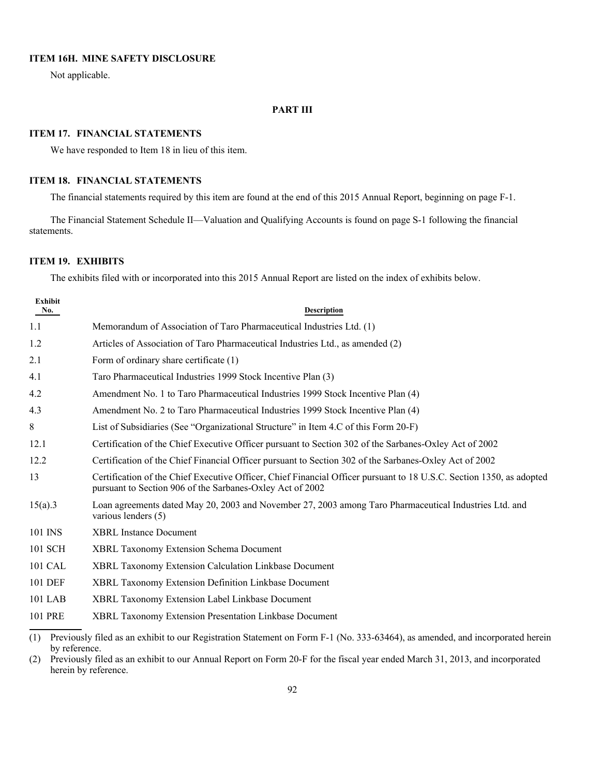### **ITEM 16H. MINE SAFETY DISCLOSURE**

Not applicable.

# **PART III**

### **ITEM 17. FINANCIAL STATEMENTS**

We have responded to Item 18 in lieu of this item.

# **ITEM 18. FINANCIAL STATEMENTS**

The financial statements required by this item are found at the end of this 2015 Annual Report, beginning on page F-1.

The Financial Statement Schedule II—Valuation and Qualifying Accounts is found on page S-1 following the financial statements.

### **ITEM 19. EXHIBITS**

The exhibits filed with or incorporated into this 2015 Annual Report are listed on the index of exhibits below.

| Exhibit<br>No. | <b>Description</b>                                                                                                                                                                |
|----------------|-----------------------------------------------------------------------------------------------------------------------------------------------------------------------------------|
| 1.1            | Memorandum of Association of Taro Pharmaceutical Industries Ltd. (1)                                                                                                              |
| 1.2            | Articles of Association of Taro Pharmaceutical Industries Ltd., as amended (2)                                                                                                    |
| 2.1            | Form of ordinary share certificate (1)                                                                                                                                            |
| 4.1            | Taro Pharmaceutical Industries 1999 Stock Incentive Plan (3)                                                                                                                      |
| 4.2            | Amendment No. 1 to Taro Pharmaceutical Industries 1999 Stock Incentive Plan (4)                                                                                                   |
| 4.3            | Amendment No. 2 to Taro Pharmaceutical Industries 1999 Stock Incentive Plan (4)                                                                                                   |
| 8              | List of Subsidiaries (See "Organizational Structure" in Item 4.C of this Form 20-F)                                                                                               |
| 12.1           | Certification of the Chief Executive Officer pursuant to Section 302 of the Sarbanes-Oxley Act of 2002                                                                            |
| 12.2           | Certification of the Chief Financial Officer pursuant to Section 302 of the Sarbanes-Oxley Act of 2002                                                                            |
| 13             | Certification of the Chief Executive Officer, Chief Financial Officer pursuant to 18 U.S.C. Section 1350, as adopted<br>pursuant to Section 906 of the Sarbanes-Oxley Act of 2002 |
| 15(a).3        | Loan agreements dated May 20, 2003 and November 27, 2003 among Taro Pharmaceutical Industries Ltd. and<br>various lenders (5)                                                     |
| 101 INS        | <b>XBRL Instance Document</b>                                                                                                                                                     |
| 101 SCH        | <b>XBRL Taxonomy Extension Schema Document</b>                                                                                                                                    |
| <b>101 CAL</b> | <b>XBRL Taxonomy Extension Calculation Linkbase Document</b>                                                                                                                      |
| 101 DEF        | XBRL Taxonomy Extension Definition Linkbase Document                                                                                                                              |
| 101 LAB        | XBRL Taxonomy Extension Label Linkbase Document                                                                                                                                   |
| <b>101 PRE</b> | XBRL Taxonomy Extension Presentation Linkbase Document<br>$\sim$ $\sim$ $\sim$                                                                                                    |

<sup>(1)</sup> Previously filed as an exhibit to our Registration Statement on Form F-1 (No. 333-63464), as amended, and incorporated herein by reference.

<sup>(2)</sup> Previously filed as an exhibit to our Annual Report on Form 20-F for the fiscal year ended March 31, 2013, and incorporated herein by reference.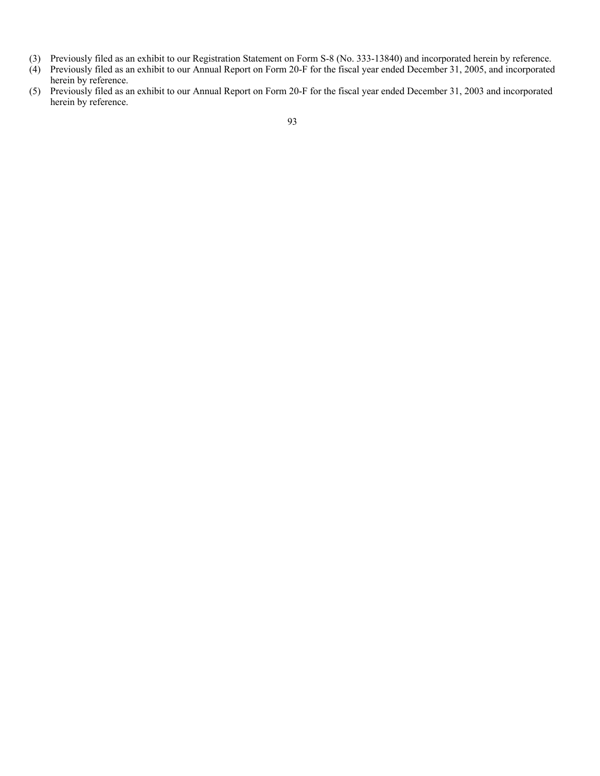- (3) Previously filed as an exhibit to our Registration Statement on Form S-8 (No. 333-13840) and incorporated herein by reference.
- (4) Previously filed as an exhibit to our Annual Report on Form 20-F for the fiscal year ended December 31, 2005, and incorporated herein by reference.
- (5) Previously filed as an exhibit to our Annual Report on Form 20-F for the fiscal year ended December 31, 2003 and incorporated herein by reference.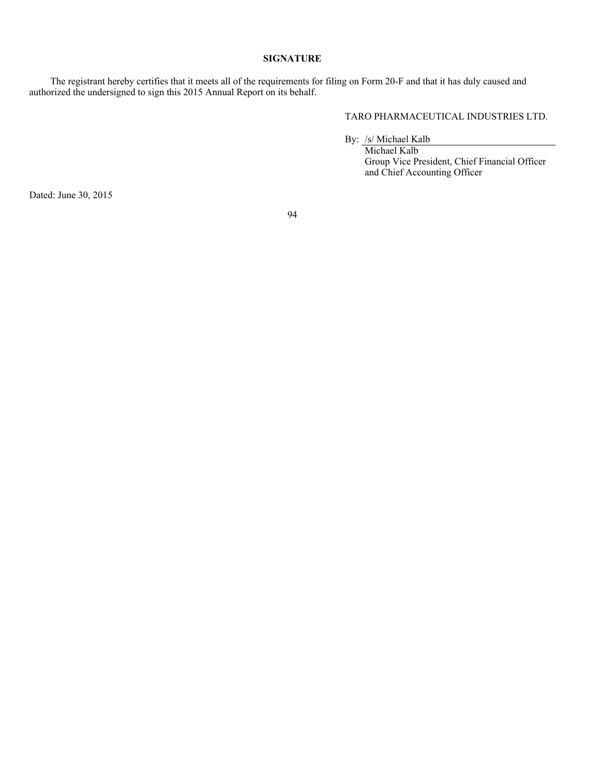# **SIGNATURE**

The registrant hereby certifies that it meets all of the requirements for filing on Form 20-F and that it has duly caused and authorized the undersigned to sign this 2015 Annual Report on its behalf.

TARO PHARMACEUTICAL INDUSTRIES LTD.

By: /s/ Michael Kalb

Michael Kalb Group Vice President, Chief Financial Officer and Chief Accounting Officer

Dated: June 30, 2015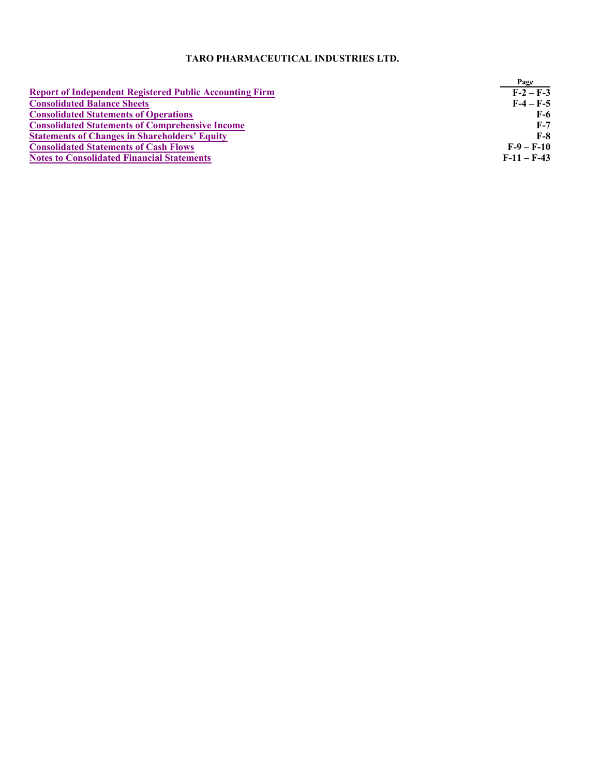|                                                                | Page          |
|----------------------------------------------------------------|---------------|
| <b>Report of Independent Registered Public Accounting Firm</b> | $F-2-F-3$     |
| <b>Consolidated Balance Sheets</b>                             | $F-4-F-5$     |
| <b>Consolidated Statements of Operations</b>                   | F-6           |
| <b>Consolidated Statements of Comprehensive Income</b>         | $F-7$         |
| <b>Statements of Changes in Shareholders' Equity</b>           | $F-8$         |
| <b>Consolidated Statements of Cash Flows</b>                   | $F-9-F-10$    |
| <b>Notes to Consolidated Financial Statements</b>              | $F-11 - F-43$ |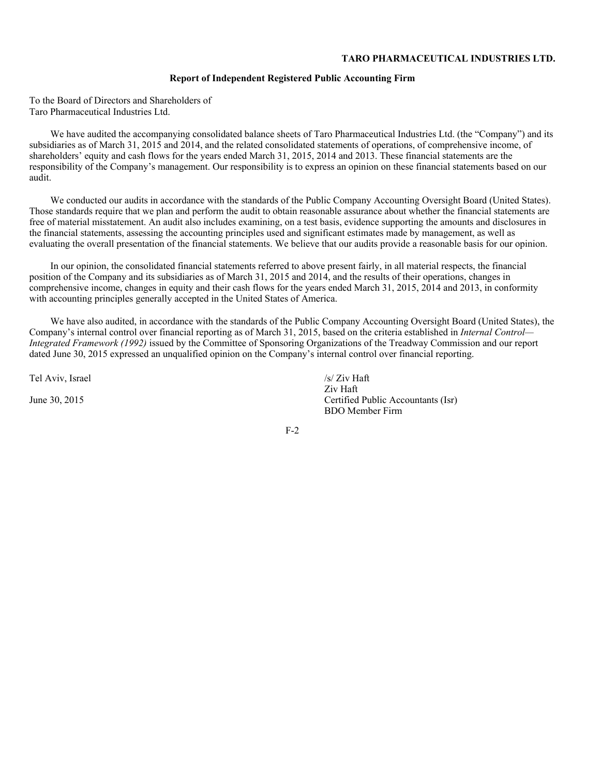### **Report of Independent Registered Public Accounting Firm**

To the Board of Directors and Shareholders of Taro Pharmaceutical Industries Ltd.

We have audited the accompanying consolidated balance sheets of Taro Pharmaceutical Industries Ltd. (the "Company") and its subsidiaries as of March 31, 2015 and 2014, and the related consolidated statements of operations, of comprehensive income, of shareholders' equity and cash flows for the years ended March 31, 2015, 2014 and 2013. These financial statements are the responsibility of the Company's management. Our responsibility is to express an opinion on these financial statements based on our audit.

We conducted our audits in accordance with the standards of the Public Company Accounting Oversight Board (United States). Those standards require that we plan and perform the audit to obtain reasonable assurance about whether the financial statements are free of material misstatement. An audit also includes examining, on a test basis, evidence supporting the amounts and disclosures in the financial statements, assessing the accounting principles used and significant estimates made by management, as well as evaluating the overall presentation of the financial statements. We believe that our audits provide a reasonable basis for our opinion.

In our opinion, the consolidated financial statements referred to above present fairly, in all material respects, the financial position of the Company and its subsidiaries as of March 31, 2015 and 2014, and the results of their operations, changes in comprehensive income, changes in equity and their cash flows for the years ended March 31, 2015, 2014 and 2013, in conformity with accounting principles generally accepted in the United States of America.

We have also audited, in accordance with the standards of the Public Company Accounting Oversight Board (United States), the Company's internal control over financial reporting as of March 31, 2015, based on the criteria established in *Internal Control— Integrated Framework (1992)* issued by the Committee of Sponsoring Organizations of the Treadway Commission and our report dated June 30, 2015 expressed an unqualified opinion on the Company's internal control over financial reporting.

Tel Aviv, Israel /s/ Ziv Haft

Ziv Haft June 30, 2015 Certified Public Accountants (Isr) BDO Member Firm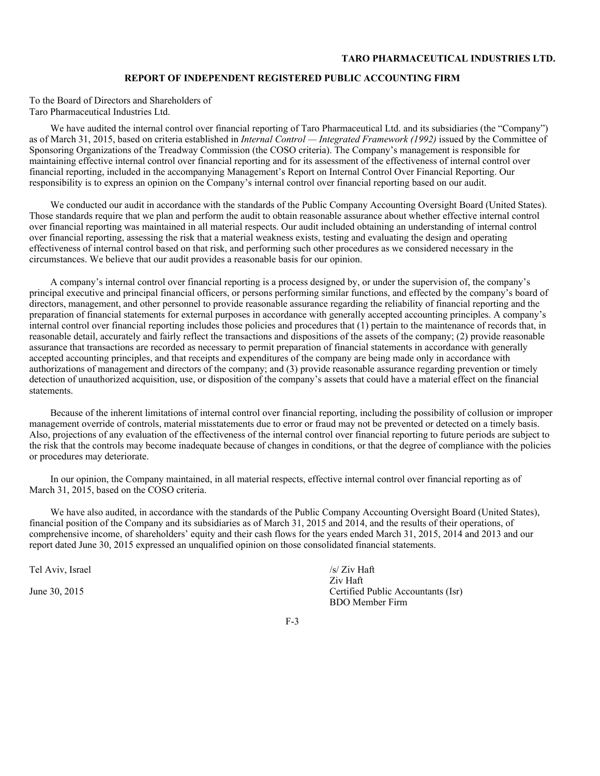# **REPORT OF INDEPENDENT REGISTERED PUBLIC ACCOUNTING FIRM**

To the Board of Directors and Shareholders of Taro Pharmaceutical Industries Ltd.

We have audited the internal control over financial reporting of Taro Pharmaceutical Ltd. and its subsidiaries (the "Company") as of March 31, 2015, based on criteria established in *Internal Control — Integrated Framework (1992)* issued by the Committee of Sponsoring Organizations of the Treadway Commission (the COSO criteria). The Company's management is responsible for maintaining effective internal control over financial reporting and for its assessment of the effectiveness of internal control over financial reporting, included in the accompanying Management's Report on Internal Control Over Financial Reporting. Our responsibility is to express an opinion on the Company's internal control over financial reporting based on our audit.

We conducted our audit in accordance with the standards of the Public Company Accounting Oversight Board (United States). Those standards require that we plan and perform the audit to obtain reasonable assurance about whether effective internal control over financial reporting was maintained in all material respects. Our audit included obtaining an understanding of internal control over financial reporting, assessing the risk that a material weakness exists, testing and evaluating the design and operating effectiveness of internal control based on that risk, and performing such other procedures as we considered necessary in the circumstances. We believe that our audit provides a reasonable basis for our opinion.

A company's internal control over financial reporting is a process designed by, or under the supervision of, the company's principal executive and principal financial officers, or persons performing similar functions, and effected by the company's board of directors, management, and other personnel to provide reasonable assurance regarding the reliability of financial reporting and the preparation of financial statements for external purposes in accordance with generally accepted accounting principles. A company's internal control over financial reporting includes those policies and procedures that (1) pertain to the maintenance of records that, in reasonable detail, accurately and fairly reflect the transactions and dispositions of the assets of the company; (2) provide reasonable assurance that transactions are recorded as necessary to permit preparation of financial statements in accordance with generally accepted accounting principles, and that receipts and expenditures of the company are being made only in accordance with authorizations of management and directors of the company; and (3) provide reasonable assurance regarding prevention or timely detection of unauthorized acquisition, use, or disposition of the company's assets that could have a material effect on the financial statements.

Because of the inherent limitations of internal control over financial reporting, including the possibility of collusion or improper management override of controls, material misstatements due to error or fraud may not be prevented or detected on a timely basis. Also, projections of any evaluation of the effectiveness of the internal control over financial reporting to future periods are subject to the risk that the controls may become inadequate because of changes in conditions, or that the degree of compliance with the policies or procedures may deteriorate.

In our opinion, the Company maintained, in all material respects, effective internal control over financial reporting as of March 31, 2015, based on the COSO criteria.

We have also audited, in accordance with the standards of the Public Company Accounting Oversight Board (United States), financial position of the Company and its subsidiaries as of March 31, 2015 and 2014, and the results of their operations, of comprehensive income, of shareholders' equity and their cash flows for the years ended March 31, 2015, 2014 and 2013 and our report dated June 30, 2015 expressed an unqualified opinion on those consolidated financial statements.

Tel Aviv, Israel /s/ Ziv Haft

Ziv Haft June 30, 2015 Certified Public Accountants (Isr) BDO Member Firm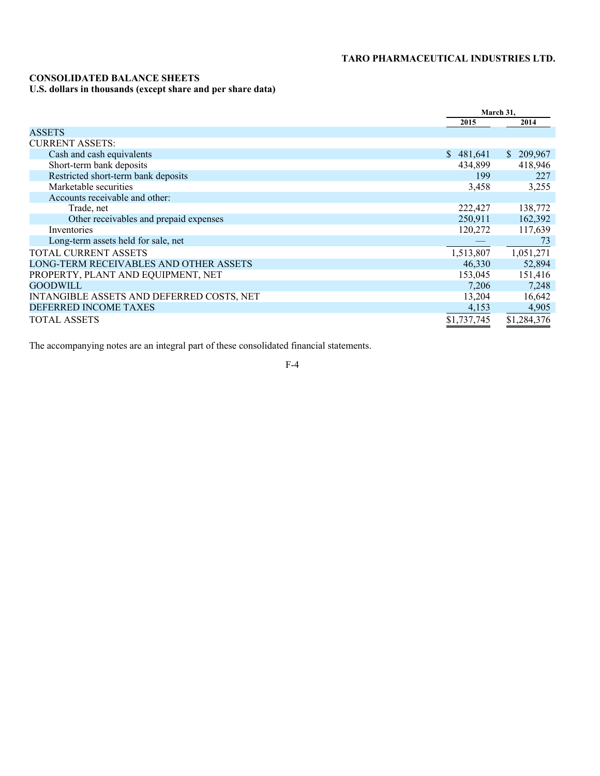# **CONSOLIDATED BALANCE SHEETS**

# **U.S. dollars in thousands (except share and per share data)**

|                                           | March 31,   |             |
|-------------------------------------------|-------------|-------------|
|                                           | 2015        | 2014        |
| <b>ASSETS</b>                             |             |             |
| <b>CURRENT ASSETS:</b>                    |             |             |
| Cash and cash equivalents                 | \$481,641   | \$209,967   |
| Short-term bank deposits                  | 434,899     | 418,946     |
| Restricted short-term bank deposits       | 199         | 227         |
| Marketable securities                     | 3,458       | 3,255       |
| Accounts receivable and other:            |             |             |
| Trade, net                                | 222,427     | 138,772     |
| Other receivables and prepaid expenses    | 250,911     | 162,392     |
| Inventories                               | 120,272     | 117,639     |
| Long-term assets held for sale, net       |             | 73          |
| TOTAL CURRENT ASSETS                      | 1,513,807   | 1,051,271   |
| LONG-TERM RECEIVABLES AND OTHER ASSETS    | 46,330      | 52,894      |
| PROPERTY, PLANT AND EQUIPMENT, NET        | 153,045     | 151,416     |
| GOODWILL                                  | 7,206       | 7,248       |
| INTANGIBLE ASSETS AND DEFERRED COSTS, NET | 13,204      | 16,642      |
| DEFERRED INCOME TAXES                     | 4,153       | 4,905       |
| <b>TOTAL ASSETS</b>                       | \$1,737,745 | \$1,284,376 |

The accompanying notes are an integral part of these consolidated financial statements.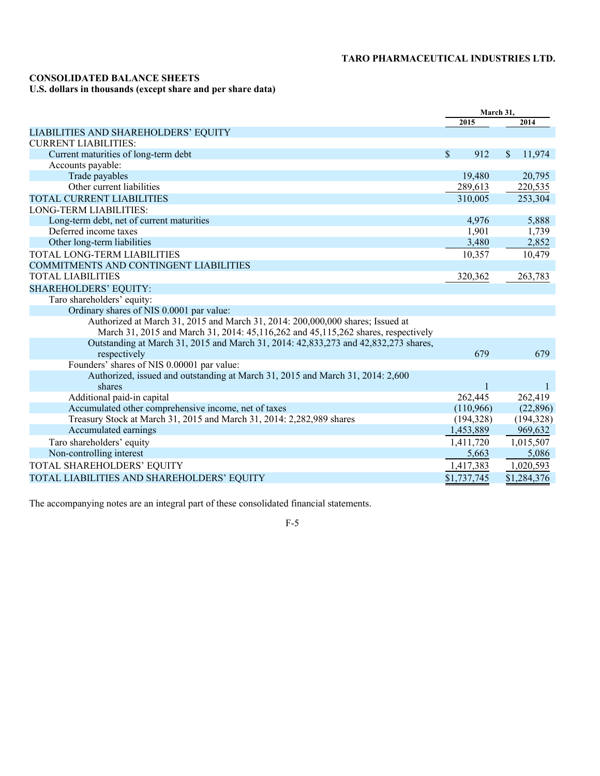# **CONSOLIDATED BALANCE SHEETS**

**U.S. dollars in thousands (except share and per share data)** 

|                                                                                         | March 31,            |                        |
|-----------------------------------------------------------------------------------------|----------------------|------------------------|
|                                                                                         | 2015                 | 2014                   |
| LIABILITIES AND SHAREHOLDERS' EQUITY                                                    |                      |                        |
| <b>CURRENT LIABILITIES:</b>                                                             |                      |                        |
| Current maturities of long-term debt                                                    | $\mathsf{\$}$<br>912 | 11,974<br>$\mathbb{S}$ |
| Accounts payable:                                                                       |                      |                        |
| Trade payables                                                                          | 19,480               | 20,795                 |
| Other current liabilities                                                               | 289,613              | 220,535                |
| TOTAL CURRENT LIABILITIES                                                               | 310,005              | 253,304                |
| <b>LONG-TERM LIABILITIES:</b>                                                           |                      |                        |
| Long-term debt, net of current maturities                                               | 4,976                | 5,888                  |
| Deferred income taxes                                                                   | 1,901                | 1,739                  |
| Other long-term liabilities                                                             | 3,480                | 2,852                  |
| TOTAL LONG-TERM LIABILITIES                                                             | 10,357               | 10,479                 |
| COMMITMENTS AND CONTINGENT LIABILITIES                                                  |                      |                        |
| <b>TOTAL LIABILITIES</b>                                                                | 320,362              | 263,783                |
| <b>SHAREHOLDERS' EQUITY:</b>                                                            |                      |                        |
| Taro shareholders' equity:                                                              |                      |                        |
| Ordinary shares of NIS 0.0001 par value:                                                |                      |                        |
| Authorized at March 31, 2015 and March 31, 2014: 200,000,000 shares; Issued at          |                      |                        |
| March 31, 2015 and March 31, 2014: 45, 116, 262 and 45, 115, 262 shares, respectively   |                      |                        |
| Outstanding at March 31, 2015 and March 31, 2014: 42, 833, 273 and 42, 832, 273 shares, |                      |                        |
| respectively                                                                            | 679                  | 679                    |
| Founders' shares of NIS 0.00001 par value:                                              |                      |                        |
| Authorized, issued and outstanding at March 31, 2015 and March 31, 2014: 2,600          |                      |                        |
| shares                                                                                  |                      |                        |
| Additional paid-in capital                                                              | 262,445              | 262,419                |
| Accumulated other comprehensive income, net of taxes                                    | (110,966)            | (22,896)               |
| Treasury Stock at March 31, 2015 and March 31, 2014: 2,282,989 shares                   | (194, 328)           | (194, 328)             |
| Accumulated earnings                                                                    | 1,453,889            | 969,632                |
| Taro shareholders' equity                                                               | 1,411,720            | 1,015,507              |
| Non-controlling interest                                                                | 5,663                | 5,086                  |
| TOTAL SHAREHOLDERS' EQUITY                                                              | 1,417,383            | 1,020,593              |
| TOTAL LIABILITIES AND SHAREHOLDERS' EQUITY                                              | \$1,737,745          | \$1,284,376            |

The accompanying notes are an integral part of these consolidated financial statements.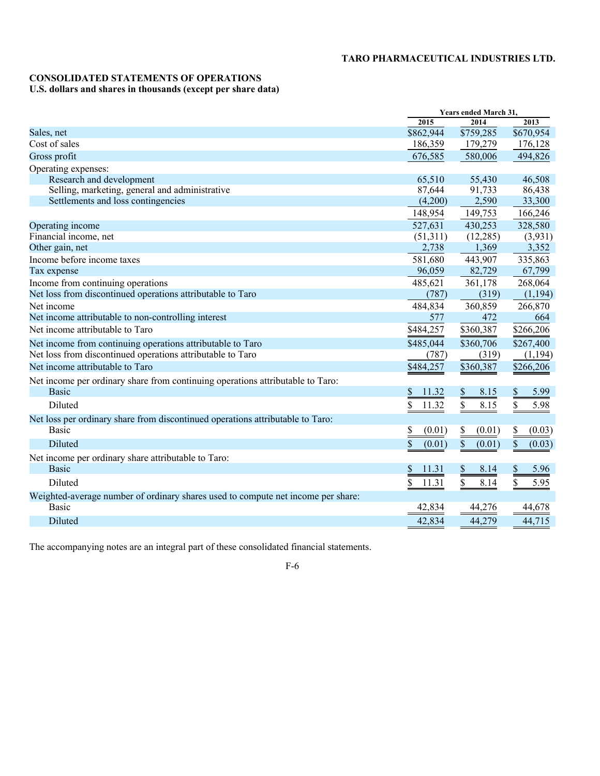# **CONSOLIDATED STATEMENTS OF OPERATIONS**

# **U.S. dollars and shares in thousands (except per share data)**

|                                                                                  | <b>Years ended March 31,</b> |              |              |
|----------------------------------------------------------------------------------|------------------------------|--------------|--------------|
|                                                                                  | 2015                         | 2014         | 2013         |
| Sales, net                                                                       | \$862,944                    | \$759,285    | \$670,954    |
| Cost of sales                                                                    | 186,359                      | 179,279      | 176,128      |
| Gross profit                                                                     | 676,585                      | 580,006      | 494,826      |
| Operating expenses:                                                              |                              |              |              |
| Research and development                                                         | 65,510                       | 55,430       | 46,508       |
| Selling, marketing, general and administrative                                   | 87,644                       | 91,733       | 86,438       |
| Settlements and loss contingencies                                               | (4,200)                      | 2,590        | 33,300       |
|                                                                                  | 148,954                      | 149,753      | 166,246      |
| Operating income                                                                 | 527,631                      | 430,253      | 328,580      |
| Financial income, net                                                            | (51,311)                     | (12, 285)    | (3,931)      |
| Other gain, net                                                                  | 2,738                        | 1,369        | 3,352        |
| Income before income taxes                                                       | 581,680                      | 443,907      | 335,863      |
| Tax expense                                                                      | 96,059                       | 82,729       | 67,799       |
| Income from continuing operations                                                | 485,621                      | 361,178      | 268,064      |
| Net loss from discontinued operations attributable to Taro                       | (787)                        | (319)        | (1, 194)     |
| Net income                                                                       | 484,834                      | 360,859      | 266,870      |
| Net income attributable to non-controlling interest                              | 577                          | 472          | 664          |
| Net income attributable to Taro                                                  | \$484,257                    | \$360,387    | \$266,206    |
| Net income from continuing operations attributable to Taro                       | \$485,044                    | \$360,706    | \$267,400    |
| Net loss from discontinued operations attributable to Taro                       | (787)                        | (319)        | (1, 194)     |
| Net income attributable to Taro                                                  | \$484,257                    | \$360,387    | \$266,206    |
| Net income per ordinary share from continuing operations attributable to Taro:   |                              |              |              |
| <b>Basic</b>                                                                     | \$<br>11.32                  | \$<br>8.15   | \$<br>5.99   |
| Diluted                                                                          | \$<br>11.32                  | \$<br>8.15   | \$<br>5.98   |
| Net loss per ordinary share from discontinued operations attributable to Taro:   |                              |              |              |
| <b>Basic</b>                                                                     | \$<br>(0.01)                 | \$<br>(0.01) | \$<br>(0.03) |
| Diluted                                                                          | \$<br>(0.01)                 | \$<br>(0.01) | \$<br>(0.03) |
| Net income per ordinary share attributable to Taro:                              |                              |              |              |
| <b>Basic</b>                                                                     | 11.31<br>\$                  | \$<br>8.14   | \$<br>5.96   |
| Diluted                                                                          | \$<br>11.31                  | \$<br>8.14   | \$<br>5.95   |
| Weighted-average number of ordinary shares used to compute net income per share: |                              |              |              |
| <b>Basic</b>                                                                     | 42,834                       | 44,276       | 44,678       |
|                                                                                  |                              |              |              |
| Diluted                                                                          | 42,834                       | 44,279       | 44,715       |

The accompanying notes are an integral part of these consolidated financial statements.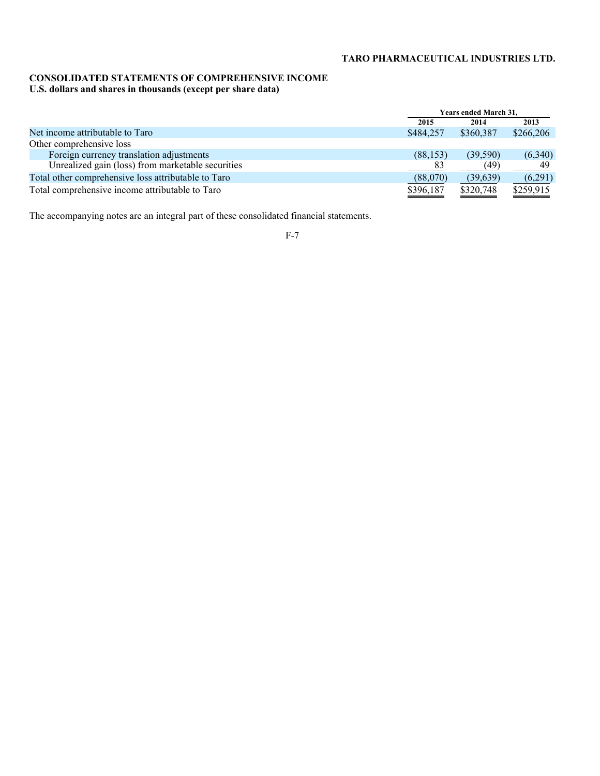# **CONSOLIDATED STATEMENTS OF COMPREHENSIVE INCOME**

**U.S. dollars and shares in thousands (except per share data)** 

|                                                     | <b>Years ended March 31,</b> |           |           |  |
|-----------------------------------------------------|------------------------------|-----------|-----------|--|
|                                                     | 2015                         | 2014      | 2013      |  |
| Net income attributable to Taro                     | \$484,257                    | \$360,387 | \$266,206 |  |
| Other comprehensive loss                            |                              |           |           |  |
| Foreign currency translation adjustments            | (88, 153)                    | (39,590)  | (6,340)   |  |
| Unrealized gain (loss) from marketable securities   | 83                           | (49)      | 49        |  |
| Total other comprehensive loss attributable to Taro | (88,070)                     | (39,639)  | (6,291)   |  |
| Total comprehensive income attributable to Taro     | \$396,187                    | \$320,748 | \$259,915 |  |

F-7

The accompanying notes are an integral part of these consolidated financial statements.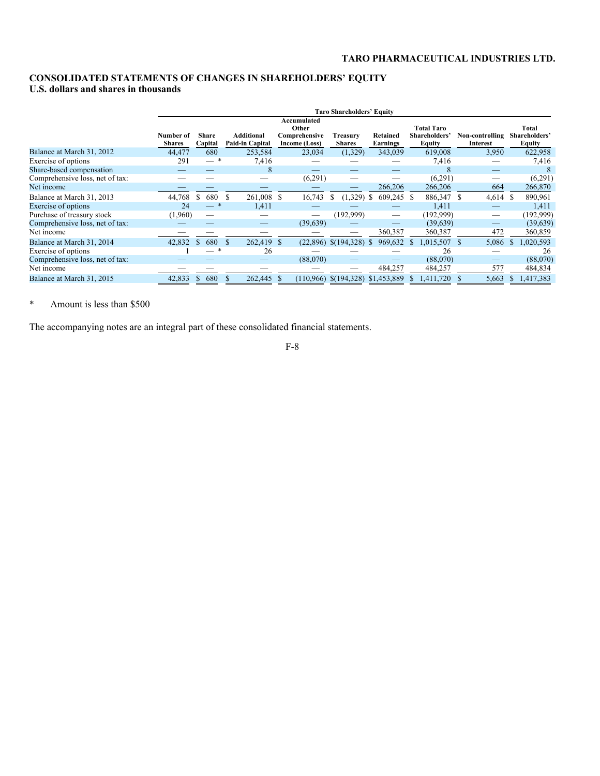# **CONSOLIDATED STATEMENTS OF CHANGES IN SHAREHOLDERS' EQUITY U.S. dollars and shares in thousands**

|                                 | <b>Taro Shareholders' Equity</b> |                     |                                      |                                                               |                                  |                          |                                              |                             |                                         |
|---------------------------------|----------------------------------|---------------------|--------------------------------------|---------------------------------------------------------------|----------------------------------|--------------------------|----------------------------------------------|-----------------------------|-----------------------------------------|
|                                 | Number of<br><b>Shares</b>       | Share<br>Capital    | Additional<br><b>Paid-in Capital</b> | <b>Accumulated</b><br>Other<br>Comprehensive<br>Income (Loss) | <b>Treasury</b><br><b>Shares</b> | Retained<br>Earnings     | <b>Total Taro</b><br>Shareholders'<br>Equity | Non-controlling<br>Interest | Total<br>Shareholders'<br><b>Equity</b> |
| Balance at March 31, 2012       | 44,477                           | 680                 | 253,584                              | 23,034                                                        | (1,329)                          | 343,039                  | 619,008                                      | 3,950                       | 622,958                                 |
| Exercise of options             | 291                              | ∗                   | 7,416                                |                                                               |                                  |                          | 7,416                                        |                             | 7,416                                   |
| Share-based compensation        |                                  |                     | 8                                    |                                                               |                                  |                          | 8                                            | _                           |                                         |
| Comprehensive loss, net of tax: |                                  |                     |                                      | (6,291)                                                       |                                  |                          | (6,291)                                      |                             | (6,291)                                 |
| Net income                      |                                  |                     |                                      |                                                               | —                                | 266,206                  | 266,206                                      | 664                         | 266,870                                 |
| Balance at March 31, 2013       | 44,768                           | 680<br>S.           | 261,008 \$                           | 16,743                                                        | (1, 329)<br>ъ                    | 609,245 \$<br>S          | 886,347                                      | $4,614$ \$<br>-S            | 890,961                                 |
| Exercise of options             | 24                               |                     | 1,411                                |                                                               |                                  |                          | 1,411                                        |                             | 1,411                                   |
| Purchase of treasury stock      | (1,960)                          |                     |                                      |                                                               | (192,999)                        |                          | (192,999)                                    |                             | (192,999)                               |
| Comprehensive loss, net of tax: |                                  |                     |                                      | (39,639)                                                      |                                  |                          | (39,639)                                     | —                           | (39,639)                                |
| Net income                      |                                  |                     |                                      |                                                               | –                                | 360,387                  | 360,387                                      | 472                         | 360,859                                 |
| Balance at March 31, 2014       | 42.832                           | $\mathbf{s}$<br>680 | $\mathbf S$<br>262,419 \$            | (22,896)                                                      | \$(194,328)                      | 969.632<br><sup>\$</sup> | 1,015,507<br>S.                              | 5,086<br>-\$                | 1,020,593<br>\$                         |
| Exercise of options             |                                  |                     | 26                                   |                                                               |                                  |                          | 26                                           |                             | 26                                      |
| Comprehensive loss, net of tax: |                                  |                     |                                      | (88,070)                                                      |                                  |                          | (88,070)                                     |                             | (88,070)                                |
| Net income                      |                                  |                     |                                      |                                                               |                                  | 484,257                  | 484,257                                      | 577                         | 484,834                                 |
| Balance at March 31, 2015       | 42,833                           | \$<br>680           | 262,445 \$                           |                                                               | $(110,966)$ \$(194,328)          | \$1,453,889              | 1,411,720                                    | 5,663                       | 1,417,383                               |

# \* Amount is less than \$500

The accompanying notes are an integral part of these consolidated financial statements.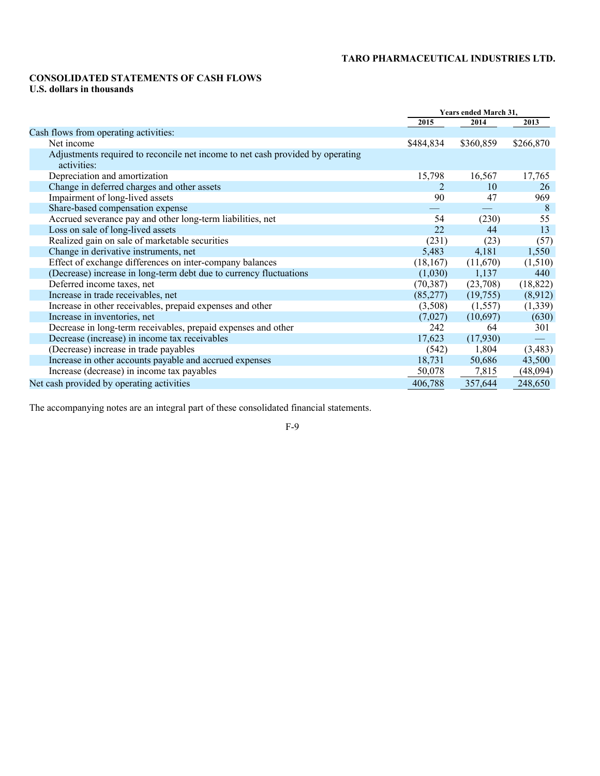# **CONSOLIDATED STATEMENTS OF CASH FLOWS U.S. dollars in thousands**

|                                                                                               | Years ended March 31, |           |           |  |
|-----------------------------------------------------------------------------------------------|-----------------------|-----------|-----------|--|
|                                                                                               | 2015                  | 2014      | 2013      |  |
| Cash flows from operating activities:                                                         |                       |           |           |  |
| Net income                                                                                    | \$484,834             | \$360,859 | \$266,870 |  |
| Adjustments required to reconcile net income to net cash provided by operating<br>activities: |                       |           |           |  |
| Depreciation and amortization                                                                 | 15,798                | 16,567    | 17,765    |  |
| Change in deferred charges and other assets                                                   |                       | 10        | 26        |  |
| Impairment of long-lived assets                                                               | 90                    | 47        | 969       |  |
| Share-based compensation expense                                                              |                       |           | 8         |  |
| Accrued severance pay and other long-term liabilities, net                                    | 54                    | (230)     | 55        |  |
| Loss on sale of long-lived assets                                                             | 22                    | 44        | 13        |  |
| Realized gain on sale of marketable securities                                                | (231)                 | (23)      | (57)      |  |
| Change in derivative instruments, net                                                         | 5,483                 | 4,181     | 1,550     |  |
| Effect of exchange differences on inter-company balances                                      | (18, 167)             | (11,670)  | (1,510)   |  |
| (Decrease) increase in long-term debt due to currency fluctuations                            | (1,030)               | 1,137     | 440       |  |
| Deferred income taxes, net                                                                    | (70, 387)             | (23,708)  | (18, 822) |  |
| Increase in trade receivables, net                                                            | (85,277)              | (19,755)  | (8,912)   |  |
| Increase in other receivables, prepaid expenses and other                                     | (3,508)               | (1,557)   | (1,339)   |  |
| Increase in inventories, net                                                                  | (7,027)               | (10,697)  | (630)     |  |
| Decrease in long-term receivables, prepaid expenses and other                                 | 242                   | 64        | 301       |  |
| Decrease (increase) in income tax receivables                                                 | 17,623                | (17,930)  |           |  |
| (Decrease) increase in trade payables                                                         | (542)                 | 1,804     | (3,483)   |  |
| Increase in other accounts payable and accrued expenses                                       | 18,731                | 50,686    | 43,500    |  |
| Increase (decrease) in income tax payables                                                    | 50,078                | 7,815     | (48,094)  |  |
| Net cash provided by operating activities                                                     | 406,788               | 357,644   | 248,650   |  |

The accompanying notes are an integral part of these consolidated financial statements.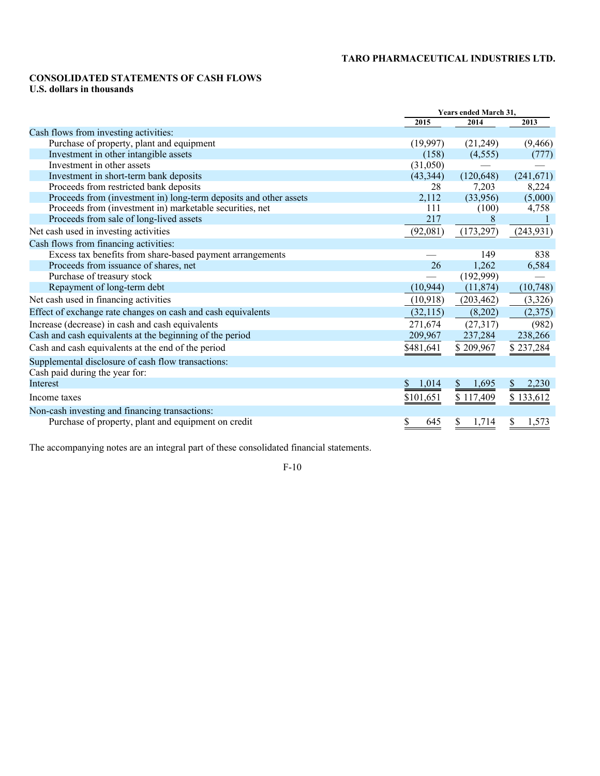# **CONSOLIDATED STATEMENTS OF CASH FLOWS U.S. dollars in thousands**

|                                                                   | <b>Years ended March 31.</b> |            |            |  |  |
|-------------------------------------------------------------------|------------------------------|------------|------------|--|--|
|                                                                   | 2015                         | 2014       | 2013       |  |  |
| Cash flows from investing activities:                             |                              |            |            |  |  |
| Purchase of property, plant and equipment                         | (19,997)                     | (21,249)   | (9, 466)   |  |  |
| Investment in other intangible assets                             | (158)                        | (4,555)    | (777)      |  |  |
| Investment in other assets                                        | (31,050)                     |            |            |  |  |
| Investment in short-term bank deposits                            | (43, 344)                    | (120, 648) | (241,671)  |  |  |
| Proceeds from restricted bank deposits                            | 28                           | 7,203      | 8,224      |  |  |
| Proceeds from (investment in) long-term deposits and other assets | 2,112                        | (33,956)   | (5,000)    |  |  |
| Proceeds from (investment in) marketable securities, net          | 111                          | (100)      | 4,758      |  |  |
| Proceeds from sale of long-lived assets                           | 217                          | 8          |            |  |  |
| Net cash used in investing activities                             | (92,081)                     | (173, 297) | (243, 931) |  |  |
| Cash flows from financing activities:                             |                              |            |            |  |  |
| Excess tax benefits from share-based payment arrangements         |                              | 149        | 838        |  |  |
| Proceeds from issuance of shares, net                             | 26                           | 1,262      | 6,584      |  |  |
| Purchase of treasury stock                                        |                              | (192,999)  |            |  |  |
| Repayment of long-term debt                                       | (10, 944)                    | (11, 874)  | (10, 748)  |  |  |
| Net cash used in financing activities                             | (10,918)                     | (203, 462) | (3,326)    |  |  |
| Effect of exchange rate changes on cash and cash equivalents      | (32, 115)                    | (8,202)    | (2,375)    |  |  |
| Increase (decrease) in cash and cash equivalents                  | 271,674                      | (27, 317)  | (982)      |  |  |
| Cash and cash equivalents at the beginning of the period          | 209,967                      | 237,284    | 238,266    |  |  |
| Cash and cash equivalents at the end of the period                | \$481,641                    | \$209,967  | \$237,284  |  |  |
| Supplemental disclosure of cash flow transactions:                |                              |            |            |  |  |
| Cash paid during the year for:                                    |                              |            |            |  |  |
| Interest                                                          | 1,014                        | 1,695      | 2,230      |  |  |
| Income taxes                                                      | \$101,651                    | \$117,409  | \$133,612  |  |  |
| Non-cash investing and financing transactions:                    |                              |            |            |  |  |
| Purchase of property, plant and equipment on credit               | 645                          | 1,714<br>S | 1,573<br>S |  |  |

The accompanying notes are an integral part of these consolidated financial statements.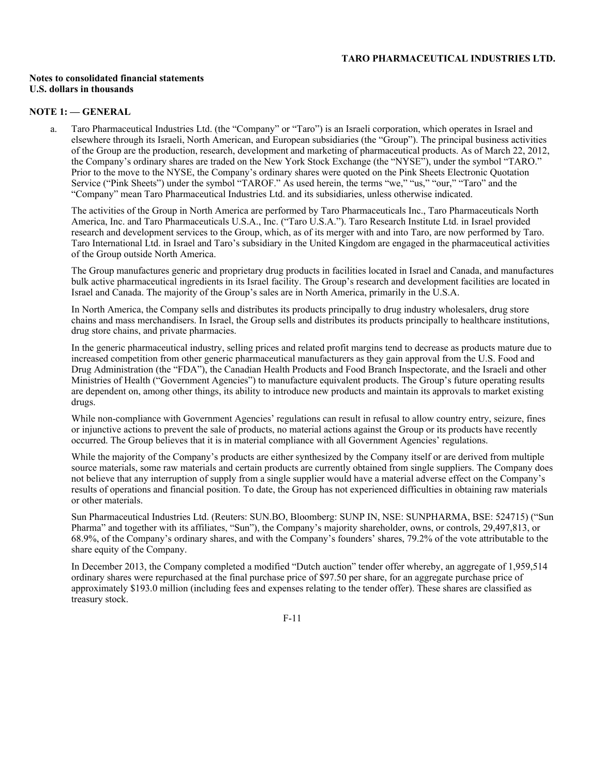#### **NOTE 1: — GENERAL**

a. Taro Pharmaceutical Industries Ltd. (the "Company" or "Taro") is an Israeli corporation, which operates in Israel and elsewhere through its Israeli, North American, and European subsidiaries (the "Group"). The principal business activities of the Group are the production, research, development and marketing of pharmaceutical products. As of March 22, 2012, the Company's ordinary shares are traded on the New York Stock Exchange (the "NYSE"), under the symbol "TARO." Prior to the move to the NYSE, the Company's ordinary shares were quoted on the Pink Sheets Electronic Quotation Service ("Pink Sheets") under the symbol "TAROF." As used herein, the terms "we," "us," "our," "Taro" and the "Company" mean Taro Pharmaceutical Industries Ltd. and its subsidiaries, unless otherwise indicated.

The activities of the Group in North America are performed by Taro Pharmaceuticals Inc., Taro Pharmaceuticals North America, Inc. and Taro Pharmaceuticals U.S.A., Inc. ("Taro U.S.A."). Taro Research Institute Ltd. in Israel provided research and development services to the Group, which, as of its merger with and into Taro, are now performed by Taro. Taro International Ltd. in Israel and Taro's subsidiary in the United Kingdom are engaged in the pharmaceutical activities of the Group outside North America.

The Group manufactures generic and proprietary drug products in facilities located in Israel and Canada, and manufactures bulk active pharmaceutical ingredients in its Israel facility. The Group's research and development facilities are located in Israel and Canada. The majority of the Group's sales are in North America, primarily in the U.S.A.

In North America, the Company sells and distributes its products principally to drug industry wholesalers, drug store chains and mass merchandisers. In Israel, the Group sells and distributes its products principally to healthcare institutions, drug store chains, and private pharmacies.

In the generic pharmaceutical industry, selling prices and related profit margins tend to decrease as products mature due to increased competition from other generic pharmaceutical manufacturers as they gain approval from the U.S. Food and Drug Administration (the "FDA"), the Canadian Health Products and Food Branch Inspectorate, and the Israeli and other Ministries of Health ("Government Agencies") to manufacture equivalent products. The Group's future operating results are dependent on, among other things, its ability to introduce new products and maintain its approvals to market existing drugs.

While non-compliance with Government Agencies' regulations can result in refusal to allow country entry, seizure, fines or injunctive actions to prevent the sale of products, no material actions against the Group or its products have recently occurred. The Group believes that it is in material compliance with all Government Agencies' regulations.

While the majority of the Company's products are either synthesized by the Company itself or are derived from multiple source materials, some raw materials and certain products are currently obtained from single suppliers. The Company does not believe that any interruption of supply from a single supplier would have a material adverse effect on the Company's results of operations and financial position. To date, the Group has not experienced difficulties in obtaining raw materials or other materials.

Sun Pharmaceutical Industries Ltd. (Reuters: SUN.BO, Bloomberg: SUNP IN, NSE: SUNPHARMA, BSE: 524715) ("Sun Pharma" and together with its affiliates, "Sun"), the Company's majority shareholder, owns, or controls, 29,497,813, or 68.9%, of the Company's ordinary shares, and with the Company's founders' shares, 79.2% of the vote attributable to the share equity of the Company.

In December 2013, the Company completed a modified "Dutch auction" tender offer whereby, an aggregate of 1,959,514 ordinary shares were repurchased at the final purchase price of \$97.50 per share, for an aggregate purchase price of approximately \$193.0 million (including fees and expenses relating to the tender offer). These shares are classified as treasury stock.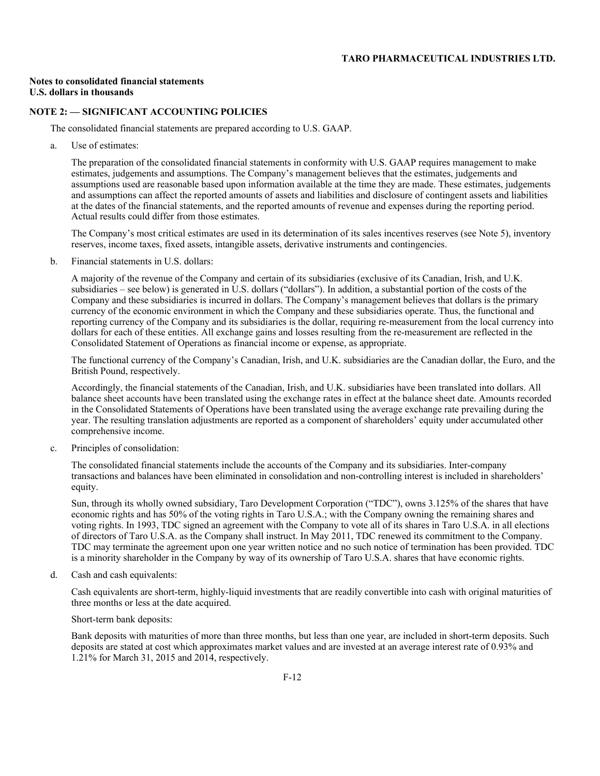## **Notes to consolidated financial statements U.S. dollars in thousands**

### **NOTE 2: — SIGNIFICANT ACCOUNTING POLICIES**

The consolidated financial statements are prepared according to U.S. GAAP.

a. Use of estimates:

The preparation of the consolidated financial statements in conformity with U.S. GAAP requires management to make estimates, judgements and assumptions. The Company's management believes that the estimates, judgements and assumptions used are reasonable based upon information available at the time they are made. These estimates, judgements and assumptions can affect the reported amounts of assets and liabilities and disclosure of contingent assets and liabilities at the dates of the financial statements, and the reported amounts of revenue and expenses during the reporting period. Actual results could differ from those estimates.

The Company's most critical estimates are used in its determination of its sales incentives reserves (see Note 5), inventory reserves, income taxes, fixed assets, intangible assets, derivative instruments and contingencies.

b. Financial statements in U.S. dollars:

A majority of the revenue of the Company and certain of its subsidiaries (exclusive of its Canadian, Irish, and U.K. subsidiaries – see below) is generated in U.S. dollars ("dollars"). In addition, a substantial portion of the costs of the Company and these subsidiaries is incurred in dollars. The Company's management believes that dollars is the primary currency of the economic environment in which the Company and these subsidiaries operate. Thus, the functional and reporting currency of the Company and its subsidiaries is the dollar, requiring re-measurement from the local currency into dollars for each of these entities. All exchange gains and losses resulting from the re-measurement are reflected in the Consolidated Statement of Operations as financial income or expense, as appropriate.

The functional currency of the Company's Canadian, Irish, and U.K. subsidiaries are the Canadian dollar, the Euro, and the British Pound, respectively.

Accordingly, the financial statements of the Canadian, Irish, and U.K. subsidiaries have been translated into dollars. All balance sheet accounts have been translated using the exchange rates in effect at the balance sheet date. Amounts recorded in the Consolidated Statements of Operations have been translated using the average exchange rate prevailing during the year. The resulting translation adjustments are reported as a component of shareholders' equity under accumulated other comprehensive income.

c. Principles of consolidation:

The consolidated financial statements include the accounts of the Company and its subsidiaries. Inter-company transactions and balances have been eliminated in consolidation and non-controlling interest is included in shareholders' equity.

Sun, through its wholly owned subsidiary, Taro Development Corporation ("TDC"), owns 3.125% of the shares that have economic rights and has 50% of the voting rights in Taro U.S.A.; with the Company owning the remaining shares and voting rights. In 1993, TDC signed an agreement with the Company to vote all of its shares in Taro U.S.A. in all elections of directors of Taro U.S.A. as the Company shall instruct. In May 2011, TDC renewed its commitment to the Company. TDC may terminate the agreement upon one year written notice and no such notice of termination has been provided. TDC is a minority shareholder in the Company by way of its ownership of Taro U.S.A. shares that have economic rights.

d. Cash and cash equivalents:

Cash equivalents are short-term, highly-liquid investments that are readily convertible into cash with original maturities of three months or less at the date acquired.

Short-term bank deposits:

Bank deposits with maturities of more than three months, but less than one year, are included in short-term deposits. Such deposits are stated at cost which approximates market values and are invested at an average interest rate of 0.93% and 1.21% for March 31, 2015 and 2014, respectively.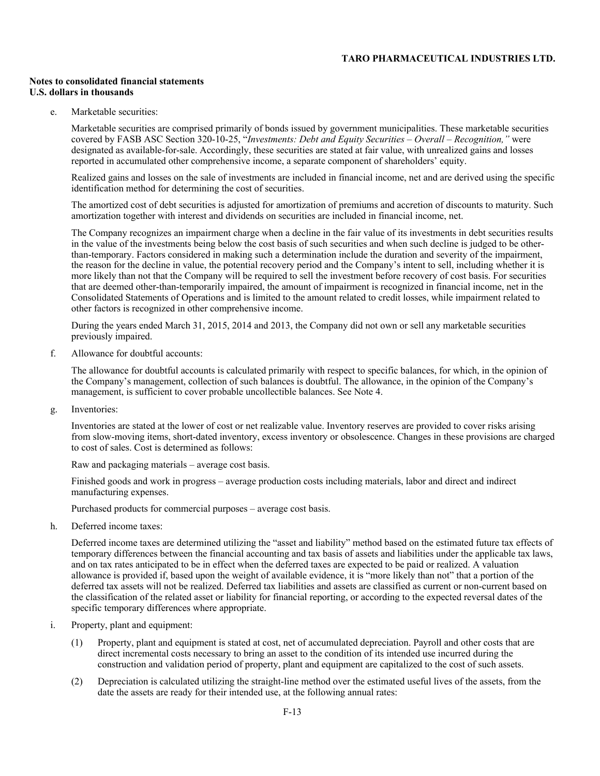#### **Notes to consolidated financial statements U.S. dollars in thousands**

e. Marketable securities:

Marketable securities are comprised primarily of bonds issued by government municipalities. These marketable securities covered by FASB ASC Section 320-10-25, "*Investments: Debt and Equity Securities – Overall – Recognition,"* were designated as available-for-sale. Accordingly, these securities are stated at fair value, with unrealized gains and losses reported in accumulated other comprehensive income, a separate component of shareholders' equity.

Realized gains and losses on the sale of investments are included in financial income, net and are derived using the specific identification method for determining the cost of securities.

The amortized cost of debt securities is adjusted for amortization of premiums and accretion of discounts to maturity. Such amortization together with interest and dividends on securities are included in financial income, net.

The Company recognizes an impairment charge when a decline in the fair value of its investments in debt securities results in the value of the investments being below the cost basis of such securities and when such decline is judged to be otherthan-temporary. Factors considered in making such a determination include the duration and severity of the impairment, the reason for the decline in value, the potential recovery period and the Company's intent to sell, including whether it is more likely than not that the Company will be required to sell the investment before recovery of cost basis. For securities that are deemed other-than-temporarily impaired, the amount of impairment is recognized in financial income, net in the Consolidated Statements of Operations and is limited to the amount related to credit losses, while impairment related to other factors is recognized in other comprehensive income.

During the years ended March 31, 2015, 2014 and 2013, the Company did not own or sell any marketable securities previously impaired.

f. Allowance for doubtful accounts:

The allowance for doubtful accounts is calculated primarily with respect to specific balances, for which, in the opinion of the Company's management, collection of such balances is doubtful. The allowance, in the opinion of the Company's management, is sufficient to cover probable uncollectible balances. See Note 4.

g. Inventories:

Inventories are stated at the lower of cost or net realizable value. Inventory reserves are provided to cover risks arising from slow-moving items, short-dated inventory, excess inventory or obsolescence. Changes in these provisions are charged to cost of sales. Cost is determined as follows:

Raw and packaging materials – average cost basis.

Finished goods and work in progress – average production costs including materials, labor and direct and indirect manufacturing expenses.

Purchased products for commercial purposes – average cost basis.

h. Deferred income taxes:

Deferred income taxes are determined utilizing the "asset and liability" method based on the estimated future tax effects of temporary differences between the financial accounting and tax basis of assets and liabilities under the applicable tax laws, and on tax rates anticipated to be in effect when the deferred taxes are expected to be paid or realized. A valuation allowance is provided if, based upon the weight of available evidence, it is "more likely than not" that a portion of the deferred tax assets will not be realized. Deferred tax liabilities and assets are classified as current or non-current based on the classification of the related asset or liability for financial reporting, or according to the expected reversal dates of the specific temporary differences where appropriate.

- i. Property, plant and equipment:
	- (1) Property, plant and equipment is stated at cost, net of accumulated depreciation. Payroll and other costs that are direct incremental costs necessary to bring an asset to the condition of its intended use incurred during the construction and validation period of property, plant and equipment are capitalized to the cost of such assets.
	- (2) Depreciation is calculated utilizing the straight-line method over the estimated useful lives of the assets, from the date the assets are ready for their intended use, at the following annual rates: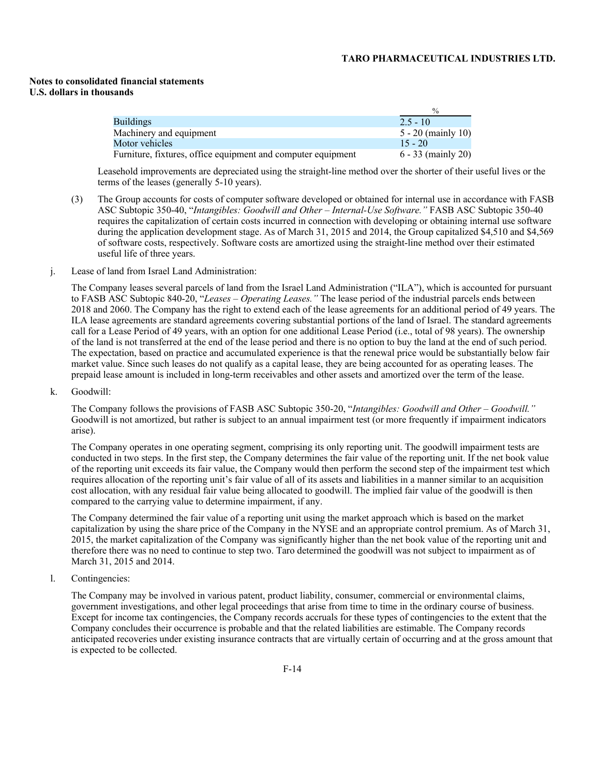|                                                              | $\frac{0}{0}$        |
|--------------------------------------------------------------|----------------------|
| <b>Buildings</b>                                             | $2.5 - 10$           |
| Machinery and equipment                                      | $5 - 20$ (mainly 10) |
| Motor vehicles                                               | $15 - 20$            |
| Furniture, fixtures, office equipment and computer equipment | $6 - 33$ (mainly 20) |

Leasehold improvements are depreciated using the straight-line method over the shorter of their useful lives or the terms of the leases (generally 5-10 years).

(3) The Group accounts for costs of computer software developed or obtained for internal use in accordance with FASB ASC Subtopic 350-40, "*Intangibles: Goodwill and Other – Internal-Use Software."* FASB ASC Subtopic 350-40 requires the capitalization of certain costs incurred in connection with developing or obtaining internal use software during the application development stage. As of March 31, 2015 and 2014, the Group capitalized \$4,510 and \$4,569 of software costs, respectively. Software costs are amortized using the straight-line method over their estimated useful life of three years.

#### j. Lease of land from Israel Land Administration:

The Company leases several parcels of land from the Israel Land Administration ("ILA"), which is accounted for pursuant to FASB ASC Subtopic 840-20, "*Leases – Operating Leases."* The lease period of the industrial parcels ends between 2018 and 2060. The Company has the right to extend each of the lease agreements for an additional period of 49 years. The ILA lease agreements are standard agreements covering substantial portions of the land of Israel. The standard agreements call for a Lease Period of 49 years, with an option for one additional Lease Period (i.e., total of 98 years). The ownership of the land is not transferred at the end of the lease period and there is no option to buy the land at the end of such period. The expectation, based on practice and accumulated experience is that the renewal price would be substantially below fair market value. Since such leases do not qualify as a capital lease, they are being accounted for as operating leases. The prepaid lease amount is included in long-term receivables and other assets and amortized over the term of the lease.

k. Goodwill:

The Company follows the provisions of FASB ASC Subtopic 350-20, "*Intangibles: Goodwill and Other – Goodwill."* Goodwill is not amortized, but rather is subject to an annual impairment test (or more frequently if impairment indicators arise).

The Company operates in one operating segment, comprising its only reporting unit. The goodwill impairment tests are conducted in two steps. In the first step, the Company determines the fair value of the reporting unit. If the net book value of the reporting unit exceeds its fair value, the Company would then perform the second step of the impairment test which requires allocation of the reporting unit's fair value of all of its assets and liabilities in a manner similar to an acquisition cost allocation, with any residual fair value being allocated to goodwill. The implied fair value of the goodwill is then compared to the carrying value to determine impairment, if any.

The Company determined the fair value of a reporting unit using the market approach which is based on the market capitalization by using the share price of the Company in the NYSE and an appropriate control premium. As of March 31, 2015, the market capitalization of the Company was significantly higher than the net book value of the reporting unit and therefore there was no need to continue to step two. Taro determined the goodwill was not subject to impairment as of March 31, 2015 and 2014.

l. Contingencies:

The Company may be involved in various patent, product liability, consumer, commercial or environmental claims, government investigations, and other legal proceedings that arise from time to time in the ordinary course of business. Except for income tax contingencies, the Company records accruals for these types of contingencies to the extent that the Company concludes their occurrence is probable and that the related liabilities are estimable. The Company records anticipated recoveries under existing insurance contracts that are virtually certain of occurring and at the gross amount that is expected to be collected.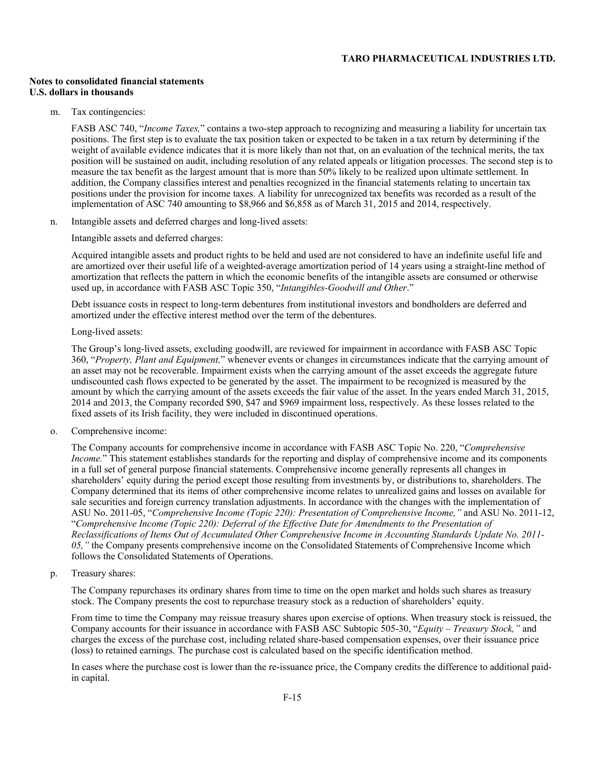#### **Notes to consolidated financial statements U.S. dollars in thousands**

m. Tax contingencies:

FASB ASC 740, "*Income Taxes,*" contains a two-step approach to recognizing and measuring a liability for uncertain tax positions. The first step is to evaluate the tax position taken or expected to be taken in a tax return by determining if the weight of available evidence indicates that it is more likely than not that, on an evaluation of the technical merits, the tax position will be sustained on audit, including resolution of any related appeals or litigation processes. The second step is to measure the tax benefit as the largest amount that is more than 50% likely to be realized upon ultimate settlement. In addition, the Company classifies interest and penalties recognized in the financial statements relating to uncertain tax positions under the provision for income taxes. A liability for unrecognized tax benefits was recorded as a result of the implementation of ASC 740 amounting to \$8,966 and \$6,858 as of March 31, 2015 and 2014, respectively.

n. Intangible assets and deferred charges and long-lived assets:

Intangible assets and deferred charges:

Acquired intangible assets and product rights to be held and used are not considered to have an indefinite useful life and are amortized over their useful life of a weighted-average amortization period of 14 years using a straight-line method of amortization that reflects the pattern in which the economic benefits of the intangible assets are consumed or otherwise used up, in accordance with FASB ASC Topic 350, "*Intangibles-Goodwill and Other*."

Debt issuance costs in respect to long-term debentures from institutional investors and bondholders are deferred and amortized under the effective interest method over the term of the debentures.

#### Long-lived assets:

The Group's long-lived assets, excluding goodwill, are reviewed for impairment in accordance with FASB ASC Topic 360, "*Property, Plant and Equipment,*" whenever events or changes in circumstances indicate that the carrying amount of an asset may not be recoverable. Impairment exists when the carrying amount of the asset exceeds the aggregate future undiscounted cash flows expected to be generated by the asset. The impairment to be recognized is measured by the amount by which the carrying amount of the assets exceeds the fair value of the asset. In the years ended March 31, 2015, 2014 and 2013, the Company recorded \$90, \$47 and \$969 impairment loss, respectively. As these losses related to the fixed assets of its Irish facility, they were included in discontinued operations.

o. Comprehensive income:

The Company accounts for comprehensive income in accordance with FASB ASC Topic No. 220, "*Comprehensive Income.*" This statement establishes standards for the reporting and display of comprehensive income and its components in a full set of general purpose financial statements. Comprehensive income generally represents all changes in shareholders' equity during the period except those resulting from investments by, or distributions to, shareholders. The Company determined that its items of other comprehensive income relates to unrealized gains and losses on available for sale securities and foreign currency translation adjustments. In accordance with the changes with the implementation of ASU No. 2011-05, "*Comprehensive Income (Topic 220): Presentation of Comprehensive Income,"* and ASU No. 2011-12, "*Comprehensive Income (Topic 220): Deferral of the Effective Date for Amendments to the Presentation of Reclassifications of Items Out of Accumulated Other Comprehensive Income in Accounting Standards Update No. 2011- 05,"* the Company presents comprehensive income on the Consolidated Statements of Comprehensive Income which follows the Consolidated Statements of Operations.

p. Treasury shares:

The Company repurchases its ordinary shares from time to time on the open market and holds such shares as treasury stock. The Company presents the cost to repurchase treasury stock as a reduction of shareholders' equity.

From time to time the Company may reissue treasury shares upon exercise of options. When treasury stock is reissued, the Company accounts for their issuance in accordance with FASB ASC Subtopic 505-30, "*Equity – Treasury Stock,"* and charges the excess of the purchase cost, including related share-based compensation expenses, over their issuance price (loss) to retained earnings. The purchase cost is calculated based on the specific identification method.

In cases where the purchase cost is lower than the re-issuance price, the Company credits the difference to additional paidin capital.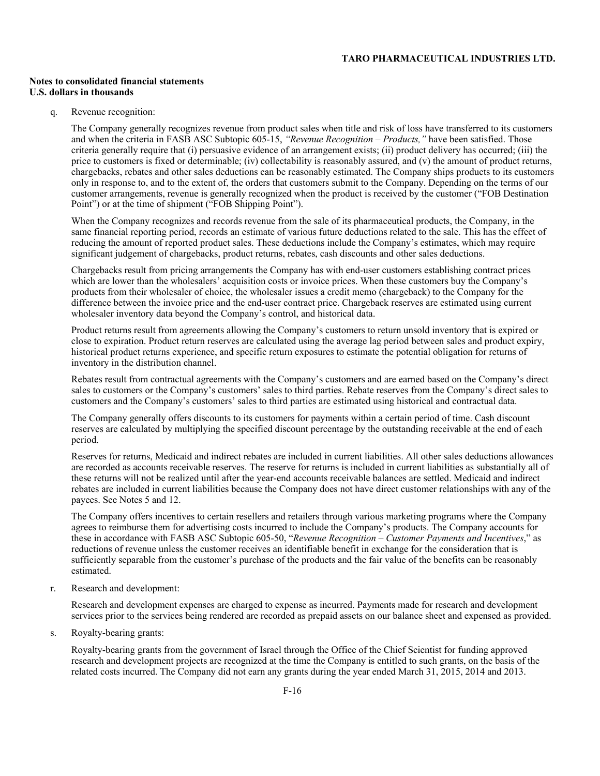#### **Notes to consolidated financial statements U.S. dollars in thousands**

q. Revenue recognition:

The Company generally recognizes revenue from product sales when title and risk of loss have transferred to its customers and when the criteria in FASB ASC Subtopic 605-15, *"Revenue Recognition – Products,"* have been satisfied. Those criteria generally require that (i) persuasive evidence of an arrangement exists; (ii) product delivery has occurred; (iii) the price to customers is fixed or determinable; (iv) collectability is reasonably assured, and (v) the amount of product returns, chargebacks, rebates and other sales deductions can be reasonably estimated. The Company ships products to its customers only in response to, and to the extent of, the orders that customers submit to the Company. Depending on the terms of our customer arrangements, revenue is generally recognized when the product is received by the customer ("FOB Destination Point") or at the time of shipment ("FOB Shipping Point").

When the Company recognizes and records revenue from the sale of its pharmaceutical products, the Company, in the same financial reporting period, records an estimate of various future deductions related to the sale. This has the effect of reducing the amount of reported product sales. These deductions include the Company's estimates, which may require significant judgement of chargebacks, product returns, rebates, cash discounts and other sales deductions.

Chargebacks result from pricing arrangements the Company has with end-user customers establishing contract prices which are lower than the wholesalers' acquisition costs or invoice prices. When these customers buy the Company's products from their wholesaler of choice, the wholesaler issues a credit memo (chargeback) to the Company for the difference between the invoice price and the end-user contract price. Chargeback reserves are estimated using current wholesaler inventory data beyond the Company's control, and historical data.

Product returns result from agreements allowing the Company's customers to return unsold inventory that is expired or close to expiration. Product return reserves are calculated using the average lag period between sales and product expiry, historical product returns experience, and specific return exposures to estimate the potential obligation for returns of inventory in the distribution channel.

Rebates result from contractual agreements with the Company's customers and are earned based on the Company's direct sales to customers or the Company's customers' sales to third parties. Rebate reserves from the Company's direct sales to customers and the Company's customers' sales to third parties are estimated using historical and contractual data.

The Company generally offers discounts to its customers for payments within a certain period of time. Cash discount reserves are calculated by multiplying the specified discount percentage by the outstanding receivable at the end of each period.

Reserves for returns, Medicaid and indirect rebates are included in current liabilities. All other sales deductions allowances are recorded as accounts receivable reserves. The reserve for returns is included in current liabilities as substantially all of these returns will not be realized until after the year-end accounts receivable balances are settled. Medicaid and indirect rebates are included in current liabilities because the Company does not have direct customer relationships with any of the payees. See Notes 5 and 12.

The Company offers incentives to certain resellers and retailers through various marketing programs where the Company agrees to reimburse them for advertising costs incurred to include the Company's products. The Company accounts for these in accordance with FASB ASC Subtopic 605-50, "*Revenue Recognition – Customer Payments and Incentives*," as reductions of revenue unless the customer receives an identifiable benefit in exchange for the consideration that is sufficiently separable from the customer's purchase of the products and the fair value of the benefits can be reasonably estimated.

r. Research and development:

Research and development expenses are charged to expense as incurred. Payments made for research and development services prior to the services being rendered are recorded as prepaid assets on our balance sheet and expensed as provided.

s. Royalty-bearing grants:

Royalty-bearing grants from the government of Israel through the Office of the Chief Scientist for funding approved research and development projects are recognized at the time the Company is entitled to such grants, on the basis of the related costs incurred. The Company did not earn any grants during the year ended March 31, 2015, 2014 and 2013.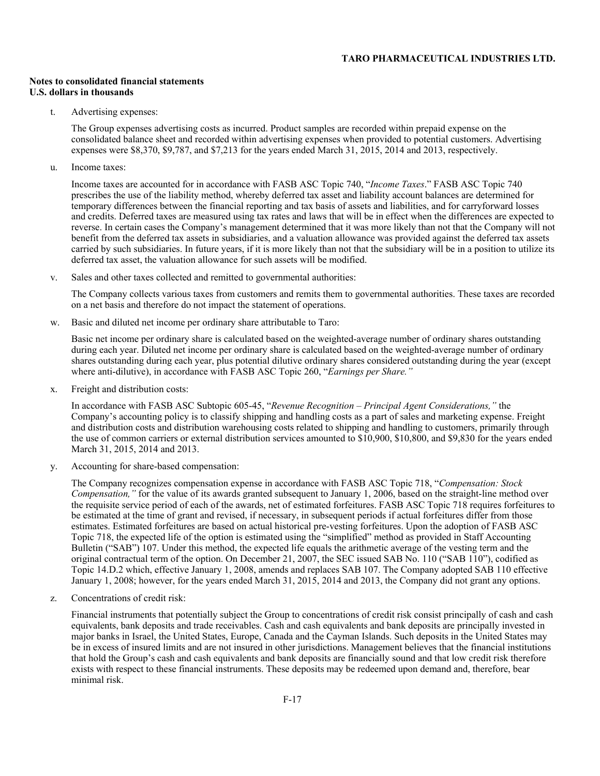t. Advertising expenses:

The Group expenses advertising costs as incurred. Product samples are recorded within prepaid expense on the consolidated balance sheet and recorded within advertising expenses when provided to potential customers. Advertising expenses were \$8,370, \$9,787, and \$7,213 for the years ended March 31, 2015, 2014 and 2013, respectively.

u. Income taxes:

Income taxes are accounted for in accordance with FASB ASC Topic 740, "*Income Taxes*." FASB ASC Topic 740 prescribes the use of the liability method, whereby deferred tax asset and liability account balances are determined for temporary differences between the financial reporting and tax basis of assets and liabilities, and for carryforward losses and credits. Deferred taxes are measured using tax rates and laws that will be in effect when the differences are expected to reverse. In certain cases the Company's management determined that it was more likely than not that the Company will not benefit from the deferred tax assets in subsidiaries, and a valuation allowance was provided against the deferred tax assets carried by such subsidiaries. In future years, if it is more likely than not that the subsidiary will be in a position to utilize its deferred tax asset, the valuation allowance for such assets will be modified.

v. Sales and other taxes collected and remitted to governmental authorities:

The Company collects various taxes from customers and remits them to governmental authorities. These taxes are recorded on a net basis and therefore do not impact the statement of operations.

w. Basic and diluted net income per ordinary share attributable to Taro:

Basic net income per ordinary share is calculated based on the weighted-average number of ordinary shares outstanding during each year. Diluted net income per ordinary share is calculated based on the weighted-average number of ordinary shares outstanding during each year, plus potential dilutive ordinary shares considered outstanding during the year (except where anti-dilutive), in accordance with FASB ASC Topic 260, "*Earnings per Share."* 

x. Freight and distribution costs:

In accordance with FASB ASC Subtopic 605-45, "*Revenue Recognition – Principal Agent Considerations,"* the Company's accounting policy is to classify shipping and handling costs as a part of sales and marketing expense. Freight and distribution costs and distribution warehousing costs related to shipping and handling to customers, primarily through the use of common carriers or external distribution services amounted to \$10,900, \$10,800, and \$9,830 for the years ended March 31, 2015, 2014 and 2013.

y. Accounting for share-based compensation:

The Company recognizes compensation expense in accordance with FASB ASC Topic 718, "*Compensation: Stock Compensation,"* for the value of its awards granted subsequent to January 1, 2006, based on the straight-line method over the requisite service period of each of the awards, net of estimated forfeitures. FASB ASC Topic 718 requires forfeitures to be estimated at the time of grant and revised, if necessary, in subsequent periods if actual forfeitures differ from those estimates. Estimated forfeitures are based on actual historical pre-vesting forfeitures. Upon the adoption of FASB ASC Topic 718, the expected life of the option is estimated using the "simplified" method as provided in Staff Accounting Bulletin ("SAB") 107. Under this method, the expected life equals the arithmetic average of the vesting term and the original contractual term of the option. On December 21, 2007, the SEC issued SAB No. 110 ("SAB 110"), codified as Topic 14.D.2 which, effective January 1, 2008, amends and replaces SAB 107. The Company adopted SAB 110 effective January 1, 2008; however, for the years ended March 31, 2015, 2014 and 2013, the Company did not grant any options.

z. Concentrations of credit risk:

Financial instruments that potentially subject the Group to concentrations of credit risk consist principally of cash and cash equivalents, bank deposits and trade receivables. Cash and cash equivalents and bank deposits are principally invested in major banks in Israel, the United States, Europe, Canada and the Cayman Islands. Such deposits in the United States may be in excess of insured limits and are not insured in other jurisdictions. Management believes that the financial institutions that hold the Group's cash and cash equivalents and bank deposits are financially sound and that low credit risk therefore exists with respect to these financial instruments. These deposits may be redeemed upon demand and, therefore, bear minimal risk.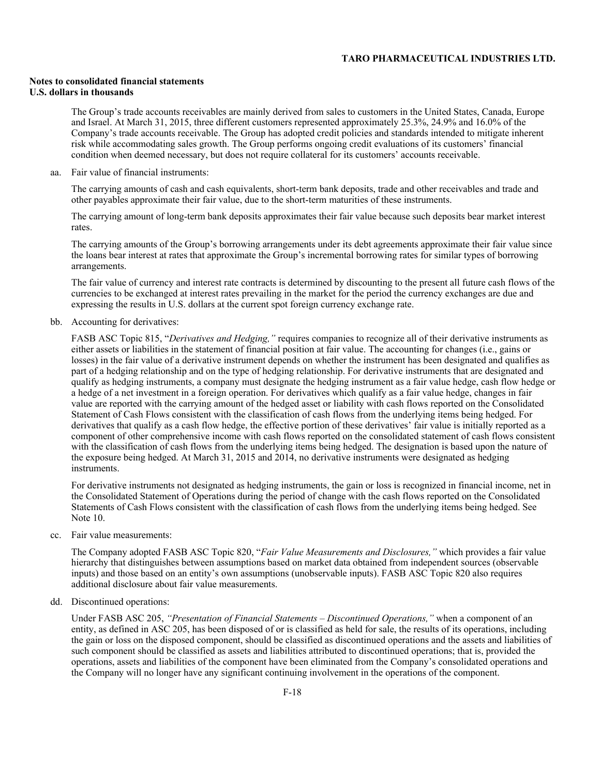#### **Notes to consolidated financial statements U.S. dollars in thousands**

The Group's trade accounts receivables are mainly derived from sales to customers in the United States, Canada, Europe and Israel. At March 31, 2015, three different customers represented approximately 25.3%, 24.9% and 16.0% of the Company's trade accounts receivable. The Group has adopted credit policies and standards intended to mitigate inherent risk while accommodating sales growth. The Group performs ongoing credit evaluations of its customers' financial condition when deemed necessary, but does not require collateral for its customers' accounts receivable.

aa. Fair value of financial instruments:

The carrying amounts of cash and cash equivalents, short-term bank deposits, trade and other receivables and trade and other payables approximate their fair value, due to the short-term maturities of these instruments.

The carrying amount of long-term bank deposits approximates their fair value because such deposits bear market interest rates.

The carrying amounts of the Group's borrowing arrangements under its debt agreements approximate their fair value since the loans bear interest at rates that approximate the Group's incremental borrowing rates for similar types of borrowing arrangements.

The fair value of currency and interest rate contracts is determined by discounting to the present all future cash flows of the currencies to be exchanged at interest rates prevailing in the market for the period the currency exchanges are due and expressing the results in U.S. dollars at the current spot foreign currency exchange rate.

bb. Accounting for derivatives:

FASB ASC Topic 815, "*Derivatives and Hedging,"* requires companies to recognize all of their derivative instruments as either assets or liabilities in the statement of financial position at fair value. The accounting for changes (i.e., gains or losses) in the fair value of a derivative instrument depends on whether the instrument has been designated and qualifies as part of a hedging relationship and on the type of hedging relationship. For derivative instruments that are designated and qualify as hedging instruments, a company must designate the hedging instrument as a fair value hedge, cash flow hedge or a hedge of a net investment in a foreign operation. For derivatives which qualify as a fair value hedge, changes in fair value are reported with the carrying amount of the hedged asset or liability with cash flows reported on the Consolidated Statement of Cash Flows consistent with the classification of cash flows from the underlying items being hedged. For derivatives that qualify as a cash flow hedge, the effective portion of these derivatives' fair value is initially reported as a component of other comprehensive income with cash flows reported on the consolidated statement of cash flows consistent with the classification of cash flows from the underlying items being hedged. The designation is based upon the nature of the exposure being hedged. At March 31, 2015 and 2014, no derivative instruments were designated as hedging instruments.

For derivative instruments not designated as hedging instruments, the gain or loss is recognized in financial income, net in the Consolidated Statement of Operations during the period of change with the cash flows reported on the Consolidated Statements of Cash Flows consistent with the classification of cash flows from the underlying items being hedged. See Note 10.

cc. Fair value measurements:

The Company adopted FASB ASC Topic 820, "*Fair Value Measurements and Disclosures,"* which provides a fair value hierarchy that distinguishes between assumptions based on market data obtained from independent sources (observable inputs) and those based on an entity's own assumptions (unobservable inputs). FASB ASC Topic 820 also requires additional disclosure about fair value measurements.

#### dd. Discontinued operations:

Under FASB ASC 205, *"Presentation of Financial Statements – Discontinued Operations,"* when a component of an entity, as defined in ASC 205, has been disposed of or is classified as held for sale, the results of its operations, including the gain or loss on the disposed component, should be classified as discontinued operations and the assets and liabilities of such component should be classified as assets and liabilities attributed to discontinued operations; that is, provided the operations, assets and liabilities of the component have been eliminated from the Company's consolidated operations and the Company will no longer have any significant continuing involvement in the operations of the component.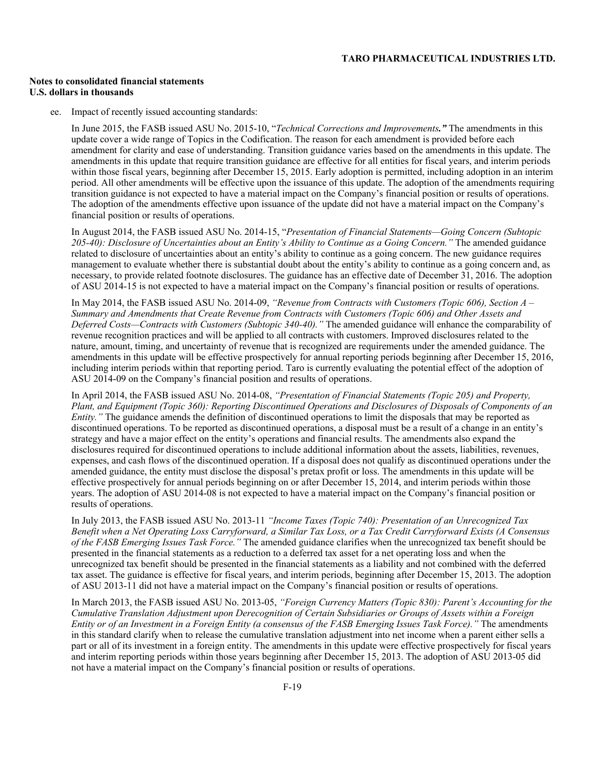#### **Notes to consolidated financial statements U.S. dollars in thousands**

ee. Impact of recently issued accounting standards:

In June 2015, the FASB issued ASU No. 2015-10, "*Technical Corrections and Improvements."* The amendments in this update cover a wide range of Topics in the Codification. The reason for each amendment is provided before each amendment for clarity and ease of understanding. Transition guidance varies based on the amendments in this update. The amendments in this update that require transition guidance are effective for all entities for fiscal years, and interim periods within those fiscal years, beginning after December 15, 2015. Early adoption is permitted, including adoption in an interim period. All other amendments will be effective upon the issuance of this update. The adoption of the amendments requiring transition guidance is not expected to have a material impact on the Company's financial position or results of operations. The adoption of the amendments effective upon issuance of the update did not have a material impact on the Company's financial position or results of operations.

In August 2014, the FASB issued ASU No. 2014-15, "*Presentation of Financial Statements—Going Concern (Subtopic 205-40): Disclosure of Uncertainties about an Entity's Ability to Continue as a Going Concern."* The amended guidance related to disclosure of uncertainties about an entity's ability to continue as a going concern. The new guidance requires management to evaluate whether there is substantial doubt about the entity's ability to continue as a going concern and, as necessary, to provide related footnote disclosures. The guidance has an effective date of December 31, 2016. The adoption of ASU 2014-15 is not expected to have a material impact on the Company's financial position or results of operations.

In May 2014, the FASB issued ASU No. 2014-09, *"Revenue from Contracts with Customers (Topic 606), Section A – Summary and Amendments that Create Revenue from Contracts with Customers (Topic 606) and Other Assets and Deferred Costs—Contracts with Customers (Subtopic 340-40)."* The amended guidance will enhance the comparability of revenue recognition practices and will be applied to all contracts with customers. Improved disclosures related to the nature, amount, timing, and uncertainty of revenue that is recognized are requirements under the amended guidance. The amendments in this update will be effective prospectively for annual reporting periods beginning after December 15, 2016, including interim periods within that reporting period. Taro is currently evaluating the potential effect of the adoption of ASU 2014-09 on the Company's financial position and results of operations.

In April 2014, the FASB issued ASU No. 2014-08, *"Presentation of Financial Statements (Topic 205) and Property, Plant, and Equipment (Topic 360): Reporting Discontinued Operations and Disclosures of Disposals of Components of an Entity.*" The guidance amends the definition of discontinued operations to limit the disposals that may be reported as discontinued operations. To be reported as discontinued operations, a disposal must be a result of a change in an entity's strategy and have a major effect on the entity's operations and financial results. The amendments also expand the disclosures required for discontinued operations to include additional information about the assets, liabilities, revenues, expenses, and cash flows of the discontinued operation. If a disposal does not qualify as discontinued operations under the amended guidance, the entity must disclose the disposal's pretax profit or loss. The amendments in this update will be effective prospectively for annual periods beginning on or after December 15, 2014, and interim periods within those years. The adoption of ASU 2014-08 is not expected to have a material impact on the Company's financial position or results of operations.

In July 2013, the FASB issued ASU No. 2013-11 *"Income Taxes (Topic 740): Presentation of an Unrecognized Tax Benefit when a Net Operating Loss Carryforward, a Similar Tax Loss, or a Tax Credit Carryforward Exists (A Consensus of the FASB Emerging Issues Task Force."* The amended guidance clarifies when the unrecognized tax benefit should be presented in the financial statements as a reduction to a deferred tax asset for a net operating loss and when the unrecognized tax benefit should be presented in the financial statements as a liability and not combined with the deferred tax asset. The guidance is effective for fiscal years, and interim periods, beginning after December 15, 2013. The adoption of ASU 2013-11 did not have a material impact on the Company's financial position or results of operations.

In March 2013, the FASB issued ASU No. 2013-05, *"Foreign Currency Matters (Topic 830): Parent's Accounting for the Cumulative Translation Adjustment upon Derecognition of Certain Subsidiaries or Groups of Assets within a Foreign Entity or of an Investment in a Foreign Entity (a consensus of the FASB Emerging Issues Task Force)."* The amendments in this standard clarify when to release the cumulative translation adjustment into net income when a parent either sells a part or all of its investment in a foreign entity. The amendments in this update were effective prospectively for fiscal years and interim reporting periods within those years beginning after December 15, 2013. The adoption of ASU 2013-05 did not have a material impact on the Company's financial position or results of operations.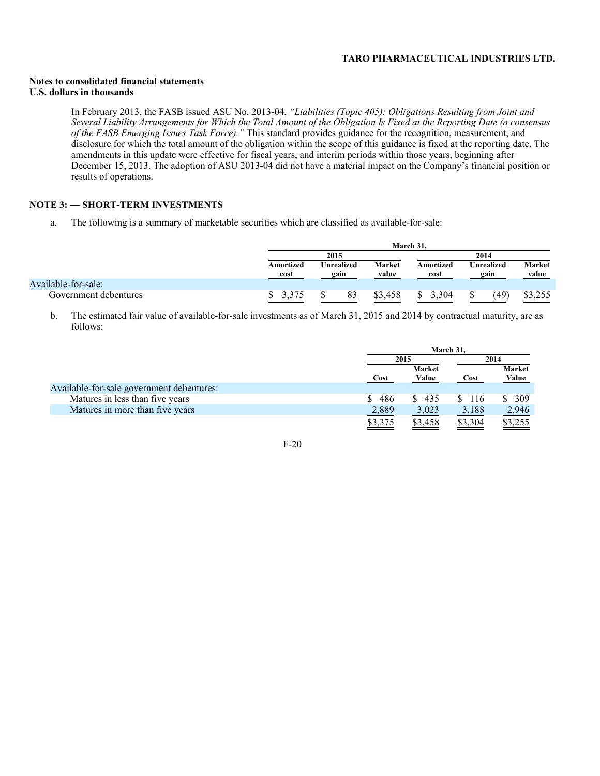#### **Notes to consolidated financial statements U.S. dollars in thousands**

In February 2013, the FASB issued ASU No. 2013-04, *"Liabilities (Topic 405): Obligations Resulting from Joint and Several Liability Arrangements for Which the Total Amount of the Obligation Is Fixed at the Reporting Date (a consensus of the FASB Emerging Issues Task Force)."* This standard provides guidance for the recognition, measurement, and disclosure for which the total amount of the obligation within the scope of this guidance is fixed at the reporting date. The amendments in this update were effective for fiscal years, and interim periods within those years, beginning after December 15, 2013. The adoption of ASU 2013-04 did not have a material impact on the Company's financial position or results of operations.

# **NOTE 3: — SHORT-TERM INVESTMENTS**

a. The following is a summary of marketable securities which are classified as available-for-sale:

|                       |                   | March 31.                 |                        |                   |                    |                 |  |  |
|-----------------------|-------------------|---------------------------|------------------------|-------------------|--------------------|-----------------|--|--|
|                       |                   | 2015                      |                        |                   | 2014               |                 |  |  |
|                       | Amortized<br>cost | <b>Unrealized</b><br>gain | <b>Market</b><br>value | Amortized<br>cost | Unrealized<br>gain | Market<br>value |  |  |
| Available-for-sale:   |                   |                           |                        |                   |                    |                 |  |  |
| Government debentures |                   | 83                        | .458                   | 304               | (49)               |                 |  |  |

b. The estimated fair value of available-for-sale investments as of March 31, 2015 and 2014 by contractual maturity, are as follows:

|                                           |           | March 31.       |         |                        |  |  |  |
|-------------------------------------------|-----------|-----------------|---------|------------------------|--|--|--|
|                                           |           | 2015            |         | 2014                   |  |  |  |
|                                           | Cost      | Market<br>Value | Cost    | Market<br><b>Value</b> |  |  |  |
| Available-for-sale government debentures: |           |                 |         |                        |  |  |  |
| Matures in less than five years           | 486<br>S. | 435             | 116     | 309                    |  |  |  |
| Matures in more than five years           | 2,889     | 3,023           | 3,188   | 2,946                  |  |  |  |
|                                           | \$3,375   | \$3,458         | \$3,304 | \$3,255                |  |  |  |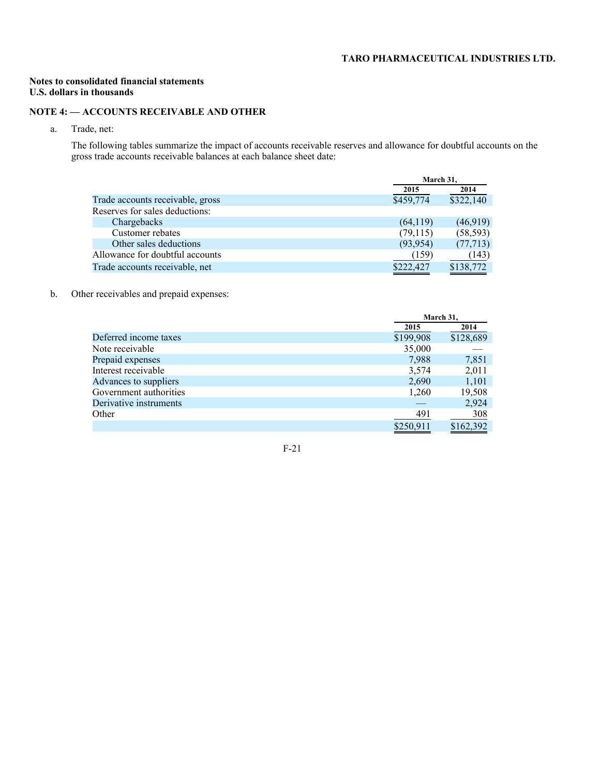# **Notes to consolidated financial statements U.S. dollars in thousands**

# **NOTE 4: — ACCOUNTS RECEIVABLE AND OTHER**

a. Trade, net:

The following tables summarize the impact of accounts receivable reserves and allowance for doubtful accounts on the gross trade accounts receivable balances at each balance sheet date:

| 2014<br>2015<br>\$322,140<br>\$459,774<br>Trade accounts receivable, gross<br>Reserves for sales deductions: |       |
|--------------------------------------------------------------------------------------------------------------|-------|
|                                                                                                              |       |
|                                                                                                              |       |
|                                                                                                              |       |
| (46,919)<br>Chargebacks<br>(64, 119)                                                                         |       |
| Customer rebates<br>(58, 593)<br>(79, 115)                                                                   |       |
| Other sales deductions<br>(93, 954)<br>(77, 713)                                                             |       |
| Allowance for doubtful accounts<br>(159)                                                                     | (143) |
| Trade accounts receivable, net<br>\$138,772<br>\$222,427                                                     |       |

b. Other receivables and prepaid expenses:

|                        |           | March 31, |
|------------------------|-----------|-----------|
|                        | 2015      | 2014      |
| Deferred income taxes  | \$199,908 | \$128,689 |
| Note receivable        | 35,000    |           |
| Prepaid expenses       | 7,988     | 7,851     |
| Interest receivable    | 3,574     | 2,011     |
| Advances to suppliers  | 2,690     | 1,101     |
| Government authorities | 1,260     | 19,508    |
| Derivative instruments |           | 2,924     |
| Other                  | 491       | 308       |
|                        | \$250,911 | \$162,392 |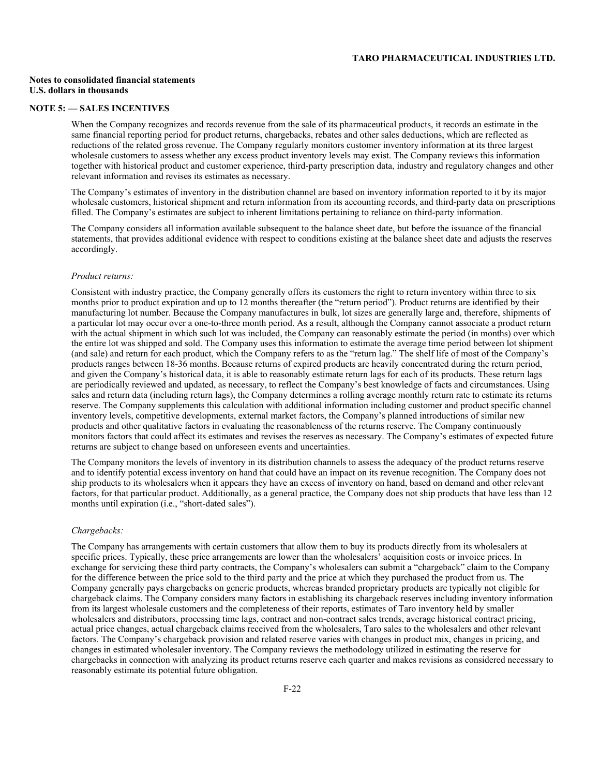#### **Notes to consolidated financial statements U.S. dollars in thousands**

#### **NOTE 5: — SALES INCENTIVES**

When the Company recognizes and records revenue from the sale of its pharmaceutical products, it records an estimate in the same financial reporting period for product returns, chargebacks, rebates and other sales deductions, which are reflected as reductions of the related gross revenue. The Company regularly monitors customer inventory information at its three largest wholesale customers to assess whether any excess product inventory levels may exist. The Company reviews this information together with historical product and customer experience, third-party prescription data, industry and regulatory changes and other relevant information and revises its estimates as necessary.

The Company's estimates of inventory in the distribution channel are based on inventory information reported to it by its major wholesale customers, historical shipment and return information from its accounting records, and third-party data on prescriptions filled. The Company's estimates are subject to inherent limitations pertaining to reliance on third-party information.

The Company considers all information available subsequent to the balance sheet date, but before the issuance of the financial statements, that provides additional evidence with respect to conditions existing at the balance sheet date and adjusts the reserves accordingly.

#### *Product returns:*

Consistent with industry practice, the Company generally offers its customers the right to return inventory within three to six months prior to product expiration and up to 12 months thereafter (the "return period"). Product returns are identified by their manufacturing lot number. Because the Company manufactures in bulk, lot sizes are generally large and, therefore, shipments of a particular lot may occur over a one-to-three month period. As a result, although the Company cannot associate a product return with the actual shipment in which such lot was included, the Company can reasonably estimate the period (in months) over which the entire lot was shipped and sold. The Company uses this information to estimate the average time period between lot shipment (and sale) and return for each product, which the Company refers to as the "return lag." The shelf life of most of the Company's products ranges between 18-36 months. Because returns of expired products are heavily concentrated during the return period, and given the Company's historical data, it is able to reasonably estimate return lags for each of its products. These return lags are periodically reviewed and updated, as necessary, to reflect the Company's best knowledge of facts and circumstances. Using sales and return data (including return lags), the Company determines a rolling average monthly return rate to estimate its returns reserve. The Company supplements this calculation with additional information including customer and product specific channel inventory levels, competitive developments, external market factors, the Company's planned introductions of similar new products and other qualitative factors in evaluating the reasonableness of the returns reserve. The Company continuously monitors factors that could affect its estimates and revises the reserves as necessary. The Company's estimates of expected future returns are subject to change based on unforeseen events and uncertainties.

The Company monitors the levels of inventory in its distribution channels to assess the adequacy of the product returns reserve and to identify potential excess inventory on hand that could have an impact on its revenue recognition. The Company does not ship products to its wholesalers when it appears they have an excess of inventory on hand, based on demand and other relevant factors, for that particular product. Additionally, as a general practice, the Company does not ship products that have less than 12 months until expiration (i.e., "short-dated sales").

#### *Chargebacks:*

The Company has arrangements with certain customers that allow them to buy its products directly from its wholesalers at specific prices. Typically, these price arrangements are lower than the wholesalers' acquisition costs or invoice prices. In exchange for servicing these third party contracts, the Company's wholesalers can submit a "chargeback" claim to the Company for the difference between the price sold to the third party and the price at which they purchased the product from us. The Company generally pays chargebacks on generic products, whereas branded proprietary products are typically not eligible for chargeback claims. The Company considers many factors in establishing its chargeback reserves including inventory information from its largest wholesale customers and the completeness of their reports, estimates of Taro inventory held by smaller wholesalers and distributors, processing time lags, contract and non-contract sales trends, average historical contract pricing, actual price changes, actual chargeback claims received from the wholesalers, Taro sales to the wholesalers and other relevant factors. The Company's chargeback provision and related reserve varies with changes in product mix, changes in pricing, and changes in estimated wholesaler inventory. The Company reviews the methodology utilized in estimating the reserve for chargebacks in connection with analyzing its product returns reserve each quarter and makes revisions as considered necessary to reasonably estimate its potential future obligation.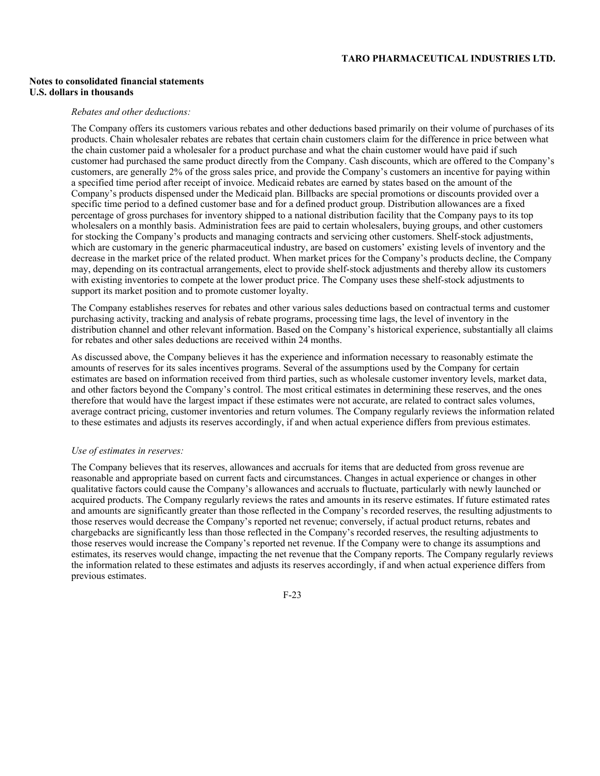### **Notes to consolidated financial statements U.S. dollars in thousands**

#### *Rebates and other deductions:*

The Company offers its customers various rebates and other deductions based primarily on their volume of purchases of its products. Chain wholesaler rebates are rebates that certain chain customers claim for the difference in price between what the chain customer paid a wholesaler for a product purchase and what the chain customer would have paid if such customer had purchased the same product directly from the Company. Cash discounts, which are offered to the Company's customers, are generally 2% of the gross sales price, and provide the Company's customers an incentive for paying within a specified time period after receipt of invoice. Medicaid rebates are earned by states based on the amount of the Company's products dispensed under the Medicaid plan. Billbacks are special promotions or discounts provided over a specific time period to a defined customer base and for a defined product group. Distribution allowances are a fixed percentage of gross purchases for inventory shipped to a national distribution facility that the Company pays to its top wholesalers on a monthly basis. Administration fees are paid to certain wholesalers, buying groups, and other customers for stocking the Company's products and managing contracts and servicing other customers. Shelf-stock adjustments, which are customary in the generic pharmaceutical industry, are based on customers' existing levels of inventory and the decrease in the market price of the related product. When market prices for the Company's products decline, the Company may, depending on its contractual arrangements, elect to provide shelf-stock adjustments and thereby allow its customers with existing inventories to compete at the lower product price. The Company uses these shelf-stock adjustments to support its market position and to promote customer loyalty.

The Company establishes reserves for rebates and other various sales deductions based on contractual terms and customer purchasing activity, tracking and analysis of rebate programs, processing time lags, the level of inventory in the distribution channel and other relevant information. Based on the Company's historical experience, substantially all claims for rebates and other sales deductions are received within 24 months.

As discussed above, the Company believes it has the experience and information necessary to reasonably estimate the amounts of reserves for its sales incentives programs. Several of the assumptions used by the Company for certain estimates are based on information received from third parties, such as wholesale customer inventory levels, market data, and other factors beyond the Company's control. The most critical estimates in determining these reserves, and the ones therefore that would have the largest impact if these estimates were not accurate, are related to contract sales volumes, average contract pricing, customer inventories and return volumes. The Company regularly reviews the information related to these estimates and adjusts its reserves accordingly, if and when actual experience differs from previous estimates.

#### *Use of estimates in reserves:*

The Company believes that its reserves, allowances and accruals for items that are deducted from gross revenue are reasonable and appropriate based on current facts and circumstances. Changes in actual experience or changes in other qualitative factors could cause the Company's allowances and accruals to fluctuate, particularly with newly launched or acquired products. The Company regularly reviews the rates and amounts in its reserve estimates. If future estimated rates and amounts are significantly greater than those reflected in the Company's recorded reserves, the resulting adjustments to those reserves would decrease the Company's reported net revenue; conversely, if actual product returns, rebates and chargebacks are significantly less than those reflected in the Company's recorded reserves, the resulting adjustments to those reserves would increase the Company's reported net revenue. If the Company were to change its assumptions and estimates, its reserves would change, impacting the net revenue that the Company reports. The Company regularly reviews the information related to these estimates and adjusts its reserves accordingly, if and when actual experience differs from previous estimates.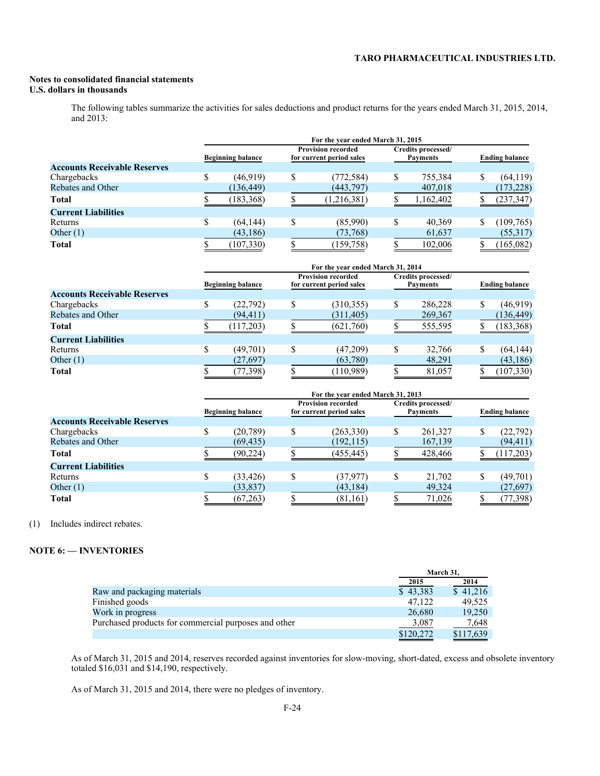#### **Notes to consolidated financial statements U.S. dollars in thousands**

The following tables summarize the activities for sales deductions and product returns for the years ended March 31, 2015, 2014, and 2013:

|                                     | For the year ended March 31, 2015 |            |   |                                                       |   |                                       |  |                       |  |
|-------------------------------------|-----------------------------------|------------|---|-------------------------------------------------------|---|---------------------------------------|--|-----------------------|--|
|                                     | <b>Beginning balance</b>          |            |   | <b>Provision recorded</b><br>for current period sales |   | Credits processed/<br><b>Payments</b> |  | <b>Ending balance</b> |  |
| <b>Accounts Receivable Reserves</b> |                                   |            |   |                                                       |   |                                       |  |                       |  |
| Chargebacks                         |                                   | (46,919)   | S | (772, 584)                                            | S | 755,384                               |  | (64, 119)             |  |
| Rebates and Other                   |                                   | (136, 449) |   | (443,797)                                             |   | 407,018                               |  | (173, 228)            |  |
| Total                               |                                   | (183, 368) |   | (1,216,381)                                           |   | 1,162,402                             |  | (237, 347)            |  |
| <b>Current Liabilities</b>          |                                   |            |   |                                                       |   |                                       |  |                       |  |
| Returns                             |                                   | (64, 144)  |   | (85,990)                                              |   | 40,369                                |  | (109, 765)            |  |
| Other $(1)$                         |                                   | (43, 186)  |   | (73, 768)                                             |   | 61,637                                |  | (55,317)              |  |
| Total                               |                                   | (107, 330) |   | (159, 758)                                            |   | 102,006                               |  | (165,082)             |  |

|                                     |                          | For the year ended March 31, 2014 |   |            |    |                                                       |                                       |  |                       |
|-------------------------------------|--------------------------|-----------------------------------|---|------------|----|-------------------------------------------------------|---------------------------------------|--|-----------------------|
|                                     | <b>Beginning balance</b> |                                   |   |            |    | <b>Provision recorded</b><br>for current period sales | Credits processed/<br><b>Payments</b> |  | <b>Ending balance</b> |
| <b>Accounts Receivable Reserves</b> |                          |                                   |   |            |    |                                                       |                                       |  |                       |
| Chargebacks                         | \$                       | (22, 792)                         | S | (310, 355) | S  | 286,228                                               | (46, 919)                             |  |                       |
| Rebates and Other                   |                          | (94, 411)                         |   | (311, 405) |    | 269,367                                               | (136, 449)                            |  |                       |
| Total                               |                          | (117,203)                         |   | (621,760)  |    | 555,595                                               | (183, 368)                            |  |                       |
| <b>Current Liabilities</b>          |                          |                                   |   |            |    |                                                       |                                       |  |                       |
| Returns                             | \$                       | (49,701)                          |   | (47,209)   | \$ | 32,766                                                | (64, 144)                             |  |                       |
| Other $(1)$                         |                          | (27,697)                          |   | (63,780)   |    | 48,291                                                | (43, 186)                             |  |                       |
| Total                               |                          | (77, 398)                         |   | (110,989)  |    | 81,057                                                | (107, 330)                            |  |                       |

|                                     | For the year ended March 31, 2013 |           |    |                                                       |   |                                       |  |                       |  |
|-------------------------------------|-----------------------------------|-----------|----|-------------------------------------------------------|---|---------------------------------------|--|-----------------------|--|
|                                     | <b>Beginning balance</b>          |           |    | <b>Provision recorded</b><br>for current period sales |   | Credits processed/<br><b>Payments</b> |  | <b>Ending balance</b> |  |
| <b>Accounts Receivable Reserves</b> |                                   |           |    |                                                       |   |                                       |  |                       |  |
| Chargebacks                         | S                                 | (20, 789) | S  | (263, 330)                                            | S | 261,327                               |  | (22, 792)             |  |
| Rebates and Other                   |                                   | (69, 435) |    | (192, 115)                                            |   | 167,139                               |  | (94, 411)             |  |
| <b>Total</b>                        |                                   | (90, 224) |    | (455, 445)                                            |   | 428,466                               |  | (117,203)             |  |
| <b>Current Liabilities</b>          |                                   |           |    |                                                       |   |                                       |  |                       |  |
| Returns                             | S                                 | (33, 426) | \$ | (37, 977)                                             | S | 21,702                                |  | (49,701)              |  |
| Other $(1)$                         |                                   | (33, 837) |    | (43, 184)                                             |   | 49,324                                |  | (27, 697)             |  |
| <b>Total</b>                        |                                   | (67,263)  |    | (81,161)                                              |   | 71,026                                |  | (77, 398)             |  |

(1) Includes indirect rebates.

# **NOTE 6: — INVENTORIES**

|                                                      | March 31, |           |
|------------------------------------------------------|-----------|-----------|
|                                                      | 2015      | 2014      |
| Raw and packaging materials                          | \$43,383  | \$41,216  |
| Finished goods                                       | 47.122    | 49,525    |
| Work in progress                                     | 26,680    | 19,250    |
| Purchased products for commercial purposes and other | 3,087     | 7,648     |
|                                                      | \$120,272 | \$117,639 |

As of March 31, 2015 and 2014, reserves recorded against inventories for slow-moving, short-dated, excess and obsolete inventory totaled \$16,031 and \$14,190, respectively.

As of March 31, 2015 and 2014, there were no pledges of inventory.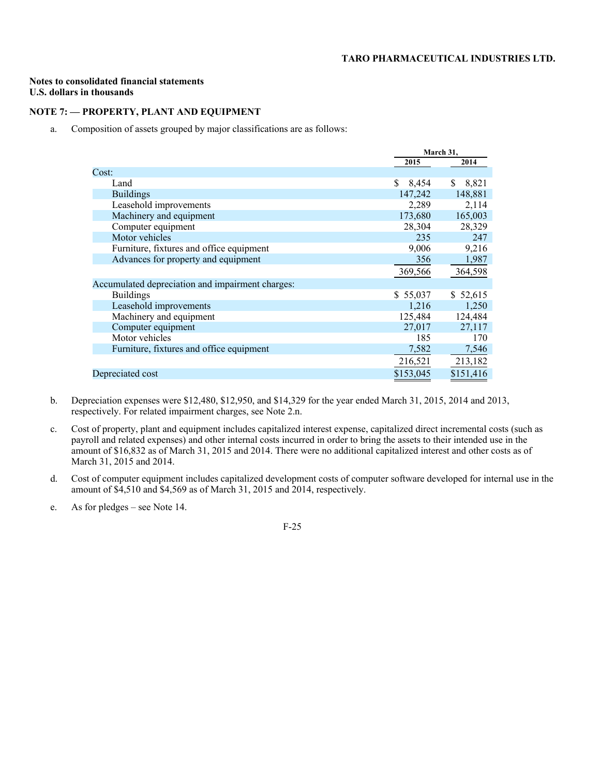### **NOTE 7: — PROPERTY, PLANT AND EQUIPMENT**

a. Composition of assets grouped by major classifications are as follows:

|                                                  |              | March 31,    |
|--------------------------------------------------|--------------|--------------|
|                                                  | 2015         | 2014         |
| Cost:                                            |              |              |
| Land                                             | \$.<br>8,454 | \$.<br>8,821 |
| <b>Buildings</b>                                 | 147,242      | 148,881      |
| Leasehold improvements                           | 2,289        | 2,114        |
| Machinery and equipment                          | 173,680      | 165,003      |
| Computer equipment                               | 28,304       | 28,329       |
| Motor vehicles                                   | 235          | 247          |
| Furniture, fixtures and office equipment         | 9,006        | 9,216        |
| Advances for property and equipment              | 356          | 1,987        |
|                                                  | 369,566      | 364,598      |
| Accumulated depreciation and impairment charges: |              |              |
| <b>Buildings</b>                                 | \$55,037     | \$52,615     |
| Leasehold improvements                           | 1,216        | 1,250        |
| Machinery and equipment                          | 125,484      | 124,484      |
| Computer equipment                               | 27,017       | 27,117       |
| Motor vehicles                                   | 185          | 170          |
| Furniture, fixtures and office equipment         | 7,582        | 7,546        |
|                                                  | 216,521      | 213,182      |
| Depreciated cost                                 | \$153,045    | \$151,416    |

- b. Depreciation expenses were \$12,480, \$12,950, and \$14,329 for the year ended March 31, 2015, 2014 and 2013, respectively. For related impairment charges, see Note 2.n.
- c. Cost of property, plant and equipment includes capitalized interest expense, capitalized direct incremental costs (such as payroll and related expenses) and other internal costs incurred in order to bring the assets to their intended use in the amount of \$16,832 as of March 31, 2015 and 2014. There were no additional capitalized interest and other costs as of March 31, 2015 and 2014.
- d. Cost of computer equipment includes capitalized development costs of computer software developed for internal use in the amount of \$4,510 and \$4,569 as of March 31, 2015 and 2014, respectively.
- e. As for pledges see Note 14.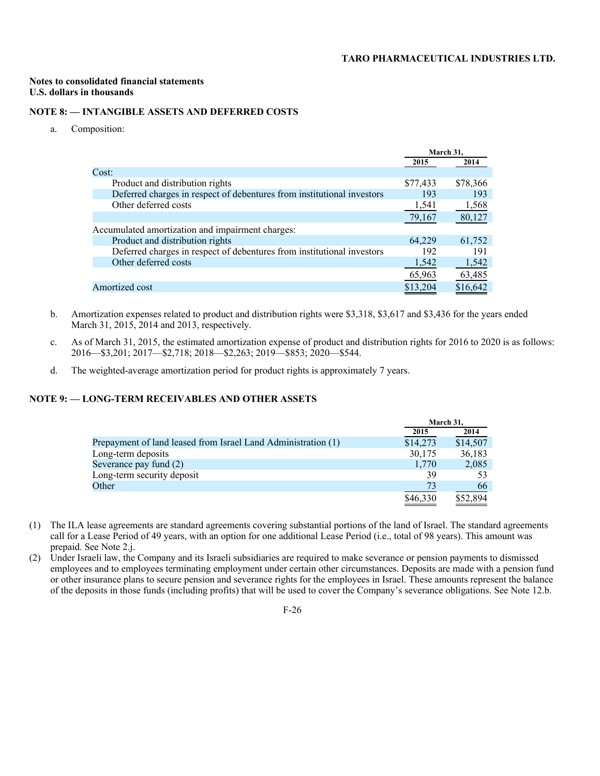# **NOTE 8: — INTANGIBLE ASSETS AND DEFERRED COSTS**

a. Composition:

|                                                                        | March 31. |          |
|------------------------------------------------------------------------|-----------|----------|
|                                                                        | 2015      | 2014     |
| Cost:                                                                  |           |          |
| Product and distribution rights                                        | \$77,433  | \$78,366 |
| Deferred charges in respect of debentures from institutional investors | 193       | 193      |
| Other deferred costs                                                   | 1,541     | 1,568    |
|                                                                        | 79,167    | 80,127   |
| Accumulated amortization and impairment charges:                       |           |          |
| Product and distribution rights                                        | 64,229    | 61,752   |
| Deferred charges in respect of debentures from institutional investors | 192       | 191      |
| Other deferred costs                                                   | 1,542     | 1,542    |
|                                                                        | 65,963    | 63,485   |
| Amortized cost                                                         | \$13,204  | \$16,642 |

- b. Amortization expenses related to product and distribution rights were \$3,318, \$3,617 and \$3,436 for the years ended March 31, 2015, 2014 and 2013, respectively.
- c. As of March 31, 2015, the estimated amortization expense of product and distribution rights for 2016 to 2020 is as follows: 2016—\$3,201; 2017—\$2,718; 2018—\$2,263; 2019—\$853; 2020—\$544.
- d. The weighted-average amortization period for product rights is approximately 7 years.

# **NOTE 9: — LONG-TERM RECEIVABLES AND OTHER ASSETS**

|                                                               |          | March 31, |
|---------------------------------------------------------------|----------|-----------|
|                                                               | 2015     | 2014      |
| Prepayment of land leased from Israel Land Administration (1) | \$14,273 | \$14,507  |
| Long-term deposits                                            | 30,175   | 36,183    |
| Severance pay fund (2)                                        | 1,770    | 2,085     |
| Long-term security deposit                                    | 39       | 53        |
| Other                                                         | 73       | 66        |
|                                                               | \$46,330 | \$52,894  |

- (1) The ILA lease agreements are standard agreements covering substantial portions of the land of Israel. The standard agreements call for a Lease Period of 49 years, with an option for one additional Lease Period (i.e., total of 98 years). This amount was prepaid. See Note 2.j.
- (2) Under Israeli law, the Company and its Israeli subsidiaries are required to make severance or pension payments to dismissed employees and to employees terminating employment under certain other circumstances. Deposits are made with a pension fund or other insurance plans to secure pension and severance rights for the employees in Israel. These amounts represent the balance of the deposits in those funds (including profits) that will be used to cover the Company's severance obligations. See Note 12.b.
	- F-26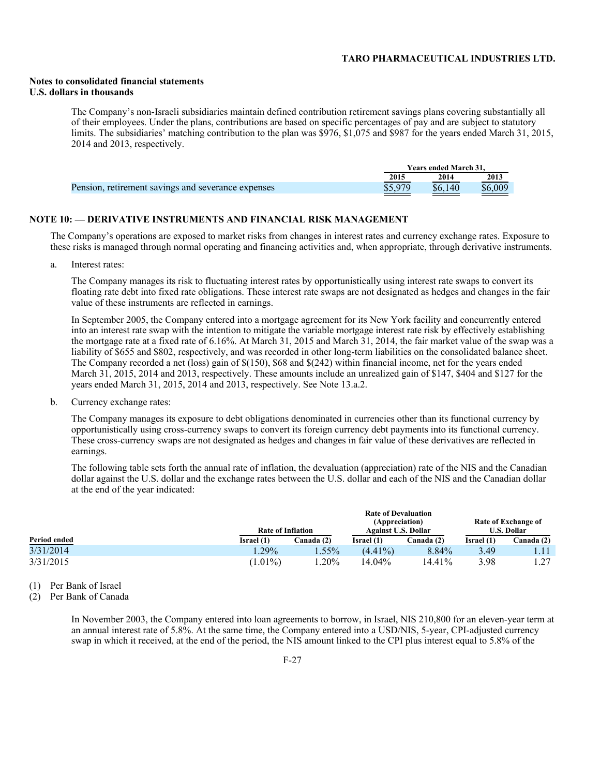#### **Notes to consolidated financial statements U.S. dollars in thousands**

The Company's non-Israeli subsidiaries maintain defined contribution retirement savings plans covering substantially all of their employees. Under the plans, contributions are based on specific percentages of pay and are subject to statutory limits. The subsidiaries' matching contribution to the plan was \$976, \$1,075 and \$987 for the years ended March 31, 2015, 2014 and 2013, respectively.

|                                                    |         | Years ended March 31. |                            |  |
|----------------------------------------------------|---------|-----------------------|----------------------------|--|
|                                                    | 2015    | 2014                  | 2013                       |  |
| Pension, retirement savings and severance expenses | \$5,979 | \$6,140               | \$6,009<br>$\cdot$ $\cdot$ |  |

#### **NOTE 10: — DERIVATIVE INSTRUMENTS AND FINANCIAL RISK MANAGEMENT**

The Company's operations are exposed to market risks from changes in interest rates and currency exchange rates. Exposure to these risks is managed through normal operating and financing activities and, when appropriate, through derivative instruments.

a. Interest rates:

The Company manages its risk to fluctuating interest rates by opportunistically using interest rate swaps to convert its floating rate debt into fixed rate obligations. These interest rate swaps are not designated as hedges and changes in the fair value of these instruments are reflected in earnings.

In September 2005, the Company entered into a mortgage agreement for its New York facility and concurrently entered into an interest rate swap with the intention to mitigate the variable mortgage interest rate risk by effectively establishing the mortgage rate at a fixed rate of 6.16%. At March 31, 2015 and March 31, 2014, the fair market value of the swap was a liability of \$655 and \$802, respectively, and was recorded in other long-term liabilities on the consolidated balance sheet. The Company recorded a net (loss) gain of \$(150), \$68 and \$(242) within financial income, net for the years ended March 31, 2015, 2014 and 2013, respectively. These amounts include an unrealized gain of \$147, \$404 and \$127 for the years ended March 31, 2015, 2014 and 2013, respectively. See Note 13.a.2.

b. Currency exchange rates:

The Company manages its exposure to debt obligations denominated in currencies other than its functional currency by opportunistically using cross-currency swaps to convert its foreign currency debt payments into its functional currency. These cross-currency swaps are not designated as hedges and changes in fair value of these derivatives are reflected in earnings.

The following table sets forth the annual rate of inflation, the devaluation (appreciation) rate of the NIS and the Canadian dollar against the U.S. dollar and the exchange rates between the U.S. dollar and each of the NIS and the Canadian dollar at the end of the year indicated:

|              |                   |            | <b>Rate of Devaluation</b> |            |                   |                     |
|--------------|-------------------|------------|----------------------------|------------|-------------------|---------------------|
|              |                   |            | (Appreciation)             |            |                   | Rate of Exchange of |
|              | Rate of Inflation |            | <b>Against U.S. Dollar</b> |            |                   | <b>U.S. Dollar</b>  |
| Period ended | Israel (1)        | Canada (2) | <b>Israel</b> (1)          | Canada (2) | <b>Israel (1)</b> | Canada (2)          |
| 3/31/2014    | $1.29\%$          | $1.55\%$   | $(4.41\%)$                 | 8.84%      | 3.49              | 1.11                |
| 3/31/2015    | $1.01\%$          | .20%       | 14.04%                     | 4.41%      | 3.98              | $\gamma$<br>.       |

- (1) Per Bank of Israel
- (2) Per Bank of Canada

In November 2003, the Company entered into loan agreements to borrow, in Israel, NIS 210,800 for an eleven-year term at an annual interest rate of 5.8%. At the same time, the Company entered into a USD/NIS, 5-year, CPI-adjusted currency swap in which it received, at the end of the period, the NIS amount linked to the CPI plus interest equal to 5.8% of the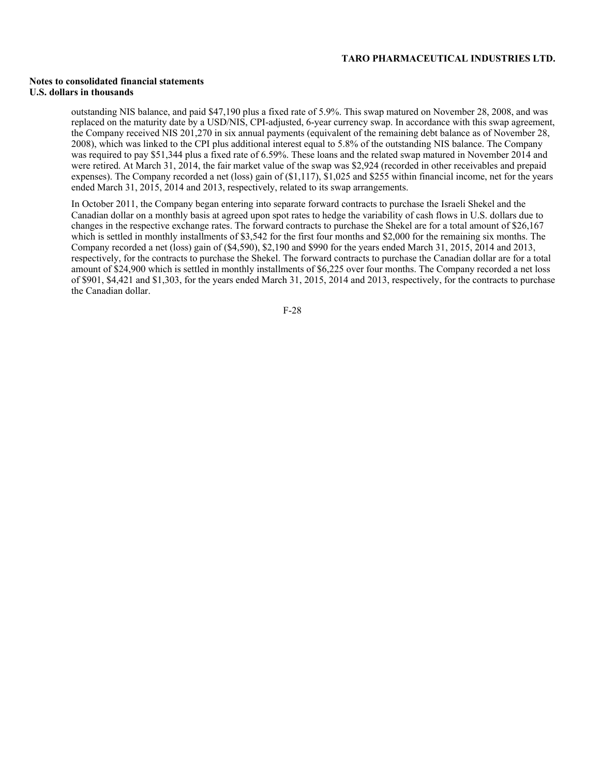#### **Notes to consolidated financial statements U.S. dollars in thousands**

outstanding NIS balance, and paid \$47,190 plus a fixed rate of 5.9%. This swap matured on November 28, 2008, and was replaced on the maturity date by a USD/NIS, CPI-adjusted, 6-year currency swap. In accordance with this swap agreement, the Company received NIS 201,270 in six annual payments (equivalent of the remaining debt balance as of November 28, 2008), which was linked to the CPI plus additional interest equal to 5.8% of the outstanding NIS balance. The Company was required to pay \$51,344 plus a fixed rate of 6.59%. These loans and the related swap matured in November 2014 and were retired. At March 31, 2014, the fair market value of the swap was \$2,924 (recorded in other receivables and prepaid expenses). The Company recorded a net (loss) gain of (\$1,117), \$1,025 and \$255 within financial income, net for the years ended March 31, 2015, 2014 and 2013, respectively, related to its swap arrangements.

In October 2011, the Company began entering into separate forward contracts to purchase the Israeli Shekel and the Canadian dollar on a monthly basis at agreed upon spot rates to hedge the variability of cash flows in U.S. dollars due to changes in the respective exchange rates. The forward contracts to purchase the Shekel are for a total amount of \$26,167 which is settled in monthly installments of \$3,542 for the first four months and \$2,000 for the remaining six months. The Company recorded a net (loss) gain of (\$4,590), \$2,190 and \$990 for the years ended March 31, 2015, 2014 and 2013, respectively, for the contracts to purchase the Shekel. The forward contracts to purchase the Canadian dollar are for a total amount of \$24,900 which is settled in monthly installments of \$6,225 over four months. The Company recorded a net loss of \$901, \$4,421 and \$1,303, for the years ended March 31, 2015, 2014 and 2013, respectively, for the contracts to purchase the Canadian dollar.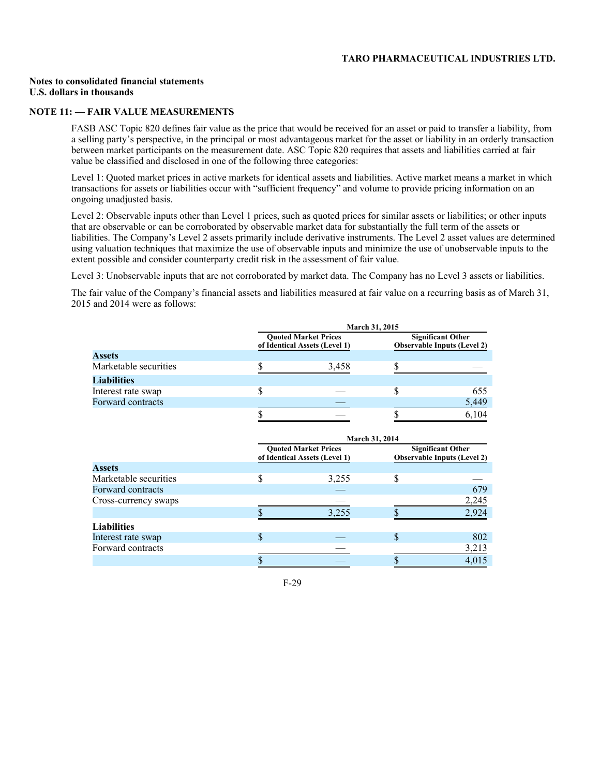# **Notes to consolidated financial statements U.S. dollars in thousands**

#### **NOTE 11: — FAIR VALUE MEASUREMENTS**

FASB ASC Topic 820 defines fair value as the price that would be received for an asset or paid to transfer a liability, from a selling party's perspective, in the principal or most advantageous market for the asset or liability in an orderly transaction between market participants on the measurement date. ASC Topic 820 requires that assets and liabilities carried at fair value be classified and disclosed in one of the following three categories:

Level 1: Quoted market prices in active markets for identical assets and liabilities. Active market means a market in which transactions for assets or liabilities occur with "sufficient frequency" and volume to provide pricing information on an ongoing unadjusted basis.

Level 2: Observable inputs other than Level 1 prices, such as quoted prices for similar assets or liabilities; or other inputs that are observable or can be corroborated by observable market data for substantially the full term of the assets or liabilities. The Company's Level 2 assets primarily include derivative instruments. The Level 2 asset values are determined using valuation techniques that maximize the use of observable inputs and minimize the use of unobservable inputs to the extent possible and consider counterparty credit risk in the assessment of fair value.

Level 3: Unobservable inputs that are not corroborated by market data. The Company has no Level 3 assets or liabilities.

The fair value of the Company's financial assets and liabilities measured at fair value on a recurring basis as of March 31, 2015 and 2014 were as follows:

|                       |                                                              |                                                              | March 31, 2015                                                 |                                                                |
|-----------------------|--------------------------------------------------------------|--------------------------------------------------------------|----------------------------------------------------------------|----------------------------------------------------------------|
|                       | <b>Ouoted Market Prices</b><br>of Identical Assets (Level 1) |                                                              | <b>Significant Other</b><br><b>Observable Inputs (Level 2)</b> |                                                                |
| <b>Assets</b>         |                                                              |                                                              |                                                                |                                                                |
| Marketable securities | S                                                            | 3,458                                                        |                                                                |                                                                |
| <b>Liabilities</b>    |                                                              |                                                              |                                                                |                                                                |
| Interest rate swap    | \$                                                           |                                                              | \$                                                             | 655                                                            |
| Forward contracts     |                                                              |                                                              |                                                                | 5,449                                                          |
|                       |                                                              |                                                              |                                                                | 6,104                                                          |
|                       |                                                              |                                                              | March 31, 2014                                                 |                                                                |
|                       |                                                              | <b>Ouoted Market Prices</b><br>of Identical Assets (Level 1) |                                                                | <b>Significant Other</b><br><b>Observable Inputs (Level 2)</b> |
| <b>Assets</b>         |                                                              |                                                              |                                                                |                                                                |
| Marketable securities | \$                                                           | 3,255                                                        | \$                                                             |                                                                |
| Forward contracts     |                                                              |                                                              |                                                                | 679                                                            |
| Cross-currency swaps  |                                                              |                                                              |                                                                | 2,245                                                          |
|                       |                                                              | 3,255                                                        |                                                                | 2,924                                                          |
| <b>Liabilities</b>    |                                                              |                                                              |                                                                |                                                                |

| <b>Liabilities</b> |  |     |
|--------------------|--|-----|
| Interest rate swap |  | 802 |
| Forward contracts  |  |     |
|                    |  |     |

F-29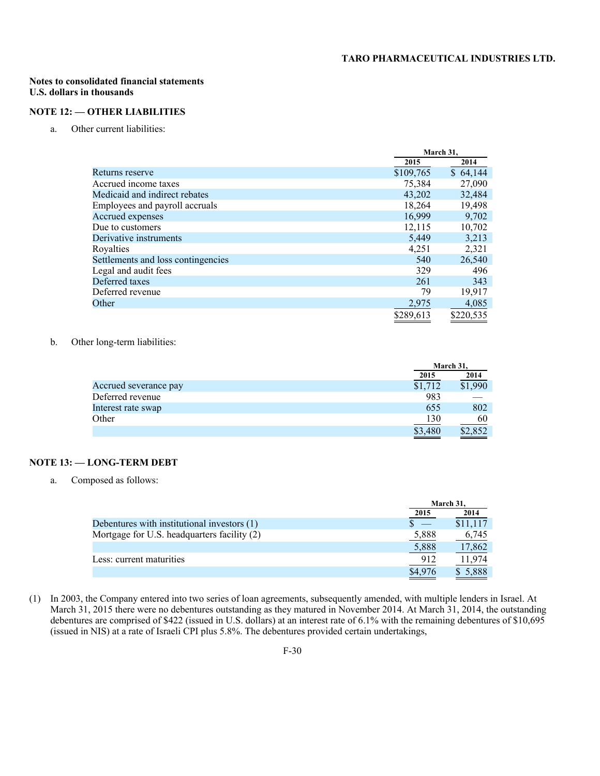#### **NOTE 12: — OTHER LIABILITIES**

a. Other current liabilities:

|                                    |           | March 31, |  |
|------------------------------------|-----------|-----------|--|
|                                    | 2015      | 2014      |  |
| Returns reserve                    | \$109,765 | \$64,144  |  |
| Accrued income taxes               | 75,384    | 27,090    |  |
| Medicaid and indirect rebates      | 43,202    | 32,484    |  |
| Employees and payroll accruals     | 18,264    | 19,498    |  |
| Accrued expenses                   | 16,999    | 9,702     |  |
| Due to customers                   | 12,115    | 10,702    |  |
| Derivative instruments             | 5,449     | 3,213     |  |
| Royalties                          | 4,251     | 2,321     |  |
| Settlements and loss contingencies | 540       | 26,540    |  |
| Legal and audit fees               | 329       | 496       |  |
| Deferred taxes                     | 261       | 343       |  |
| Deferred revenue                   | 79        | 19,917    |  |
| Other                              | 2,975     | 4,085     |  |
|                                    | \$289,613 | \$220,535 |  |

b. Other long-term liabilities:

|                       |         | March 31, |  |
|-----------------------|---------|-----------|--|
|                       | 2015    | 2014      |  |
| Accrued severance pay | \$1,712 | \$1,990   |  |
| Deferred revenue      | 983     |           |  |
| Interest rate swap    | 655     | 802       |  |
| Other                 | 130     | 60        |  |
|                       | \$3,480 | \$2,852   |  |

# **NOTE 13: — LONG-TERM DEBT**

a. Composed as follows:

|                                             |         | March 31, |  |
|---------------------------------------------|---------|-----------|--|
|                                             | 2015    | 2014      |  |
| Debentures with institutional investors (1) |         | \$11.117  |  |
| Mortgage for U.S. headquarters facility (2) | 5,888   | 6,745     |  |
|                                             | 5,888   | 17,862    |  |
| Less: current maturities                    | 912     | 1974      |  |
|                                             | \$4,976 | 5,888     |  |

(1) In 2003, the Company entered into two series of loan agreements, subsequently amended, with multiple lenders in Israel. At March 31, 2015 there were no debentures outstanding as they matured in November 2014. At March 31, 2014, the outstanding debentures are comprised of \$422 (issued in U.S. dollars) at an interest rate of 6.1% with the remaining debentures of \$10,695 (issued in NIS) at a rate of Israeli CPI plus 5.8%. The debentures provided certain undertakings,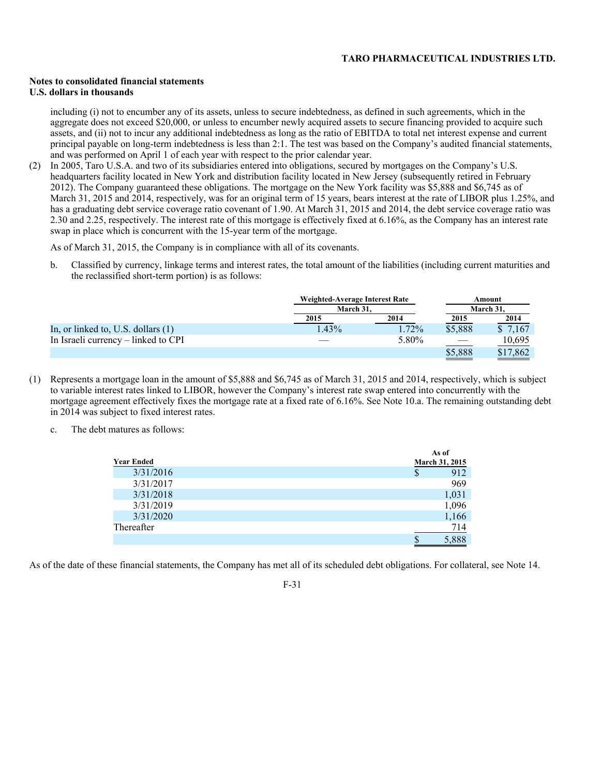**As of**

#### **Notes to consolidated financial statements U.S. dollars in thousands**

including (i) not to encumber any of its assets, unless to secure indebtedness, as defined in such agreements, which in the aggregate does not exceed \$20,000, or unless to encumber newly acquired assets to secure financing provided to acquire such assets, and (ii) not to incur any additional indebtedness as long as the ratio of EBITDA to total net interest expense and current principal payable on long-term indebtedness is less than 2:1. The test was based on the Company's audited financial statements, and was performed on April 1 of each year with respect to the prior calendar year.

(2) In 2005, Taro U.S.A. and two of its subsidiaries entered into obligations, secured by mortgages on the Company's U.S. headquarters facility located in New York and distribution facility located in New Jersey (subsequently retired in February 2012). The Company guaranteed these obligations. The mortgage on the New York facility was \$5,888 and \$6,745 as of March 31, 2015 and 2014, respectively, was for an original term of 15 years, bears interest at the rate of LIBOR plus 1.25%, and has a graduating debt service coverage ratio covenant of 1.90. At March 31, 2015 and 2014, the debt service coverage ratio was 2.30 and 2.25, respectively. The interest rate of this mortgage is effectively fixed at 6.16%, as the Company has an interest rate swap in place which is concurrent with the 15-year term of the mortgage.

As of March 31, 2015, the Company is in compliance with all of its covenants.

b. Classified by currency, linkage terms and interest rates, the total amount of the liabilities (including current maturities and the reclassified short-term portion) is as follows:

|                                      | Weighted-Average Interest Rate |           |         | Amount    |
|--------------------------------------|--------------------------------|-----------|---------|-----------|
|                                      |                                | March 31. |         | March 31. |
|                                      | 2015                           | 2014      | 2015    | 2014      |
| In, or linked to, U.S. dollars $(1)$ | 1.43%                          | $.72\%$   | \$5,888 | \$7,167   |
| In Israeli currency – linked to CPI  |                                | 5.80%     |         | 10,695    |
|                                      |                                |           | \$5,888 | \$17,862  |
|                                      |                                |           |         |           |

- (1) Represents a mortgage loan in the amount of \$5,888 and \$6,745 as of March 31, 2015 and 2014, respectively, which is subject to variable interest rates linked to LIBOR, however the Company's interest rate swap entered into concurrently with the mortgage agreement effectively fixes the mortgage rate at a fixed rate of 6.16%. See Note 10.a. The remaining outstanding debt in 2014 was subject to fixed interest rates.
	- c. The debt matures as follows:

|                   | 713 VI         |  |
|-------------------|----------------|--|
| <b>Year Ended</b> | March 31, 2015 |  |
| 3/31/2016         | 912            |  |
| 3/31/2017         | 969            |  |
| 3/31/2018         | 1,031          |  |
| 3/31/2019         | 1,096          |  |
| 3/31/2020         | 1,166          |  |
| Thereafter        | 714            |  |
|                   | 5,888          |  |

As of the date of these financial statements, the Company has met all of its scheduled debt obligations. For collateral, see Note 14.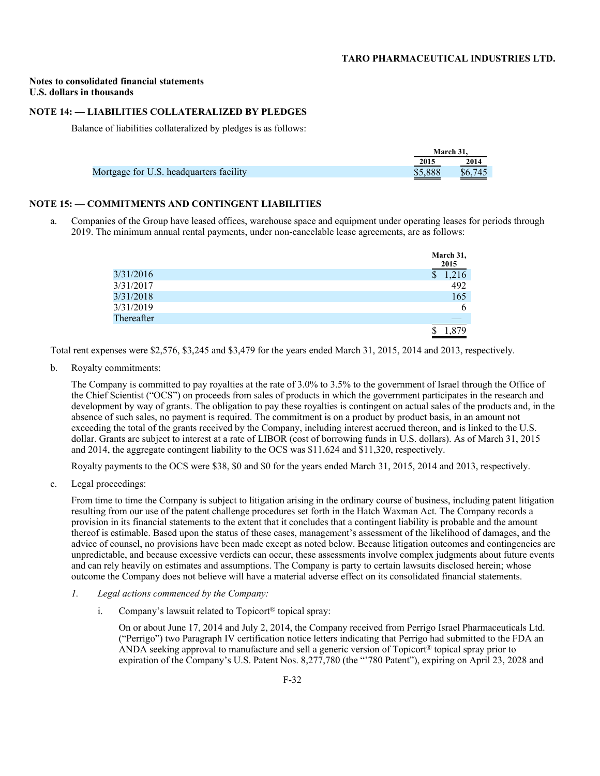## **NOTE 14: — LIABILITIES COLLATERALIZED BY PLEDGES**

Balance of liabilities collateralized by pledges is as follows:

|                                         | <b>March 31.</b> |         |
|-----------------------------------------|------------------|---------|
|                                         | 2015             | 2014    |
| Mortgage for U.S. headquarters facility | \$5,888          | \$6,745 |

#### **NOTE 15: — COMMITMENTS AND CONTINGENT LIABILITIES**

a. Companies of the Group have leased offices, warehouse space and equipment under operating leases for periods through 2019. The minimum annual rental payments, under non-cancelable lease agreements, are as follows:

|            | March 31,<br>2015 |
|------------|-------------------|
| 3/31/2016  | 1,216<br>\$       |
| 3/31/2017  | 492               |
| 3/31/2018  | 165               |
| 3/31/2019  | 6                 |
| Thereafter |                   |
|            |                   |

Total rent expenses were \$2,576, \$3,245 and \$3,479 for the years ended March 31, 2015, 2014 and 2013, respectively.

b. Royalty commitments:

The Company is committed to pay royalties at the rate of 3.0% to 3.5% to the government of Israel through the Office of the Chief Scientist ("OCS") on proceeds from sales of products in which the government participates in the research and development by way of grants. The obligation to pay these royalties is contingent on actual sales of the products and, in the absence of such sales, no payment is required. The commitment is on a product by product basis, in an amount not exceeding the total of the grants received by the Company, including interest accrued thereon, and is linked to the U.S. dollar. Grants are subject to interest at a rate of LIBOR (cost of borrowing funds in U.S. dollars). As of March 31, 2015 and 2014, the aggregate contingent liability to the OCS was \$11,624 and \$11,320, respectively.

Royalty payments to the OCS were \$38, \$0 and \$0 for the years ended March 31, 2015, 2014 and 2013, respectively.

c. Legal proceedings:

From time to time the Company is subject to litigation arising in the ordinary course of business, including patent litigation resulting from our use of the patent challenge procedures set forth in the Hatch Waxman Act. The Company records a provision in its financial statements to the extent that it concludes that a contingent liability is probable and the amount thereof is estimable. Based upon the status of these cases, management's assessment of the likelihood of damages, and the advice of counsel, no provisions have been made except as noted below. Because litigation outcomes and contingencies are unpredictable, and because excessive verdicts can occur, these assessments involve complex judgments about future events and can rely heavily on estimates and assumptions. The Company is party to certain lawsuits disclosed herein; whose outcome the Company does not believe will have a material adverse effect on its consolidated financial statements.

- *1. Legal actions commenced by the Company:* 
	- i. Company's lawsuit related to Topicort® topical spray:

On or about June 17, 2014 and July 2, 2014, the Company received from Perrigo Israel Pharmaceuticals Ltd. ("Perrigo") two Paragraph IV certification notice letters indicating that Perrigo had submitted to the FDA an ANDA seeking approval to manufacture and sell a generic version of Topicort® topical spray prior to expiration of the Company's U.S. Patent Nos. 8,277,780 (the "'780 Patent"), expiring on April 23, 2028 and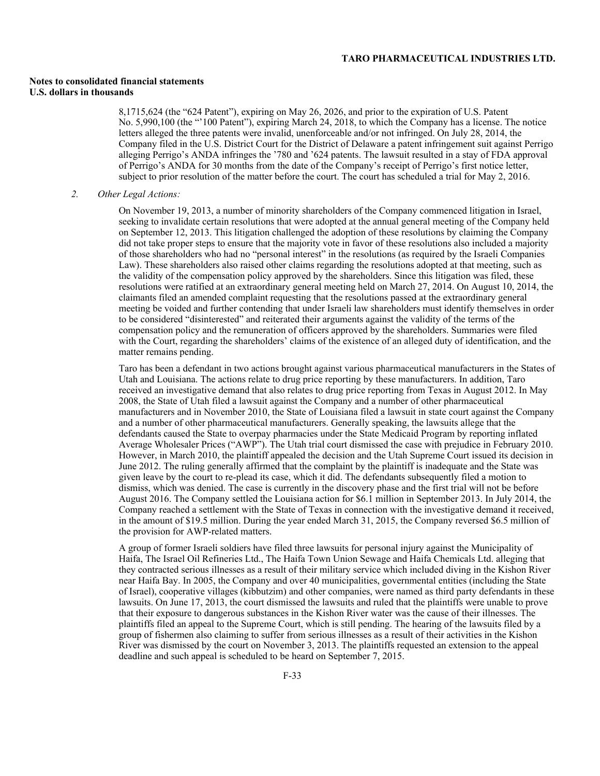#### **Notes to consolidated financial statements U.S. dollars in thousands**

8,1715,624 (the "624 Patent"), expiring on May 26, 2026, and prior to the expiration of U.S. Patent No. 5,990,100 (the "'100 Patent"), expiring March 24, 2018, to which the Company has a license. The notice letters alleged the three patents were invalid, unenforceable and/or not infringed. On July 28, 2014, the Company filed in the U.S. District Court for the District of Delaware a patent infringement suit against Perrigo alleging Perrigo's ANDA infringes the '780 and '624 patents. The lawsuit resulted in a stay of FDA approval of Perrigo's ANDA for 30 months from the date of the Company's receipt of Perrigo's first notice letter, subject to prior resolution of the matter before the court. The court has scheduled a trial for May 2, 2016.

#### *2. Other Legal Actions:*

On November 19, 2013, a number of minority shareholders of the Company commenced litigation in Israel, seeking to invalidate certain resolutions that were adopted at the annual general meeting of the Company held on September 12, 2013. This litigation challenged the adoption of these resolutions by claiming the Company did not take proper steps to ensure that the majority vote in favor of these resolutions also included a majority of those shareholders who had no "personal interest" in the resolutions (as required by the Israeli Companies Law). These shareholders also raised other claims regarding the resolutions adopted at that meeting, such as the validity of the compensation policy approved by the shareholders. Since this litigation was filed, these resolutions were ratified at an extraordinary general meeting held on March 27, 2014. On August 10, 2014, the claimants filed an amended complaint requesting that the resolutions passed at the extraordinary general meeting be voided and further contending that under Israeli law shareholders must identify themselves in order to be considered "disinterested" and reiterated their arguments against the validity of the terms of the compensation policy and the remuneration of officers approved by the shareholders. Summaries were filed with the Court, regarding the shareholders' claims of the existence of an alleged duty of identification, and the matter remains pending.

Taro has been a defendant in two actions brought against various pharmaceutical manufacturers in the States of Utah and Louisiana. The actions relate to drug price reporting by these manufacturers. In addition, Taro received an investigative demand that also relates to drug price reporting from Texas in August 2012. In May 2008, the State of Utah filed a lawsuit against the Company and a number of other pharmaceutical manufacturers and in November 2010, the State of Louisiana filed a lawsuit in state court against the Company and a number of other pharmaceutical manufacturers. Generally speaking, the lawsuits allege that the defendants caused the State to overpay pharmacies under the State Medicaid Program by reporting inflated Average Wholesaler Prices ("AWP"). The Utah trial court dismissed the case with prejudice in February 2010. However, in March 2010, the plaintiff appealed the decision and the Utah Supreme Court issued its decision in June 2012. The ruling generally affirmed that the complaint by the plaintiff is inadequate and the State was given leave by the court to re-plead its case, which it did. The defendants subsequently filed a motion to dismiss, which was denied. The case is currently in the discovery phase and the first trial will not be before August 2016. The Company settled the Louisiana action for \$6.1 million in September 2013. In July 2014, the Company reached a settlement with the State of Texas in connection with the investigative demand it received, in the amount of \$19.5 million. During the year ended March 31, 2015, the Company reversed \$6.5 million of the provision for AWP-related matters.

A group of former Israeli soldiers have filed three lawsuits for personal injury against the Municipality of Haifa, The Israel Oil Refineries Ltd., The Haifa Town Union Sewage and Haifa Chemicals Ltd. alleging that they contracted serious illnesses as a result of their military service which included diving in the Kishon River near Haifa Bay. In 2005, the Company and over 40 municipalities, governmental entities (including the State of Israel), cooperative villages (kibbutzim) and other companies, were named as third party defendants in these lawsuits. On June 17, 2013, the court dismissed the lawsuits and ruled that the plaintiffs were unable to prove that their exposure to dangerous substances in the Kishon River water was the cause of their illnesses. The plaintiffs filed an appeal to the Supreme Court, which is still pending. The hearing of the lawsuits filed by a group of fishermen also claiming to suffer from serious illnesses as a result of their activities in the Kishon River was dismissed by the court on November 3, 2013. The plaintiffs requested an extension to the appeal deadline and such appeal is scheduled to be heard on September 7, 2015.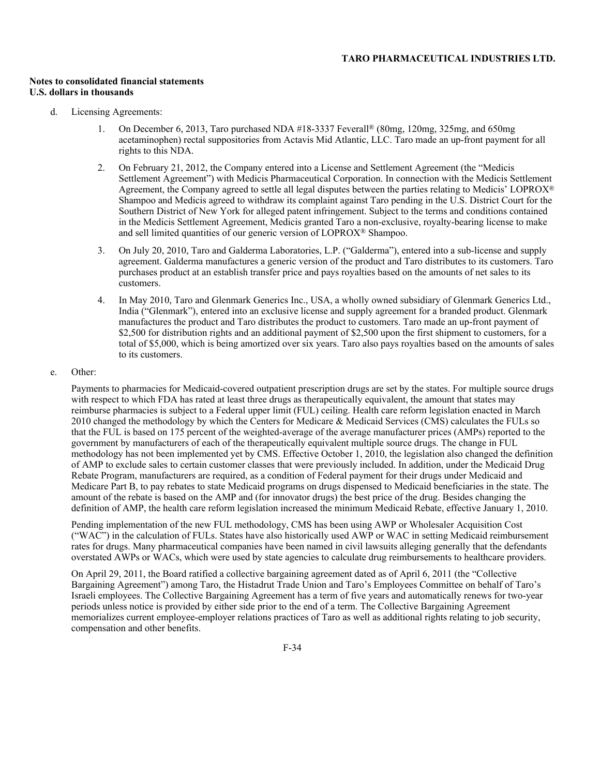- d. Licensing Agreements:
	- 1. On December 6, 2013, Taro purchased NDA #18-3337 Feverall® (80mg, 120mg, 325mg, and 650mg acetaminophen) rectal suppositories from Actavis Mid Atlantic, LLC. Taro made an up-front payment for all rights to this NDA.
	- 2. On February 21, 2012, the Company entered into a License and Settlement Agreement (the "Medicis Settlement Agreement") with Medicis Pharmaceutical Corporation. In connection with the Medicis Settlement Agreement, the Company agreed to settle all legal disputes between the parties relating to Medicis' LOPROX® Shampoo and Medicis agreed to withdraw its complaint against Taro pending in the U.S. District Court for the Southern District of New York for alleged patent infringement. Subject to the terms and conditions contained in the Medicis Settlement Agreement, Medicis granted Taro a non-exclusive, royalty-bearing license to make and sell limited quantities of our generic version of LOPROX® Shampoo.
	- 3. On July 20, 2010, Taro and Galderma Laboratories, L.P. ("Galderma"), entered into a sub-license and supply agreement. Galderma manufactures a generic version of the product and Taro distributes to its customers. Taro purchases product at an establish transfer price and pays royalties based on the amounts of net sales to its customers.
	- 4. In May 2010, Taro and Glenmark Generics Inc., USA, a wholly owned subsidiary of Glenmark Generics Ltd., India ("Glenmark"), entered into an exclusive license and supply agreement for a branded product. Glenmark manufactures the product and Taro distributes the product to customers. Taro made an up-front payment of \$2,500 for distribution rights and an additional payment of \$2,500 upon the first shipment to customers, for a total of \$5,000, which is being amortized over six years. Taro also pays royalties based on the amounts of sales to its customers.
- e. Other:

Payments to pharmacies for Medicaid-covered outpatient prescription drugs are set by the states. For multiple source drugs with respect to which FDA has rated at least three drugs as therapeutically equivalent, the amount that states may reimburse pharmacies is subject to a Federal upper limit (FUL) ceiling. Health care reform legislation enacted in March 2010 changed the methodology by which the Centers for Medicare & Medicaid Services (CMS) calculates the FULs so that the FUL is based on 175 percent of the weighted-average of the average manufacturer prices (AMPs) reported to the government by manufacturers of each of the therapeutically equivalent multiple source drugs. The change in FUL methodology has not been implemented yet by CMS. Effective October 1, 2010, the legislation also changed the definition of AMP to exclude sales to certain customer classes that were previously included. In addition, under the Medicaid Drug Rebate Program, manufacturers are required, as a condition of Federal payment for their drugs under Medicaid and Medicare Part B, to pay rebates to state Medicaid programs on drugs dispensed to Medicaid beneficiaries in the state. The amount of the rebate is based on the AMP and (for innovator drugs) the best price of the drug. Besides changing the definition of AMP, the health care reform legislation increased the minimum Medicaid Rebate, effective January 1, 2010.

Pending implementation of the new FUL methodology, CMS has been using AWP or Wholesaler Acquisition Cost ("WAC") in the calculation of FULs. States have also historically used AWP or WAC in setting Medicaid reimbursement rates for drugs. Many pharmaceutical companies have been named in civil lawsuits alleging generally that the defendants overstated AWPs or WACs, which were used by state agencies to calculate drug reimbursements to healthcare providers.

On April 29, 2011, the Board ratified a collective bargaining agreement dated as of April 6, 2011 (the "Collective Bargaining Agreement") among Taro, the Histadrut Trade Union and Taro's Employees Committee on behalf of Taro's Israeli employees. The Collective Bargaining Agreement has a term of five years and automatically renews for two-year periods unless notice is provided by either side prior to the end of a term. The Collective Bargaining Agreement memorializes current employee-employer relations practices of Taro as well as additional rights relating to job security, compensation and other benefits.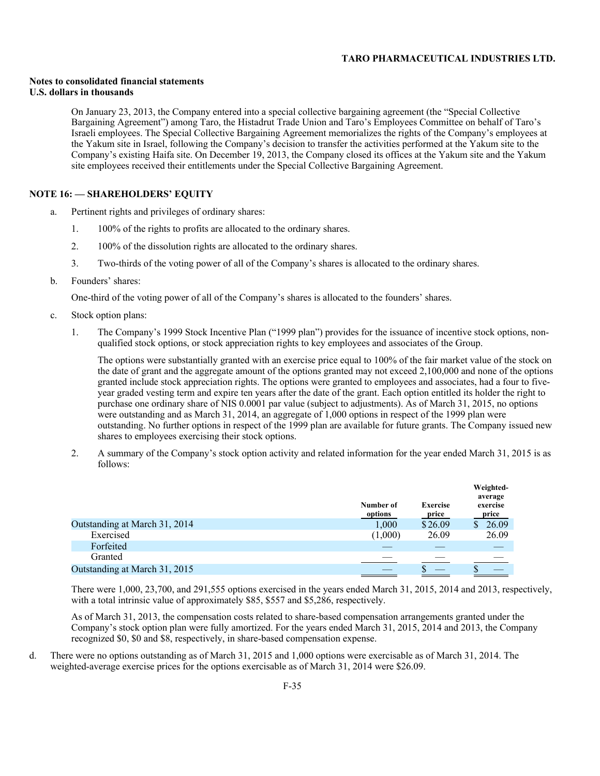#### **Notes to consolidated financial statements U.S. dollars in thousands**

On January 23, 2013, the Company entered into a special collective bargaining agreement (the "Special Collective Bargaining Agreement") among Taro, the Histadrut Trade Union and Taro's Employees Committee on behalf of Taro's Israeli employees. The Special Collective Bargaining Agreement memorializes the rights of the Company's employees at the Yakum site in Israel, following the Company's decision to transfer the activities performed at the Yakum site to the Company's existing Haifa site. On December 19, 2013, the Company closed its offices at the Yakum site and the Yakum site employees received their entitlements under the Special Collective Bargaining Agreement.

## **NOTE 16: — SHAREHOLDERS' EQUITY**

- a. Pertinent rights and privileges of ordinary shares:
	- 1. 100% of the rights to profits are allocated to the ordinary shares.
	- 2. 100% of the dissolution rights are allocated to the ordinary shares.
	- 3. Two-thirds of the voting power of all of the Company's shares is allocated to the ordinary shares.
- b. Founders' shares:

One-third of the voting power of all of the Company's shares is allocated to the founders' shares.

- c. Stock option plans:
	- 1. The Company's 1999 Stock Incentive Plan ("1999 plan") provides for the issuance of incentive stock options, nonqualified stock options, or stock appreciation rights to key employees and associates of the Group.

The options were substantially granted with an exercise price equal to 100% of the fair market value of the stock on the date of grant and the aggregate amount of the options granted may not exceed 2,100,000 and none of the options granted include stock appreciation rights. The options were granted to employees and associates, had a four to fiveyear graded vesting term and expire ten years after the date of the grant. Each option entitled its holder the right to purchase one ordinary share of NIS 0.0001 par value (subject to adjustments). As of March 31, 2015, no options were outstanding and as March 31, 2014, an aggregate of 1,000 options in respect of the 1999 plan were outstanding. No further options in respect of the 1999 plan are available for future grants. The Company issued new shares to employees exercising their stock options.

2. A summary of the Company's stock option activity and related information for the year ended March 31, 2015 is as follows:

|                               | Number of<br>options | <b>Exercise</b><br>price | Weighted-<br>average<br>exercise<br>price |
|-------------------------------|----------------------|--------------------------|-------------------------------------------|
| Outstanding at March 31, 2014 | 1,000                | \$26.09                  | 26.09                                     |
| Exercised                     | (1,000)              | 26.09                    | 26.09                                     |
| Forfeited                     |                      |                          |                                           |
| Granted                       |                      |                          |                                           |
| Outstanding at March 31, 2015 |                      |                          |                                           |

There were 1,000, 23,700, and 291,555 options exercised in the years ended March 31, 2015, 2014 and 2013, respectively, with a total intrinsic value of approximately \$85, \$557 and \$5,286, respectively.

As of March 31, 2013, the compensation costs related to share-based compensation arrangements granted under the Company's stock option plan were fully amortized. For the years ended March 31, 2015, 2014 and 2013, the Company recognized \$0, \$0 and \$8, respectively, in share-based compensation expense.

d. There were no options outstanding as of March 31, 2015 and 1,000 options were exercisable as of March 31, 2014. The weighted-average exercise prices for the options exercisable as of March 31, 2014 were \$26.09.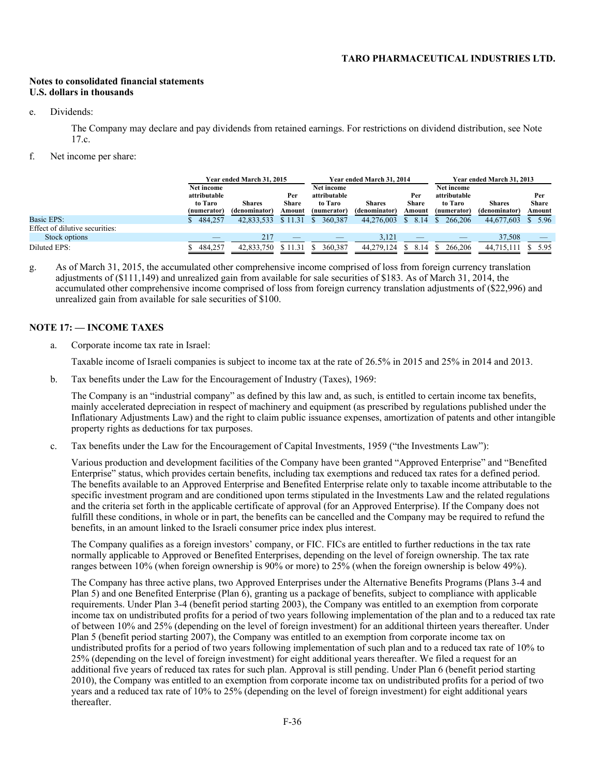### **Notes to consolidated financial statements U.S. dollars in thousands**

e. Dividends:

The Company may declare and pay dividends from retained earnings. For restrictions on dividend distribution, see Note 17.c.

f. Net income per share:

|                                |                                                      | Year ended March 31, 2015      | Year ended March 31, 2014     |                                                      | Year ended March 31, 2013      |                               |                                                      |                                |                               |
|--------------------------------|------------------------------------------------------|--------------------------------|-------------------------------|------------------------------------------------------|--------------------------------|-------------------------------|------------------------------------------------------|--------------------------------|-------------------------------|
|                                | Net income<br>attributable<br>to Taro<br>(numerator) | <b>Shares</b><br>(denominator) | Per<br><b>Share</b><br>Amount | Net income<br>attributable<br>to Taro<br>(numerator) | <b>Shares</b><br>(denominator) | Per<br><b>Share</b><br>Amount | Net income<br>attributable<br>to Taro<br>(numerator) | <b>Shares</b><br>(denominator) | Per<br><b>Share</b><br>Amount |
| Basic EPS:                     | 484,257                                              | 42.833.533                     | 1.31                          | 360.387                                              | 44.276.003                     | 8.14                          | 266,206                                              | 44,677,603                     | 5.96<br>S                     |
| Effect of dilutive securities: |                                                      |                                |                               |                                                      |                                |                               |                                                      |                                |                               |
| Stock options                  |                                                      | 217                            |                               |                                                      | 3,121                          |                               |                                                      | 37,508                         |                               |
| Diluted EPS:                   | 484,257                                              | 42,833,750                     | \$11.31                       | 360.387                                              | 44.279.124                     | 8.14                          | 266,206                                              | 44.715.111                     | 5.95                          |

g. As of March 31, 2015, the accumulated other comprehensive income comprised of loss from foreign currency translation adjustments of (\$111,149) and unrealized gain from available for sale securities of \$183. As of March 31, 2014, the accumulated other comprehensive income comprised of loss from foreign currency translation adjustments of (\$22,996) and unrealized gain from available for sale securities of \$100.

# **NOTE 17: — INCOME TAXES**

a. Corporate income tax rate in Israel:

Taxable income of Israeli companies is subject to income tax at the rate of 26.5% in 2015 and 25% in 2014 and 2013.

b. Tax benefits under the Law for the Encouragement of Industry (Taxes), 1969:

The Company is an "industrial company" as defined by this law and, as such, is entitled to certain income tax benefits, mainly accelerated depreciation in respect of machinery and equipment (as prescribed by regulations published under the Inflationary Adjustments Law) and the right to claim public issuance expenses, amortization of patents and other intangible property rights as deductions for tax purposes.

c. Tax benefits under the Law for the Encouragement of Capital Investments, 1959 ("the Investments Law"):

Various production and development facilities of the Company have been granted "Approved Enterprise" and "Benefited Enterprise" status, which provides certain benefits, including tax exemptions and reduced tax rates for a defined period. The benefits available to an Approved Enterprise and Benefited Enterprise relate only to taxable income attributable to the specific investment program and are conditioned upon terms stipulated in the Investments Law and the related regulations and the criteria set forth in the applicable certificate of approval (for an Approved Enterprise). If the Company does not fulfill these conditions, in whole or in part, the benefits can be cancelled and the Company may be required to refund the benefits, in an amount linked to the Israeli consumer price index plus interest.

The Company qualifies as a foreign investors' company, or FIC. FICs are entitled to further reductions in the tax rate normally applicable to Approved or Benefited Enterprises, depending on the level of foreign ownership. The tax rate ranges between 10% (when foreign ownership is 90% or more) to 25% (when the foreign ownership is below 49%).

The Company has three active plans, two Approved Enterprises under the Alternative Benefits Programs (Plans 3-4 and Plan 5) and one Benefited Enterprise (Plan 6), granting us a package of benefits, subject to compliance with applicable requirements. Under Plan 3-4 (benefit period starting 2003), the Company was entitled to an exemption from corporate income tax on undistributed profits for a period of two years following implementation of the plan and to a reduced tax rate of between 10% and 25% (depending on the level of foreign investment) for an additional thirteen years thereafter. Under Plan 5 (benefit period starting 2007), the Company was entitled to an exemption from corporate income tax on undistributed profits for a period of two years following implementation of such plan and to a reduced tax rate of 10% to 25% (depending on the level of foreign investment) for eight additional years thereafter. We filed a request for an additional five years of reduced tax rates for such plan. Approval is still pending. Under Plan 6 (benefit period starting 2010), the Company was entitled to an exemption from corporate income tax on undistributed profits for a period of two years and a reduced tax rate of 10% to 25% (depending on the level of foreign investment) for eight additional years thereafter.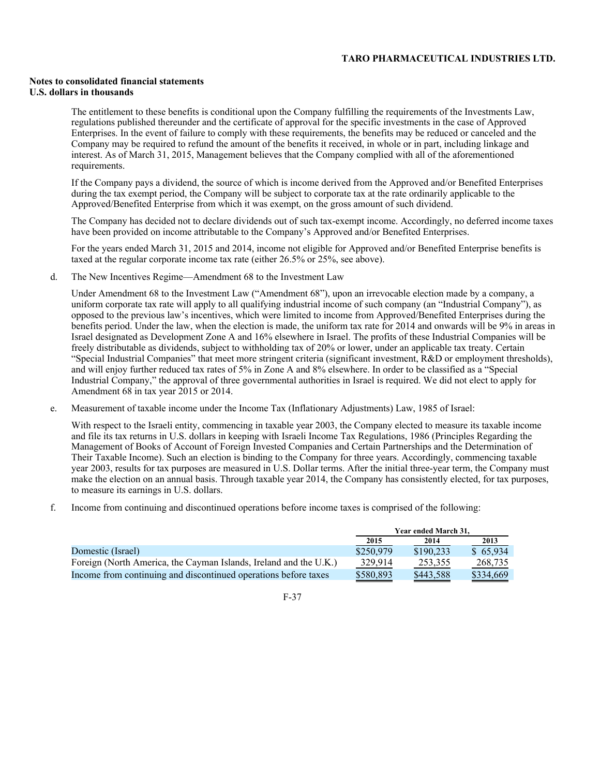#### **Notes to consolidated financial statements U.S. dollars in thousands**

The entitlement to these benefits is conditional upon the Company fulfilling the requirements of the Investments Law, regulations published thereunder and the certificate of approval for the specific investments in the case of Approved Enterprises. In the event of failure to comply with these requirements, the benefits may be reduced or canceled and the Company may be required to refund the amount of the benefits it received, in whole or in part, including linkage and interest. As of March 31, 2015, Management believes that the Company complied with all of the aforementioned requirements.

If the Company pays a dividend, the source of which is income derived from the Approved and/or Benefited Enterprises during the tax exempt period, the Company will be subject to corporate tax at the rate ordinarily applicable to the Approved/Benefited Enterprise from which it was exempt, on the gross amount of such dividend.

The Company has decided not to declare dividends out of such tax-exempt income. Accordingly, no deferred income taxes have been provided on income attributable to the Company's Approved and/or Benefited Enterprises.

For the years ended March 31, 2015 and 2014, income not eligible for Approved and/or Benefited Enterprise benefits is taxed at the regular corporate income tax rate (either 26.5% or 25%, see above).

d. The New Incentives Regime—Amendment 68 to the Investment Law

Under Amendment 68 to the Investment Law ("Amendment 68"), upon an irrevocable election made by a company, a uniform corporate tax rate will apply to all qualifying industrial income of such company (an "Industrial Company"), as opposed to the previous law's incentives, which were limited to income from Approved/Benefited Enterprises during the benefits period. Under the law, when the election is made, the uniform tax rate for 2014 and onwards will be 9% in areas in Israel designated as Development Zone A and 16% elsewhere in Israel. The profits of these Industrial Companies will be freely distributable as dividends, subject to withholding tax of 20% or lower, under an applicable tax treaty. Certain "Special Industrial Companies" that meet more stringent criteria (significant investment, R&D or employment thresholds), and will enjoy further reduced tax rates of 5% in Zone A and 8% elsewhere. In order to be classified as a "Special Industrial Company," the approval of three governmental authorities in Israel is required. We did not elect to apply for Amendment 68 in tax year 2015 or 2014.

e. Measurement of taxable income under the Income Tax (Inflationary Adjustments) Law, 1985 of Israel:

With respect to the Israeli entity, commencing in taxable year 2003, the Company elected to measure its taxable income and file its tax returns in U.S. dollars in keeping with Israeli Income Tax Regulations, 1986 (Principles Regarding the Management of Books of Account of Foreign Invested Companies and Certain Partnerships and the Determination of Their Taxable Income). Such an election is binding to the Company for three years. Accordingly, commencing taxable year 2003, results for tax purposes are measured in U.S. Dollar terms. After the initial three-year term, the Company must make the election on an annual basis. Through taxable year 2014, the Company has consistently elected, for tax purposes, to measure its earnings in U.S. dollars.

f. Income from continuing and discontinued operations before income taxes is comprised of the following:

|                                                                   | Year ended March 31. |           |           |  |
|-------------------------------------------------------------------|----------------------|-----------|-----------|--|
|                                                                   | 2015                 | 2014      | 2013      |  |
| Domestic (Israel)                                                 | \$250,979            | \$190.233 | \$65.934  |  |
| Foreign (North America, the Cayman Islands, Ireland and the U.K.) | 329,914              | 253,355   | 268,735   |  |
| Income from continuing and discontinued operations before taxes   | \$580,893            | \$443,588 | \$334,669 |  |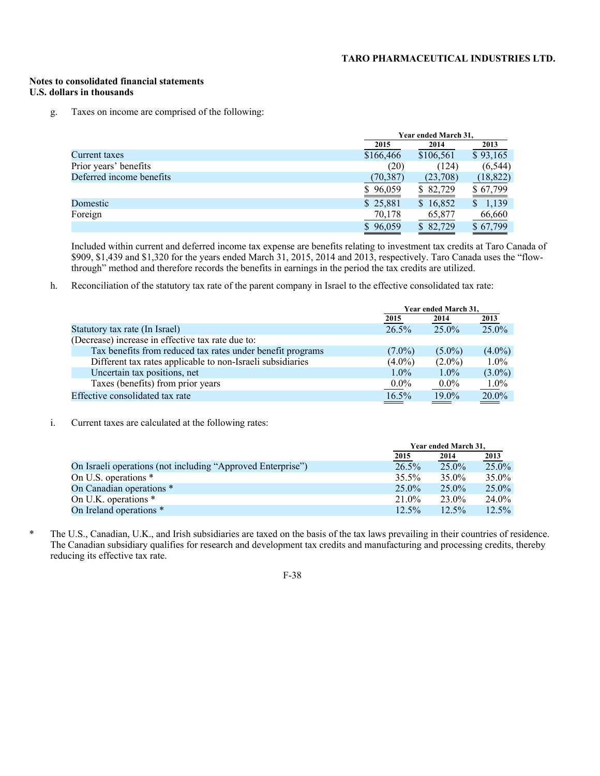g. Taxes on income are comprised of the following:

|                          |           | Year ended March 31, |             |  |  |
|--------------------------|-----------|----------------------|-------------|--|--|
|                          | 2015      | 2014                 | 2013        |  |  |
| Current taxes            | \$166,466 | \$106,561            | \$93,165    |  |  |
| Prior years' benefits    | (20)      | (124)                | (6, 544)    |  |  |
| Deferred income benefits | (70, 387) | (23,708)             | (18, 822)   |  |  |
|                          | \$96,059  | \$ 82,729            | \$67,799    |  |  |
| Domestic                 | \$25,881  | \$16,852             | 1,139<br>S. |  |  |
| Foreign                  | 70,178    | 65,877               | 66,660      |  |  |
|                          | \$96,059  | \$82,729             | \$67,799    |  |  |

Included within current and deferred income tax expense are benefits relating to investment tax credits at Taro Canada of \$909, \$1,439 and \$1,320 for the years ended March 31, 2015, 2014 and 2013, respectively. Taro Canada uses the "flowthrough" method and therefore records the benefits in earnings in the period the tax credits are utilized.

h. Reconciliation of the statutory tax rate of the parent company in Israel to the effective consolidated tax rate:

|                                                            | Year ended March 31, |           |                     |  |
|------------------------------------------------------------|----------------------|-----------|---------------------|--|
|                                                            | 2015                 | 2014      | 2013                |  |
| Statutory tax rate (In Israel)                             | 26.5%                | $25.0\%$  | $\overline{25.0\%}$ |  |
| (Decrease) increase in effective tax rate due to:          |                      |           |                     |  |
| Tax benefits from reduced tax rates under benefit programs | $(7.0\%)$            | $(5.0\%)$ | $(4.0\%)$           |  |
| Different tax rates applicable to non-Israeli subsidiaries | $(4.0\%)$            | $(2.0\%)$ | $1.0\%$             |  |
| Uncertain tax positions, net                               | $1.0\%$              | $1.0\%$   | $(3.0\%)$           |  |
| Taxes (benefits) from prior years                          | $0.0\%$              | $0.0\%$   | $1.0\%$             |  |
| Effective consolidated tax rate                            | $16.5\%$             | $19.0\%$  | 20.0%               |  |

i. Current taxes are calculated at the following rates:

|                                                             | Year ended March 31, |          |          |
|-------------------------------------------------------------|----------------------|----------|----------|
|                                                             | 2015                 | 2014     | 2013     |
| On Israeli operations (not including "Approved Enterprise") | 26.5%                | 25.0%    | 25.0%    |
| On U.S. operations *                                        | 35.5%                | 35.0%    | 35.0%    |
| On Canadian operations *                                    | $25.0\%$             | 25.0%    | $25.0\%$ |
| On U.K. operations *                                        | $21.0\%$             | 23.0%    | 24.0%    |
| On Ireland operations *                                     | $12.5\%$             | $12.5\%$ | $12.5\%$ |

\* The U.S., Canadian, U.K., and Irish subsidiaries are taxed on the basis of the tax laws prevailing in their countries of residence. The Canadian subsidiary qualifies for research and development tax credits and manufacturing and processing credits, thereby reducing its effective tax rate.

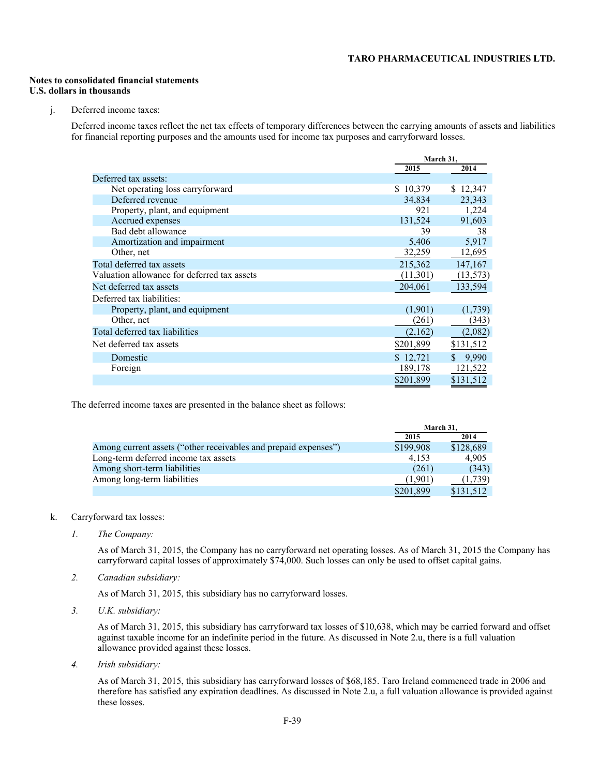### **Notes to consolidated financial statements U.S. dollars in thousands**

j. Deferred income taxes:

Deferred income taxes reflect the net tax effects of temporary differences between the carrying amounts of assets and liabilities for financial reporting purposes and the amounts used for income tax purposes and carryforward losses.

|                                             |           | March 31, |
|---------------------------------------------|-----------|-----------|
|                                             | 2015      | 2014      |
| Deferred tax assets:                        |           |           |
| Net operating loss carryforward             | \$10,379  | \$12,347  |
| Deferred revenue                            | 34,834    | 23,343    |
| Property, plant, and equipment              | 921       | 1,224     |
| Accrued expenses                            | 131,524   | 91,603    |
| Bad debt allowance                          | 39        | 38        |
| Amortization and impairment                 | 5,406     | 5,917     |
| Other, net                                  | 32,259    | 12,695    |
| Total deferred tax assets                   | 215,362   | 147,167   |
| Valuation allowance for deferred tax assets | (11,301)  | (13, 573) |
| Net deferred tax assets                     | 204,061   | 133,594   |
| Deferred tax liabilities:                   |           |           |
| Property, plant, and equipment              | (1,901)   | (1,739)   |
| Other, net                                  | (261)     | (343)     |
| Total deferred tax liabilities              | (2,162)   | (2,082)   |
| Net deferred tax assets                     | \$201,899 | \$131,512 |
| Domestic                                    | \$12,721  | 9,990     |
| Foreign                                     | 189,178   | 121,522   |
|                                             | \$201,899 | \$131,512 |

The deferred income taxes are presented in the balance sheet as follows:

|                                                                 | March 31. |           |
|-----------------------------------------------------------------|-----------|-----------|
|                                                                 | 2015      | 2014      |
| Among current assets ("other receivables and prepaid expenses") | \$199,908 | \$128,689 |
| Long-term deferred income tax assets                            | 4,153     | 4.905     |
| Among short-term liabilities                                    | (261)     | (343)     |
| Among long-term liabilities                                     | (1.901)   | (1,739)   |
|                                                                 | \$201,899 | \$131,512 |

#### k. Carryforward tax losses:

*1. The Company:* 

As of March 31, 2015, the Company has no carryforward net operating losses. As of March 31, 2015 the Company has carryforward capital losses of approximately \$74,000. Such losses can only be used to offset capital gains.

*2. Canadian subsidiary:* 

As of March 31, 2015, this subsidiary has no carryforward losses.

*3. U.K. subsidiary:* 

As of March 31, 2015, this subsidiary has carryforward tax losses of \$10,638, which may be carried forward and offset against taxable income for an indefinite period in the future. As discussed in Note 2.u, there is a full valuation allowance provided against these losses.

*4. Irish subsidiary:* 

As of March 31, 2015, this subsidiary has carryforward losses of \$68,185. Taro Ireland commenced trade in 2006 and therefore has satisfied any expiration deadlines. As discussed in Note 2.u, a full valuation allowance is provided against these losses.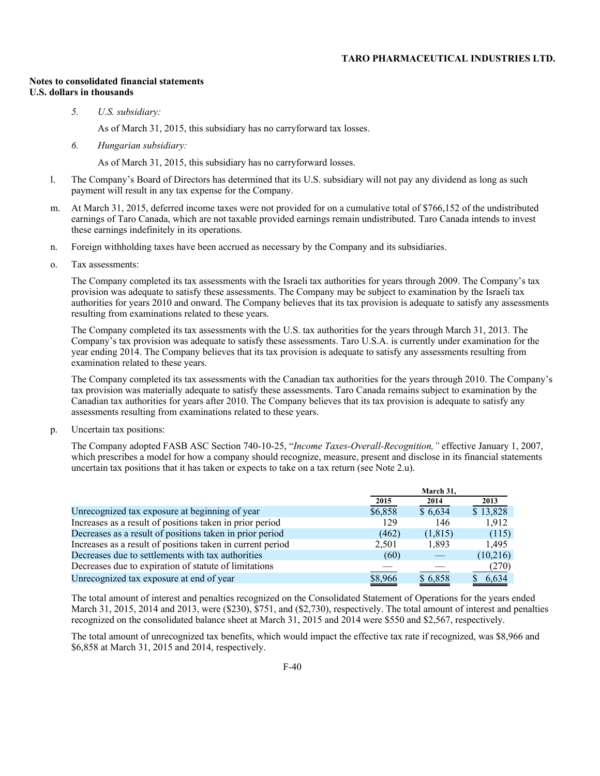*5. U.S. subsidiary:* 

As of March 31, 2015, this subsidiary has no carryforward tax losses.

*6. Hungarian subsidiary:* 

As of March 31, 2015, this subsidiary has no carryforward losses.

- l. The Company's Board of Directors has determined that its U.S. subsidiary will not pay any dividend as long as such payment will result in any tax expense for the Company.
- m. At March 31, 2015, deferred income taxes were not provided for on a cumulative total of \$766,152 of the undistributed earnings of Taro Canada, which are not taxable provided earnings remain undistributed. Taro Canada intends to invest these earnings indefinitely in its operations.
- n. Foreign withholding taxes have been accrued as necessary by the Company and its subsidiaries.
- o. Tax assessments:

The Company completed its tax assessments with the Israeli tax authorities for years through 2009. The Company's tax provision was adequate to satisfy these assessments. The Company may be subject to examination by the Israeli tax authorities for years 2010 and onward. The Company believes that its tax provision is adequate to satisfy any assessments resulting from examinations related to these years.

The Company completed its tax assessments with the U.S. tax authorities for the years through March 31, 2013. The Company's tax provision was adequate to satisfy these assessments. Taro U.S.A. is currently under examination for the year ending 2014. The Company believes that its tax provision is adequate to satisfy any assessments resulting from examination related to these years.

The Company completed its tax assessments with the Canadian tax authorities for the years through 2010. The Company's tax provision was materially adequate to satisfy these assessments. Taro Canada remains subject to examination by the Canadian tax authorities for years after 2010. The Company believes that its tax provision is adequate to satisfy any assessments resulting from examinations related to these years.

p. Uncertain tax positions:

The Company adopted FASB ASC Section 740-10-25, "*Income Taxes-Overall-Recognition,"* effective January 1, 2007, which prescribes a model for how a company should recognize, measure, present and disclose in its financial statements uncertain tax positions that it has taken or expects to take on a tax return (see Note 2.u).

|                                                            | March 31, |          |          |  |
|------------------------------------------------------------|-----------|----------|----------|--|
|                                                            | 2015      | 2014     | 2013     |  |
| Unrecognized tax exposure at beginning of year             | \$6,858   | \$6,634  | \$13,828 |  |
| Increases as a result of positions taken in prior period   | 129       | 146      | 1,912    |  |
| Decreases as a result of positions taken in prior period   | (462)     | (1, 815) | (115)    |  |
| Increases as a result of positions taken in current period | 2,501     | 1,893    | 1,495    |  |
| Decreases due to settlements with tax authorities          | (60)      |          | (10,216) |  |
| Decreases due to expiration of statute of limitations      |           |          | (270)    |  |
| Unrecognized tax exposure at end of year                   | \$8,966   | \$6,858  | 6.634    |  |

The total amount of interest and penalties recognized on the Consolidated Statement of Operations for the years ended March 31, 2015, 2014 and 2013, were (\$230), \$751, and (\$2,730), respectively. The total amount of interest and penalties recognized on the consolidated balance sheet at March 31, 2015 and 2014 were \$550 and \$2,567, respectively.

The total amount of unrecognized tax benefits, which would impact the effective tax rate if recognized, was \$8,966 and \$6,858 at March 31, 2015 and 2014, respectively.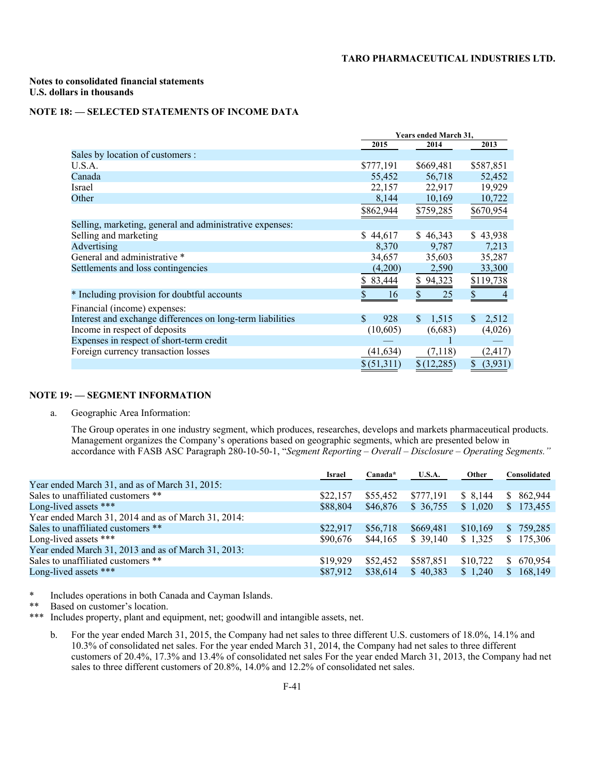### **NOTE 18: — SELECTED STATEMENTS OF INCOME DATA**

|                                                            |             | <b>Years ended March 31,</b> |                         |  |  |
|------------------------------------------------------------|-------------|------------------------------|-------------------------|--|--|
|                                                            | 2015        | 2014                         | 2013                    |  |  |
| Sales by location of customers :                           |             |                              |                         |  |  |
| U.S.A.                                                     | \$777,191   | \$669,481                    | \$587,851               |  |  |
| Canada                                                     | 55,452      | 56,718                       | 52,452                  |  |  |
| Israel                                                     | 22,157      | 22,917                       | 19,929                  |  |  |
| Other                                                      | 8,144       | 10,169                       | 10,722                  |  |  |
|                                                            | \$862,944   | \$759,285                    | \$670,954               |  |  |
| Selling, marketing, general and administrative expenses:   |             |                              |                         |  |  |
| Selling and marketing                                      | \$44,617    | \$46,343                     | \$43,938                |  |  |
| Advertising                                                | 8,370       | 9,787                        | 7,213                   |  |  |
| General and administrative *                               | 34,657      | 35,603                       | 35,287                  |  |  |
| Settlements and loss contingencies                         | (4,200)     | 2,590                        | 33,300                  |  |  |
|                                                            | 83,444      | \$94,323                     | \$119,738               |  |  |
| * Including provision for doubtful accounts                | 16          | 25                           |                         |  |  |
| Financial (income) expenses:                               |             |                              |                         |  |  |
| Interest and exchange differences on long-term liabilities | \$<br>928   | 1,515<br>S.                  | $\mathbb{S}^-$<br>2,512 |  |  |
| Income in respect of deposits                              | (10,605)    | (6,683)                      | (4,026)                 |  |  |
| Expenses in respect of short-term credit                   |             |                              |                         |  |  |
| Foreign currency transaction losses                        | (41, 634)   | (7, 118)                     | (2, 417)                |  |  |
|                                                            | \$ (51,311) | \$(12, 285)                  | \$<br>(3,931)           |  |  |

# **NOTE 19: — SEGMENT INFORMATION**

a. Geographic Area Information:

The Group operates in one industry segment, which produces, researches, develops and markets pharmaceutical products. Management organizes the Company's operations based on geographic segments, which are presented below in accordance with FASB ASC Paragraph 280-10-50-1, "*Segment Reporting – Overall – Disclosure – Operating Segments."* 

|                                                     | Israel   | Canada*  | <b>U.S.A.</b> | Other    | Consolidated            |
|-----------------------------------------------------|----------|----------|---------------|----------|-------------------------|
| Year ended March 31, and as of March 31, 2015:      |          |          |               |          |                         |
| Sales to unaffiliated customers **                  | \$22,157 | \$55,452 | \$777,191     | \$ 8,144 | 862,944<br>S.           |
| Long-lived assets ***                               | \$88,804 | \$46,876 | \$36,755      | \$1,020  | \$173,455               |
| Year ended March 31, 2014 and as of March 31, 2014: |          |          |               |          |                         |
| Sales to unaffiliated customers **                  | \$22,917 | \$56,718 | \$669,481     | \$10,169 | 759,285<br>$\mathbf{s}$ |
| Long-lived assets ***                               | \$90,676 | \$44,165 | \$39,140      | \$1,325  | 175,306                 |
| Year ended March 31, 2013 and as of March 31, 2013: |          |          |               |          |                         |
| Sales to unaffiliated customers **                  | \$19.929 | \$52,452 | \$587,851     | \$10,722 | 670,954<br>S.           |
| Long-lived assets ***                               | \$87,912 | \$38,614 | \$40,383      | \$1,240  | 168,149<br>S.           |
|                                                     |          |          |               |          |                         |

Includes operations in both Canada and Cayman Islands.

\*\* Based on customer's location.

\*\*\* Includes property, plant and equipment, net; goodwill and intangible assets, net.

b. For the year ended March 31, 2015, the Company had net sales to three different U.S. customers of 18.0%, 14.1% and 10.3% of consolidated net sales. For the year ended March 31, 2014, the Company had net sales to three different customers of 20.4%, 17.3% and 13.4% of consolidated net sales For the year ended March 31, 2013, the Company had net sales to three different customers of 20.8%, 14.0% and 12.2% of consolidated net sales.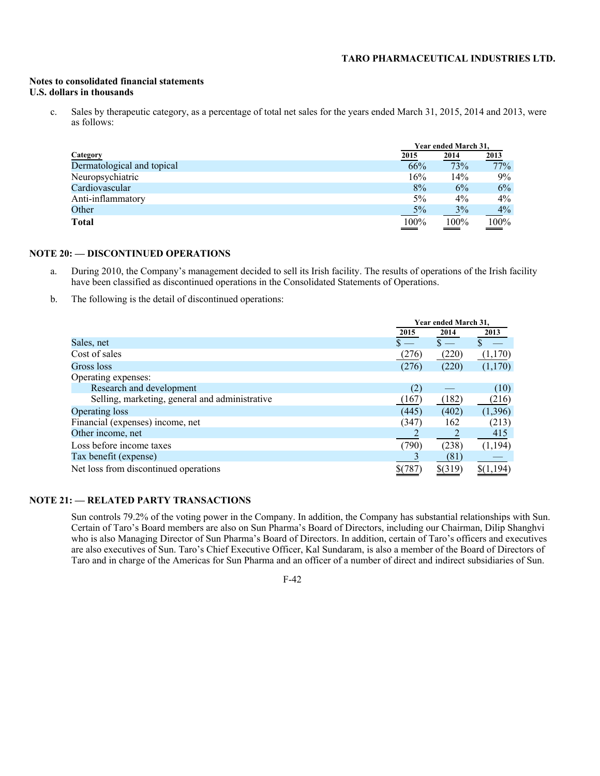#### **Notes to consolidated financial statements U.S. dollars in thousands**

c. Sales by therapeutic category, as a percentage of total net sales for the years ended March 31, 2015, 2014 and 2013, were as follows:

|                            |       | Year ended March 31, |       |  |
|----------------------------|-------|----------------------|-------|--|
| Category                   | 2015  | 2014                 | 2013  |  |
| Dermatological and topical | 66%   | 73%                  | 77%   |  |
| Neuropsychiatric           | 16%   | 14%                  | 9%    |  |
| Cardiovascular             | 8%    | 6%                   | 6%    |  |
| Anti-inflammatory          | $5\%$ | $4\%$                | $4\%$ |  |
| Other                      | $5\%$ | 3%                   | $4\%$ |  |
| Total                      | 100%  | 100%                 | 100%  |  |

# **NOTE 20: — DISCONTINUED OPERATIONS**

- a. During 2010, the Company's management decided to sell its Irish facility. The results of operations of the Irish facility have been classified as discontinued operations in the Consolidated Statements of Operations.
- b. The following is the detail of discontinued operations:

|                                                |                | Year ended March 31. |           |  |
|------------------------------------------------|----------------|----------------------|-----------|--|
|                                                | <u>2015</u>    | 2014                 | 2013      |  |
| Sales, net                                     | $\mathbf{s}$ — |                      |           |  |
| Cost of sales                                  | (276)          | (220)                | (1,170)   |  |
| Gross loss                                     | (276)          | (220)                | (1,170)   |  |
| Operating expenses:                            |                |                      |           |  |
| Research and development                       | (2)            |                      | (10)      |  |
| Selling, marketing, general and administrative | (167)          | (182)                | (216)     |  |
| <b>Operating loss</b>                          | (445)          | (402)                | (1,396)   |  |
| Financial (expenses) income, net               | (347)          | 162                  | (213)     |  |
| Other income, net                              |                |                      | 415       |  |
| Loss before income taxes                       | (790)          | (238)                | (1, 194)  |  |
| Tax benefit (expense)                          |                | (81)                 |           |  |
| Net loss from discontinued operations          | \$(787)        | \$(319)              | \$(1,194) |  |

# **NOTE 21: — RELATED PARTY TRANSACTIONS**

Sun controls 79.2% of the voting power in the Company. In addition, the Company has substantial relationships with Sun. Certain of Taro's Board members are also on Sun Pharma's Board of Directors, including our Chairman, Dilip Shanghvi who is also Managing Director of Sun Pharma's Board of Directors. In addition, certain of Taro's officers and executives are also executives of Sun. Taro's Chief Executive Officer, Kal Sundaram, is also a member of the Board of Directors of Taro and in charge of the Americas for Sun Pharma and an officer of a number of direct and indirect subsidiaries of Sun.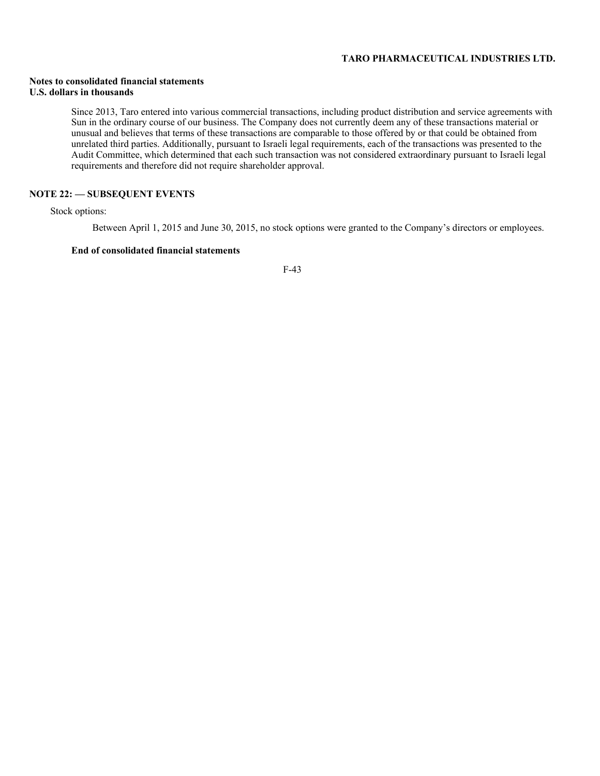#### **Notes to consolidated financial statements U.S. dollars in thousands**

Since 2013, Taro entered into various commercial transactions, including product distribution and service agreements with Sun in the ordinary course of our business. The Company does not currently deem any of these transactions material or unusual and believes that terms of these transactions are comparable to those offered by or that could be obtained from unrelated third parties. Additionally, pursuant to Israeli legal requirements, each of the transactions was presented to the Audit Committee, which determined that each such transaction was not considered extraordinary pursuant to Israeli legal requirements and therefore did not require shareholder approval.

# **NOTE 22: — SUBSEQUENT EVENTS**

# Stock options:

Between April 1, 2015 and June 30, 2015, no stock options were granted to the Company's directors or employees.

#### **End of consolidated financial statements**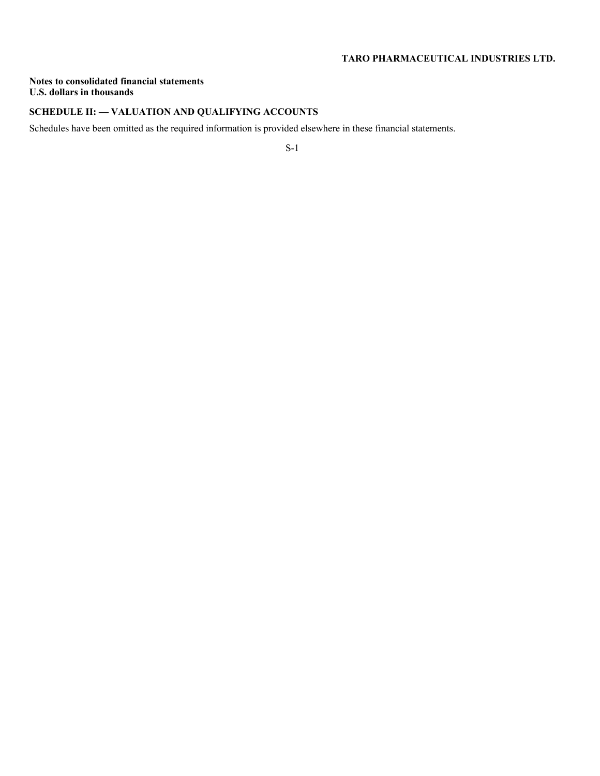# **Notes to consolidated financial statements U.S. dollars in thousands**

# **SCHEDULE II: — VALUATION AND QUALIFYING ACCOUNTS**

Schedules have been omitted as the required information is provided elsewhere in these financial statements.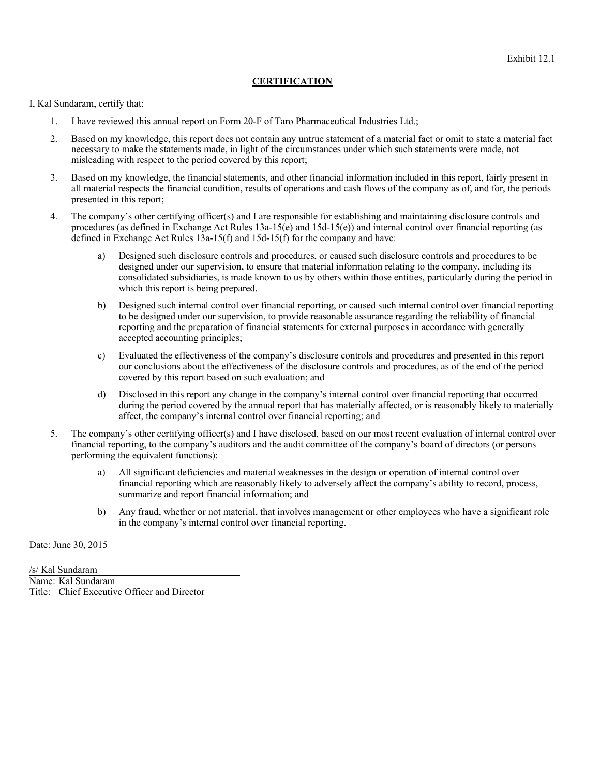## **CERTIFICATION**

I, Kal Sundaram, certify that:

- 1. I have reviewed this annual report on Form 20-F of Taro Pharmaceutical Industries Ltd.;
- 2. Based on my knowledge, this report does not contain any untrue statement of a material fact or omit to state a material fact necessary to make the statements made, in light of the circumstances under which such statements were made, not misleading with respect to the period covered by this report;
- 3. Based on my knowledge, the financial statements, and other financial information included in this report, fairly present in all material respects the financial condition, results of operations and cash flows of the company as of, and for, the periods presented in this report;
- 4. The company's other certifying officer(s) and I are responsible for establishing and maintaining disclosure controls and procedures (as defined in Exchange Act Rules 13a-15(e) and 15d-15(e)) and internal control over financial reporting (as defined in Exchange Act Rules 13a-15(f) and 15d-15(f) for the company and have:
	- a) Designed such disclosure controls and procedures, or caused such disclosure controls and procedures to be designed under our supervision, to ensure that material information relating to the company, including its consolidated subsidiaries, is made known to us by others within those entities, particularly during the period in which this report is being prepared.
	- b) Designed such internal control over financial reporting, or caused such internal control over financial reporting to be designed under our supervision, to provide reasonable assurance regarding the reliability of financial reporting and the preparation of financial statements for external purposes in accordance with generally accepted accounting principles;
	- c) Evaluated the effectiveness of the company's disclosure controls and procedures and presented in this report our conclusions about the effectiveness of the disclosure controls and procedures, as of the end of the period covered by this report based on such evaluation; and
	- d) Disclosed in this report any change in the company's internal control over financial reporting that occurred during the period covered by the annual report that has materially affected, or is reasonably likely to materially affect, the company's internal control over financial reporting; and
- 5. The company's other certifying officer(s) and I have disclosed, based on our most recent evaluation of internal control over financial reporting, to the company's auditors and the audit committee of the company's board of directors (or persons performing the equivalent functions):
	- a) All significant deficiencies and material weaknesses in the design or operation of internal control over financial reporting which are reasonably likely to adversely affect the company's ability to record, process, summarize and report financial information; and
	- b) Any fraud, whether or not material, that involves management or other employees who have a significant role in the company's internal control over financial reporting.

Date: June 30, 2015

/s/ Kal Sundaram Name: Kal Sundaram Title: Chief Executive Officer and Director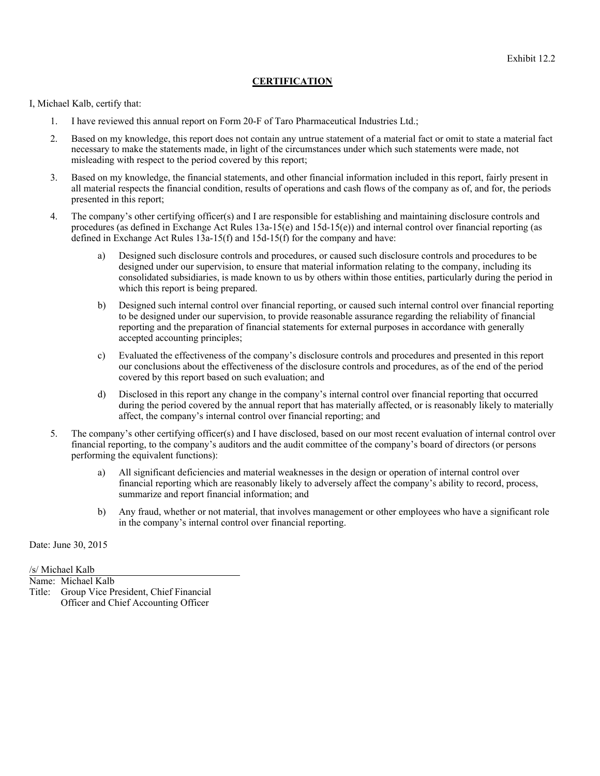## **CERTIFICATION**

I, Michael Kalb, certify that:

- 1. I have reviewed this annual report on Form 20-F of Taro Pharmaceutical Industries Ltd.;
- 2. Based on my knowledge, this report does not contain any untrue statement of a material fact or omit to state a material fact necessary to make the statements made, in light of the circumstances under which such statements were made, not misleading with respect to the period covered by this report;
- 3. Based on my knowledge, the financial statements, and other financial information included in this report, fairly present in all material respects the financial condition, results of operations and cash flows of the company as of, and for, the periods presented in this report;
- 4. The company's other certifying officer(s) and I are responsible for establishing and maintaining disclosure controls and procedures (as defined in Exchange Act Rules 13a-15(e) and 15d-15(e)) and internal control over financial reporting (as defined in Exchange Act Rules 13a-15(f) and 15d-15(f) for the company and have:
	- a) Designed such disclosure controls and procedures, or caused such disclosure controls and procedures to be designed under our supervision, to ensure that material information relating to the company, including its consolidated subsidiaries, is made known to us by others within those entities, particularly during the period in which this report is being prepared.
	- b) Designed such internal control over financial reporting, or caused such internal control over financial reporting to be designed under our supervision, to provide reasonable assurance regarding the reliability of financial reporting and the preparation of financial statements for external purposes in accordance with generally accepted accounting principles;
	- c) Evaluated the effectiveness of the company's disclosure controls and procedures and presented in this report our conclusions about the effectiveness of the disclosure controls and procedures, as of the end of the period covered by this report based on such evaluation; and
	- d) Disclosed in this report any change in the company's internal control over financial reporting that occurred during the period covered by the annual report that has materially affected, or is reasonably likely to materially affect, the company's internal control over financial reporting; and
- 5. The company's other certifying officer(s) and I have disclosed, based on our most recent evaluation of internal control over financial reporting, to the company's auditors and the audit committee of the company's board of directors (or persons performing the equivalent functions):
	- a) All significant deficiencies and material weaknesses in the design or operation of internal control over financial reporting which are reasonably likely to adversely affect the company's ability to record, process, summarize and report financial information; and
	- b) Any fraud, whether or not material, that involves management or other employees who have a significant role in the company's internal control over financial reporting.

Date: June 30, 2015

/s/ Michael Kalb

Name: Michael Kalb

Title: Group Vice President, Chief Financial Officer and Chief Accounting Officer